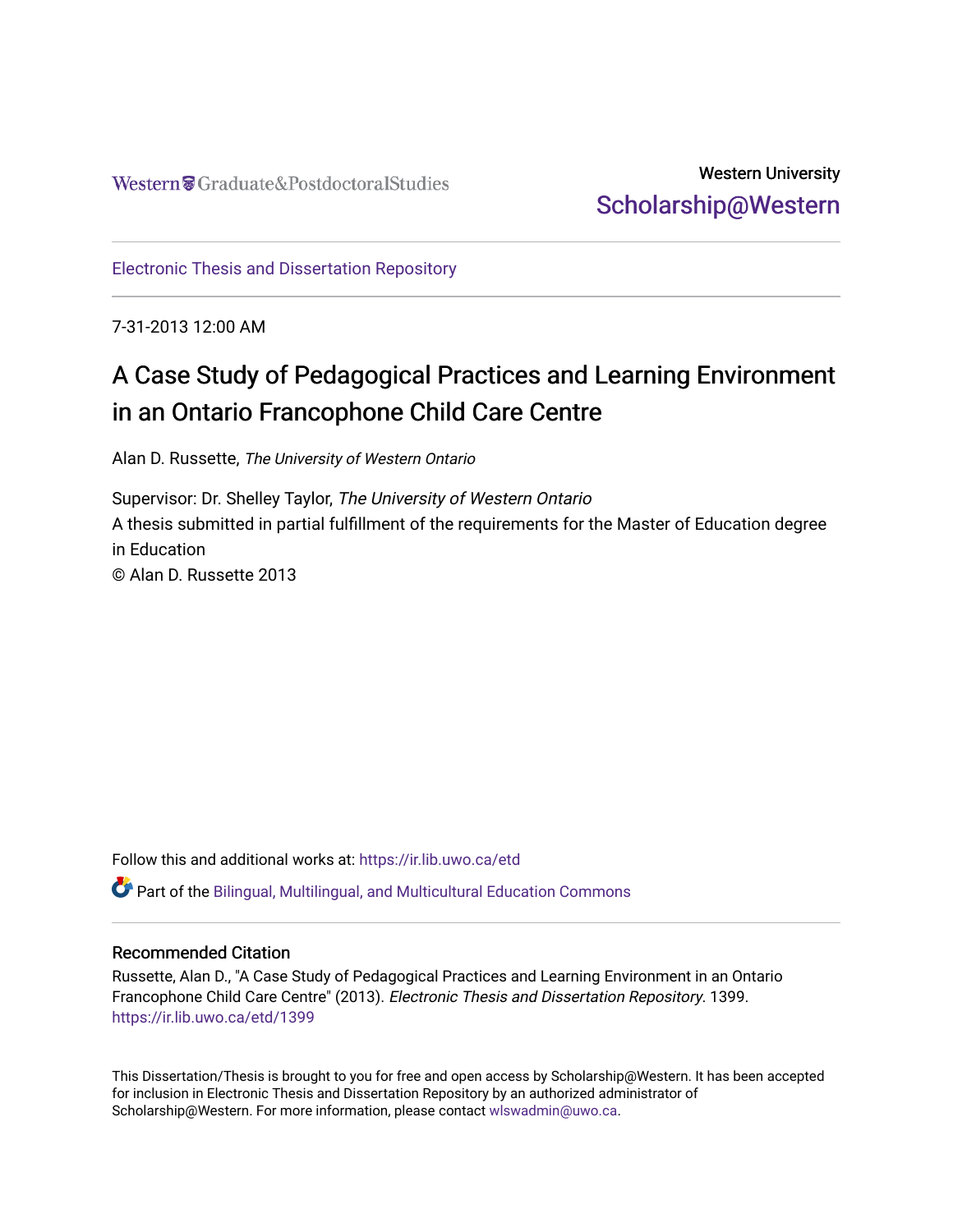# Western University [Scholarship@Western](https://ir.lib.uwo.ca/)

[Electronic Thesis and Dissertation Repository](https://ir.lib.uwo.ca/etd)

7-31-2013 12:00 AM

# A Case Study of Pedagogical Practices and Learning Environment in an Ontario Francophone Child Care Centre

Alan D. Russette, The University of Western Ontario

Supervisor: Dr. Shelley Taylor, The University of Western Ontario A thesis submitted in partial fulfillment of the requirements for the Master of Education degree in Education © Alan D. Russette 2013

Follow this and additional works at: [https://ir.lib.uwo.ca/etd](https://ir.lib.uwo.ca/etd?utm_source=ir.lib.uwo.ca%2Fetd%2F1399&utm_medium=PDF&utm_campaign=PDFCoverPages) 

Part of the [Bilingual, Multilingual, and Multicultural Education Commons](http://network.bepress.com/hgg/discipline/785?utm_source=ir.lib.uwo.ca%2Fetd%2F1399&utm_medium=PDF&utm_campaign=PDFCoverPages) 

#### Recommended Citation

Russette, Alan D., "A Case Study of Pedagogical Practices and Learning Environment in an Ontario Francophone Child Care Centre" (2013). Electronic Thesis and Dissertation Repository. 1399. [https://ir.lib.uwo.ca/etd/1399](https://ir.lib.uwo.ca/etd/1399?utm_source=ir.lib.uwo.ca%2Fetd%2F1399&utm_medium=PDF&utm_campaign=PDFCoverPages)

This Dissertation/Thesis is brought to you for free and open access by Scholarship@Western. It has been accepted for inclusion in Electronic Thesis and Dissertation Repository by an authorized administrator of Scholarship@Western. For more information, please contact [wlswadmin@uwo.ca.](mailto:wlswadmin@uwo.ca)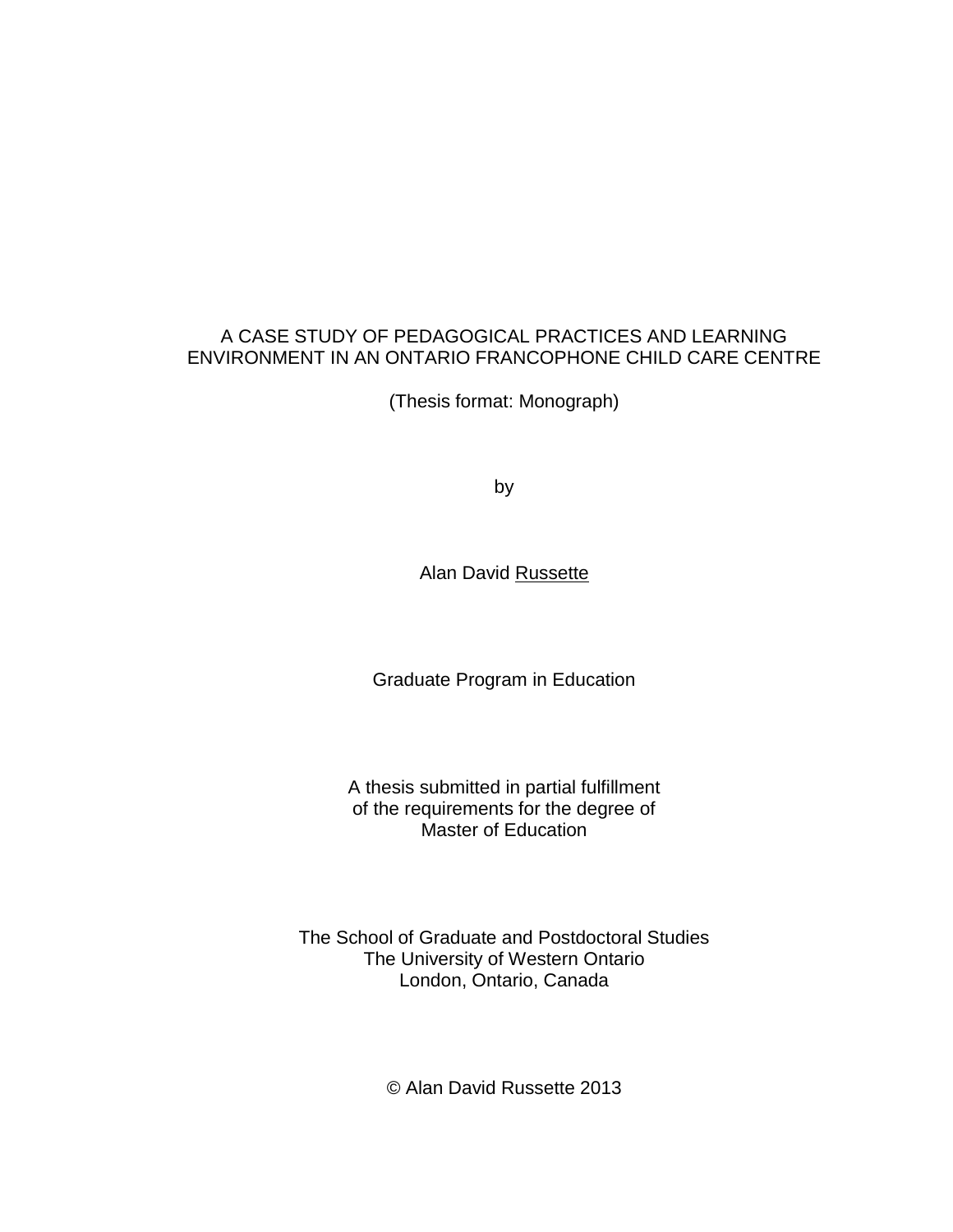#### A CASE STUDY OF PEDAGOGICAL PRACTICES AND LEARNING ENVIRONMENT IN AN ONTARIO FRANCOPHONE CHILD CARE CENTRE

(Thesis format: Monograph)

by

Alan David Russette

Graduate Program in Education

A thesis submitted in partial fulfillment of the requirements for the degree of Master of Education

The School of Graduate and Postdoctoral Studies The University of Western Ontario London, Ontario, Canada

© Alan David Russette 2013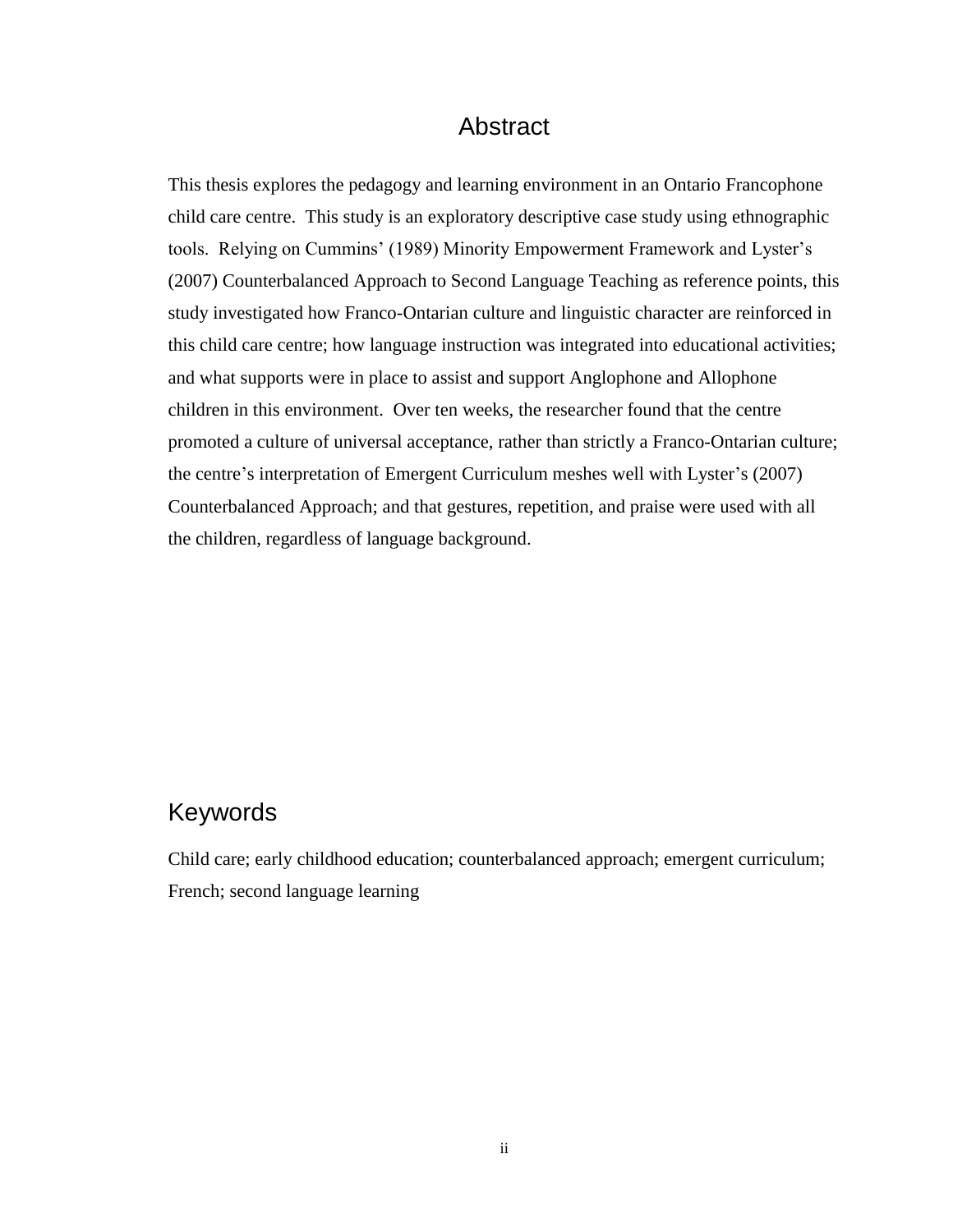#### Abstract

<span id="page-2-0"></span>This thesis explores the pedagogy and learning environment in an Ontario Francophone child care centre. This study is an exploratory descriptive case study using ethnographic tools. Relying on Cummins' (1989) Minority Empowerment Framework and Lyster's (2007) Counterbalanced Approach to Second Language Teaching as reference points, this study investigated how Franco-Ontarian culture and linguistic character are reinforced in this child care centre; how language instruction was integrated into educational activities; and what supports were in place to assist and support Anglophone and Allophone children in this environment. Over ten weeks, the researcher found that the centre promoted a culture of universal acceptance, rather than strictly a Franco-Ontarian culture; the centre's interpretation of Emergent Curriculum meshes well with Lyster's (2007) Counterbalanced Approach; and that gestures, repetition, and praise were used with all the children, regardless of language background.

# Keywords

Child care; early childhood education; counterbalanced approach; emergent curriculum; French; second language learning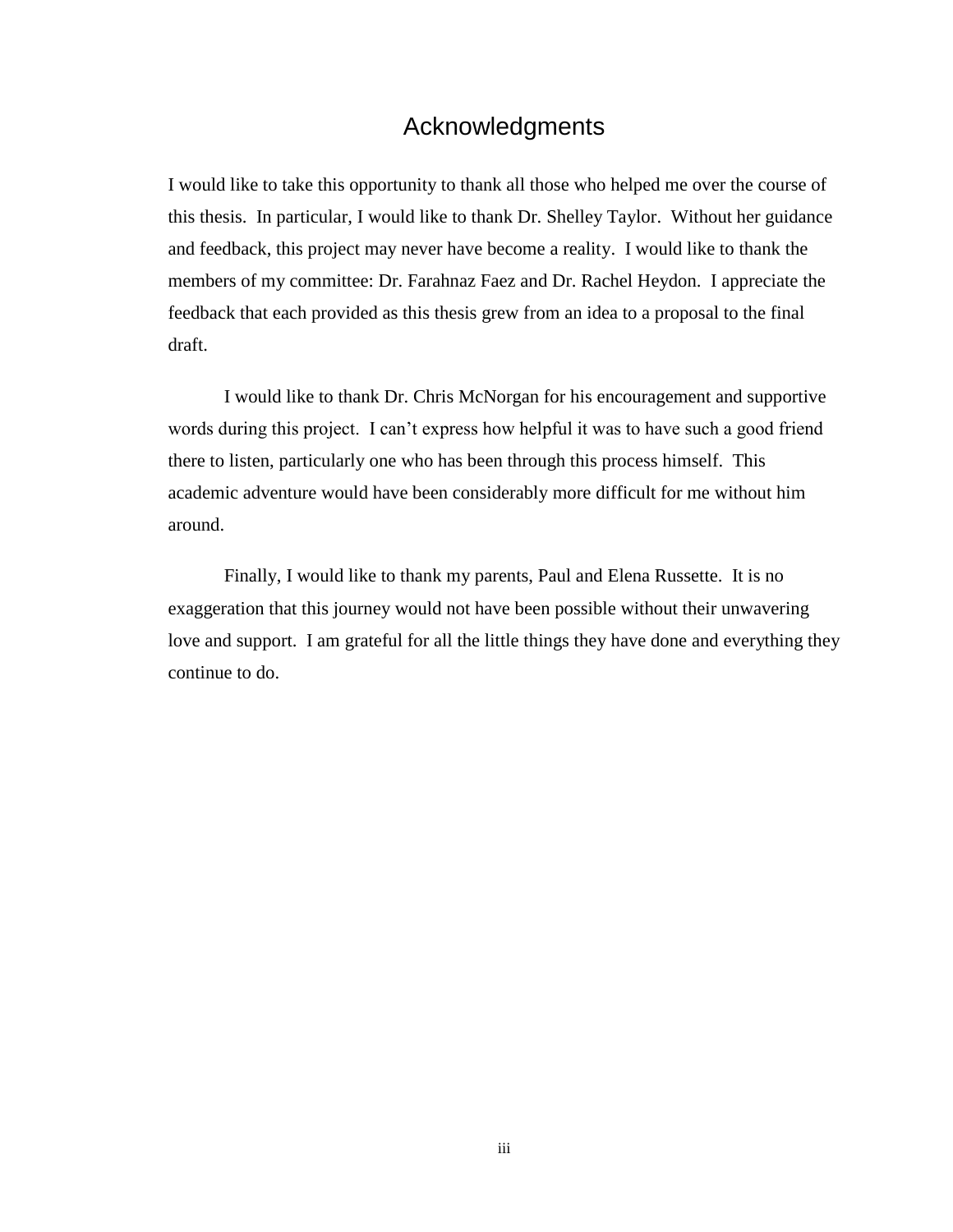#### Acknowledgments

<span id="page-3-0"></span>I would like to take this opportunity to thank all those who helped me over the course of this thesis. In particular, I would like to thank Dr. Shelley Taylor. Without her guidance and feedback, this project may never have become a reality. I would like to thank the members of my committee: Dr. Farahnaz Faez and Dr. Rachel Heydon. I appreciate the feedback that each provided as this thesis grew from an idea to a proposal to the final draft.

I would like to thank Dr. Chris McNorgan for his encouragement and supportive words during this project. I can't express how helpful it was to have such a good friend there to listen, particularly one who has been through this process himself. This academic adventure would have been considerably more difficult for me without him around.

Finally, I would like to thank my parents, Paul and Elena Russette. It is no exaggeration that this journey would not have been possible without their unwavering love and support. I am grateful for all the little things they have done and everything they continue to do.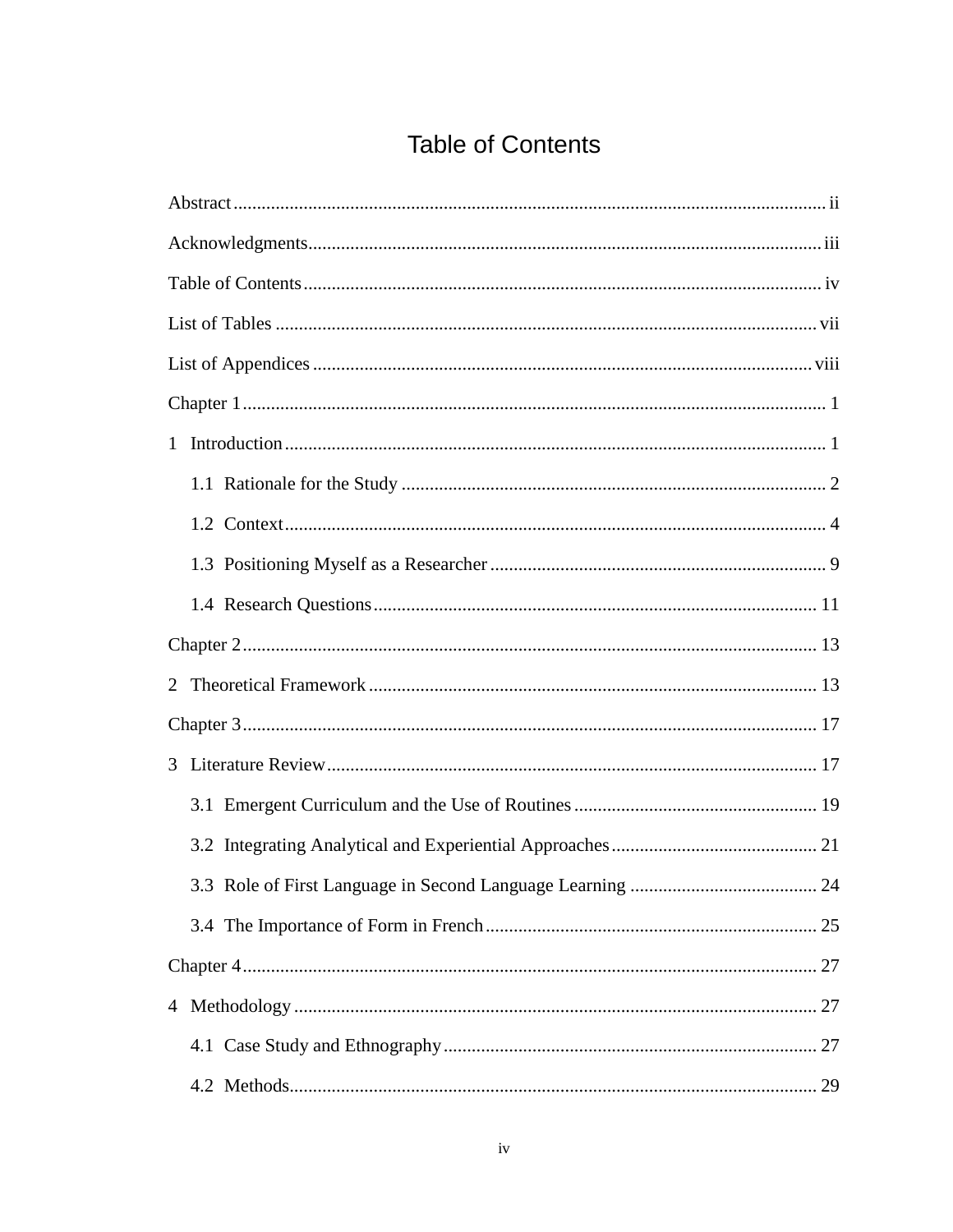# **Table of Contents**

<span id="page-4-0"></span>

| $\mathbf{1}$ |  |  |  |  |
|--------------|--|--|--|--|
|              |  |  |  |  |
|              |  |  |  |  |
|              |  |  |  |  |
|              |  |  |  |  |
|              |  |  |  |  |
|              |  |  |  |  |
|              |  |  |  |  |
|              |  |  |  |  |
|              |  |  |  |  |
|              |  |  |  |  |
|              |  |  |  |  |
|              |  |  |  |  |
|              |  |  |  |  |
|              |  |  |  |  |
|              |  |  |  |  |
|              |  |  |  |  |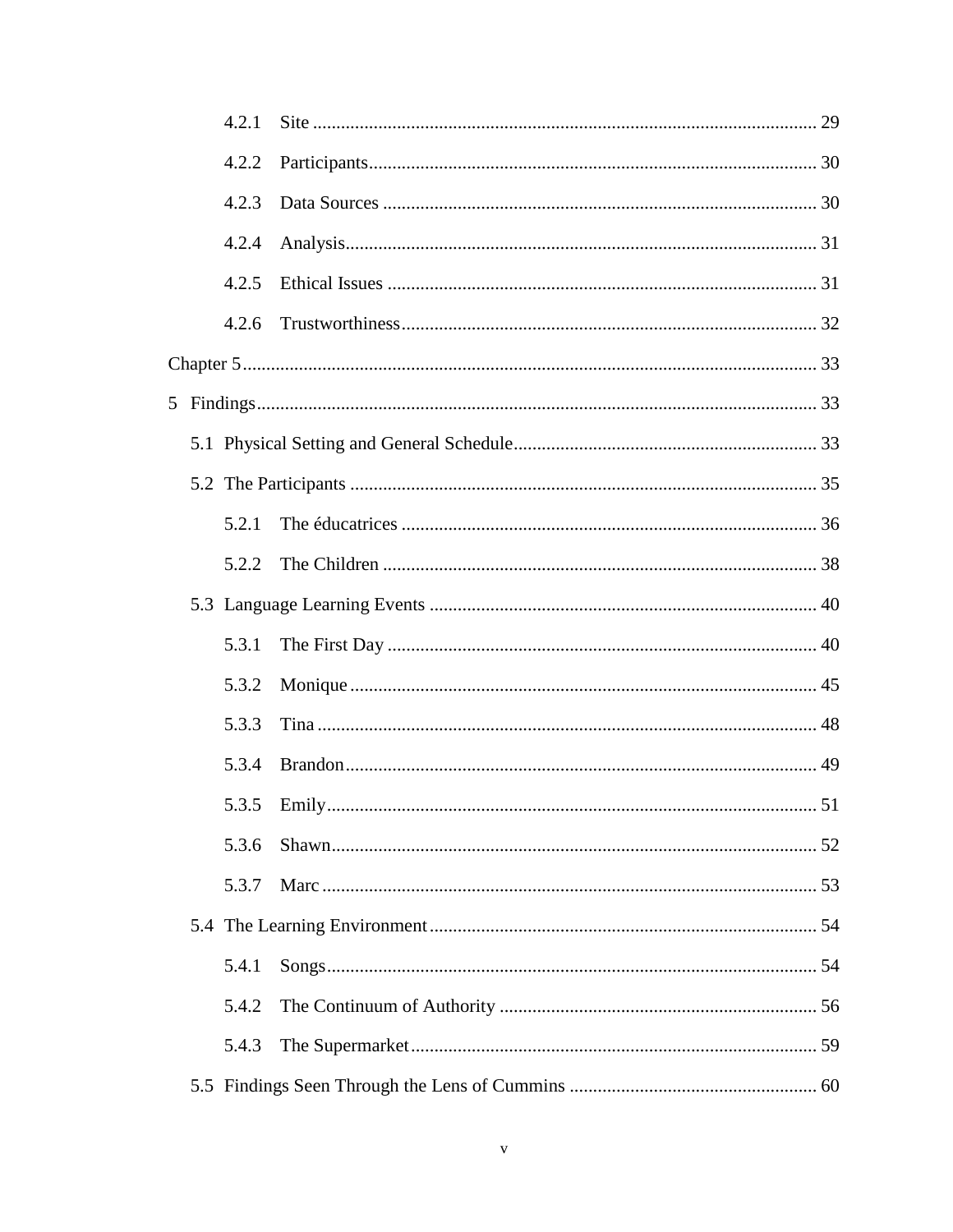|  | 4.2.1 |  |
|--|-------|--|
|  | 4.2.2 |  |
|  | 4.2.3 |  |
|  | 4.2.4 |  |
|  | 4.2.5 |  |
|  | 4.2.6 |  |
|  |       |  |
|  |       |  |
|  |       |  |
|  |       |  |
|  | 5.2.1 |  |
|  | 5.2.2 |  |
|  |       |  |
|  | 5.3.1 |  |
|  | 5.3.2 |  |
|  | 5.3.3 |  |
|  | 5.3.4 |  |
|  |       |  |
|  | 5.3.6 |  |
|  | 5.3.7 |  |
|  |       |  |
|  | 5.4.1 |  |
|  | 5.4.2 |  |
|  | 5.4.3 |  |
|  |       |  |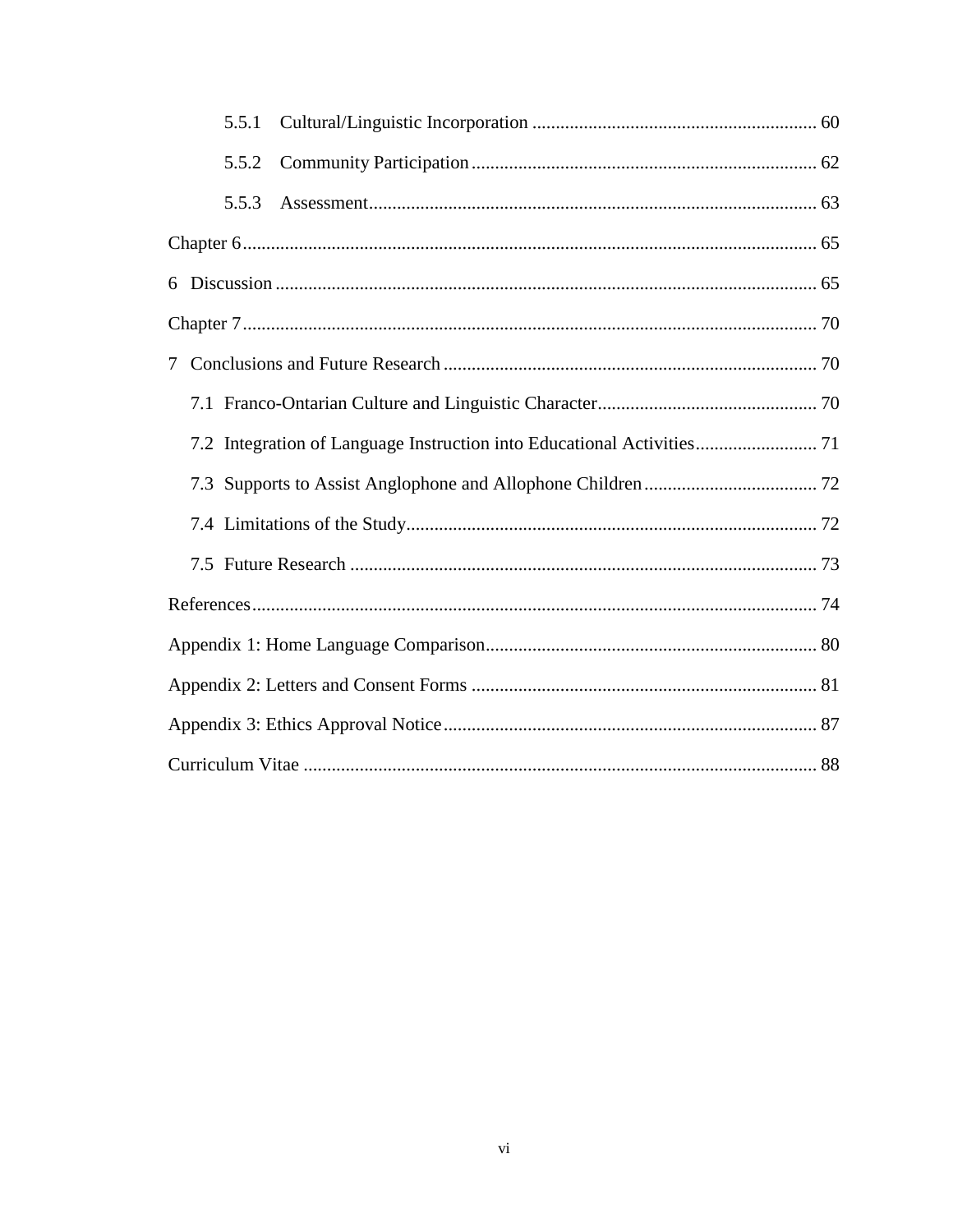|        | 5.5.1 |                                                                        |  |  |  |
|--------|-------|------------------------------------------------------------------------|--|--|--|
|        | 5.5.2 |                                                                        |  |  |  |
|        | 5.5.3 |                                                                        |  |  |  |
|        |       |                                                                        |  |  |  |
|        |       |                                                                        |  |  |  |
|        |       |                                                                        |  |  |  |
| $\tau$ |       |                                                                        |  |  |  |
|        |       |                                                                        |  |  |  |
|        |       | 7.2 Integration of Language Instruction into Educational Activities 71 |  |  |  |
|        |       |                                                                        |  |  |  |
|        |       |                                                                        |  |  |  |
|        |       |                                                                        |  |  |  |
|        |       |                                                                        |  |  |  |
|        |       |                                                                        |  |  |  |
|        |       |                                                                        |  |  |  |
|        |       |                                                                        |  |  |  |
|        |       |                                                                        |  |  |  |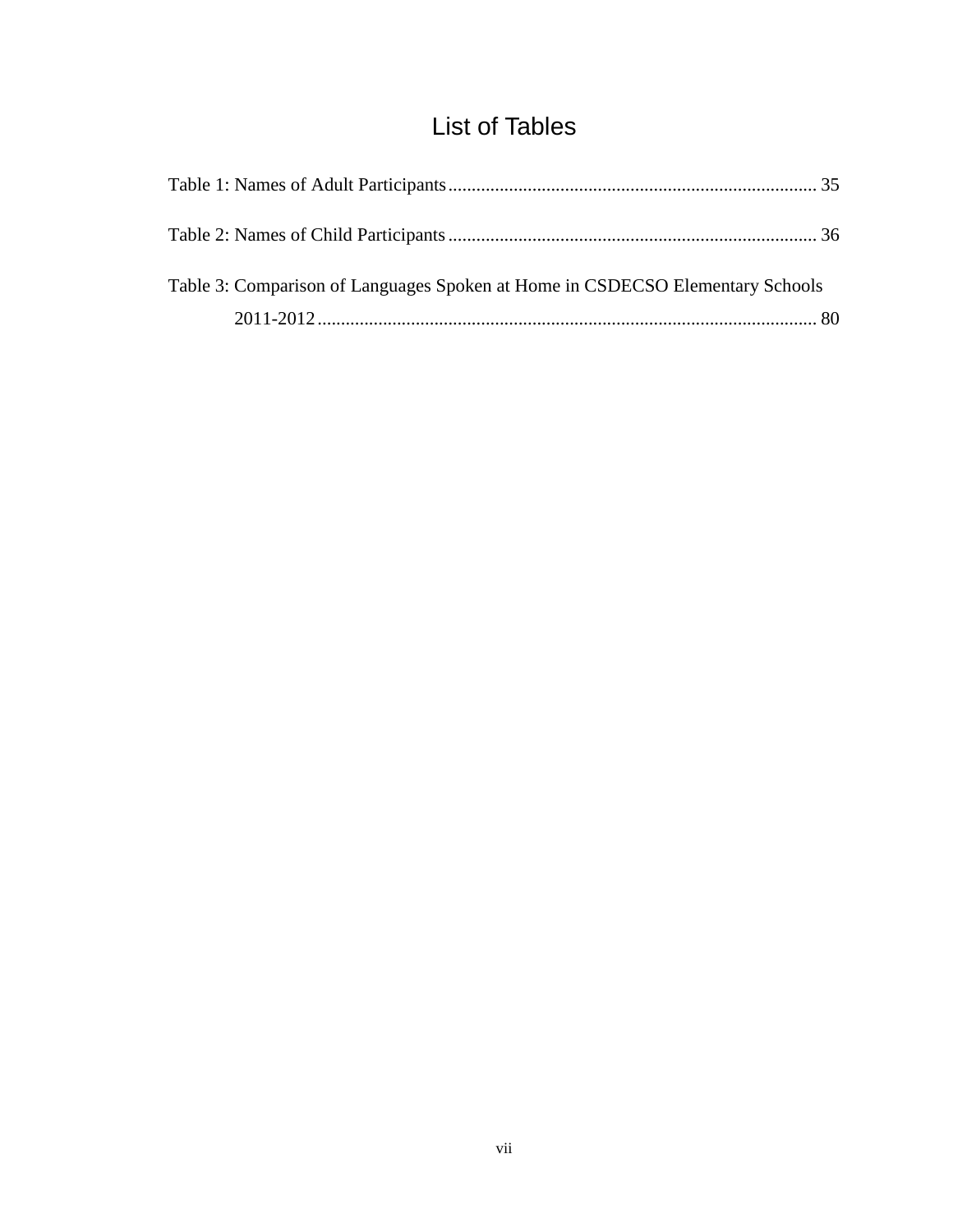# List of Tables

<span id="page-7-0"></span>

| Table 3: Comparison of Languages Spoken at Home in CSDECSO Elementary Schools |  |
|-------------------------------------------------------------------------------|--|
|                                                                               |  |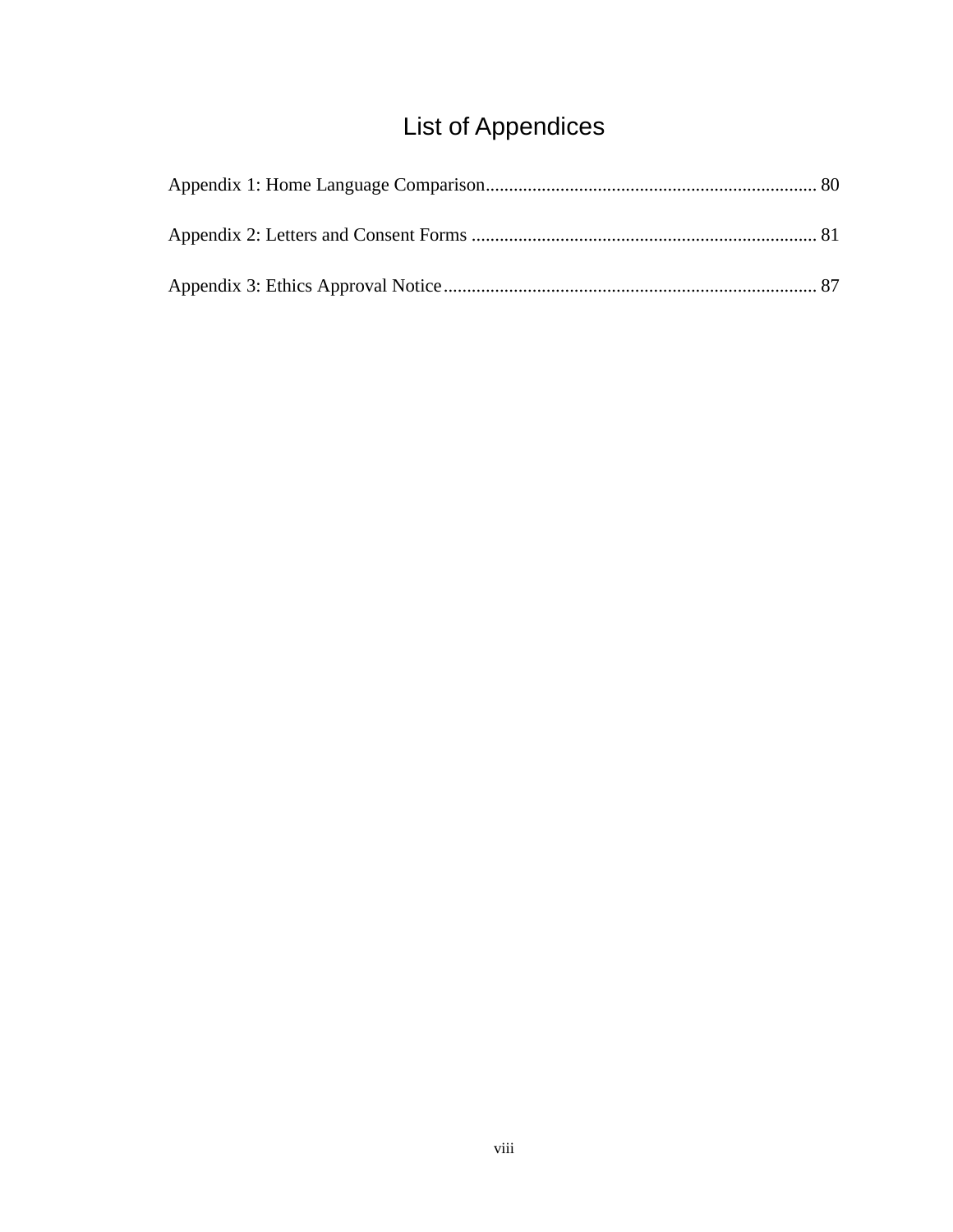# List of Appendices

<span id="page-8-0"></span>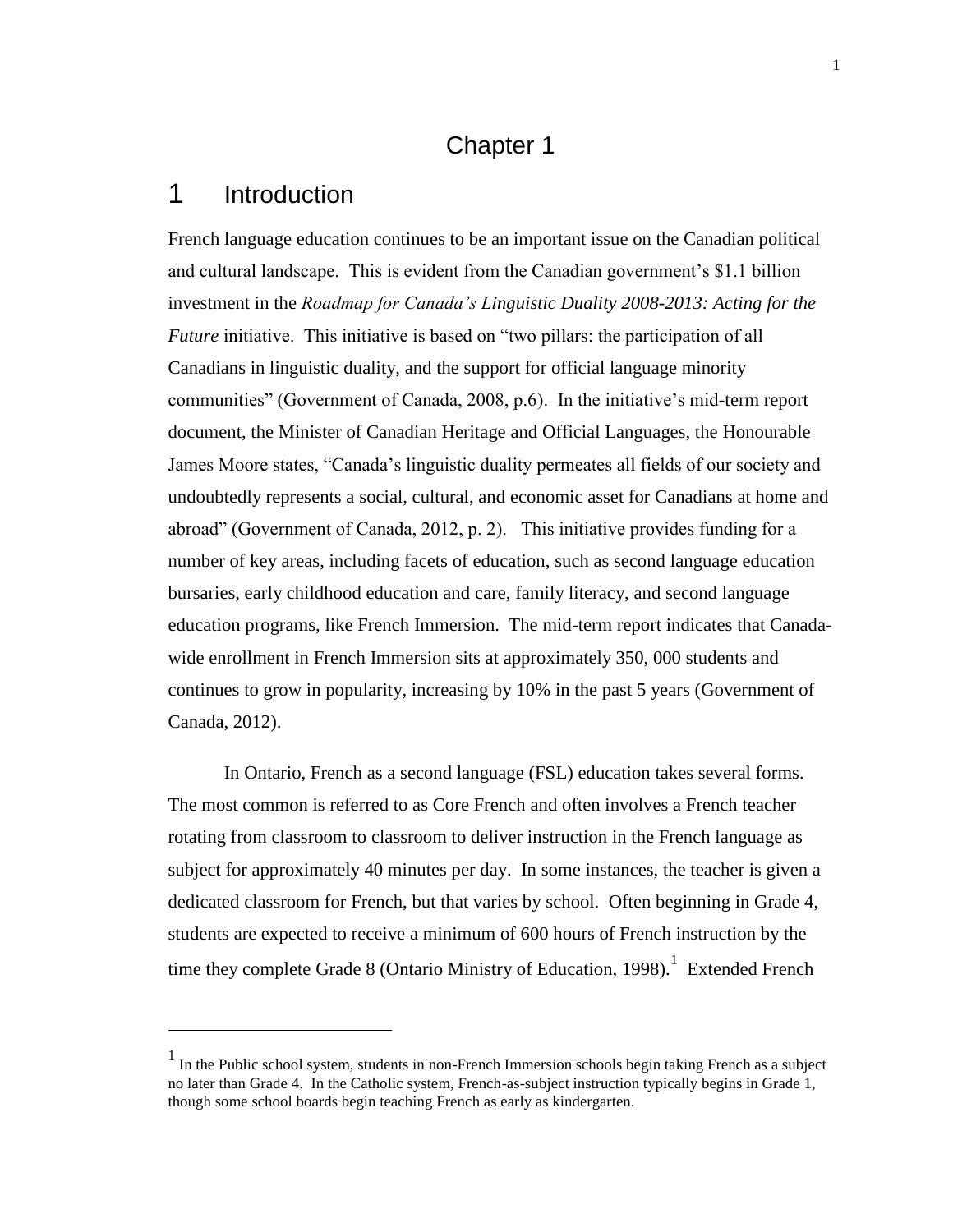#### Chapter 1

#### <span id="page-9-1"></span><span id="page-9-0"></span>1 Introduction

 $\overline{a}$ 

French language education continues to be an important issue on the Canadian political and cultural landscape. This is evident from the Canadian government's \$1.1 billion investment in the *Roadmap for Canada's Linguistic Duality 2008-2013: Acting for the Future* initiative. This initiative is based on "two pillars: the participation of all Canadians in linguistic duality, and the support for official language minority communities" (Government of Canada, 2008, p.6). In the initiative's mid-term report document, the Minister of Canadian Heritage and Official Languages, the Honourable James Moore states, "Canada's linguistic duality permeates all fields of our society and undoubtedly represents a social, cultural, and economic asset for Canadians at home and abroad" (Government of Canada, 2012, p. 2). This initiative provides funding for a number of key areas, including facets of education, such as second language education bursaries, early childhood education and care, family literacy, and second language education programs, like French Immersion. The mid-term report indicates that Canadawide enrollment in French Immersion sits at approximately 350, 000 students and continues to grow in popularity, increasing by 10% in the past 5 years (Government of Canada, 2012).

In Ontario, French as a second language (FSL) education takes several forms. The most common is referred to as Core French and often involves a French teacher rotating from classroom to classroom to deliver instruction in the French language as subject for approximately 40 minutes per day. In some instances, the teacher is given a dedicated classroom for French, but that varies by school. Often beginning in Grade 4, students are expected to receive a minimum of 600 hours of French instruction by the time they complete Grade 8 (Ontario Ministry of Education, 1998).<sup>1</sup> Extended French

<sup>&</sup>lt;sup>1</sup> In the Public school system, students in non-French Immersion schools begin taking French as a subject no later than Grade 4. In the Catholic system, French-as-subject instruction typically begins in Grade 1, though some school boards begin teaching French as early as kindergarten.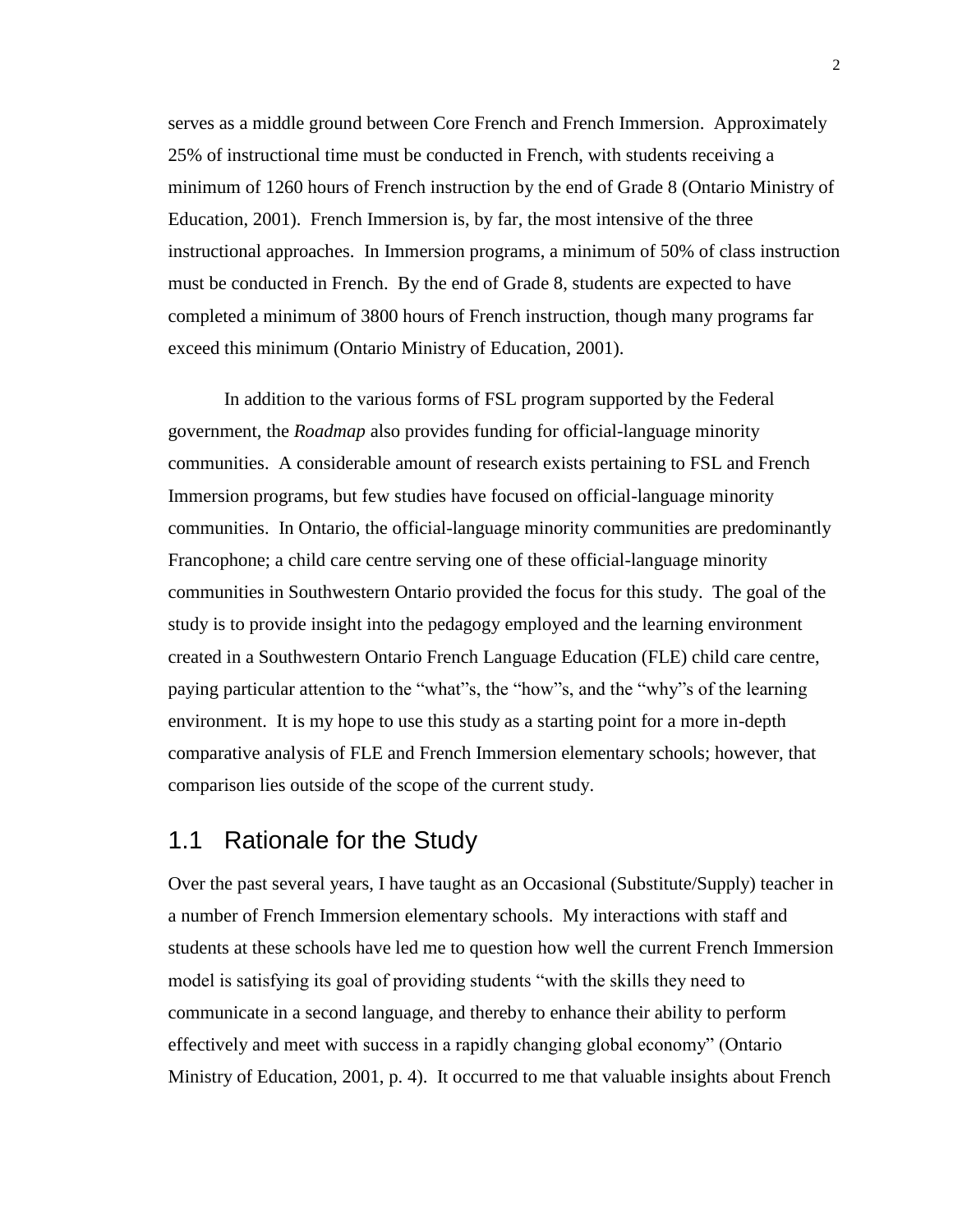serves as a middle ground between Core French and French Immersion. Approximately 25% of instructional time must be conducted in French, with students receiving a minimum of 1260 hours of French instruction by the end of Grade 8 (Ontario Ministry of Education, 2001). French Immersion is, by far, the most intensive of the three instructional approaches. In Immersion programs, a minimum of 50% of class instruction must be conducted in French. By the end of Grade 8, students are expected to have completed a minimum of 3800 hours of French instruction, though many programs far exceed this minimum (Ontario Ministry of Education, 2001).

In addition to the various forms of FSL program supported by the Federal government, the *Roadmap* also provides funding for official-language minority communities. A considerable amount of research exists pertaining to FSL and French Immersion programs, but few studies have focused on official-language minority communities. In Ontario, the official-language minority communities are predominantly Francophone; a child care centre serving one of these official-language minority communities in Southwestern Ontario provided the focus for this study. The goal of the study is to provide insight into the pedagogy employed and the learning environment created in a Southwestern Ontario French Language Education (FLE) child care centre, paying particular attention to the "what"s, the "how"s, and the "why"s of the learning environment. It is my hope to use this study as a starting point for a more in-depth comparative analysis of FLE and French Immersion elementary schools; however, that comparison lies outside of the scope of the current study.

#### <span id="page-10-0"></span>1.1 Rationale for the Study

Over the past several years, I have taught as an Occasional (Substitute/Supply) teacher in a number of French Immersion elementary schools. My interactions with staff and students at these schools have led me to question how well the current French Immersion model is satisfying its goal of providing students "with the skills they need to communicate in a second language, and thereby to enhance their ability to perform effectively and meet with success in a rapidly changing global economy" (Ontario Ministry of Education, 2001, p. 4). It occurred to me that valuable insights about French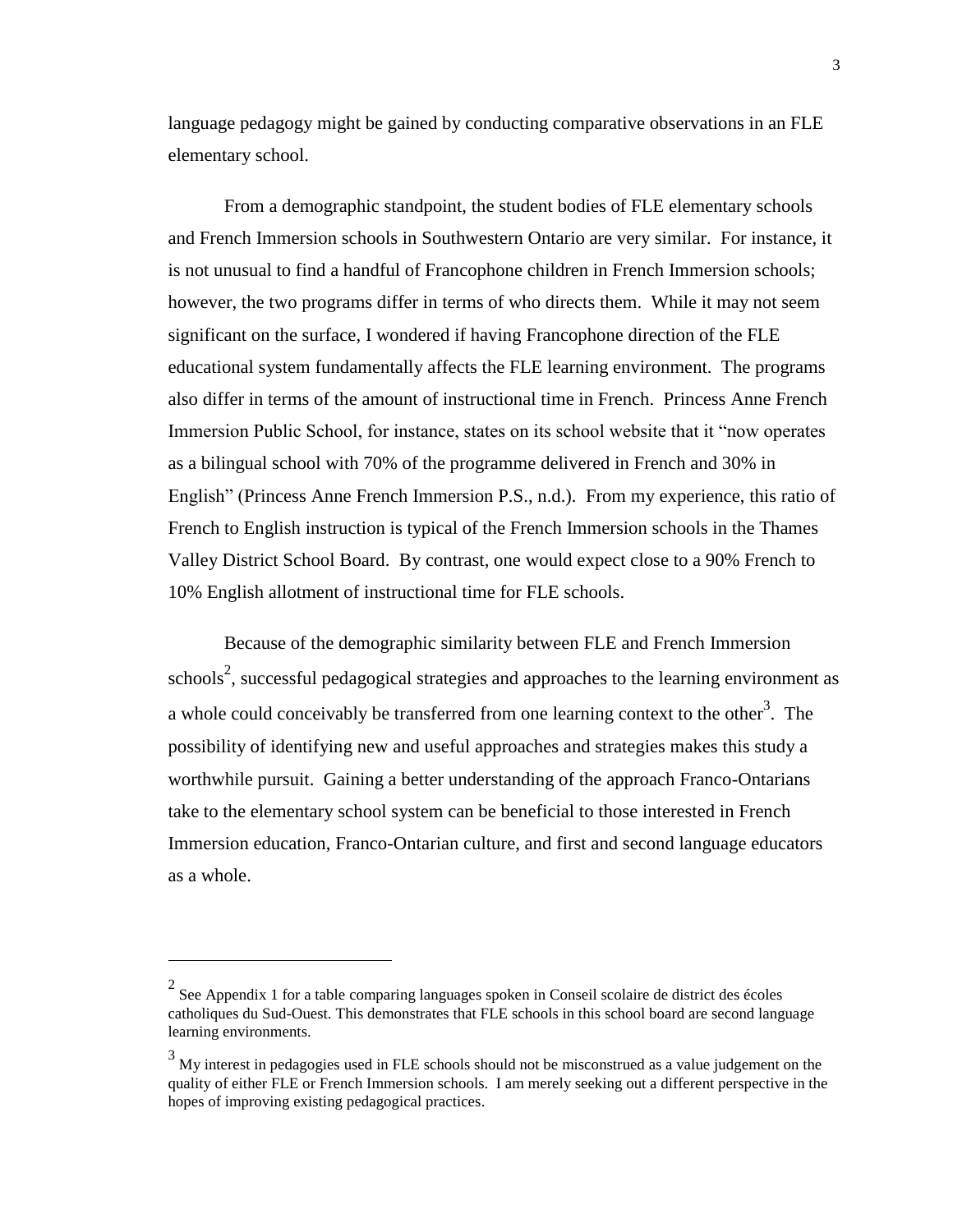language pedagogy might be gained by conducting comparative observations in an FLE elementary school.

From a demographic standpoint, the student bodies of FLE elementary schools and French Immersion schools in Southwestern Ontario are very similar. For instance, it is not unusual to find a handful of Francophone children in French Immersion schools; however, the two programs differ in terms of who directs them. While it may not seem significant on the surface, I wondered if having Francophone direction of the FLE educational system fundamentally affects the FLE learning environment. The programs also differ in terms of the amount of instructional time in French. Princess Anne French Immersion Public School, for instance, states on its school website that it "now operates as a bilingual school with 70% of the programme delivered in French and 30% in English" (Princess Anne French Immersion P.S., n.d.). From my experience, this ratio of French to English instruction is typical of the French Immersion schools in the Thames Valley District School Board. By contrast, one would expect close to a 90% French to 10% English allotment of instructional time for FLE schools.

Because of the demographic similarity between FLE and French Immersion schools<sup>2</sup>, successful pedagogical strategies and approaches to the learning environment as a whole could conceivably be transferred from one learning context to the other<sup>3</sup>. The possibility of identifying new and useful approaches and strategies makes this study a worthwhile pursuit. Gaining a better understanding of the approach Franco-Ontarians take to the elementary school system can be beneficial to those interested in French Immersion education, Franco-Ontarian culture, and first and second language educators as a whole.

 $\overline{a}$ 

 $2^2$  See Appendix 1 for a table comparing languages spoken in Conseil scolaire de district des écoles catholiques du Sud-Ouest. This demonstrates that FLE schools in this school board are second language learning environments.

 $3$  My interest in pedagogies used in FLE schools should not be misconstrued as a value judgement on the quality of either FLE or French Immersion schools. I am merely seeking out a different perspective in the hopes of improving existing pedagogical practices.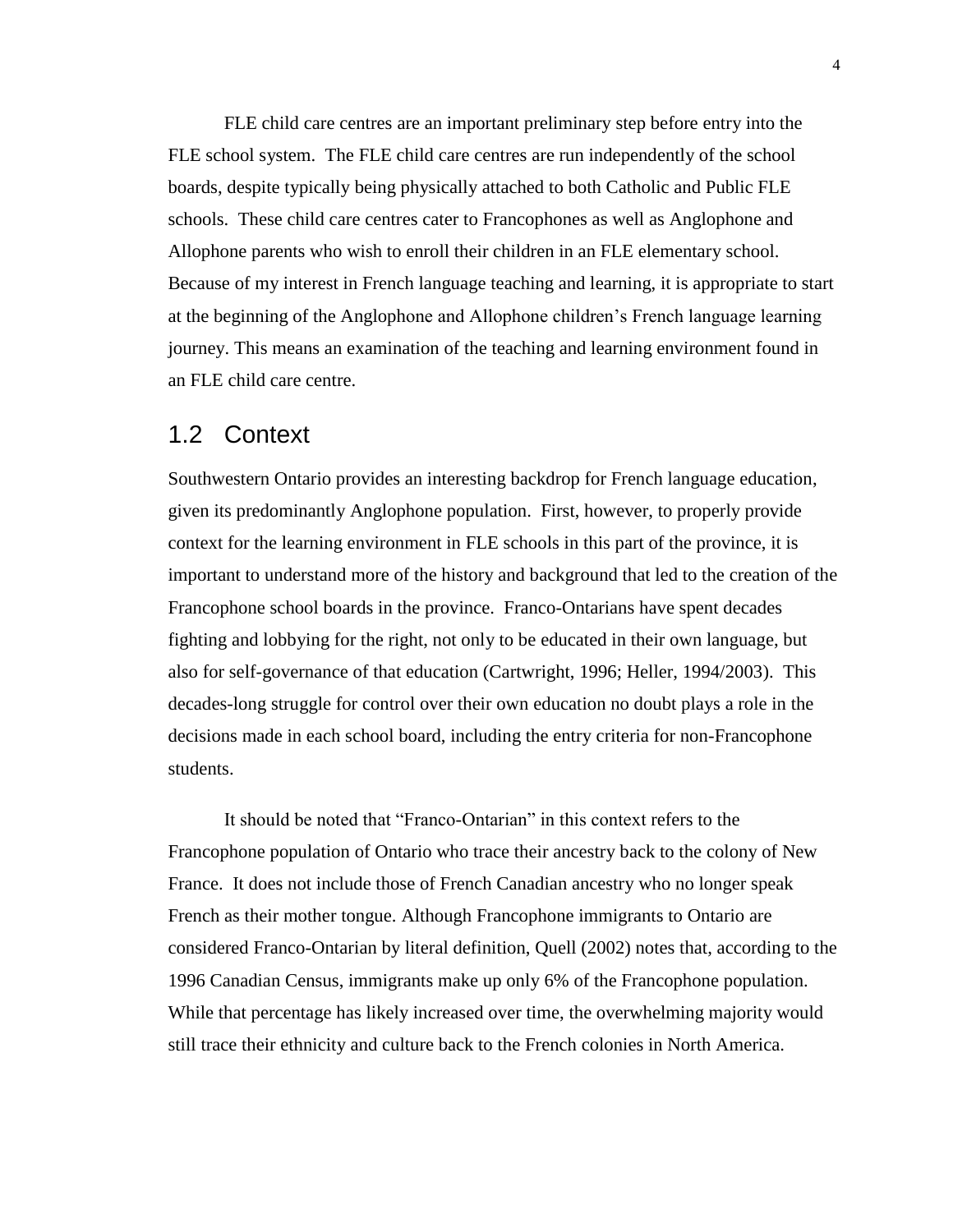FLE child care centres are an important preliminary step before entry into the FLE school system. The FLE child care centres are run independently of the school boards, despite typically being physically attached to both Catholic and Public FLE schools. These child care centres cater to Francophones as well as Anglophone and Allophone parents who wish to enroll their children in an FLE elementary school. Because of my interest in French language teaching and learning, it is appropriate to start at the beginning of the Anglophone and Allophone children's French language learning journey. This means an examination of the teaching and learning environment found in an FLE child care centre.

#### <span id="page-12-0"></span>1.2 Context

Southwestern Ontario provides an interesting backdrop for French language education, given its predominantly Anglophone population. First, however, to properly provide context for the learning environment in FLE schools in this part of the province, it is important to understand more of the history and background that led to the creation of the Francophone school boards in the province. Franco-Ontarians have spent decades fighting and lobbying for the right, not only to be educated in their own language, but also for self-governance of that education (Cartwright, 1996; Heller, 1994/2003). This decades-long struggle for control over their own education no doubt plays a role in the decisions made in each school board, including the entry criteria for non-Francophone students.

It should be noted that "Franco-Ontarian" in this context refers to the Francophone population of Ontario who trace their ancestry back to the colony of New France. It does not include those of French Canadian ancestry who no longer speak French as their mother tongue. Although Francophone immigrants to Ontario are considered Franco-Ontarian by literal definition, Quell (2002) notes that, according to the 1996 Canadian Census, immigrants make up only 6% of the Francophone population. While that percentage has likely increased over time, the overwhelming majority would still trace their ethnicity and culture back to the French colonies in North America.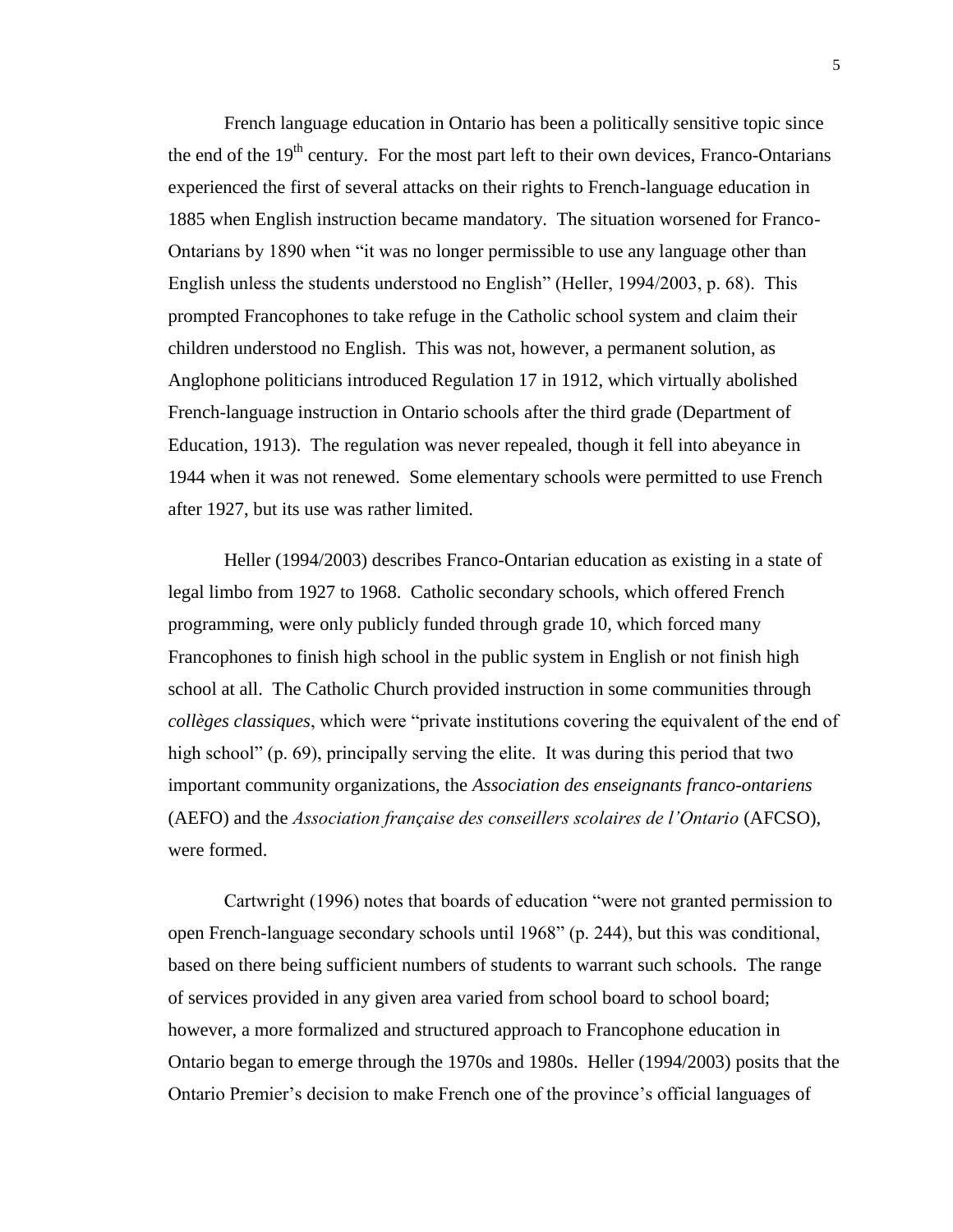French language education in Ontario has been a politically sensitive topic since the end of the  $19<sup>th</sup>$  century. For the most part left to their own devices, Franco-Ontarians experienced the first of several attacks on their rights to French-language education in 1885 when English instruction became mandatory. The situation worsened for Franco-Ontarians by 1890 when "it was no longer permissible to use any language other than English unless the students understood no English" (Heller, 1994/2003, p. 68). This prompted Francophones to take refuge in the Catholic school system and claim their children understood no English. This was not, however, a permanent solution, as Anglophone politicians introduced Regulation 17 in 1912, which virtually abolished French-language instruction in Ontario schools after the third grade (Department of Education, 1913). The regulation was never repealed, though it fell into abeyance in 1944 when it was not renewed. Some elementary schools were permitted to use French after 1927, but its use was rather limited.

Heller (1994/2003) describes Franco-Ontarian education as existing in a state of legal limbo from 1927 to 1968. Catholic secondary schools, which offered French programming, were only publicly funded through grade 10, which forced many Francophones to finish high school in the public system in English or not finish high school at all. The Catholic Church provided instruction in some communities through *collèges classiques*, which were "private institutions covering the equivalent of the end of high school" (p. 69), principally serving the elite. It was during this period that two important community organizations, the *Association des enseignants franco-ontariens*  (AEFO) and the *Association française des conseillers scolaires de l'Ontario* (AFCSO), were formed.

Cartwright (1996) notes that boards of education "were not granted permission to open French-language secondary schools until 1968" (p. 244), but this was conditional, based on there being sufficient numbers of students to warrant such schools. The range of services provided in any given area varied from school board to school board; however, a more formalized and structured approach to Francophone education in Ontario began to emerge through the 1970s and 1980s. Heller (1994/2003) posits that the Ontario Premier's decision to make French one of the province's official languages of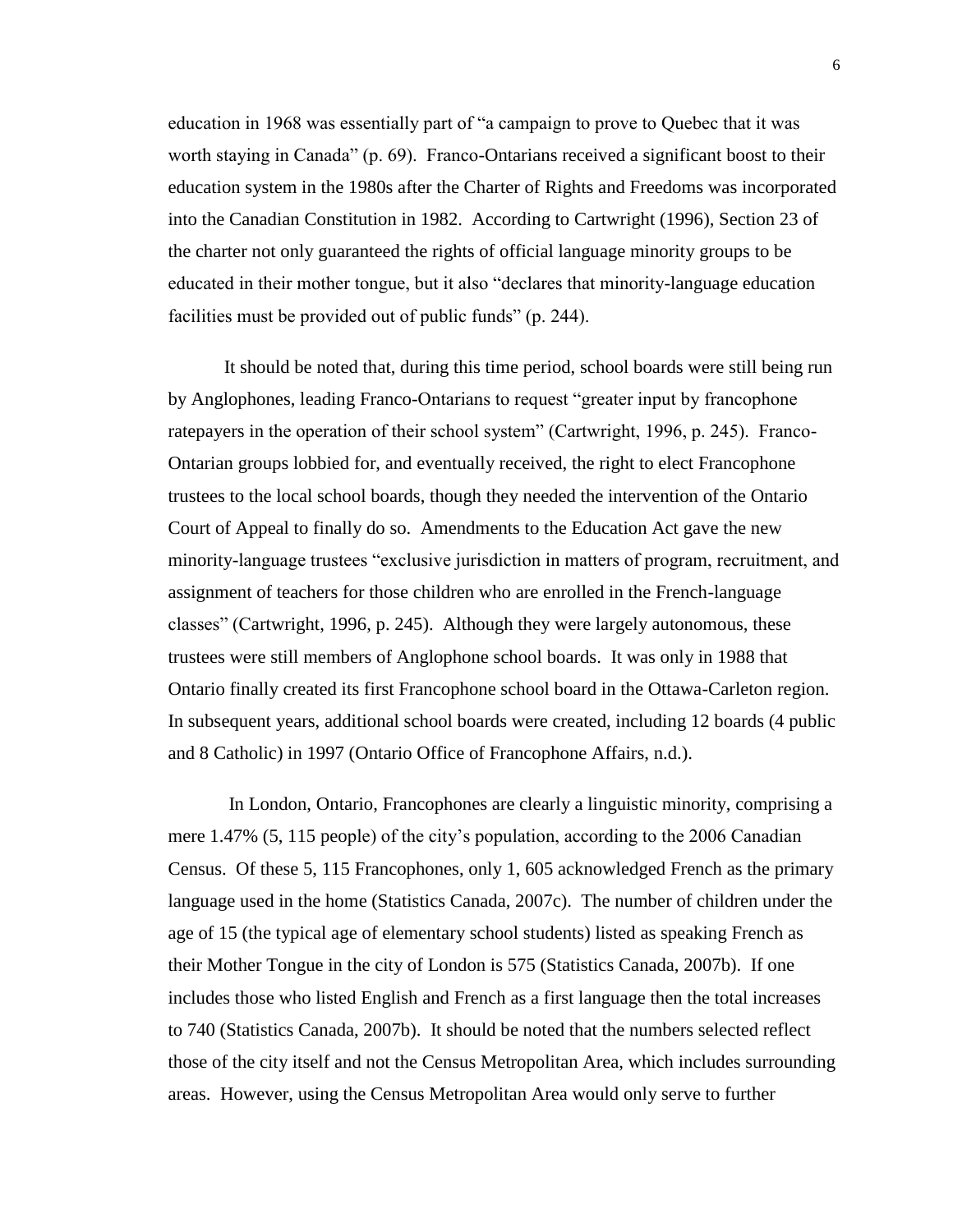education in 1968 was essentially part of "a campaign to prove to Quebec that it was worth staying in Canada" (p. 69). Franco-Ontarians received a significant boost to their education system in the 1980s after the Charter of Rights and Freedoms was incorporated into the Canadian Constitution in 1982. According to Cartwright (1996), Section 23 of the charter not only guaranteed the rights of official language minority groups to be educated in their mother tongue, but it also "declares that minority-language education facilities must be provided out of public funds" (p. 244).

It should be noted that, during this time period, school boards were still being run by Anglophones, leading Franco-Ontarians to request "greater input by francophone ratepayers in the operation of their school system" (Cartwright, 1996, p. 245). Franco-Ontarian groups lobbied for, and eventually received, the right to elect Francophone trustees to the local school boards, though they needed the intervention of the Ontario Court of Appeal to finally do so. Amendments to the Education Act gave the new minority-language trustees "exclusive jurisdiction in matters of program, recruitment, and assignment of teachers for those children who are enrolled in the French-language classes" (Cartwright, 1996, p. 245). Although they were largely autonomous, these trustees were still members of Anglophone school boards. It was only in 1988 that Ontario finally created its first Francophone school board in the Ottawa-Carleton region. In subsequent years, additional school boards were created, including 12 boards (4 public and 8 Catholic) in 1997 (Ontario Office of Francophone Affairs, n.d.).

In London, Ontario, Francophones are clearly a linguistic minority, comprising a mere 1.47% (5, 115 people) of the city's population, according to the 2006 Canadian Census. Of these 5, 115 Francophones, only 1, 605 acknowledged French as the primary language used in the home (Statistics Canada, 2007c). The number of children under the age of 15 (the typical age of elementary school students) listed as speaking French as their Mother Tongue in the city of London is 575 (Statistics Canada, 2007b). If one includes those who listed English and French as a first language then the total increases to 740 (Statistics Canada, 2007b). It should be noted that the numbers selected reflect those of the city itself and not the Census Metropolitan Area, which includes surrounding areas. However, using the Census Metropolitan Area would only serve to further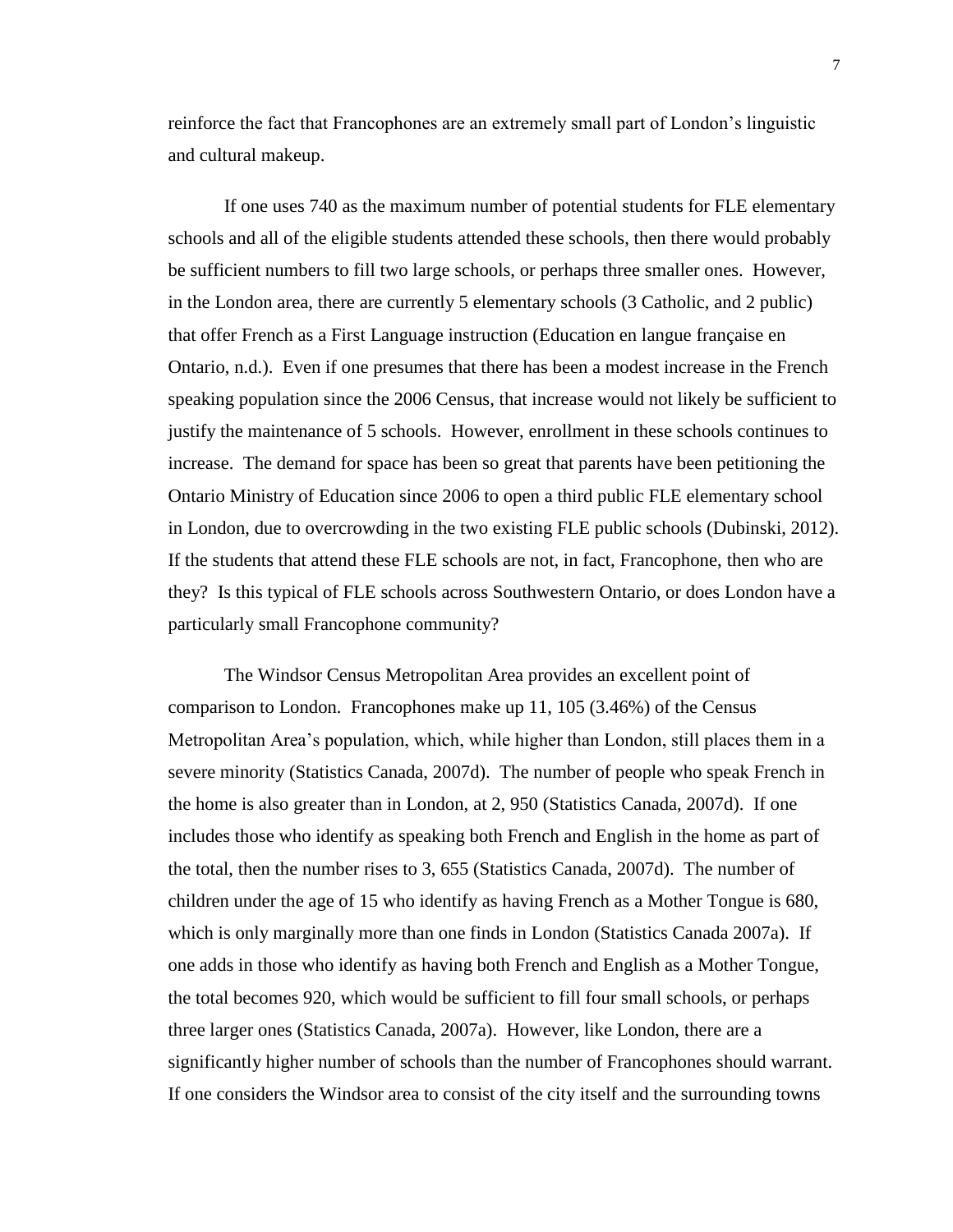reinforce the fact that Francophones are an extremely small part of London's linguistic and cultural makeup.

If one uses 740 as the maximum number of potential students for FLE elementary schools and all of the eligible students attended these schools, then there would probably be sufficient numbers to fill two large schools, or perhaps three smaller ones. However, in the London area, there are currently 5 elementary schools (3 Catholic, and 2 public) that offer French as a First Language instruction (Education en langue française en Ontario, n.d.). Even if one presumes that there has been a modest increase in the French speaking population since the 2006 Census, that increase would not likely be sufficient to justify the maintenance of 5 schools. However, enrollment in these schools continues to increase. The demand for space has been so great that parents have been petitioning the Ontario Ministry of Education since 2006 to open a third public FLE elementary school in London, due to overcrowding in the two existing FLE public schools (Dubinski, 2012). If the students that attend these FLE schools are not, in fact, Francophone, then who are they? Is this typical of FLE schools across Southwestern Ontario, or does London have a particularly small Francophone community?

The Windsor Census Metropolitan Area provides an excellent point of comparison to London. Francophones make up 11, 105 (3.46%) of the Census Metropolitan Area's population, which, while higher than London, still places them in a severe minority (Statistics Canada, 2007d). The number of people who speak French in the home is also greater than in London, at 2, 950 (Statistics Canada, 2007d). If one includes those who identify as speaking both French and English in the home as part of the total, then the number rises to 3, 655 (Statistics Canada, 2007d). The number of children under the age of 15 who identify as having French as a Mother Tongue is 680, which is only marginally more than one finds in London (Statistics Canada 2007a). If one adds in those who identify as having both French and English as a Mother Tongue, the total becomes 920, which would be sufficient to fill four small schools, or perhaps three larger ones (Statistics Canada, 2007a). However, like London, there are a significantly higher number of schools than the number of Francophones should warrant. If one considers the Windsor area to consist of the city itself and the surrounding towns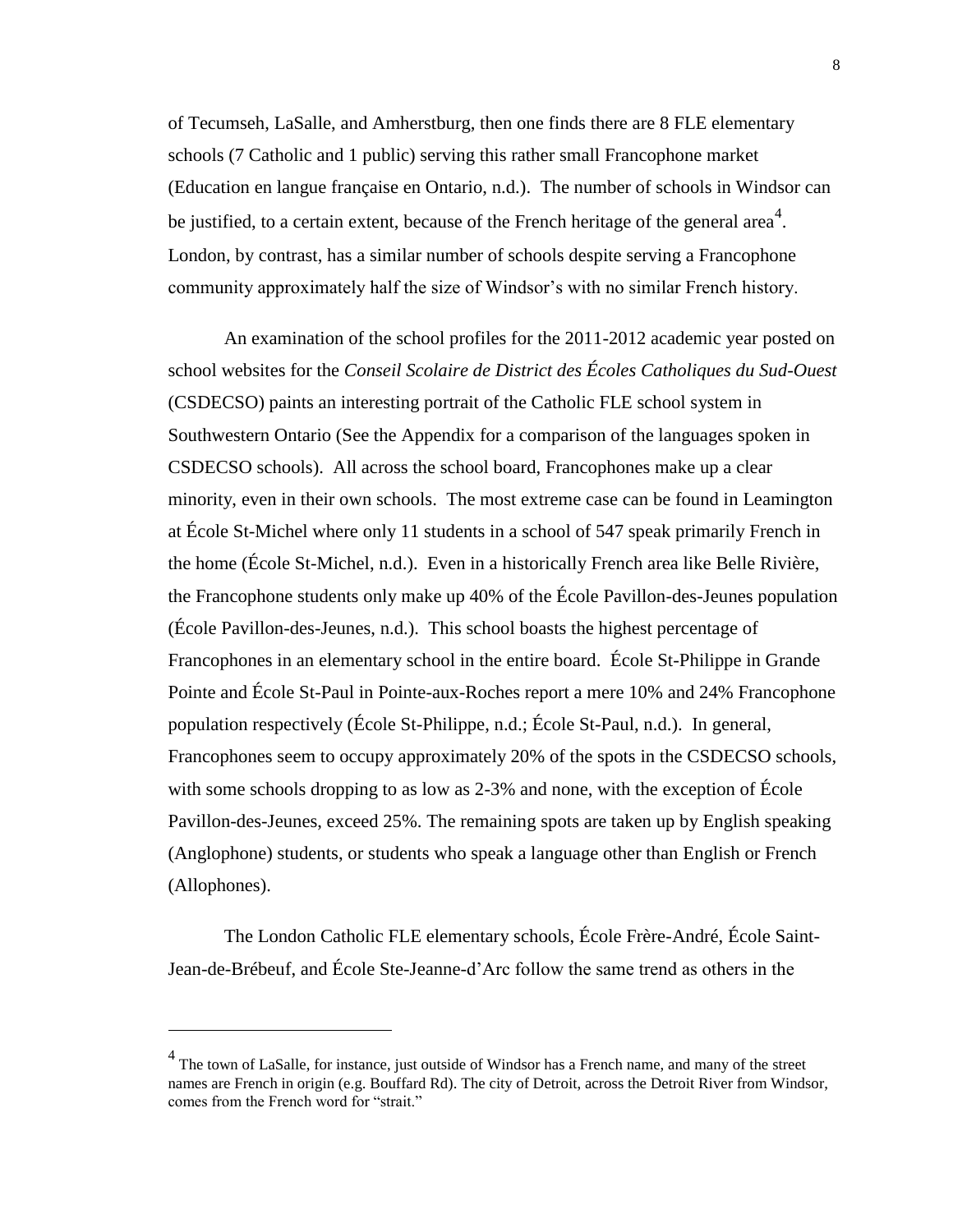of Tecumseh, LaSalle, and Amherstburg, then one finds there are 8 FLE elementary schools (7 Catholic and 1 public) serving this rather small Francophone market (Education en langue française en Ontario, n.d.). The number of schools in Windsor can be justified, to a certain extent, because of the French heritage of the general area<sup>4</sup>. London, by contrast, has a similar number of schools despite serving a Francophone community approximately half the size of Windsor's with no similar French history.

An examination of the school profiles for the 2011-2012 academic year posted on school websites for the *Conseil Scolaire de District des Écoles Catholiques du Sud-Ouest* (CSDECSO) paints an interesting portrait of the Catholic FLE school system in Southwestern Ontario (See the Appendix for a comparison of the languages spoken in CSDECSO schools). All across the school board, Francophones make up a clear minority, even in their own schools. The most extreme case can be found in Leamington at École St-Michel where only 11 students in a school of 547 speak primarily French in the home (École St-Michel, n.d.). Even in a historically French area like Belle Rivière, the Francophone students only make up 40% of the École Pavillon-des-Jeunes population (École Pavillon-des-Jeunes, n.d.). This school boasts the highest percentage of Francophones in an elementary school in the entire board. École St-Philippe in Grande Pointe and École St-Paul in Pointe-aux-Roches report a mere 10% and 24% Francophone population respectively (École St-Philippe, n.d.; École St-Paul, n.d.). In general, Francophones seem to occupy approximately 20% of the spots in the CSDECSO schools, with some schools dropping to as low as 2-3% and none, with the exception of École Pavillon-des-Jeunes, exceed 25%. The remaining spots are taken up by English speaking (Anglophone) students, or students who speak a language other than English or French (Allophones).

The London Catholic FLE elementary schools, École Frère-André, École Saint-Jean-de-Brébeuf, and École Ste-Jeanne-d'Arc follow the same trend as others in the

 $\overline{a}$ 

<sup>&</sup>lt;sup>4</sup> The town of LaSalle, for instance, just outside of Windsor has a French name, and many of the street names are French in origin (e.g. Bouffard Rd). The city of Detroit, across the Detroit River from Windsor, comes from the French word for "strait."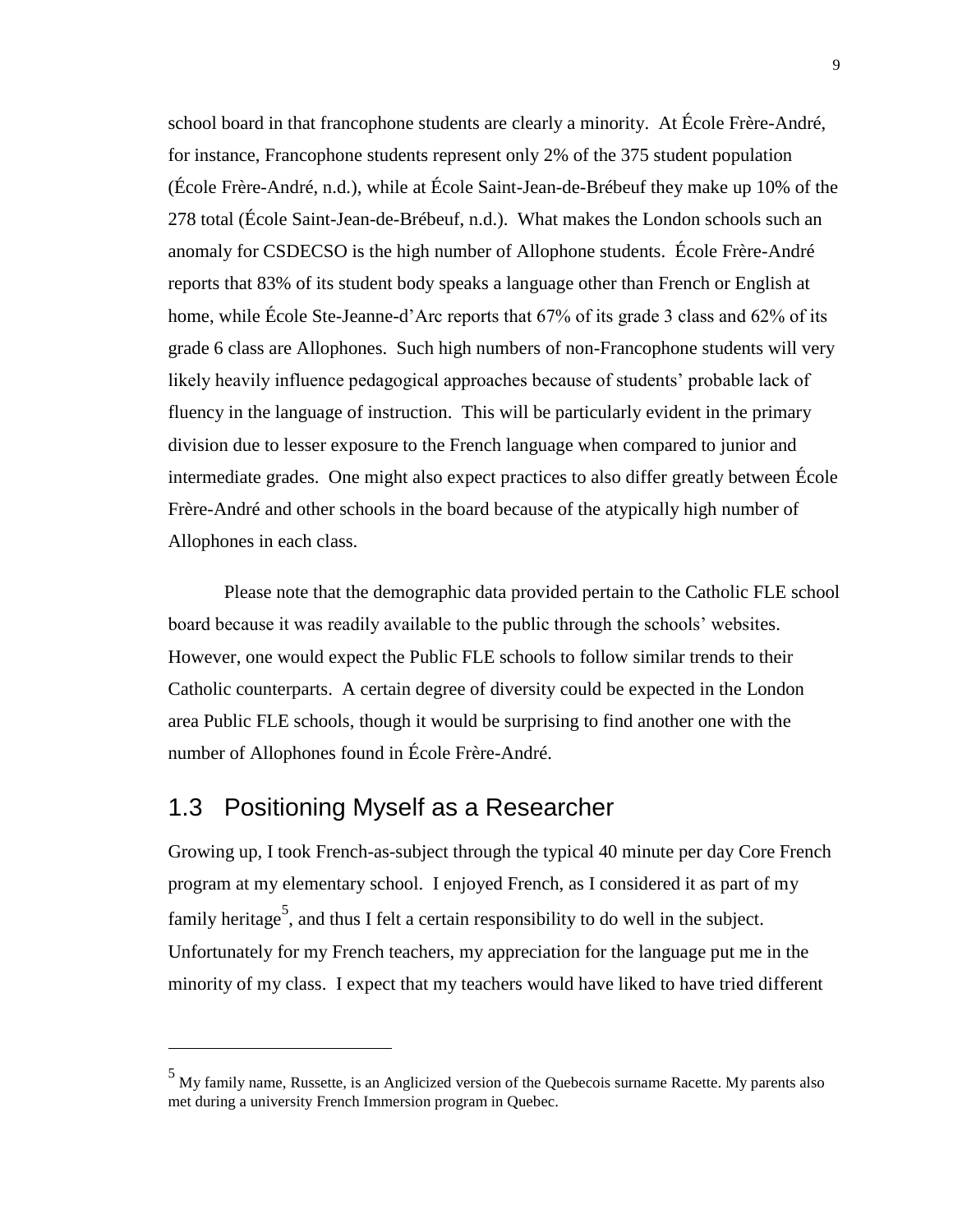school board in that francophone students are clearly a minority. At École Frère-André, for instance, Francophone students represent only 2% of the 375 student population (École Frère-André, n.d.), while at École Saint-Jean-de-Brébeuf they make up 10% of the 278 total (École Saint-Jean-de-Brébeuf, n.d.). What makes the London schools such an anomaly for CSDECSO is the high number of Allophone students. École Frère-André reports that 83% of its student body speaks a language other than French or English at home, while École Ste-Jeanne-d'Arc reports that 67% of its grade 3 class and 62% of its grade 6 class are Allophones. Such high numbers of non-Francophone students will very likely heavily influence pedagogical approaches because of students' probable lack of fluency in the language of instruction. This will be particularly evident in the primary division due to lesser exposure to the French language when compared to junior and intermediate grades. One might also expect practices to also differ greatly between École Frère-André and other schools in the board because of the atypically high number of Allophones in each class.

Please note that the demographic data provided pertain to the Catholic FLE school board because it was readily available to the public through the schools' websites. However, one would expect the Public FLE schools to follow similar trends to their Catholic counterparts. A certain degree of diversity could be expected in the London area Public FLE schools, though it would be surprising to find another one with the number of Allophones found in École Frère-André.

#### <span id="page-17-0"></span>1.3 Positioning Myself as a Researcher

 $\overline{a}$ 

Growing up, I took French-as-subject through the typical 40 minute per day Core French program at my elementary school. I enjoyed French, as I considered it as part of my family heritage<sup>5</sup>, and thus I felt a certain responsibility to do well in the subject. Unfortunately for my French teachers, my appreciation for the language put me in the minority of my class. I expect that my teachers would have liked to have tried different

<sup>5</sup> My family name, Russette, is an Anglicized version of the Quebecois surname Racette. My parents also met during a university French Immersion program in Quebec.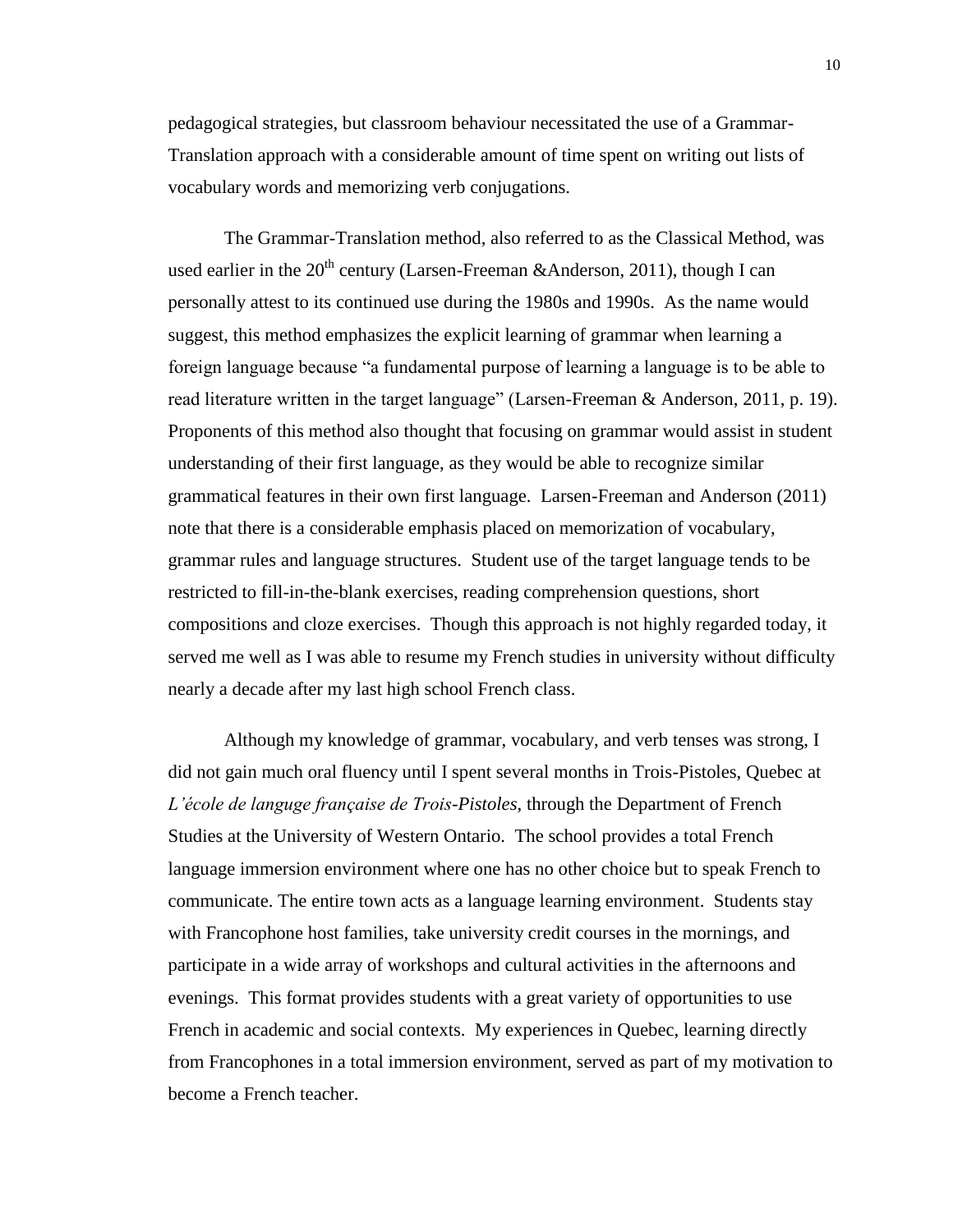pedagogical strategies, but classroom behaviour necessitated the use of a Grammar-Translation approach with a considerable amount of time spent on writing out lists of vocabulary words and memorizing verb conjugations.

The Grammar-Translation method, also referred to as the Classical Method, was used earlier in the  $20^{th}$  century (Larsen-Freeman &Anderson, 2011), though I can personally attest to its continued use during the 1980s and 1990s. As the name would suggest, this method emphasizes the explicit learning of grammar when learning a foreign language because "a fundamental purpose of learning a language is to be able to read literature written in the target language" (Larsen-Freeman & Anderson, 2011, p. 19). Proponents of this method also thought that focusing on grammar would assist in student understanding of their first language, as they would be able to recognize similar grammatical features in their own first language. Larsen-Freeman and Anderson (2011) note that there is a considerable emphasis placed on memorization of vocabulary, grammar rules and language structures. Student use of the target language tends to be restricted to fill-in-the-blank exercises, reading comprehension questions, short compositions and cloze exercises. Though this approach is not highly regarded today, it served me well as I was able to resume my French studies in university without difficulty nearly a decade after my last high school French class.

Although my knowledge of grammar, vocabulary, and verb tenses was strong, I did not gain much oral fluency until I spent several months in Trois-Pistoles, Quebec at *L'école de languge française de Trois-Pistoles*, through the Department of French Studies at the University of Western Ontario. The school provides a total French language immersion environment where one has no other choice but to speak French to communicate. The entire town acts as a language learning environment. Students stay with Francophone host families, take university credit courses in the mornings, and participate in a wide array of workshops and cultural activities in the afternoons and evenings. This format provides students with a great variety of opportunities to use French in academic and social contexts. My experiences in Quebec, learning directly from Francophones in a total immersion environment, served as part of my motivation to become a French teacher.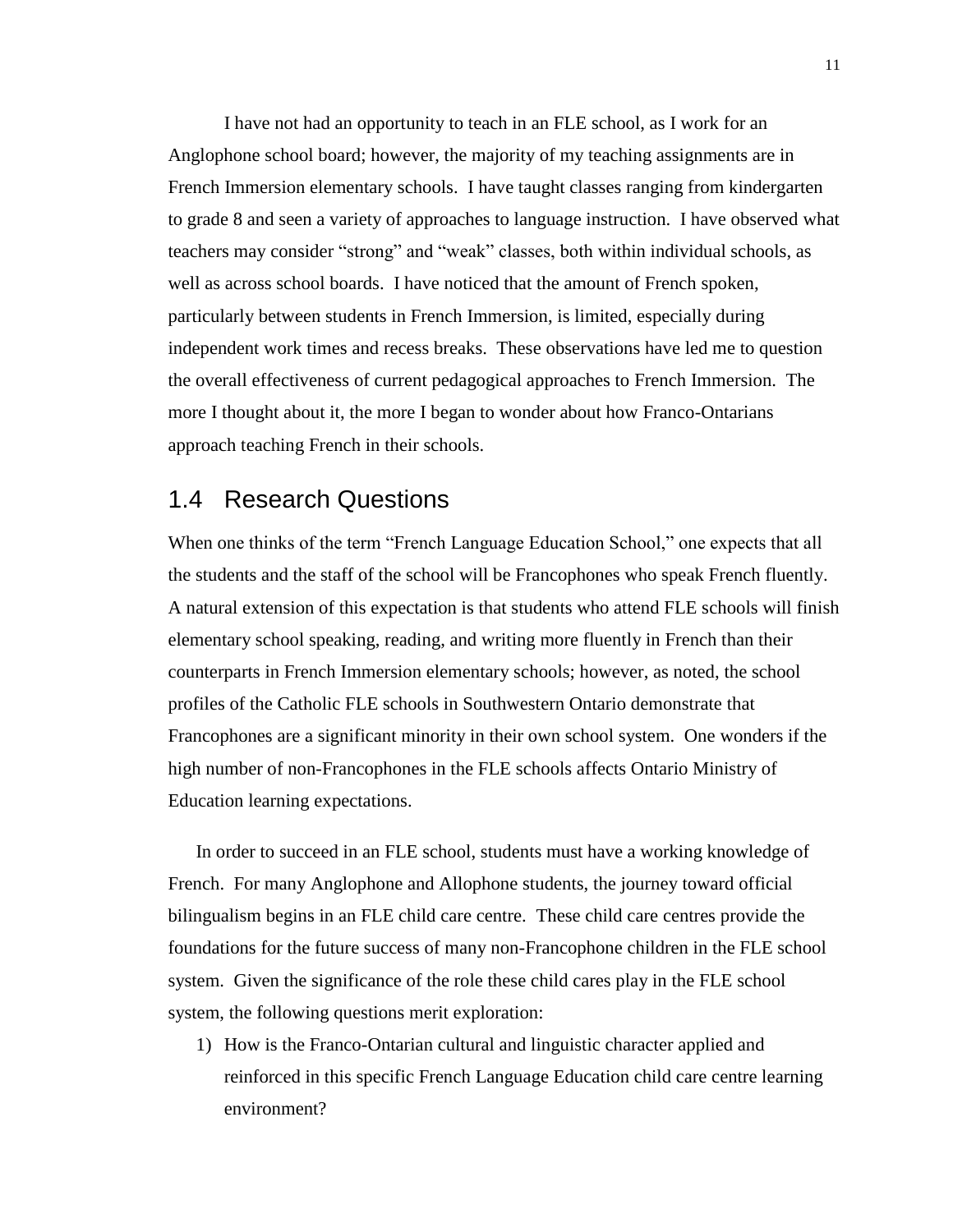I have not had an opportunity to teach in an FLE school, as I work for an Anglophone school board; however, the majority of my teaching assignments are in French Immersion elementary schools. I have taught classes ranging from kindergarten to grade 8 and seen a variety of approaches to language instruction. I have observed what teachers may consider "strong" and "weak" classes, both within individual schools, as well as across school boards. I have noticed that the amount of French spoken, particularly between students in French Immersion, is limited, especially during independent work times and recess breaks. These observations have led me to question the overall effectiveness of current pedagogical approaches to French Immersion. The more I thought about it, the more I began to wonder about how Franco-Ontarians approach teaching French in their schools.

#### <span id="page-19-0"></span>1.4 Research Questions

When one thinks of the term "French Language Education School," one expects that all the students and the staff of the school will be Francophones who speak French fluently. A natural extension of this expectation is that students who attend FLE schools will finish elementary school speaking, reading, and writing more fluently in French than their counterparts in French Immersion elementary schools; however, as noted, the school profiles of the Catholic FLE schools in Southwestern Ontario demonstrate that Francophones are a significant minority in their own school system. One wonders if the high number of non-Francophones in the FLE schools affects Ontario Ministry of Education learning expectations.

In order to succeed in an FLE school, students must have a working knowledge of French. For many Anglophone and Allophone students, the journey toward official bilingualism begins in an FLE child care centre. These child care centres provide the foundations for the future success of many non-Francophone children in the FLE school system. Given the significance of the role these child cares play in the FLE school system, the following questions merit exploration:

1) How is the Franco-Ontarian cultural and linguistic character applied and reinforced in this specific French Language Education child care centre learning environment?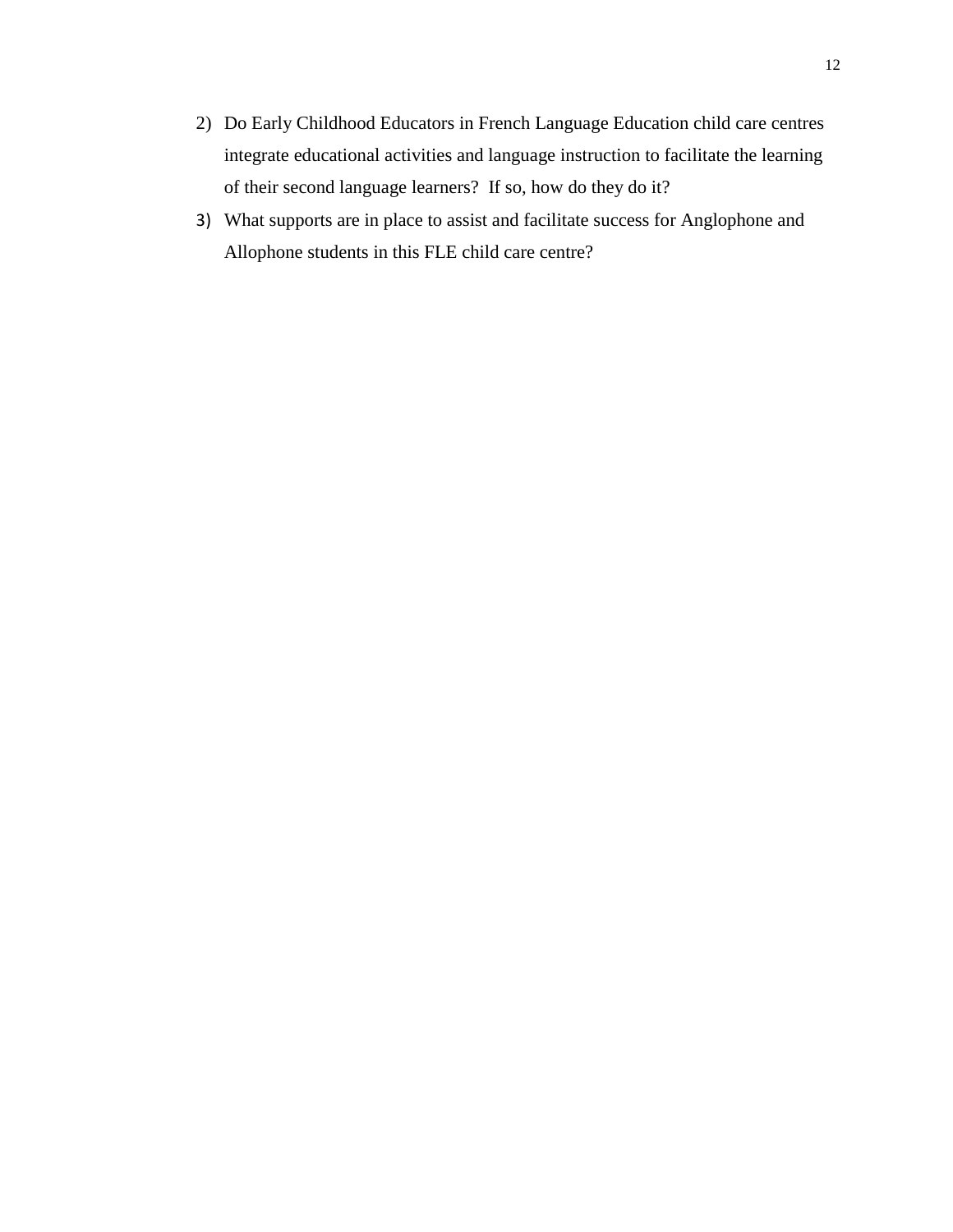- 2) Do Early Childhood Educators in French Language Education child care centres integrate educational activities and language instruction to facilitate the learning of their second language learners? If so, how do they do it?
- 3) What supports are in place to assist and facilitate success for Anglophone and Allophone students in this FLE child care centre?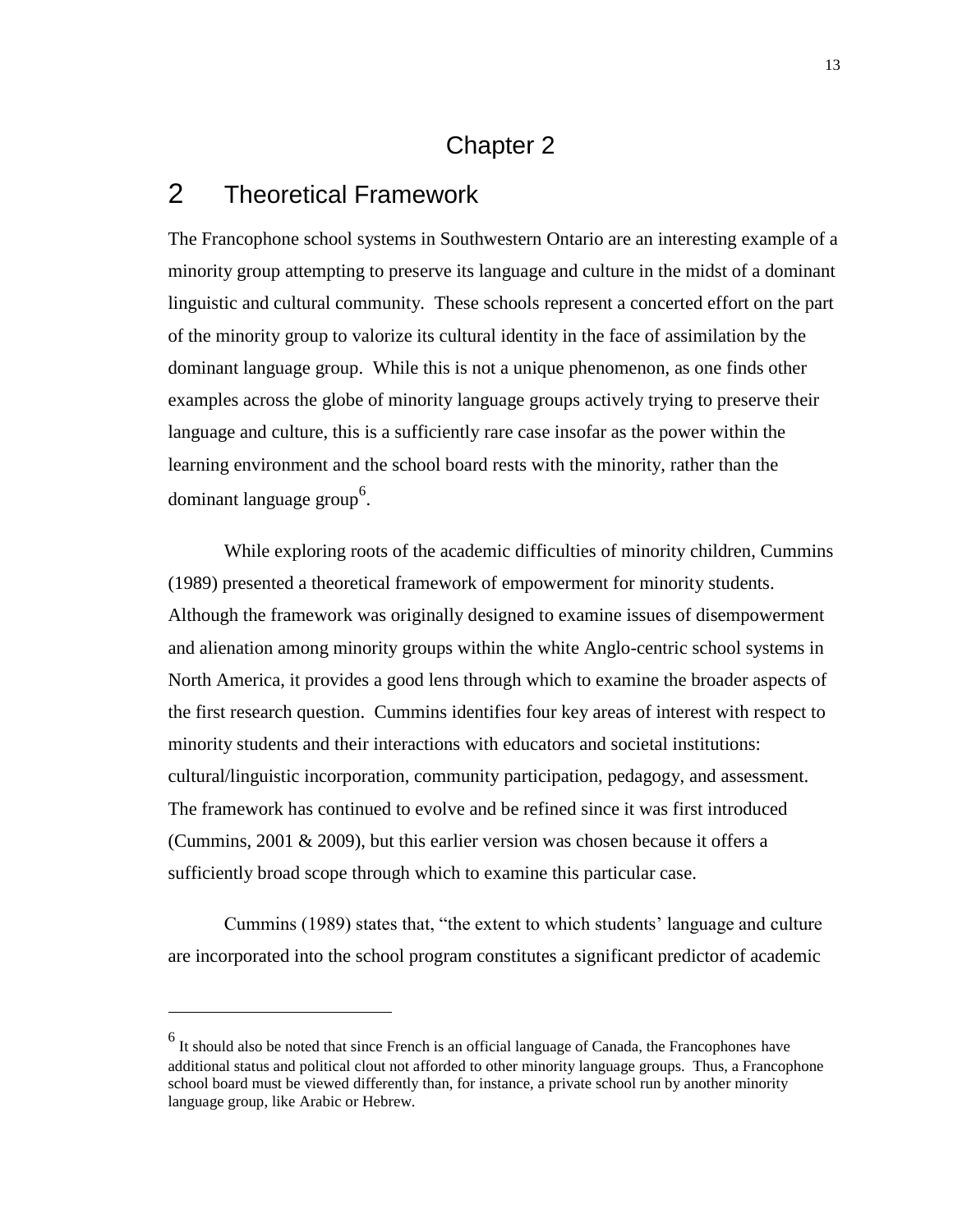# Chapter 2

## <span id="page-21-1"></span><span id="page-21-0"></span>2 Theoretical Framework

 $\overline{a}$ 

The Francophone school systems in Southwestern Ontario are an interesting example of a minority group attempting to preserve its language and culture in the midst of a dominant linguistic and cultural community. These schools represent a concerted effort on the part of the minority group to valorize its cultural identity in the face of assimilation by the dominant language group. While this is not a unique phenomenon, as one finds other examples across the globe of minority language groups actively trying to preserve their language and culture, this is a sufficiently rare case insofar as the power within the learning environment and the school board rests with the minority, rather than the dominant language group<sup>6</sup>.

While exploring roots of the academic difficulties of minority children, Cummins (1989) presented a theoretical framework of empowerment for minority students. Although the framework was originally designed to examine issues of disempowerment and alienation among minority groups within the white Anglo-centric school systems in North America, it provides a good lens through which to examine the broader aspects of the first research question. Cummins identifies four key areas of interest with respect to minority students and their interactions with educators and societal institutions: cultural/linguistic incorporation, community participation, pedagogy, and assessment. The framework has continued to evolve and be refined since it was first introduced (Cummins, 2001 & 2009), but this earlier version was chosen because it offers a sufficiently broad scope through which to examine this particular case.

Cummins (1989) states that, "the extent to which students' language and culture are incorporated into the school program constitutes a significant predictor of academic

 $<sup>6</sup>$  It should also be noted that since French is an official language of Canada, the Francophones have</sup> additional status and political clout not afforded to other minority language groups. Thus, a Francophone school board must be viewed differently than, for instance, a private school run by another minority language group, like Arabic or Hebrew.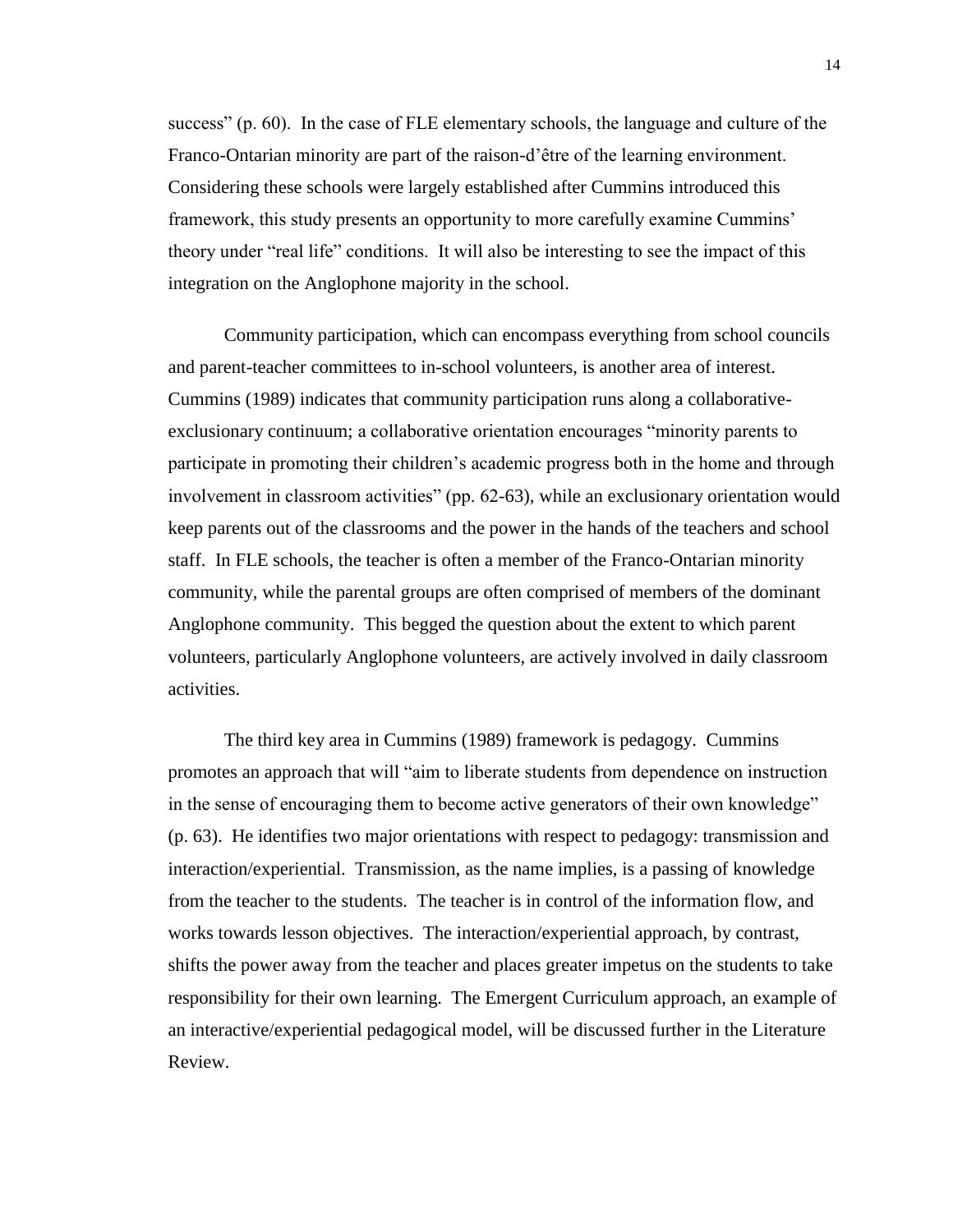success" (p. 60). In the case of FLE elementary schools, the language and culture of the Franco-Ontarian minority are part of the raison-d'être of the learning environment. Considering these schools were largely established after Cummins introduced this framework, this study presents an opportunity to more carefully examine Cummins' theory under "real life" conditions. It will also be interesting to see the impact of this integration on the Anglophone majority in the school.

Community participation, which can encompass everything from school councils and parent-teacher committees to in-school volunteers, is another area of interest. Cummins (1989) indicates that community participation runs along a collaborativeexclusionary continuum; a collaborative orientation encourages "minority parents to participate in promoting their children's academic progress both in the home and through involvement in classroom activities" (pp. 62-63), while an exclusionary orientation would keep parents out of the classrooms and the power in the hands of the teachers and school staff. In FLE schools, the teacher is often a member of the Franco-Ontarian minority community, while the parental groups are often comprised of members of the dominant Anglophone community. This begged the question about the extent to which parent volunteers, particularly Anglophone volunteers, are actively involved in daily classroom activities.

The third key area in Cummins (1989) framework is pedagogy. Cummins promotes an approach that will "aim to liberate students from dependence on instruction in the sense of encouraging them to become active generators of their own knowledge" (p. 63). He identifies two major orientations with respect to pedagogy: transmission and interaction/experiential. Transmission, as the name implies, is a passing of knowledge from the teacher to the students. The teacher is in control of the information flow, and works towards lesson objectives. The interaction/experiential approach, by contrast, shifts the power away from the teacher and places greater impetus on the students to take responsibility for their own learning. The Emergent Curriculum approach, an example of an interactive/experiential pedagogical model, will be discussed further in the Literature Review.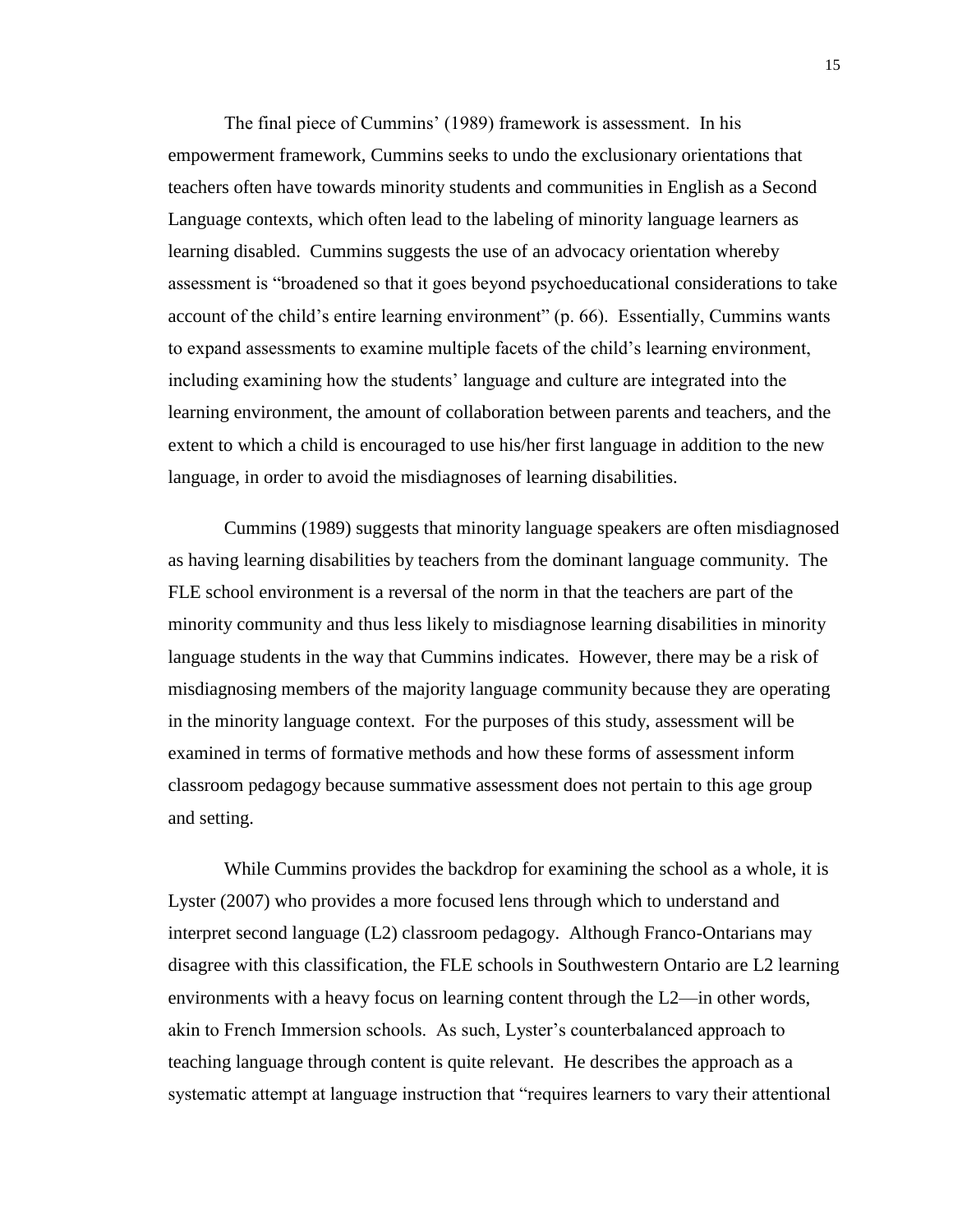The final piece of Cummins' (1989) framework is assessment. In his empowerment framework, Cummins seeks to undo the exclusionary orientations that teachers often have towards minority students and communities in English as a Second Language contexts, which often lead to the labeling of minority language learners as learning disabled. Cummins suggests the use of an advocacy orientation whereby assessment is "broadened so that it goes beyond psychoeducational considerations to take account of the child's entire learning environment" (p. 66). Essentially, Cummins wants to expand assessments to examine multiple facets of the child's learning environment, including examining how the students' language and culture are integrated into the learning environment, the amount of collaboration between parents and teachers, and the extent to which a child is encouraged to use his/her first language in addition to the new language, in order to avoid the misdiagnoses of learning disabilities.

Cummins (1989) suggests that minority language speakers are often misdiagnosed as having learning disabilities by teachers from the dominant language community. The FLE school environment is a reversal of the norm in that the teachers are part of the minority community and thus less likely to misdiagnose learning disabilities in minority language students in the way that Cummins indicates. However, there may be a risk of misdiagnosing members of the majority language community because they are operating in the minority language context. For the purposes of this study, assessment will be examined in terms of formative methods and how these forms of assessment inform classroom pedagogy because summative assessment does not pertain to this age group and setting.

While Cummins provides the backdrop for examining the school as a whole, it is Lyster (2007) who provides a more focused lens through which to understand and interpret second language (L2) classroom pedagogy. Although Franco-Ontarians may disagree with this classification, the FLE schools in Southwestern Ontario are L2 learning environments with a heavy focus on learning content through the L2—in other words, akin to French Immersion schools. As such, Lyster's counterbalanced approach to teaching language through content is quite relevant. He describes the approach as a systematic attempt at language instruction that "requires learners to vary their attentional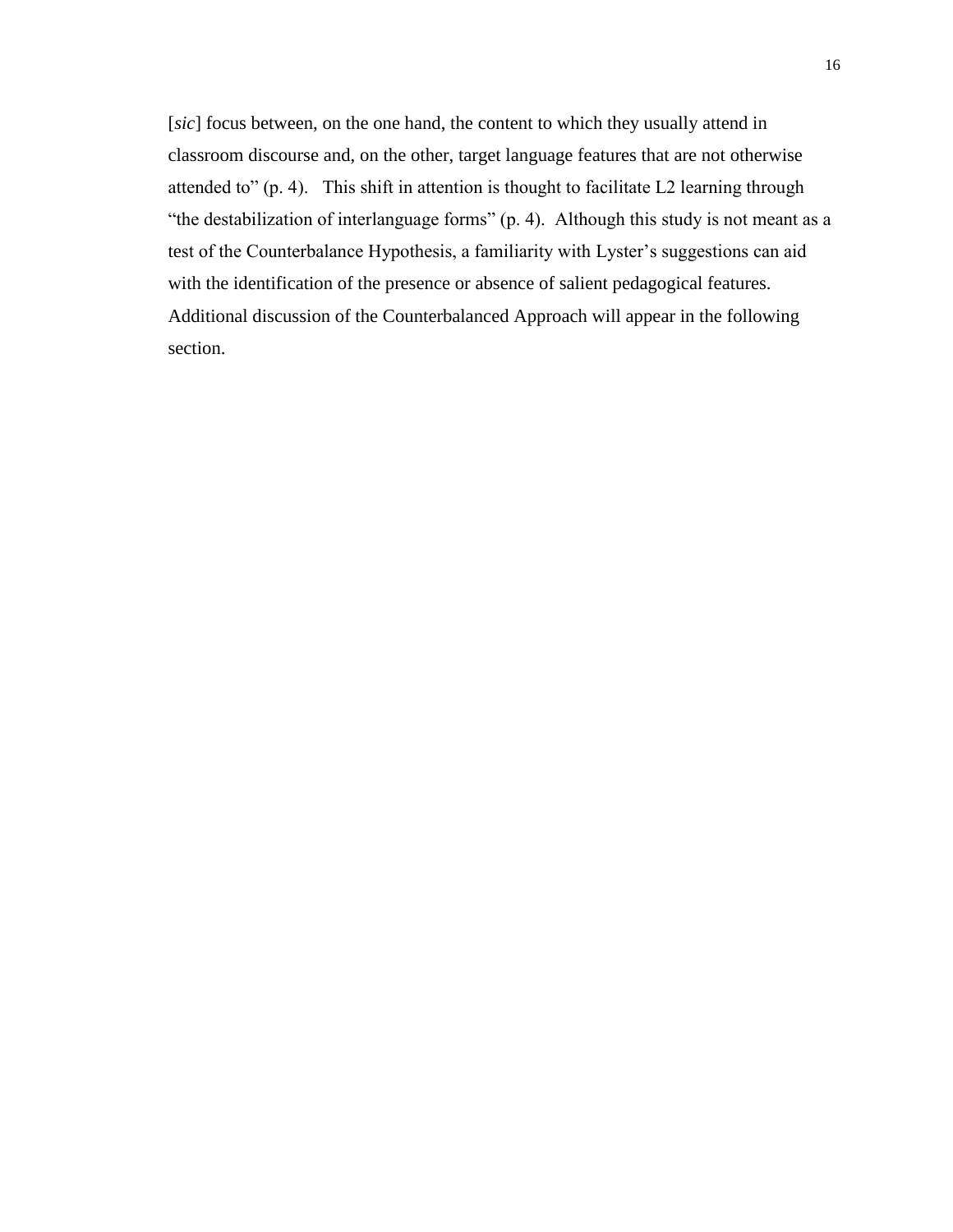[*sic*] focus between, on the one hand, the content to which they usually attend in classroom discourse and, on the other, target language features that are not otherwise attended to" (p. 4). This shift in attention is thought to facilitate L2 learning through "the destabilization of interlanguage forms" (p. 4). Although this study is not meant as a test of the Counterbalance Hypothesis, a familiarity with Lyster's suggestions can aid with the identification of the presence or absence of salient pedagogical features. Additional discussion of the Counterbalanced Approach will appear in the following section.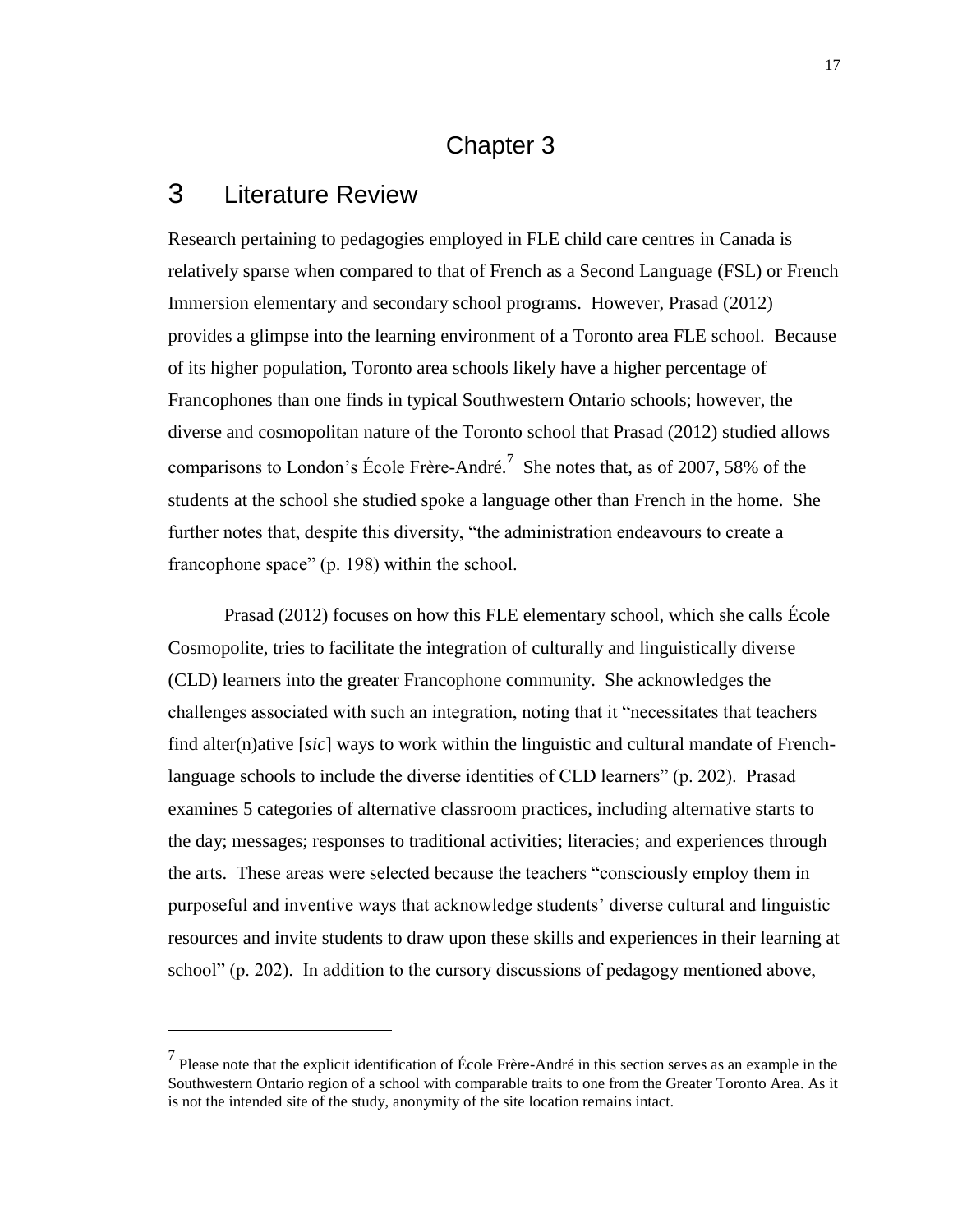#### Chapter 3

## <span id="page-25-1"></span><span id="page-25-0"></span>3 Literature Review

 $\overline{a}$ 

Research pertaining to pedagogies employed in FLE child care centres in Canada is relatively sparse when compared to that of French as a Second Language (FSL) or French Immersion elementary and secondary school programs. However, Prasad (2012) provides a glimpse into the learning environment of a Toronto area FLE school. Because of its higher population, Toronto area schools likely have a higher percentage of Francophones than one finds in typical Southwestern Ontario schools; however, the diverse and cosmopolitan nature of the Toronto school that Prasad (2012) studied allows comparisons to London's École Frère-André.<sup>7</sup> She notes that, as of 2007, 58% of the students at the school she studied spoke a language other than French in the home. She further notes that, despite this diversity, "the administration endeavours to create a francophone space" (p. 198) within the school.

Prasad (2012) focuses on how this FLE elementary school, which she calls École Cosmopolite, tries to facilitate the integration of culturally and linguistically diverse (CLD) learners into the greater Francophone community. She acknowledges the challenges associated with such an integration, noting that it "necessitates that teachers find alter(n)ative [*sic*] ways to work within the linguistic and cultural mandate of Frenchlanguage schools to include the diverse identities of CLD learners" (p. 202). Prasad examines 5 categories of alternative classroom practices, including alternative starts to the day; messages; responses to traditional activities; literacies; and experiences through the arts. These areas were selected because the teachers "consciously employ them in purposeful and inventive ways that acknowledge students' diverse cultural and linguistic resources and invite students to draw upon these skills and experiences in their learning at school" (p. 202). In addition to the cursory discussions of pedagogy mentioned above,

<sup>&</sup>lt;sup>7</sup> Please note that the explicit identification of École Frère-André in this section serves as an example in the Southwestern Ontario region of a school with comparable traits to one from the Greater Toronto Area. As it is not the intended site of the study, anonymity of the site location remains intact.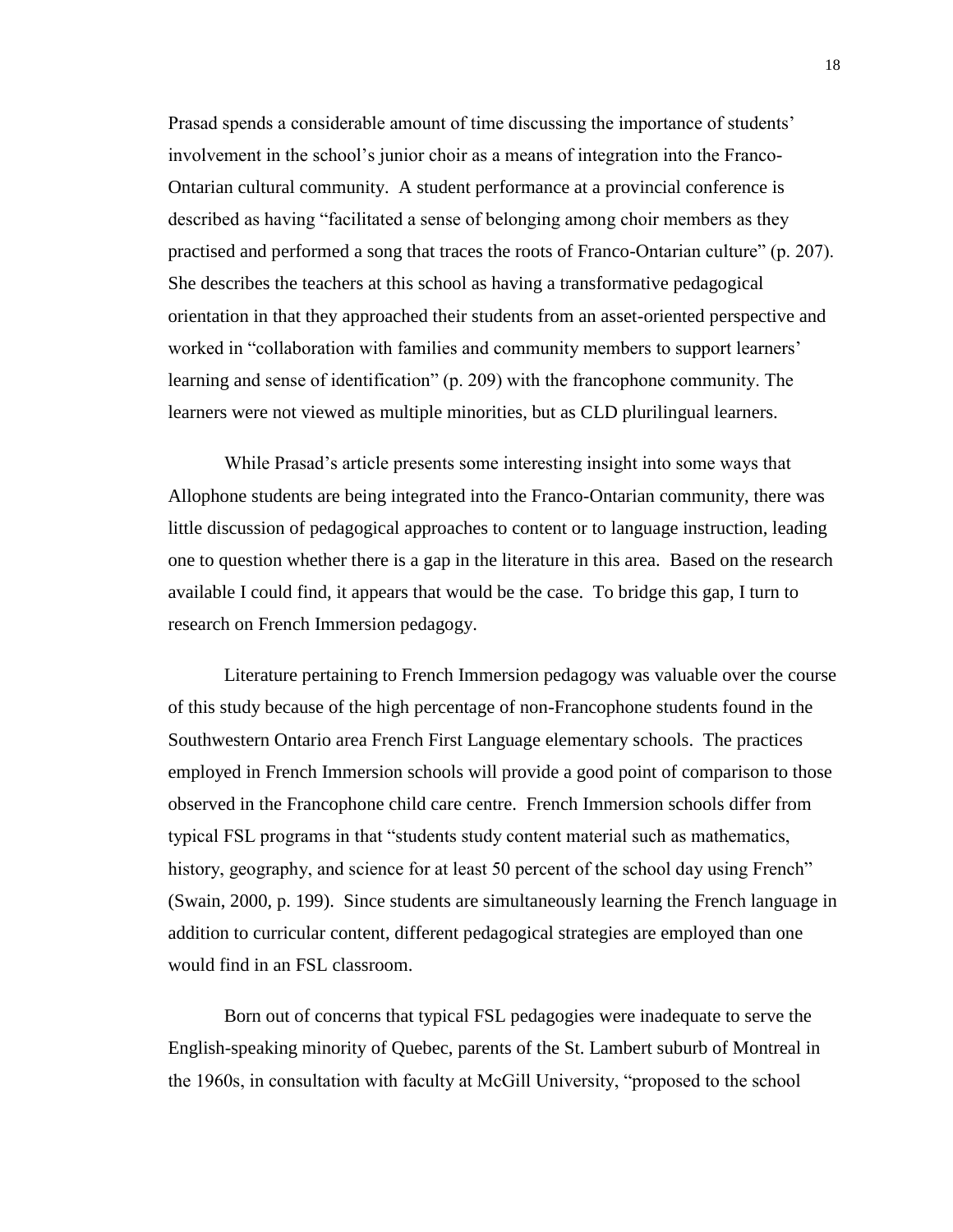Prasad spends a considerable amount of time discussing the importance of students' involvement in the school's junior choir as a means of integration into the Franco-Ontarian cultural community. A student performance at a provincial conference is described as having "facilitated a sense of belonging among choir members as they practised and performed a song that traces the roots of Franco-Ontarian culture" (p. 207). She describes the teachers at this school as having a transformative pedagogical orientation in that they approached their students from an asset-oriented perspective and worked in "collaboration with families and community members to support learners' learning and sense of identification" (p. 209) with the francophone community. The learners were not viewed as multiple minorities, but as CLD plurilingual learners.

While Prasad's article presents some interesting insight into some ways that Allophone students are being integrated into the Franco-Ontarian community, there was little discussion of pedagogical approaches to content or to language instruction, leading one to question whether there is a gap in the literature in this area. Based on the research available I could find, it appears that would be the case. To bridge this gap, I turn to research on French Immersion pedagogy.

Literature pertaining to French Immersion pedagogy was valuable over the course of this study because of the high percentage of non-Francophone students found in the Southwestern Ontario area French First Language elementary schools. The practices employed in French Immersion schools will provide a good point of comparison to those observed in the Francophone child care centre. French Immersion schools differ from typical FSL programs in that "students study content material such as mathematics, history, geography, and science for at least 50 percent of the school day using French" (Swain, 2000, p. 199). Since students are simultaneously learning the French language in addition to curricular content, different pedagogical strategies are employed than one would find in an FSL classroom.

Born out of concerns that typical FSL pedagogies were inadequate to serve the English-speaking minority of Quebec, parents of the St. Lambert suburb of Montreal in the 1960s, in consultation with faculty at McGill University, "proposed to the school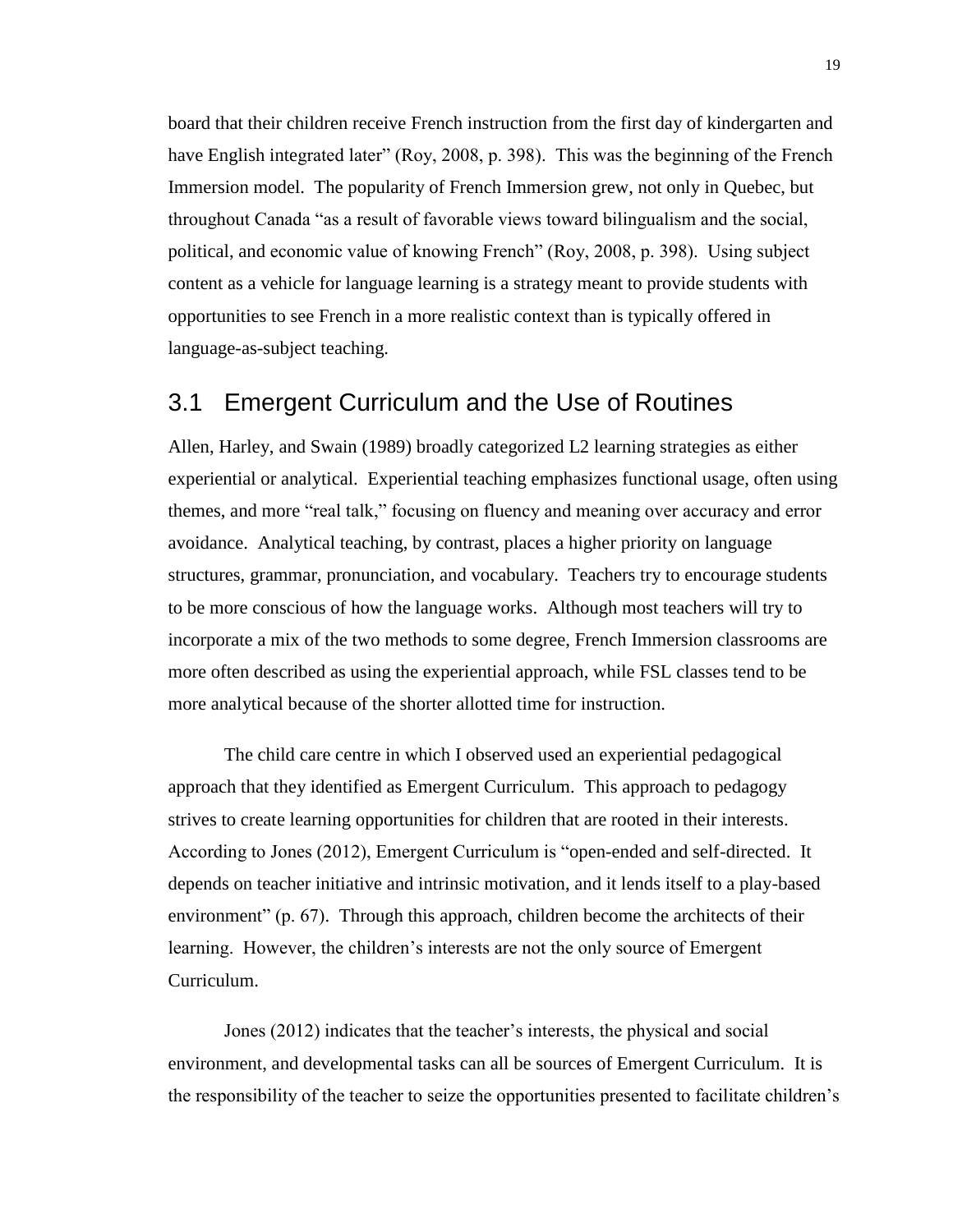board that their children receive French instruction from the first day of kindergarten and have English integrated later" (Roy, 2008, p. 398). This was the beginning of the French Immersion model. The popularity of French Immersion grew, not only in Quebec, but throughout Canada "as a result of favorable views toward bilingualism and the social, political, and economic value of knowing French" (Roy, 2008, p. 398). Using subject content as a vehicle for language learning is a strategy meant to provide students with opportunities to see French in a more realistic context than is typically offered in language-as-subject teaching.

#### <span id="page-27-0"></span>3.1 Emergent Curriculum and the Use of Routines

Allen, Harley, and Swain (1989) broadly categorized L2 learning strategies as either experiential or analytical. Experiential teaching emphasizes functional usage, often using themes, and more "real talk," focusing on fluency and meaning over accuracy and error avoidance. Analytical teaching, by contrast, places a higher priority on language structures, grammar, pronunciation, and vocabulary. Teachers try to encourage students to be more conscious of how the language works. Although most teachers will try to incorporate a mix of the two methods to some degree, French Immersion classrooms are more often described as using the experiential approach, while FSL classes tend to be more analytical because of the shorter allotted time for instruction.

The child care centre in which I observed used an experiential pedagogical approach that they identified as Emergent Curriculum. This approach to pedagogy strives to create learning opportunities for children that are rooted in their interests. According to Jones (2012), Emergent Curriculum is "open-ended and self-directed. It depends on teacher initiative and intrinsic motivation, and it lends itself to a play-based environment" (p. 67). Through this approach, children become the architects of their learning. However, the children's interests are not the only source of Emergent Curriculum.

Jones (2012) indicates that the teacher's interests, the physical and social environment, and developmental tasks can all be sources of Emergent Curriculum. It is the responsibility of the teacher to seize the opportunities presented to facilitate children's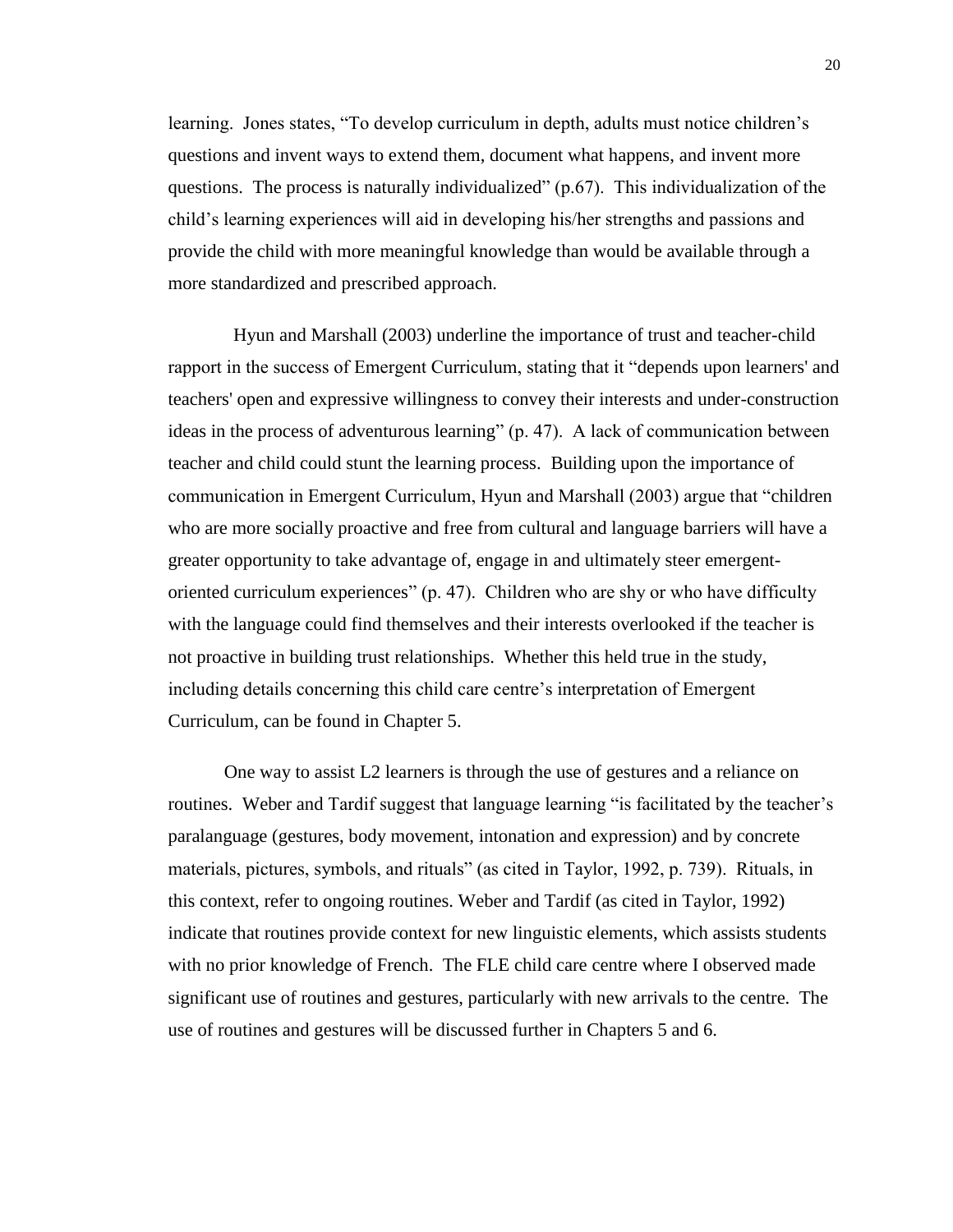learning. Jones states, "To develop curriculum in depth, adults must notice children's questions and invent ways to extend them, document what happens, and invent more questions. The process is naturally individualized" (p.67). This individualization of the child's learning experiences will aid in developing his/her strengths and passions and provide the child with more meaningful knowledge than would be available through a more standardized and prescribed approach.

 Hyun and Marshall (2003) underline the importance of trust and teacher-child rapport in the success of Emergent Curriculum, stating that it "depends upon learners' and teachers' open and expressive willingness to convey their interests and under-construction ideas in the process of adventurous learning" (p. 47). A lack of communication between teacher and child could stunt the learning process. Building upon the importance of communication in Emergent Curriculum, Hyun and Marshall (2003) argue that "children who are more socially proactive and free from cultural and language barriers will have a greater opportunity to take advantage of, engage in and ultimately steer emergentoriented curriculum experiences" (p. 47). Children who are shy or who have difficulty with the language could find themselves and their interests overlooked if the teacher is not proactive in building trust relationships. Whether this held true in the study, including details concerning this child care centre's interpretation of Emergent Curriculum, can be found in Chapter 5.

One way to assist L2 learners is through the use of gestures and a reliance on routines. Weber and Tardif suggest that language learning "is facilitated by the teacher's paralanguage (gestures, body movement, intonation and expression) and by concrete materials, pictures, symbols, and rituals" (as cited in Taylor, 1992, p. 739). Rituals, in this context, refer to ongoing routines. Weber and Tardif (as cited in Taylor, 1992) indicate that routines provide context for new linguistic elements, which assists students with no prior knowledge of French. The FLE child care centre where I observed made significant use of routines and gestures, particularly with new arrivals to the centre. The use of routines and gestures will be discussed further in Chapters 5 and 6.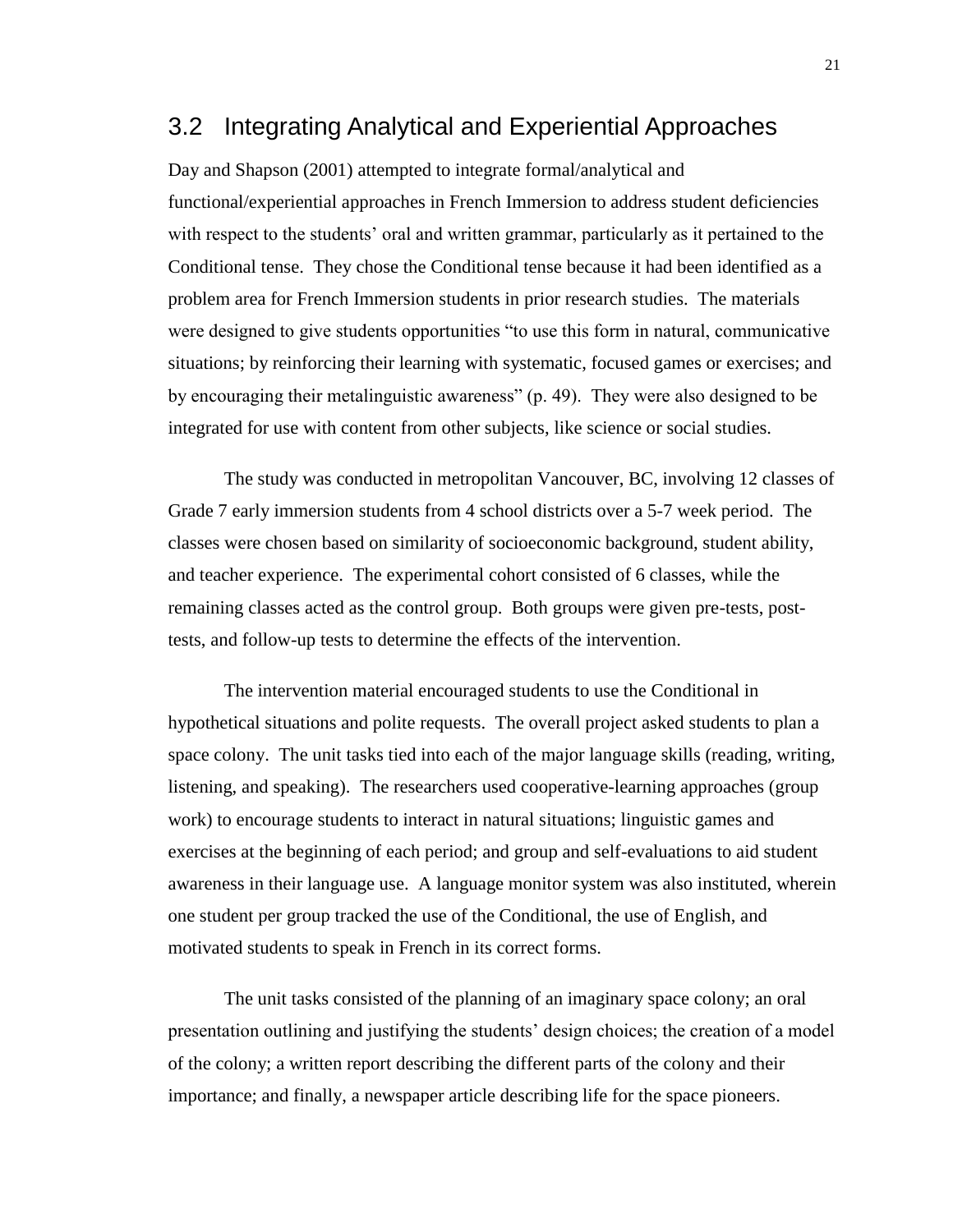#### <span id="page-29-0"></span>3.2 Integrating Analytical and Experiential Approaches

Day and Shapson (2001) attempted to integrate formal/analytical and functional/experiential approaches in French Immersion to address student deficiencies with respect to the students' oral and written grammar, particularly as it pertained to the Conditional tense. They chose the Conditional tense because it had been identified as a problem area for French Immersion students in prior research studies. The materials were designed to give students opportunities "to use this form in natural, communicative situations; by reinforcing their learning with systematic, focused games or exercises; and by encouraging their metalinguistic awareness" (p. 49). They were also designed to be integrated for use with content from other subjects, like science or social studies.

The study was conducted in metropolitan Vancouver, BC, involving 12 classes of Grade 7 early immersion students from 4 school districts over a 5-7 week period. The classes were chosen based on similarity of socioeconomic background, student ability, and teacher experience. The experimental cohort consisted of 6 classes, while the remaining classes acted as the control group. Both groups were given pre-tests, posttests, and follow-up tests to determine the effects of the intervention.

The intervention material encouraged students to use the Conditional in hypothetical situations and polite requests. The overall project asked students to plan a space colony. The unit tasks tied into each of the major language skills (reading, writing, listening, and speaking). The researchers used cooperative-learning approaches (group work) to encourage students to interact in natural situations; linguistic games and exercises at the beginning of each period; and group and self-evaluations to aid student awareness in their language use. A language monitor system was also instituted, wherein one student per group tracked the use of the Conditional, the use of English, and motivated students to speak in French in its correct forms.

The unit tasks consisted of the planning of an imaginary space colony; an oral presentation outlining and justifying the students' design choices; the creation of a model of the colony; a written report describing the different parts of the colony and their importance; and finally, a newspaper article describing life for the space pioneers.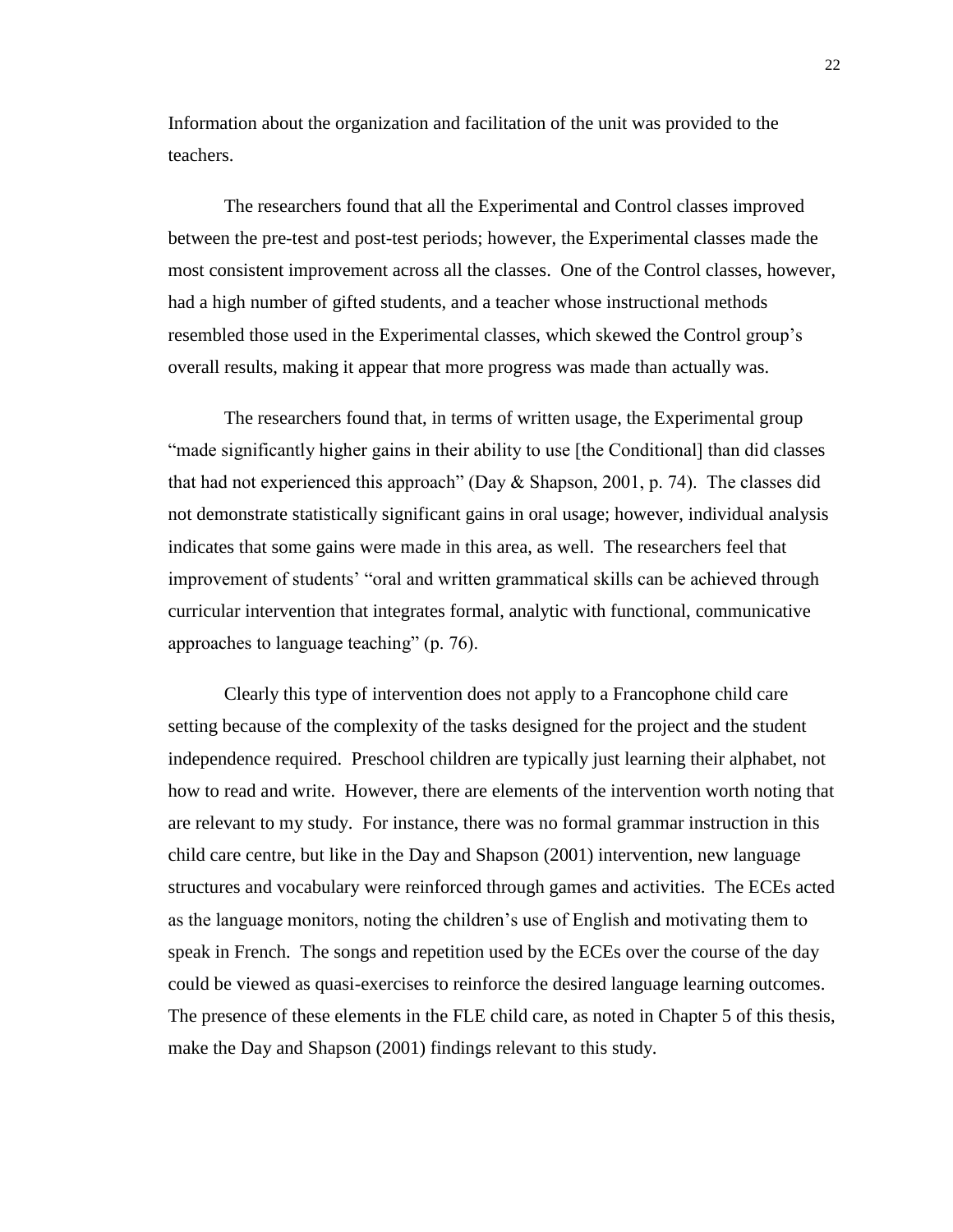Information about the organization and facilitation of the unit was provided to the teachers.

The researchers found that all the Experimental and Control classes improved between the pre-test and post-test periods; however, the Experimental classes made the most consistent improvement across all the classes. One of the Control classes, however, had a high number of gifted students, and a teacher whose instructional methods resembled those used in the Experimental classes, which skewed the Control group's overall results, making it appear that more progress was made than actually was.

The researchers found that, in terms of written usage, the Experimental group "made significantly higher gains in their ability to use [the Conditional] than did classes that had not experienced this approach" (Day  $\&$  Shapson, 2001, p. 74). The classes did not demonstrate statistically significant gains in oral usage; however, individual analysis indicates that some gains were made in this area, as well. The researchers feel that improvement of students' "oral and written grammatical skills can be achieved through curricular intervention that integrates formal, analytic with functional, communicative approaches to language teaching" (p. 76).

Clearly this type of intervention does not apply to a Francophone child care setting because of the complexity of the tasks designed for the project and the student independence required. Preschool children are typically just learning their alphabet, not how to read and write. However, there are elements of the intervention worth noting that are relevant to my study. For instance, there was no formal grammar instruction in this child care centre, but like in the Day and Shapson (2001) intervention, new language structures and vocabulary were reinforced through games and activities. The ECEs acted as the language monitors, noting the children's use of English and motivating them to speak in French. The songs and repetition used by the ECEs over the course of the day could be viewed as quasi-exercises to reinforce the desired language learning outcomes. The presence of these elements in the FLE child care, as noted in Chapter 5 of this thesis, make the Day and Shapson (2001) findings relevant to this study.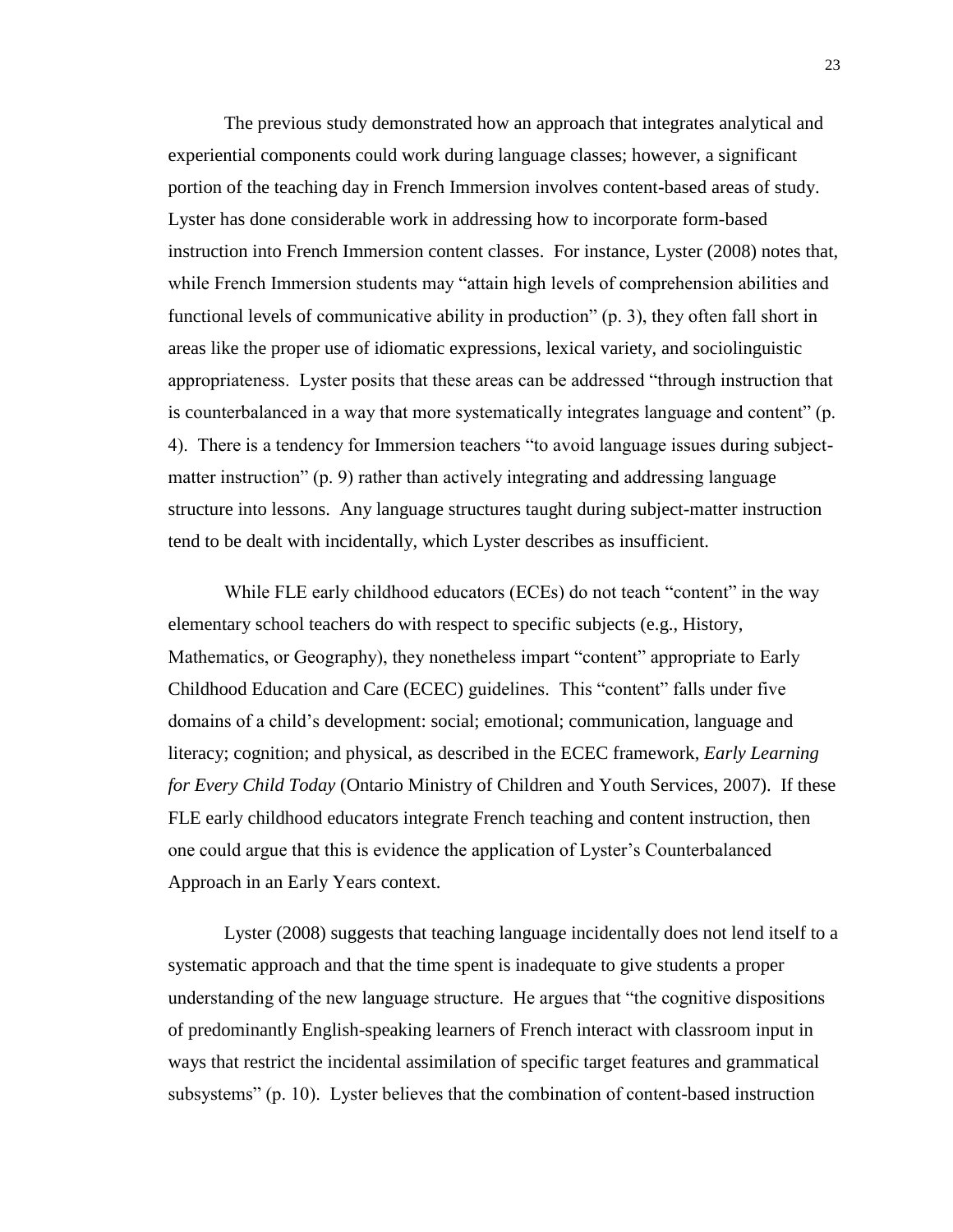The previous study demonstrated how an approach that integrates analytical and experiential components could work during language classes; however, a significant portion of the teaching day in French Immersion involves content-based areas of study. Lyster has done considerable work in addressing how to incorporate form-based instruction into French Immersion content classes. For instance, Lyster (2008) notes that, while French Immersion students may "attain high levels of comprehension abilities and functional levels of communicative ability in production" (p. 3), they often fall short in areas like the proper use of idiomatic expressions, lexical variety, and sociolinguistic appropriateness. Lyster posits that these areas can be addressed "through instruction that is counterbalanced in a way that more systematically integrates language and content" (p. 4). There is a tendency for Immersion teachers "to avoid language issues during subjectmatter instruction" (p. 9) rather than actively integrating and addressing language structure into lessons. Any language structures taught during subject-matter instruction tend to be dealt with incidentally, which Lyster describes as insufficient.

While FLE early childhood educators (ECEs) do not teach "content" in the way elementary school teachers do with respect to specific subjects (e.g., History, Mathematics, or Geography), they nonetheless impart "content" appropriate to Early Childhood Education and Care (ECEC) guidelines. This "content" falls under five domains of a child's development: social; emotional; communication, language and literacy; cognition; and physical, as described in the ECEC framework, *Early Learning for Every Child Today* (Ontario Ministry of Children and Youth Services, 2007). If these FLE early childhood educators integrate French teaching and content instruction, then one could argue that this is evidence the application of Lyster's Counterbalanced Approach in an Early Years context.

Lyster (2008) suggests that teaching language incidentally does not lend itself to a systematic approach and that the time spent is inadequate to give students a proper understanding of the new language structure. He argues that "the cognitive dispositions of predominantly English-speaking learners of French interact with classroom input in ways that restrict the incidental assimilation of specific target features and grammatical subsystems" (p. 10). Lyster believes that the combination of content-based instruction

23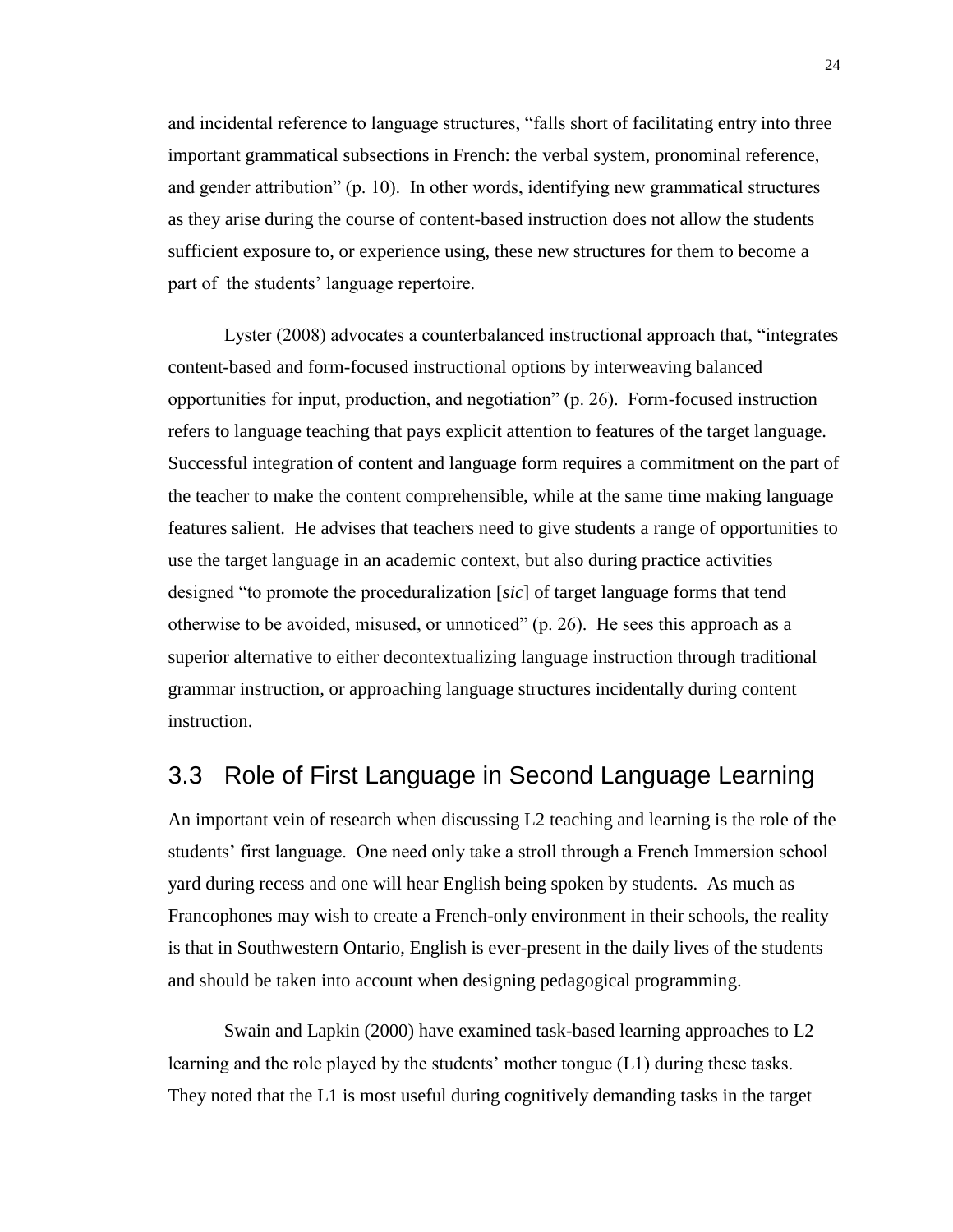and incidental reference to language structures, "falls short of facilitating entry into three important grammatical subsections in French: the verbal system, pronominal reference, and gender attribution" (p. 10). In other words, identifying new grammatical structures as they arise during the course of content-based instruction does not allow the students sufficient exposure to, or experience using, these new structures for them to become a part of the students' language repertoire.

Lyster (2008) advocates a counterbalanced instructional approach that, "integrates content-based and form-focused instructional options by interweaving balanced opportunities for input, production, and negotiation" (p. 26). Form-focused instruction refers to language teaching that pays explicit attention to features of the target language. Successful integration of content and language form requires a commitment on the part of the teacher to make the content comprehensible, while at the same time making language features salient. He advises that teachers need to give students a range of opportunities to use the target language in an academic context, but also during practice activities designed "to promote the proceduralization [*sic*] of target language forms that tend otherwise to be avoided, misused, or unnoticed" (p. 26). He sees this approach as a superior alternative to either decontextualizing language instruction through traditional grammar instruction, or approaching language structures incidentally during content instruction.

#### <span id="page-32-0"></span>3.3 Role of First Language in Second Language Learning

An important vein of research when discussing L2 teaching and learning is the role of the students' first language. One need only take a stroll through a French Immersion school yard during recess and one will hear English being spoken by students. As much as Francophones may wish to create a French-only environment in their schools, the reality is that in Southwestern Ontario, English is ever-present in the daily lives of the students and should be taken into account when designing pedagogical programming.

Swain and Lapkin (2000) have examined task-based learning approaches to L2 learning and the role played by the students' mother tongue (L1) during these tasks. They noted that the L1 is most useful during cognitively demanding tasks in the target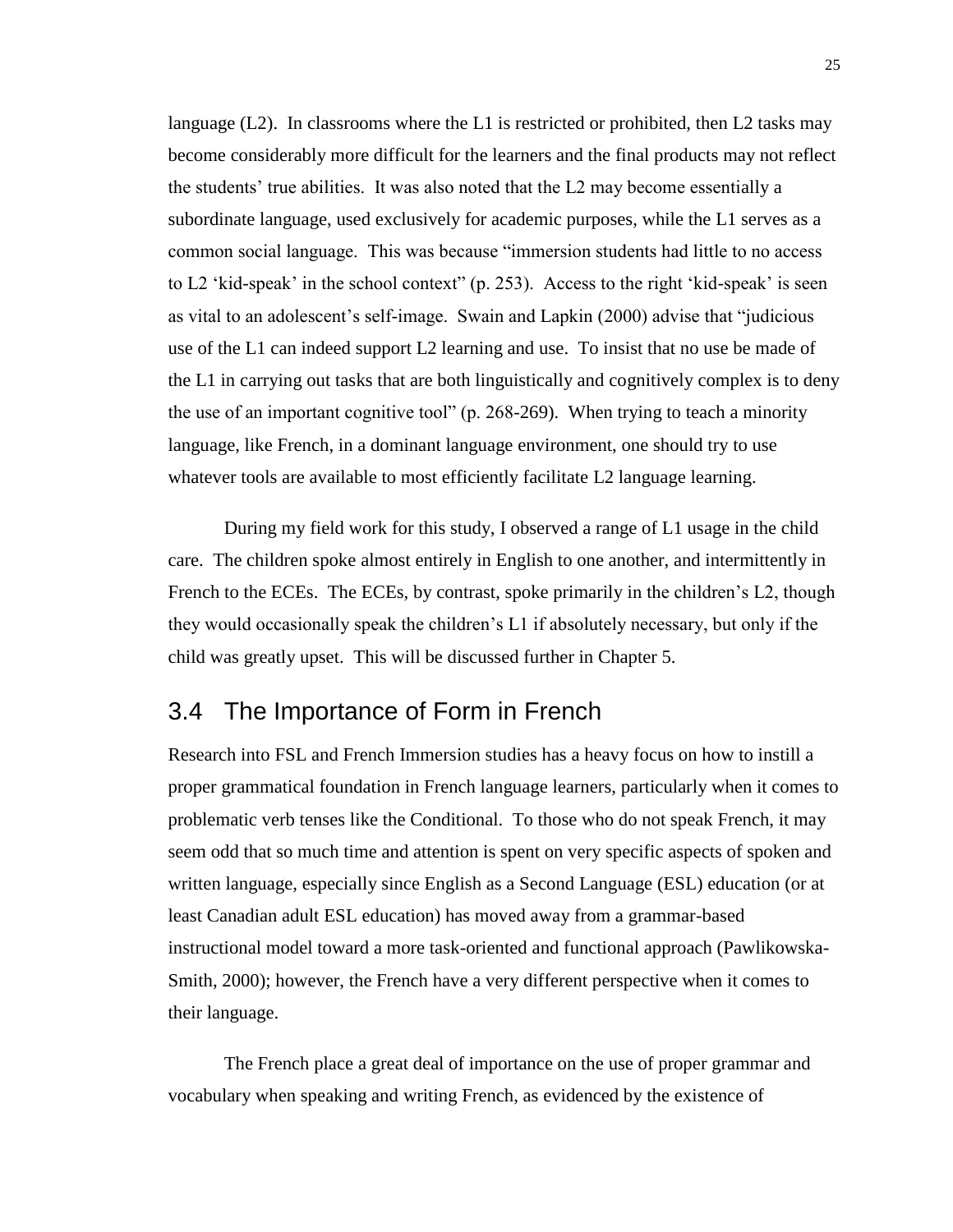language  $(L2)$ . In classrooms where the L1 is restricted or prohibited, then L2 tasks may become considerably more difficult for the learners and the final products may not reflect the students' true abilities. It was also noted that the L2 may become essentially a subordinate language, used exclusively for academic purposes, while the L1 serves as a common social language. This was because "immersion students had little to no access to L2 'kid-speak' in the school context" (p. 253). Access to the right 'kid-speak' is seen as vital to an adolescent's self-image. Swain and Lapkin (2000) advise that "judicious use of the L1 can indeed support L2 learning and use. To insist that no use be made of the L1 in carrying out tasks that are both linguistically and cognitively complex is to deny the use of an important cognitive tool" (p. 268-269). When trying to teach a minority language, like French, in a dominant language environment, one should try to use whatever tools are available to most efficiently facilitate L2 language learning.

During my field work for this study, I observed a range of L1 usage in the child care. The children spoke almost entirely in English to one another, and intermittently in French to the ECEs. The ECEs, by contrast, spoke primarily in the children's L2, though they would occasionally speak the children's L1 if absolutely necessary, but only if the child was greatly upset. This will be discussed further in Chapter 5.

#### <span id="page-33-0"></span>3.4 The Importance of Form in French

Research into FSL and French Immersion studies has a heavy focus on how to instill a proper grammatical foundation in French language learners, particularly when it comes to problematic verb tenses like the Conditional. To those who do not speak French, it may seem odd that so much time and attention is spent on very specific aspects of spoken and written language, especially since English as a Second Language (ESL) education (or at least Canadian adult ESL education) has moved away from a grammar-based instructional model toward a more task-oriented and functional approach (Pawlikowska-Smith, 2000); however, the French have a very different perspective when it comes to their language.

The French place a great deal of importance on the use of proper grammar and vocabulary when speaking and writing French, as evidenced by the existence of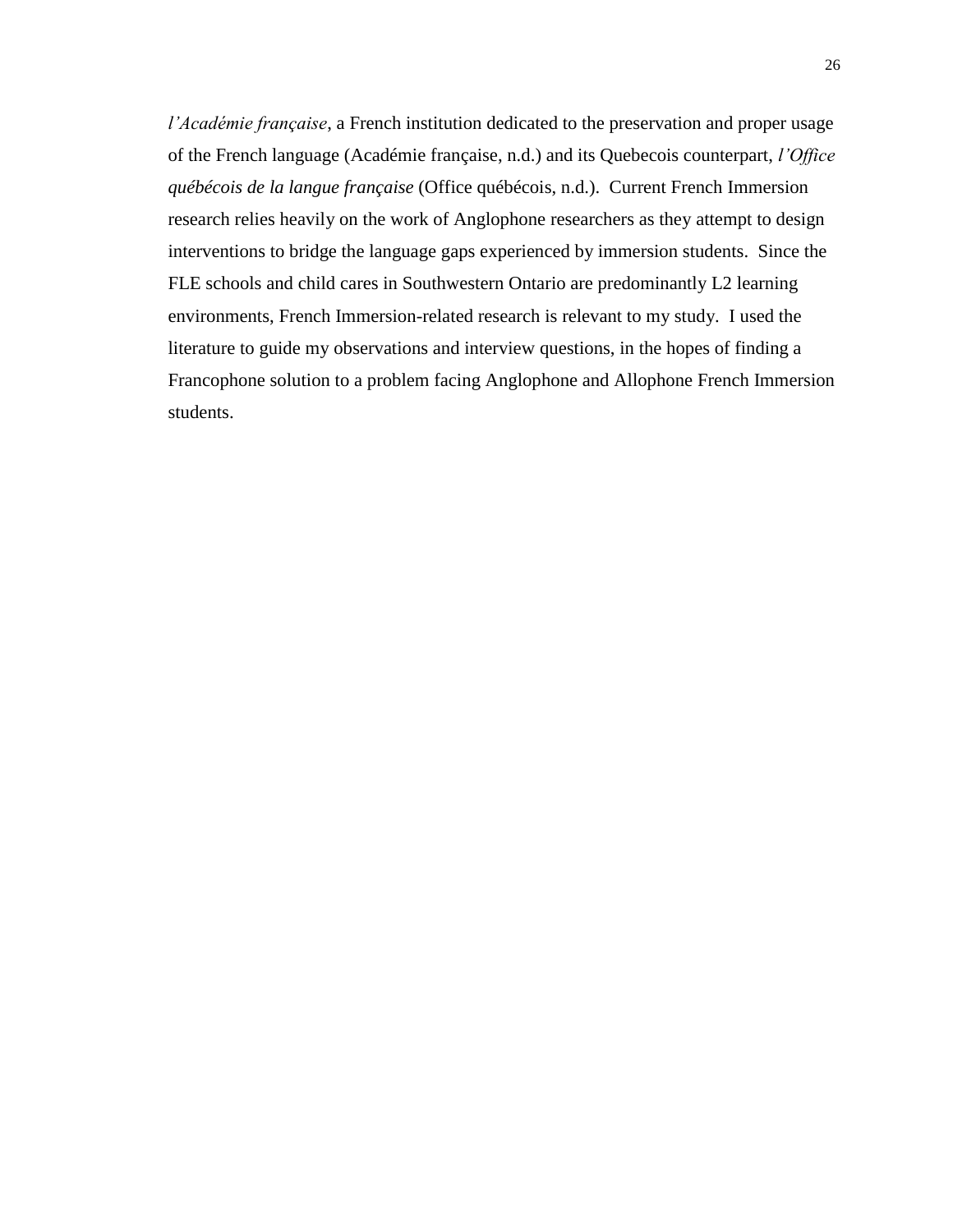*l'Académie française*, a French institution dedicated to the preservation and proper usage of the French language (Académie française, n.d.) and its Quebecois counterpart, *l'Office québécois de la langue française* (Office québécois, n.d.). Current French Immersion research relies heavily on the work of Anglophone researchers as they attempt to design interventions to bridge the language gaps experienced by immersion students. Since the FLE schools and child cares in Southwestern Ontario are predominantly L2 learning environments, French Immersion-related research is relevant to my study. I used the literature to guide my observations and interview questions, in the hopes of finding a Francophone solution to a problem facing Anglophone and Allophone French Immersion students.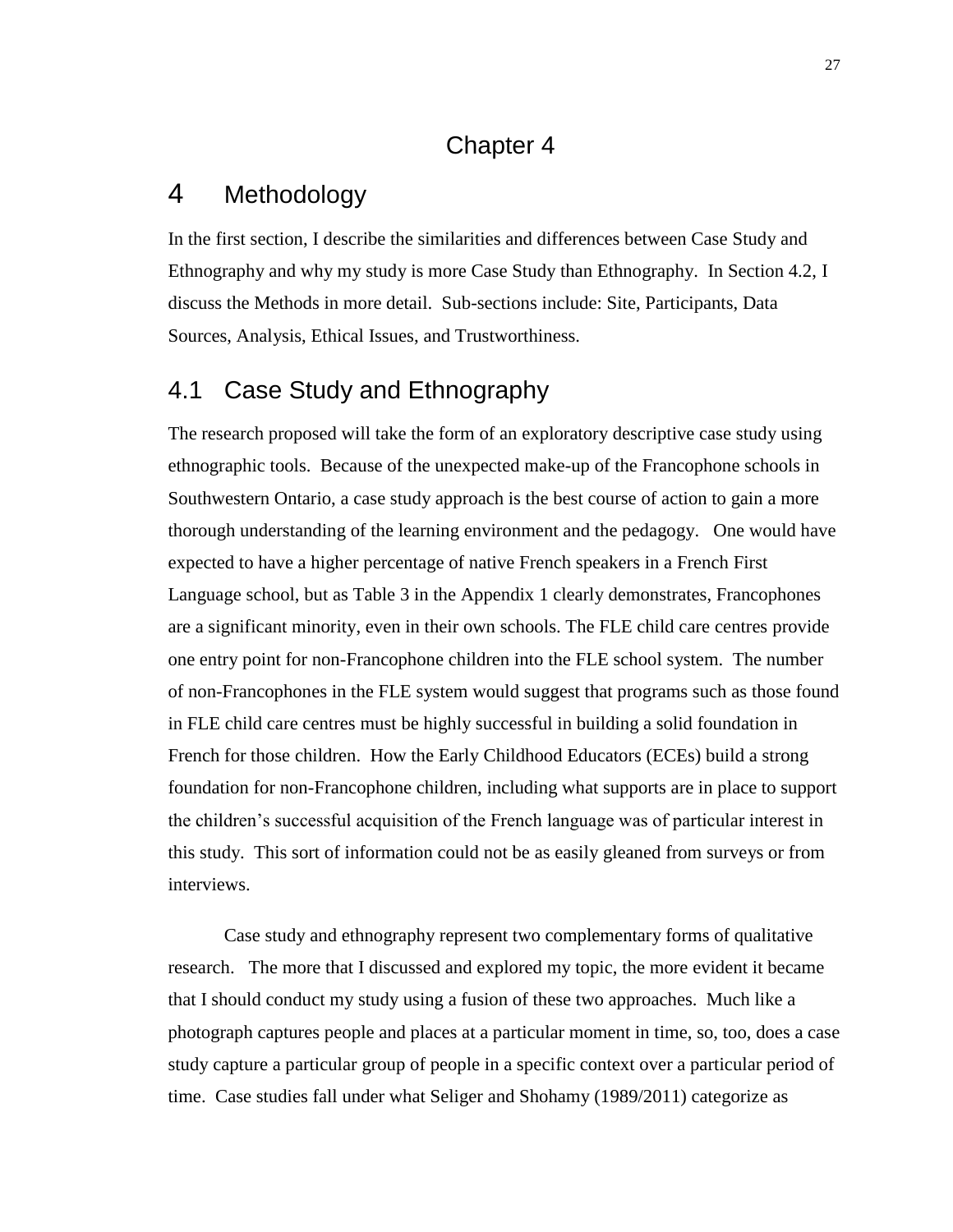#### Chapter 4

# <span id="page-35-1"></span><span id="page-35-0"></span>4 Methodology

In the first section, I describe the similarities and differences between Case Study and Ethnography and why my study is more Case Study than Ethnography. In Section 4.2, I discuss the Methods in more detail. Sub-sections include: Site, Participants, Data Sources, Analysis, Ethical Issues, and Trustworthiness.

# <span id="page-35-2"></span>4.1 Case Study and Ethnography

The research proposed will take the form of an exploratory descriptive case study using ethnographic tools. Because of the unexpected make-up of the Francophone schools in Southwestern Ontario, a case study approach is the best course of action to gain a more thorough understanding of the learning environment and the pedagogy. One would have expected to have a higher percentage of native French speakers in a French First Language school, but as Table 3 in the Appendix 1 clearly demonstrates, Francophones are a significant minority, even in their own schools. The FLE child care centres provide one entry point for non-Francophone children into the FLE school system. The number of non-Francophones in the FLE system would suggest that programs such as those found in FLE child care centres must be highly successful in building a solid foundation in French for those children. How the Early Childhood Educators (ECEs) build a strong foundation for non-Francophone children, including what supports are in place to support the children's successful acquisition of the French language was of particular interest in this study. This sort of information could not be as easily gleaned from surveys or from interviews.

Case study and ethnography represent two complementary forms of qualitative research. The more that I discussed and explored my topic, the more evident it became that I should conduct my study using a fusion of these two approaches. Much like a photograph captures people and places at a particular moment in time, so, too, does a case study capture a particular group of people in a specific context over a particular period of time. Case studies fall under what Seliger and Shohamy (1989/2011) categorize as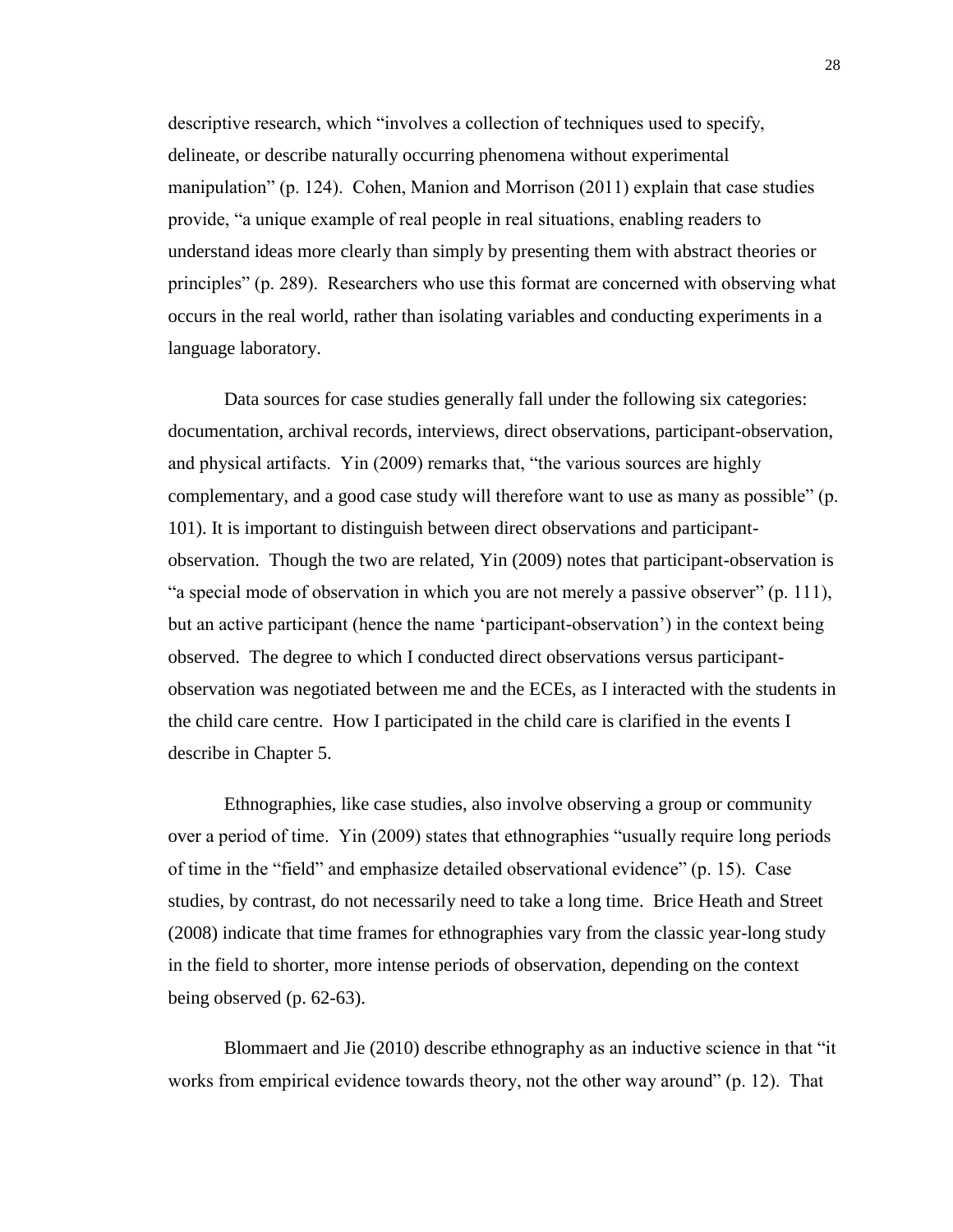descriptive research, which "involves a collection of techniques used to specify, delineate, or describe naturally occurring phenomena without experimental manipulation" (p. 124). Cohen, Manion and Morrison (2011) explain that case studies provide, "a unique example of real people in real situations, enabling readers to understand ideas more clearly than simply by presenting them with abstract theories or principles" (p. 289). Researchers who use this format are concerned with observing what occurs in the real world, rather than isolating variables and conducting experiments in a language laboratory.

Data sources for case studies generally fall under the following six categories: documentation, archival records, interviews, direct observations, participant-observation, and physical artifacts. Yin (2009) remarks that, "the various sources are highly complementary, and a good case study will therefore want to use as many as possible" (p. 101). It is important to distinguish between direct observations and participantobservation. Though the two are related, Yin (2009) notes that participant-observation is "a special mode of observation in which you are not merely a passive observer" (p. 111), but an active participant (hence the name 'participant-observation') in the context being observed. The degree to which I conducted direct observations versus participantobservation was negotiated between me and the ECEs, as I interacted with the students in the child care centre. How I participated in the child care is clarified in the events I describe in Chapter 5.

Ethnographies, like case studies, also involve observing a group or community over a period of time. Yin (2009) states that ethnographies "usually require long periods of time in the "field" and emphasize detailed observational evidence" (p. 15). Case studies, by contrast, do not necessarily need to take a long time. Brice Heath and Street (2008) indicate that time frames for ethnographies vary from the classic year-long study in the field to shorter, more intense periods of observation, depending on the context being observed (p. 62-63).

Blommaert and Jie (2010) describe ethnography as an inductive science in that "it works from empirical evidence towards theory, not the other way around" (p. 12). That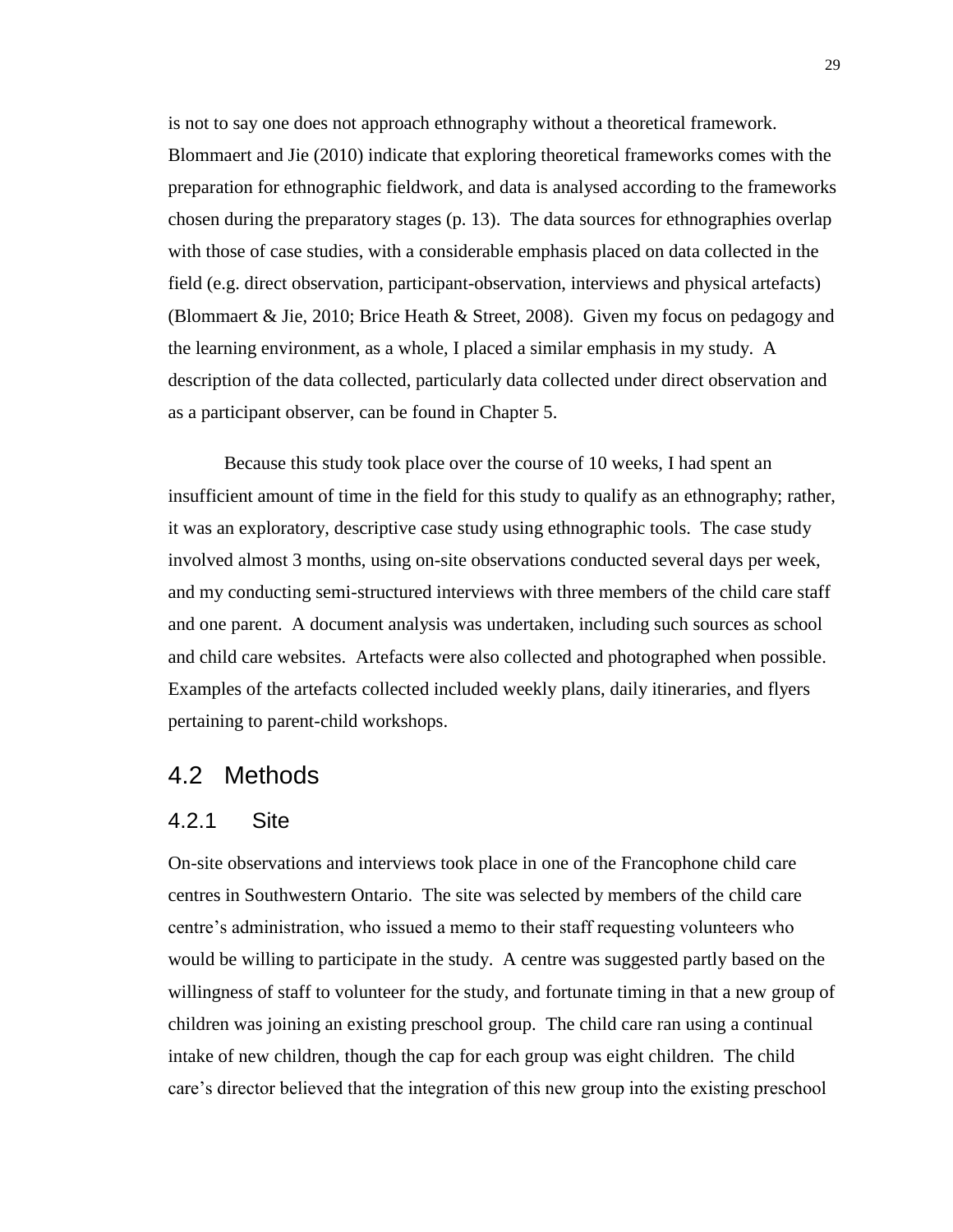is not to say one does not approach ethnography without a theoretical framework. Blommaert and Jie (2010) indicate that exploring theoretical frameworks comes with the preparation for ethnographic fieldwork, and data is analysed according to the frameworks chosen during the preparatory stages (p. 13). The data sources for ethnographies overlap with those of case studies, with a considerable emphasis placed on data collected in the field (e.g. direct observation, participant-observation, interviews and physical artefacts) (Blommaert & Jie, 2010; Brice Heath & Street, 2008). Given my focus on pedagogy and the learning environment, as a whole, I placed a similar emphasis in my study. A description of the data collected, particularly data collected under direct observation and as a participant observer, can be found in Chapter 5.

Because this study took place over the course of 10 weeks, I had spent an insufficient amount of time in the field for this study to qualify as an ethnography; rather, it was an exploratory, descriptive case study using ethnographic tools. The case study involved almost 3 months, using on-site observations conducted several days per week, and my conducting semi-structured interviews with three members of the child care staff and one parent. A document analysis was undertaken, including such sources as school and child care websites. Artefacts were also collected and photographed when possible. Examples of the artefacts collected included weekly plans, daily itineraries, and flyers pertaining to parent-child workshops.

## 4.2 Methods

## 4.2.1 Site

On-site observations and interviews took place in one of the Francophone child care centres in Southwestern Ontario. The site was selected by members of the child care centre's administration, who issued a memo to their staff requesting volunteers who would be willing to participate in the study. A centre was suggested partly based on the willingness of staff to volunteer for the study, and fortunate timing in that a new group of children was joining an existing preschool group. The child care ran using a continual intake of new children, though the cap for each group was eight children. The child care's director believed that the integration of this new group into the existing preschool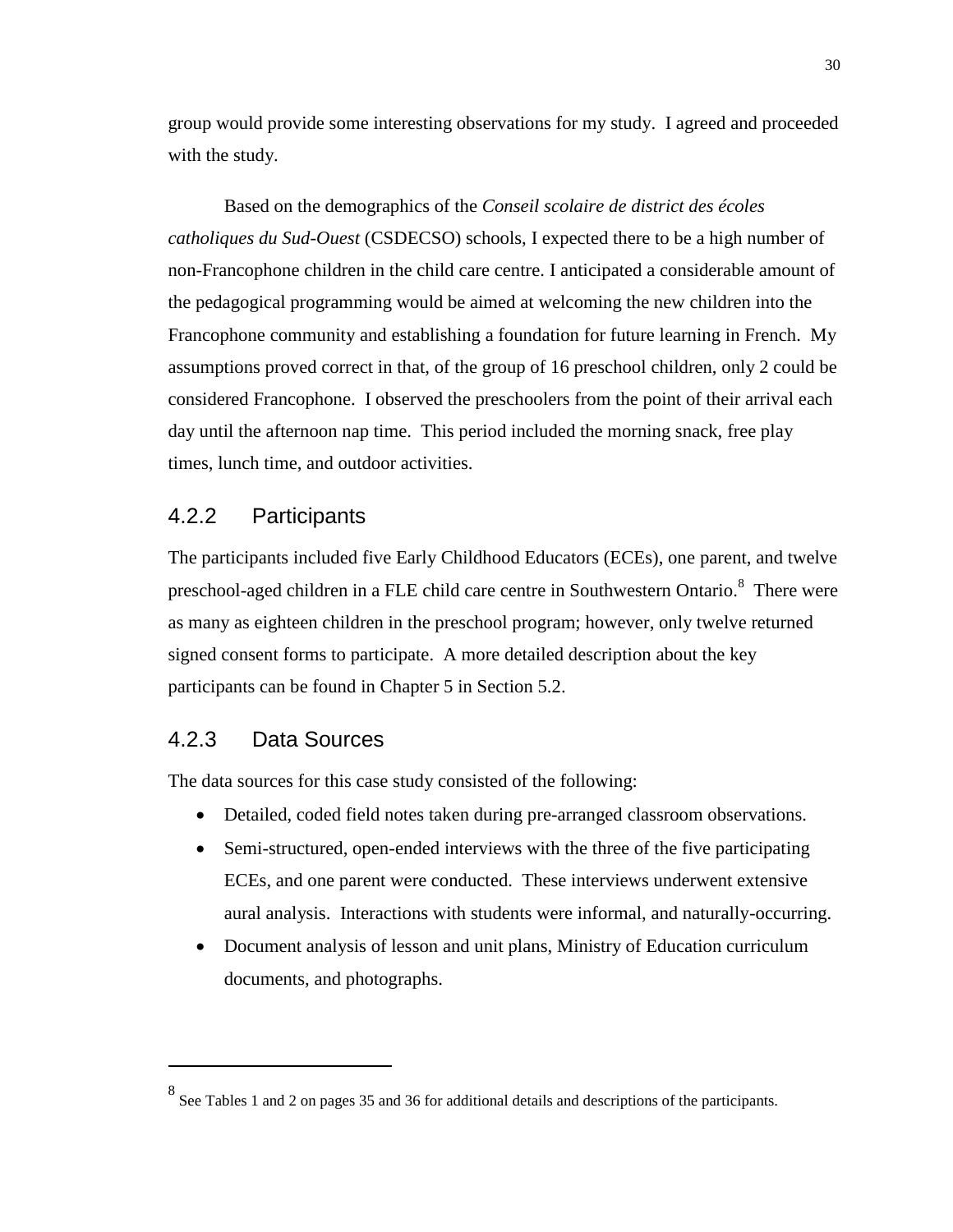group would provide some interesting observations for my study. I agreed and proceeded with the study.

Based on the demographics of the *Conseil scolaire de district des écoles catholiques du Sud-Ouest* (CSDECSO) schools, I expected there to be a high number of non-Francophone children in the child care centre. I anticipated a considerable amount of the pedagogical programming would be aimed at welcoming the new children into the Francophone community and establishing a foundation for future learning in French. My assumptions proved correct in that, of the group of 16 preschool children, only 2 could be considered Francophone. I observed the preschoolers from the point of their arrival each day until the afternoon nap time. This period included the morning snack, free play times, lunch time, and outdoor activities.

## 4.2.2 Participants

The participants included five Early Childhood Educators (ECEs), one parent, and twelve preschool-aged children in a FLE child care centre in Southwestern Ontario. $^8$  There were as many as eighteen children in the preschool program; however, only twelve returned signed consent forms to participate. A more detailed description about the key participants can be found in Chapter 5 in Section 5.2.

## 4.2.3 Data Sources

 $\overline{a}$ 

The data sources for this case study consisted of the following:

- Detailed, coded field notes taken during pre-arranged classroom observations.
- Semi-structured, open-ended interviews with the three of the five participating ECEs, and one parent were conducted. These interviews underwent extensive aural analysis. Interactions with students were informal, and naturally-occurring.
- Document analysis of lesson and unit plans, Ministry of Education curriculum documents, and photographs.

 $8$  See Tables 1 and 2 on pages 35 and 36 for additional details and descriptions of the participants.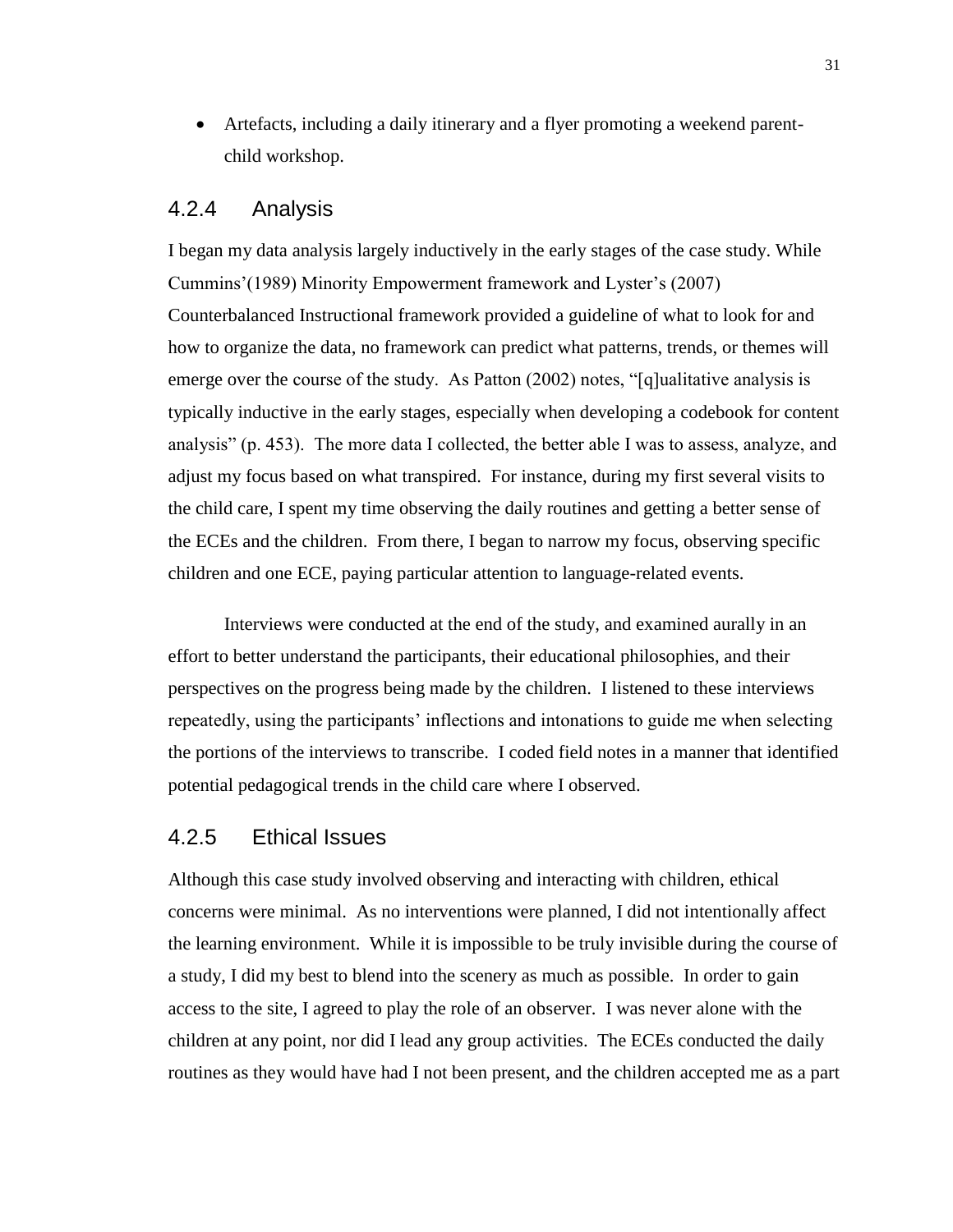Artefacts, including a daily itinerary and a flyer promoting a weekend parentchild workshop.

## 4.2.4 Analysis

I began my data analysis largely inductively in the early stages of the case study. While Cummins'(1989) Minority Empowerment framework and Lyster's (2007) Counterbalanced Instructional framework provided a guideline of what to look for and how to organize the data, no framework can predict what patterns, trends, or themes will emerge over the course of the study. As Patton (2002) notes, "[q]ualitative analysis is typically inductive in the early stages, especially when developing a codebook for content analysis" (p. 453). The more data I collected, the better able I was to assess, analyze, and adjust my focus based on what transpired. For instance, during my first several visits to the child care, I spent my time observing the daily routines and getting a better sense of the ECEs and the children. From there, I began to narrow my focus, observing specific children and one ECE, paying particular attention to language-related events.

Interviews were conducted at the end of the study, and examined aurally in an effort to better understand the participants, their educational philosophies, and their perspectives on the progress being made by the children. I listened to these interviews repeatedly, using the participants' inflections and intonations to guide me when selecting the portions of the interviews to transcribe. I coded field notes in a manner that identified potential pedagogical trends in the child care where I observed.

#### 4.2.5 Ethical Issues

Although this case study involved observing and interacting with children, ethical concerns were minimal. As no interventions were planned, I did not intentionally affect the learning environment. While it is impossible to be truly invisible during the course of a study, I did my best to blend into the scenery as much as possible. In order to gain access to the site, I agreed to play the role of an observer. I was never alone with the children at any point, nor did I lead any group activities. The ECEs conducted the daily routines as they would have had I not been present, and the children accepted me as a part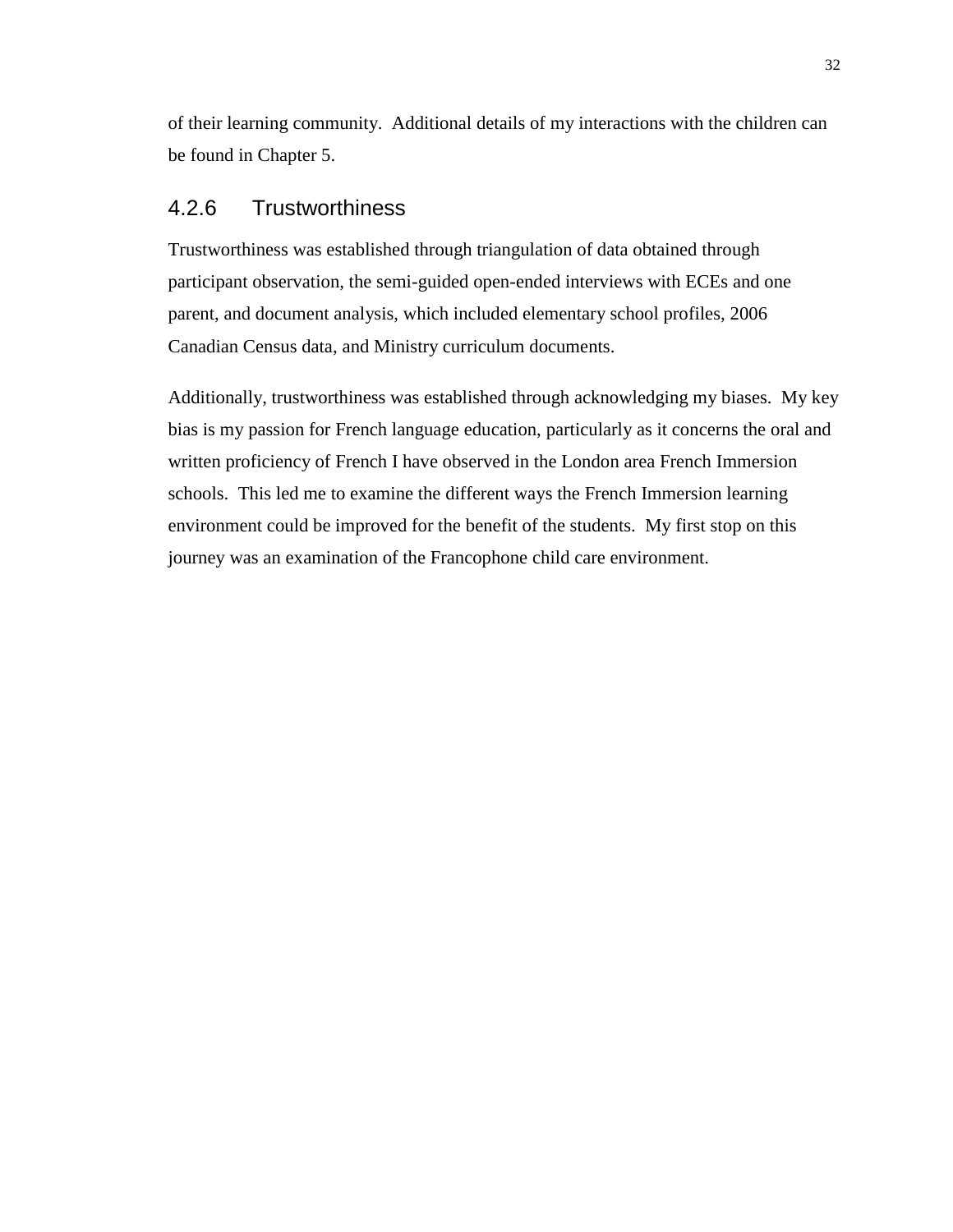of their learning community. Additional details of my interactions with the children can be found in Chapter 5.

## 4.2.6 Trustworthiness

Trustworthiness was established through triangulation of data obtained through participant observation, the semi-guided open-ended interviews with ECEs and one parent, and document analysis, which included elementary school profiles, 2006 Canadian Census data, and Ministry curriculum documents.

Additionally, trustworthiness was established through acknowledging my biases. My key bias is my passion for French language education, particularly as it concerns the oral and written proficiency of French I have observed in the London area French Immersion schools. This led me to examine the different ways the French Immersion learning environment could be improved for the benefit of the students. My first stop on this journey was an examination of the Francophone child care environment.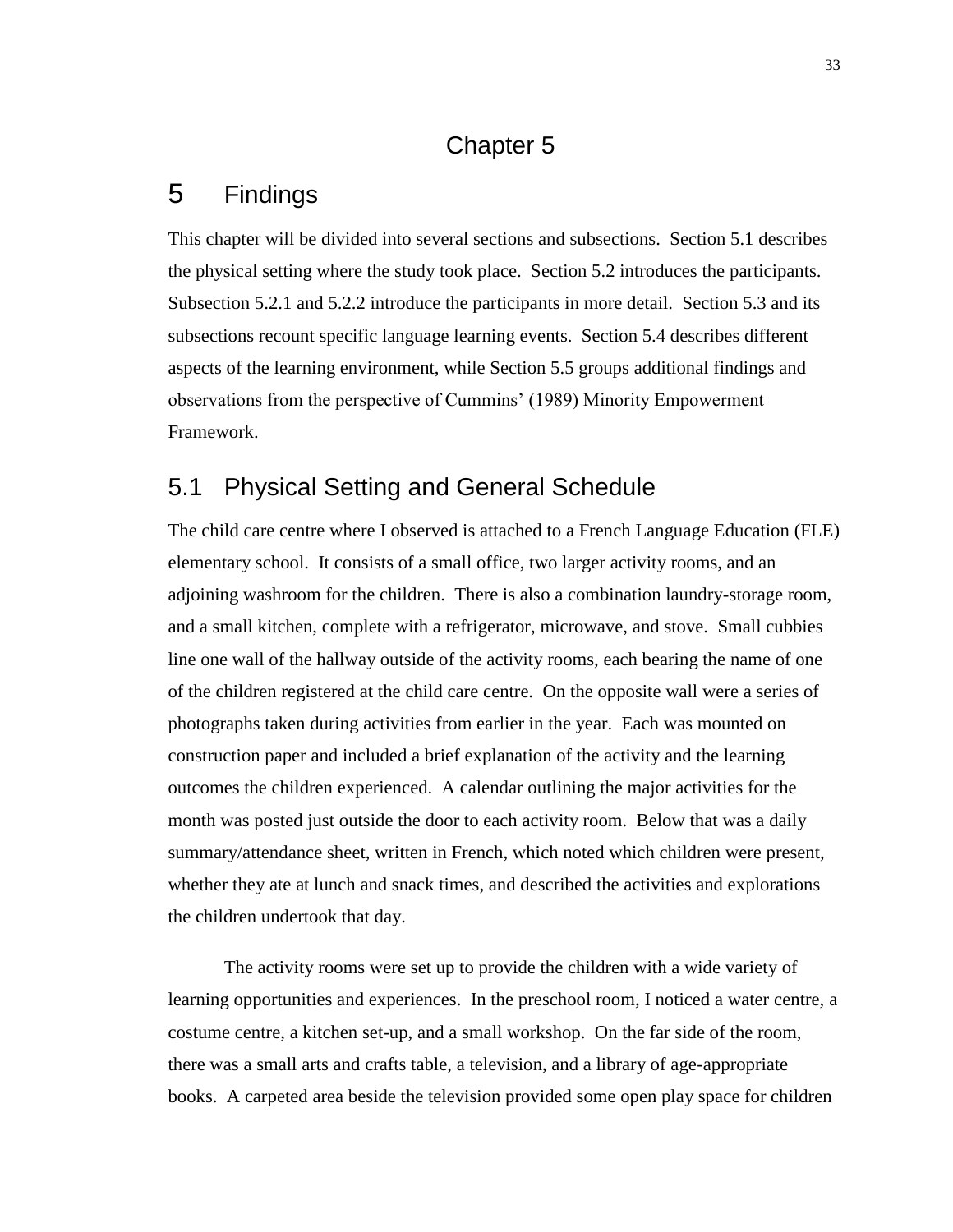## Chapter 5

# 5 Findings

This chapter will be divided into several sections and subsections. Section 5.1 describes the physical setting where the study took place. Section 5.2 introduces the participants. Subsection 5.2.1 and 5.2.2 introduce the participants in more detail. Section 5.3 and its subsections recount specific language learning events. Section 5.4 describes different aspects of the learning environment, while Section 5.5 groups additional findings and observations from the perspective of Cummins' (1989) Minority Empowerment Framework.

## 5.1 Physical Setting and General Schedule

The child care centre where I observed is attached to a French Language Education (FLE) elementary school. It consists of a small office, two larger activity rooms, and an adjoining washroom for the children. There is also a combination laundry-storage room, and a small kitchen, complete with a refrigerator, microwave, and stove. Small cubbies line one wall of the hallway outside of the activity rooms, each bearing the name of one of the children registered at the child care centre. On the opposite wall were a series of photographs taken during activities from earlier in the year. Each was mounted on construction paper and included a brief explanation of the activity and the learning outcomes the children experienced. A calendar outlining the major activities for the month was posted just outside the door to each activity room. Below that was a daily summary/attendance sheet, written in French, which noted which children were present, whether they ate at lunch and snack times, and described the activities and explorations the children undertook that day.

The activity rooms were set up to provide the children with a wide variety of learning opportunities and experiences. In the preschool room, I noticed a water centre, a costume centre, a kitchen set-up, and a small workshop. On the far side of the room, there was a small arts and crafts table, a television, and a library of age-appropriate books. A carpeted area beside the television provided some open play space for children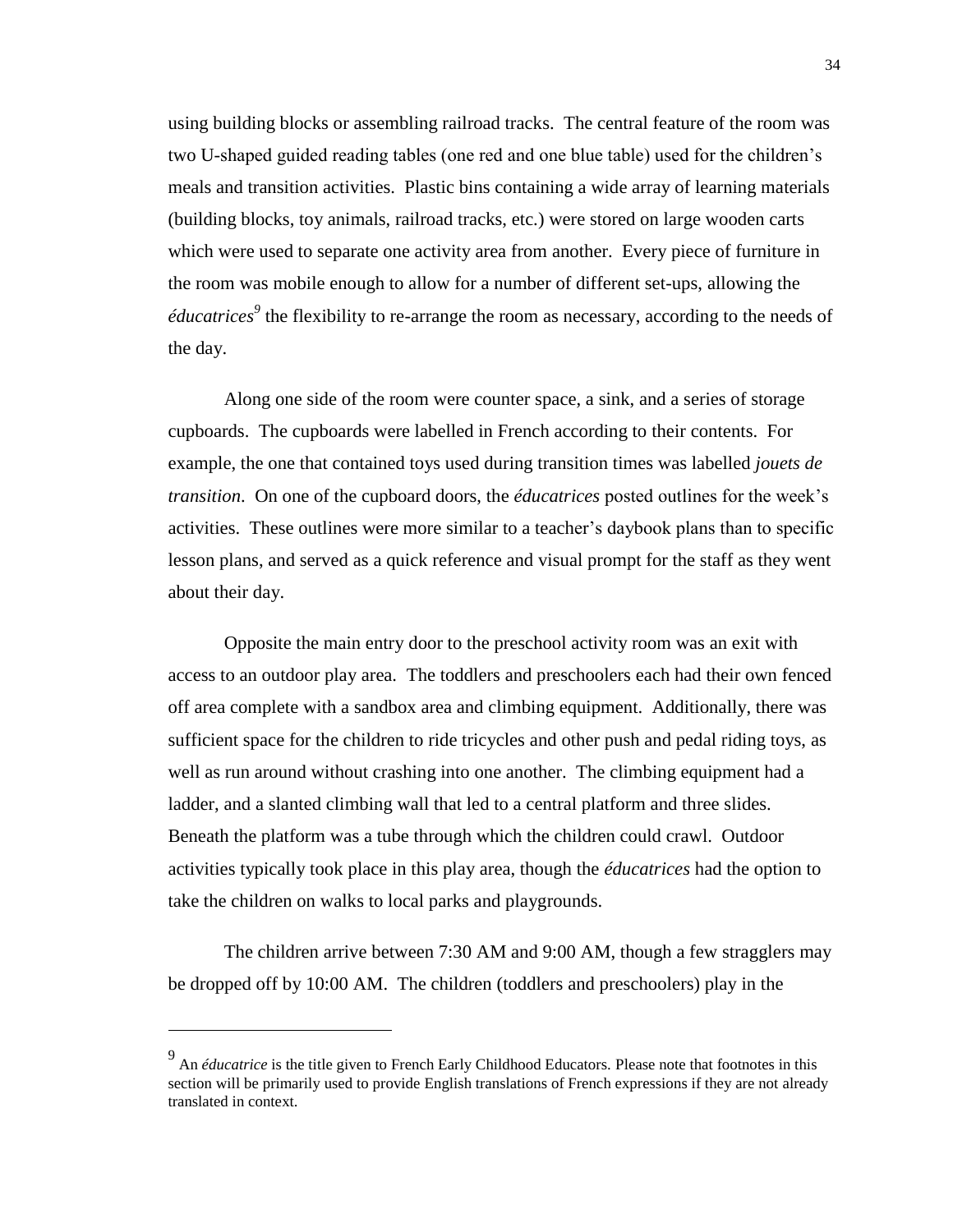using building blocks or assembling railroad tracks. The central feature of the room was two U-shaped guided reading tables (one red and one blue table) used for the children's meals and transition activities. Plastic bins containing a wide array of learning materials (building blocks, toy animals, railroad tracks, etc.) were stored on large wooden carts which were used to separate one activity area from another. Every piece of furniture in the room was mobile enough to allow for a number of different set-ups, allowing the *éducatrices*<sup>9</sup> the flexibility to re-arrange the room as necessary, according to the needs of the day.

Along one side of the room were counter space, a sink, and a series of storage cupboards. The cupboards were labelled in French according to their contents. For example, the one that contained toys used during transition times was labelled *jouets de transition*. On one of the cupboard doors, the *éducatrices* posted outlines for the week's activities. These outlines were more similar to a teacher's daybook plans than to specific lesson plans, and served as a quick reference and visual prompt for the staff as they went about their day.

Opposite the main entry door to the preschool activity room was an exit with access to an outdoor play area. The toddlers and preschoolers each had their own fenced off area complete with a sandbox area and climbing equipment. Additionally, there was sufficient space for the children to ride tricycles and other push and pedal riding toys, as well as run around without crashing into one another. The climbing equipment had a ladder, and a slanted climbing wall that led to a central platform and three slides. Beneath the platform was a tube through which the children could crawl. Outdoor activities typically took place in this play area, though the *éducatrices* had the option to take the children on walks to local parks and playgrounds.

The children arrive between 7:30 AM and 9:00 AM, though a few stragglers may be dropped off by 10:00 AM. The children (toddlers and preschoolers) play in the

<sup>9</sup> An *éducatrice* is the title given to French Early Childhood Educators. Please note that footnotes in this section will be primarily used to provide English translations of French expressions if they are not already translated in context.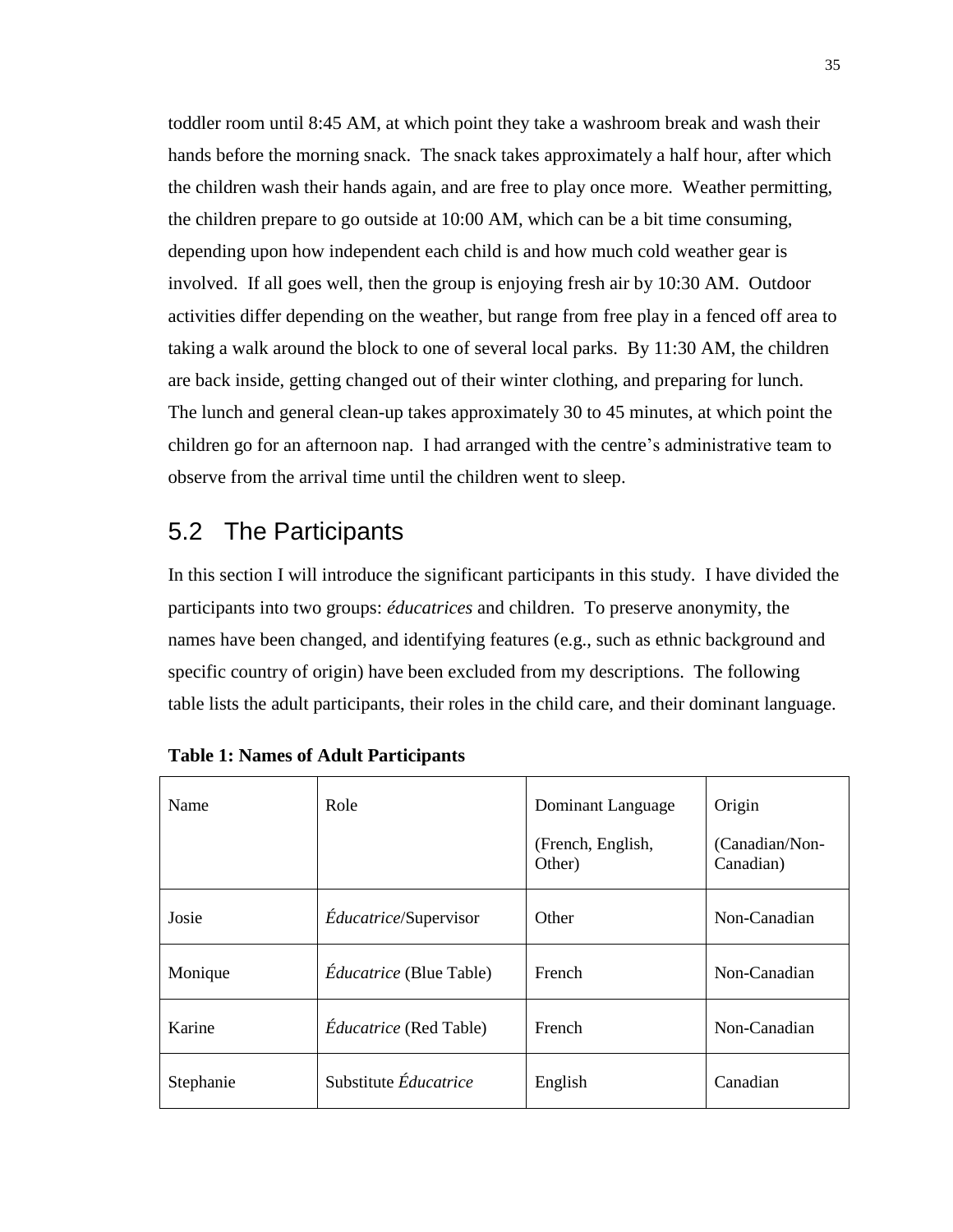toddler room until 8:45 AM, at which point they take a washroom break and wash their hands before the morning snack. The snack takes approximately a half hour, after which the children wash their hands again, and are free to play once more. Weather permitting, the children prepare to go outside at 10:00 AM, which can be a bit time consuming, depending upon how independent each child is and how much cold weather gear is involved. If all goes well, then the group is enjoying fresh air by 10:30 AM. Outdoor activities differ depending on the weather, but range from free play in a fenced off area to taking a walk around the block to one of several local parks. By 11:30 AM, the children are back inside, getting changed out of their winter clothing, and preparing for lunch. The lunch and general clean-up takes approximately 30 to 45 minutes, at which point the children go for an afternoon nap. I had arranged with the centre's administrative team to observe from the arrival time until the children went to sleep.

## 5.2 The Participants

In this section I will introduce the significant participants in this study. I have divided the participants into two groups: *éducatrices* and children. To preserve anonymity, the names have been changed, and identifying features (e.g., such as ethnic background and specific country of origin) have been excluded from my descriptions. The following table lists the adult participants, their roles in the child care, and their dominant language.

| Name      | Role                           | Dominant Language           | Origin                      |
|-----------|--------------------------------|-----------------------------|-----------------------------|
|           |                                | (French, English,<br>Other) | (Canadian/Non-<br>Canadian) |
| Josie     | <i>Éducatrice/Supervisor</i>   | Other                       | Non-Canadian                |
| Monique   | <i>Éducatrice</i> (Blue Table) | <b>French</b>               | Non-Canadian                |
| Karine    | <i>Éducatrice</i> (Red Table)  | French                      | Non-Canadian                |
| Stephanie | Substitute Éducatrice          | English                     | Canadian                    |

| <b>Table 1: Names of Adult Participants</b> |  |  |  |
|---------------------------------------------|--|--|--|
|---------------------------------------------|--|--|--|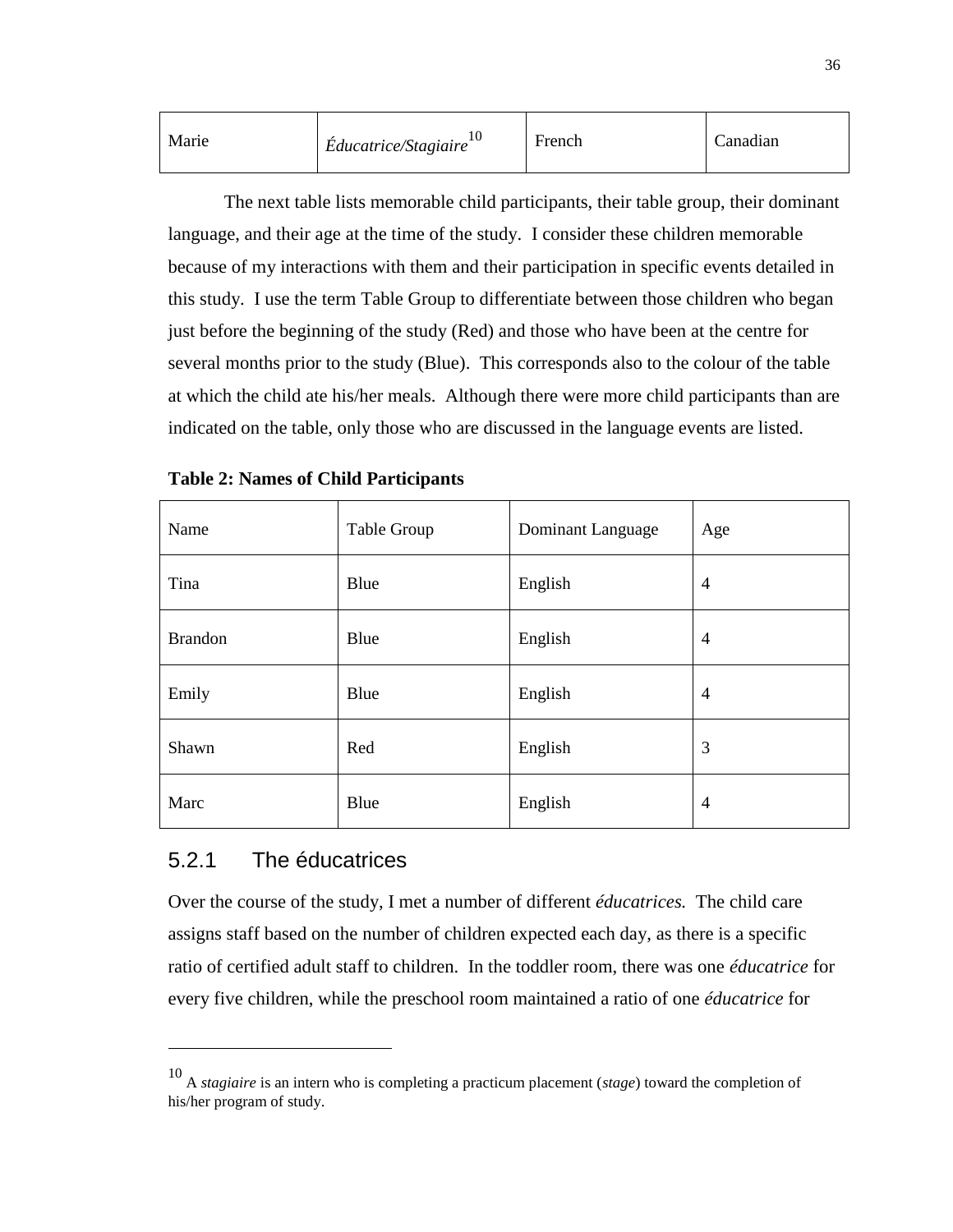| Marie | Éducatrice/Stagiaire <sup>10</sup> | French | Canadian |
|-------|------------------------------------|--------|----------|
|-------|------------------------------------|--------|----------|

The next table lists memorable child participants, their table group, their dominant language, and their age at the time of the study. I consider these children memorable because of my interactions with them and their participation in specific events detailed in this study. I use the term Table Group to differentiate between those children who began just before the beginning of the study (Red) and those who have been at the centre for several months prior to the study (Blue). This corresponds also to the colour of the table at which the child ate his/her meals. Although there were more child participants than are indicated on the table, only those who are discussed in the language events are listed.

| Name           | Table Group | <b>Dominant Language</b> | Age            |
|----------------|-------------|--------------------------|----------------|
| Tina           | Blue        | English                  | $\overline{4}$ |
| <b>Brandon</b> | Blue        | English                  | $\overline{4}$ |
| Emily          | Blue        | English                  | $\overline{4}$ |
| Shawn          | Red         | English                  | 3              |
| Marc           | Blue        | English                  | $\overline{4}$ |

**Table 2: Names of Child Participants**

## 5.2.1 The éducatrices

 $\overline{a}$ 

Over the course of the study, I met a number of different *éducatrices.* The child care assigns staff based on the number of children expected each day, as there is a specific ratio of certified adult staff to children. In the toddler room, there was one *éducatrice* for every five children, while the preschool room maintained a ratio of one *éducatrice* for

<sup>10</sup> <sup>A</sup>*stagiaire* is an intern who is completing a practicum placement (*stage*) toward the completion of his/her program of study.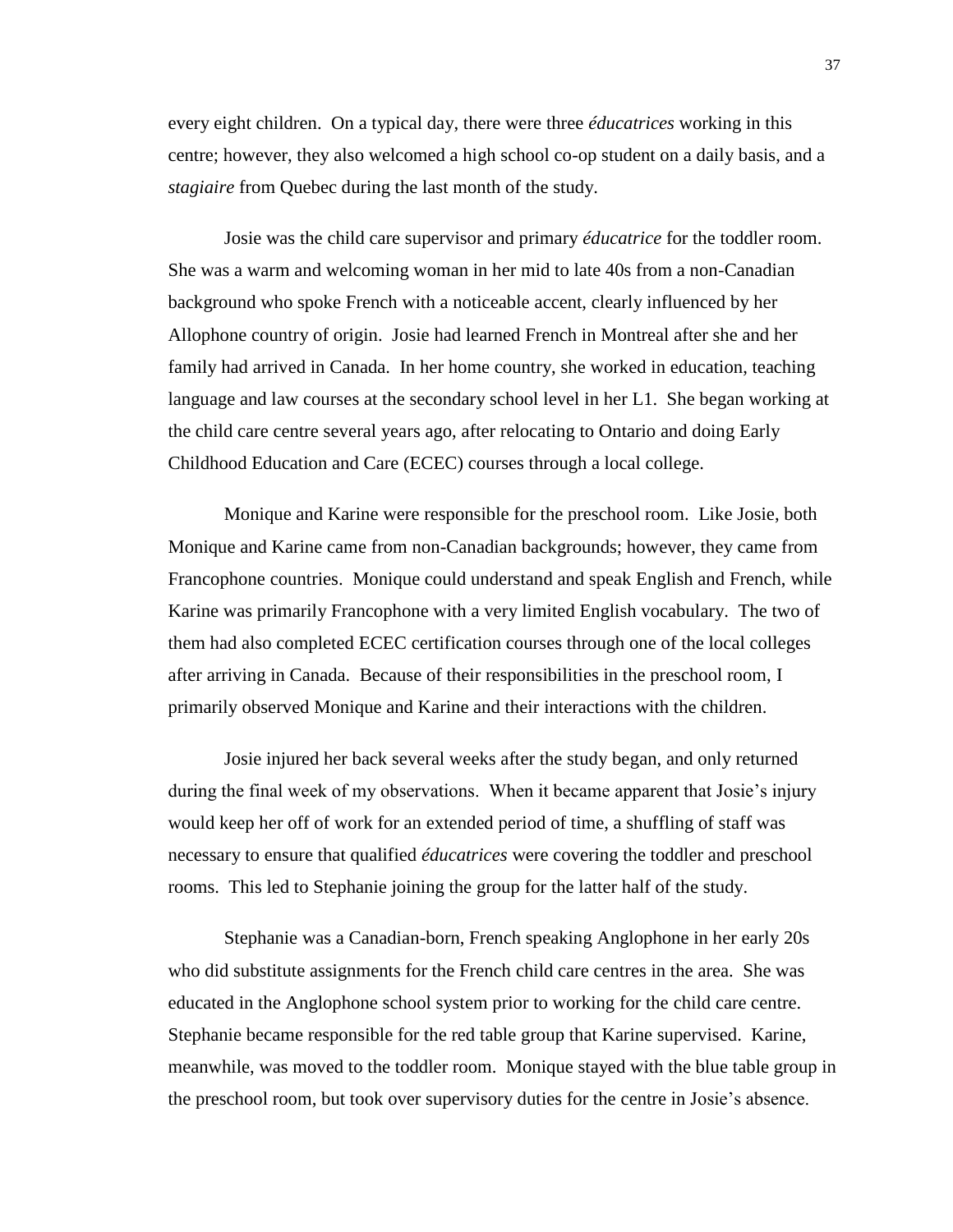every eight children. On a typical day, there were three *éducatrices* working in this centre; however, they also welcomed a high school co-op student on a daily basis, and a *stagiaire* from Quebec during the last month of the study.

Josie was the child care supervisor and primary *éducatrice* for the toddler room. She was a warm and welcoming woman in her mid to late 40s from a non-Canadian background who spoke French with a noticeable accent, clearly influenced by her Allophone country of origin. Josie had learned French in Montreal after she and her family had arrived in Canada. In her home country, she worked in education, teaching language and law courses at the secondary school level in her L1. She began working at the child care centre several years ago, after relocating to Ontario and doing Early Childhood Education and Care (ECEC) courses through a local college.

Monique and Karine were responsible for the preschool room. Like Josie, both Monique and Karine came from non-Canadian backgrounds; however, they came from Francophone countries. Monique could understand and speak English and French, while Karine was primarily Francophone with a very limited English vocabulary. The two of them had also completed ECEC certification courses through one of the local colleges after arriving in Canada. Because of their responsibilities in the preschool room, I primarily observed Monique and Karine and their interactions with the children.

Josie injured her back several weeks after the study began, and only returned during the final week of my observations. When it became apparent that Josie's injury would keep her off of work for an extended period of time, a shuffling of staff was necessary to ensure that qualified *éducatrices* were covering the toddler and preschool rooms. This led to Stephanie joining the group for the latter half of the study.

Stephanie was a Canadian-born, French speaking Anglophone in her early 20s who did substitute assignments for the French child care centres in the area. She was educated in the Anglophone school system prior to working for the child care centre. Stephanie became responsible for the red table group that Karine supervised. Karine, meanwhile, was moved to the toddler room. Monique stayed with the blue table group in the preschool room, but took over supervisory duties for the centre in Josie's absence.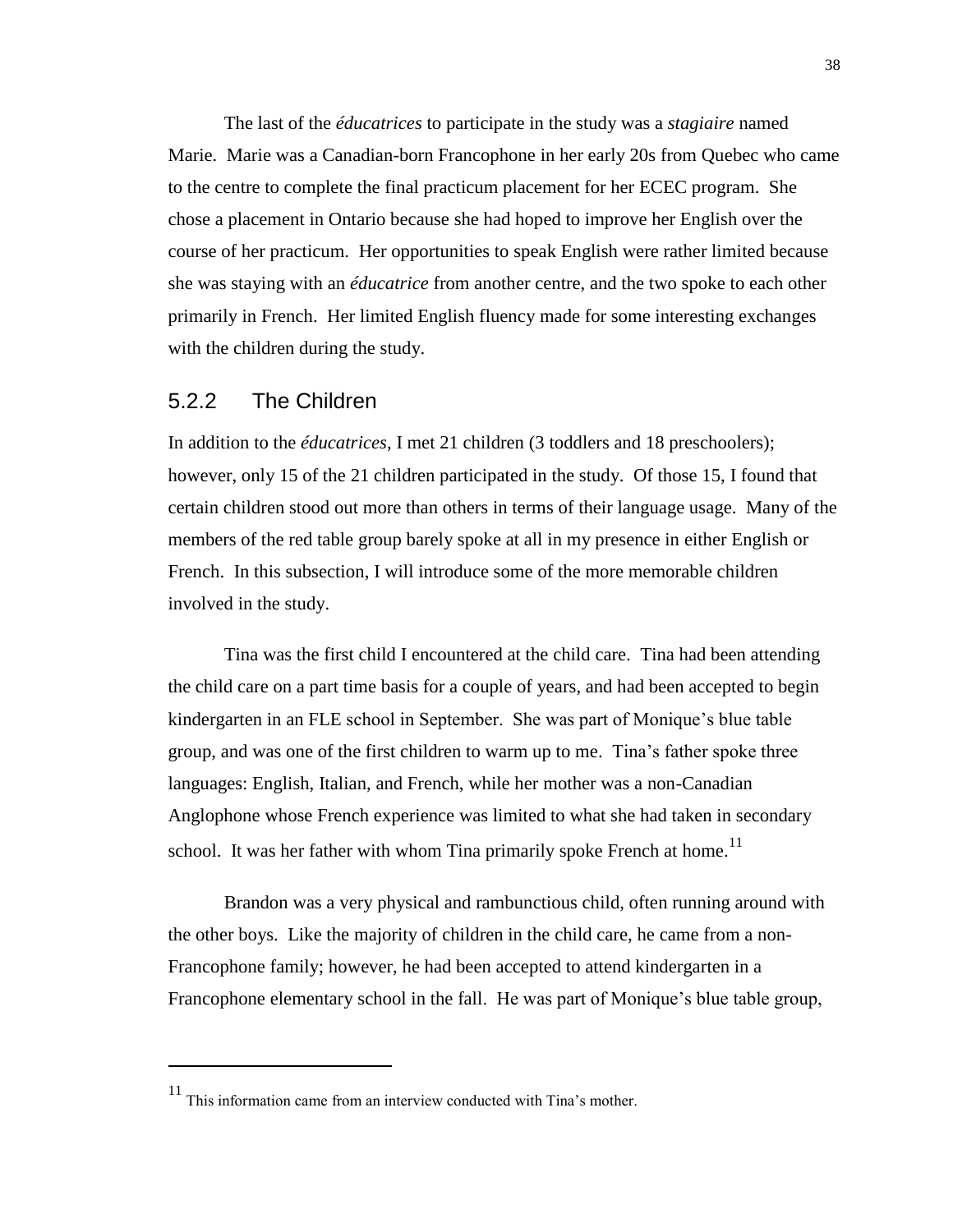The last of the *éducatrices* to participate in the study was a *stagiaire* named Marie. Marie was a Canadian-born Francophone in her early 20s from Quebec who came to the centre to complete the final practicum placement for her ECEC program. She chose a placement in Ontario because she had hoped to improve her English over the course of her practicum. Her opportunities to speak English were rather limited because she was staying with an *éducatrice* from another centre, and the two spoke to each other primarily in French. Her limited English fluency made for some interesting exchanges with the children during the study.

#### 5.2.2 The Children

 $\overline{a}$ 

In addition to the *éducatrices*, I met 21 children (3 toddlers and 18 preschoolers); however, only 15 of the 21 children participated in the study. Of those 15, I found that certain children stood out more than others in terms of their language usage. Many of the members of the red table group barely spoke at all in my presence in either English or French. In this subsection, I will introduce some of the more memorable children involved in the study.

Tina was the first child I encountered at the child care. Tina had been attending the child care on a part time basis for a couple of years, and had been accepted to begin kindergarten in an FLE school in September. She was part of Monique's blue table group, and was one of the first children to warm up to me. Tina's father spoke three languages: English, Italian, and French, while her mother was a non-Canadian Anglophone whose French experience was limited to what she had taken in secondary school. It was her father with whom Tina primarily spoke French at home.<sup>11</sup>

Brandon was a very physical and rambunctious child, often running around with the other boys. Like the majority of children in the child care, he came from a non-Francophone family; however, he had been accepted to attend kindergarten in a Francophone elementary school in the fall. He was part of Monique's blue table group,

<sup>11</sup> This information came from an interview conducted with Tina's mother.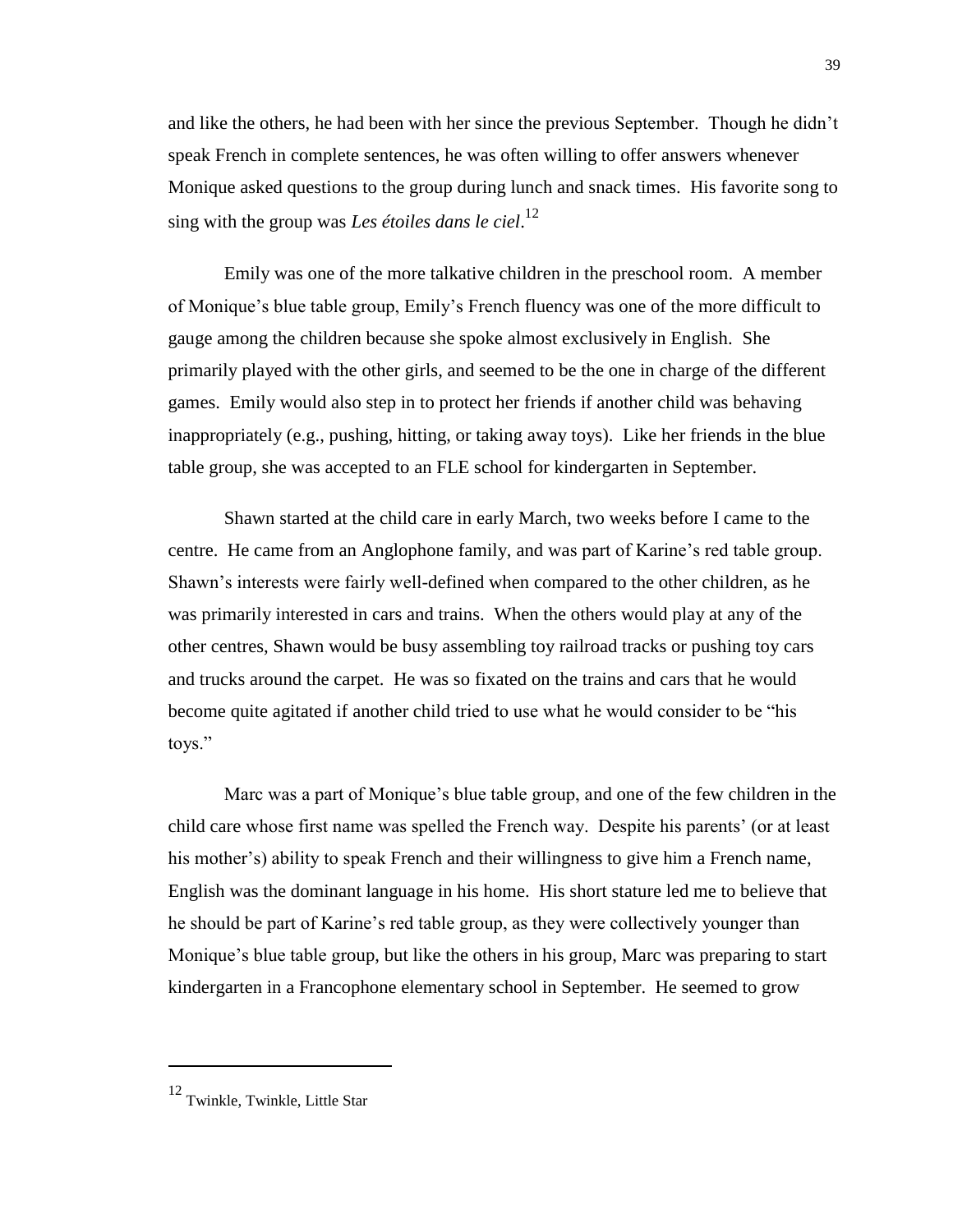and like the others, he had been with her since the previous September. Though he didn't speak French in complete sentences, he was often willing to offer answers whenever Monique asked questions to the group during lunch and snack times. His favorite song to sing with the group was *Les étoiles dans le ciel*. 12

Emily was one of the more talkative children in the preschool room. A member of Monique's blue table group, Emily's French fluency was one of the more difficult to gauge among the children because she spoke almost exclusively in English. She primarily played with the other girls, and seemed to be the one in charge of the different games. Emily would also step in to protect her friends if another child was behaving inappropriately (e.g., pushing, hitting, or taking away toys). Like her friends in the blue table group, she was accepted to an FLE school for kindergarten in September.

Shawn started at the child care in early March, two weeks before I came to the centre. He came from an Anglophone family, and was part of Karine's red table group. Shawn's interests were fairly well-defined when compared to the other children, as he was primarily interested in cars and trains. When the others would play at any of the other centres, Shawn would be busy assembling toy railroad tracks or pushing toy cars and trucks around the carpet. He was so fixated on the trains and cars that he would become quite agitated if another child tried to use what he would consider to be "his toys."

Marc was a part of Monique's blue table group, and one of the few children in the child care whose first name was spelled the French way. Despite his parents' (or at least his mother's) ability to speak French and their willingness to give him a French name, English was the dominant language in his home. His short stature led me to believe that he should be part of Karine's red table group, as they were collectively younger than Monique's blue table group, but like the others in his group, Marc was preparing to start kindergarten in a Francophone elementary school in September. He seemed to grow

<sup>39</sup>

<sup>12</sup> Twinkle, Twinkle, Little Star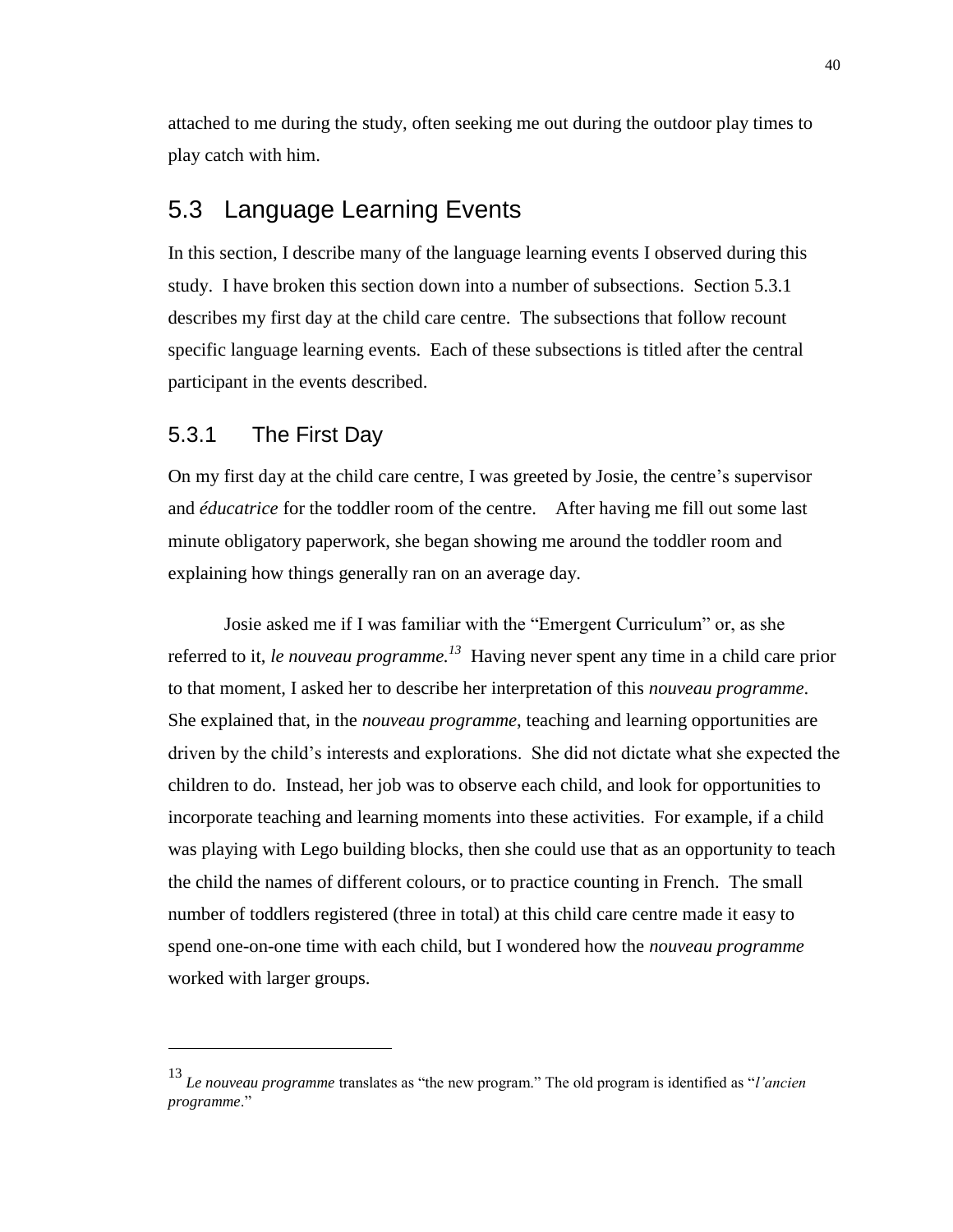attached to me during the study, often seeking me out during the outdoor play times to play catch with him.

## 5.3 Language Learning Events

In this section, I describe many of the language learning events I observed during this study. I have broken this section down into a number of subsections. Section 5.3.1 describes my first day at the child care centre. The subsections that follow recount specific language learning events. Each of these subsections is titled after the central participant in the events described.

## 5.3.1 The First Day

 $\overline{a}$ 

On my first day at the child care centre, I was greeted by Josie, the centre's supervisor and *éducatrice* for the toddler room of the centre. After having me fill out some last minute obligatory paperwork, she began showing me around the toddler room and explaining how things generally ran on an average day.

Josie asked me if I was familiar with the "Emergent Curriculum" or, as she referred to it, *le nouveau programme. 13* Having never spent any time in a child care prior to that moment, I asked her to describe her interpretation of this *nouveau programme*. She explained that, in the *nouveau programme*, teaching and learning opportunities are driven by the child's interests and explorations. She did not dictate what she expected the children to do. Instead, her job was to observe each child, and look for opportunities to incorporate teaching and learning moments into these activities. For example, if a child was playing with Lego building blocks, then she could use that as an opportunity to teach the child the names of different colours, or to practice counting in French. The small number of toddlers registered (three in total) at this child care centre made it easy to spend one-on-one time with each child, but I wondered how the *nouveau programme* worked with larger groups.

<sup>13</sup> *Le nouveau programme* translates as "the new program." The old program is identified as "*l'ancien programme*."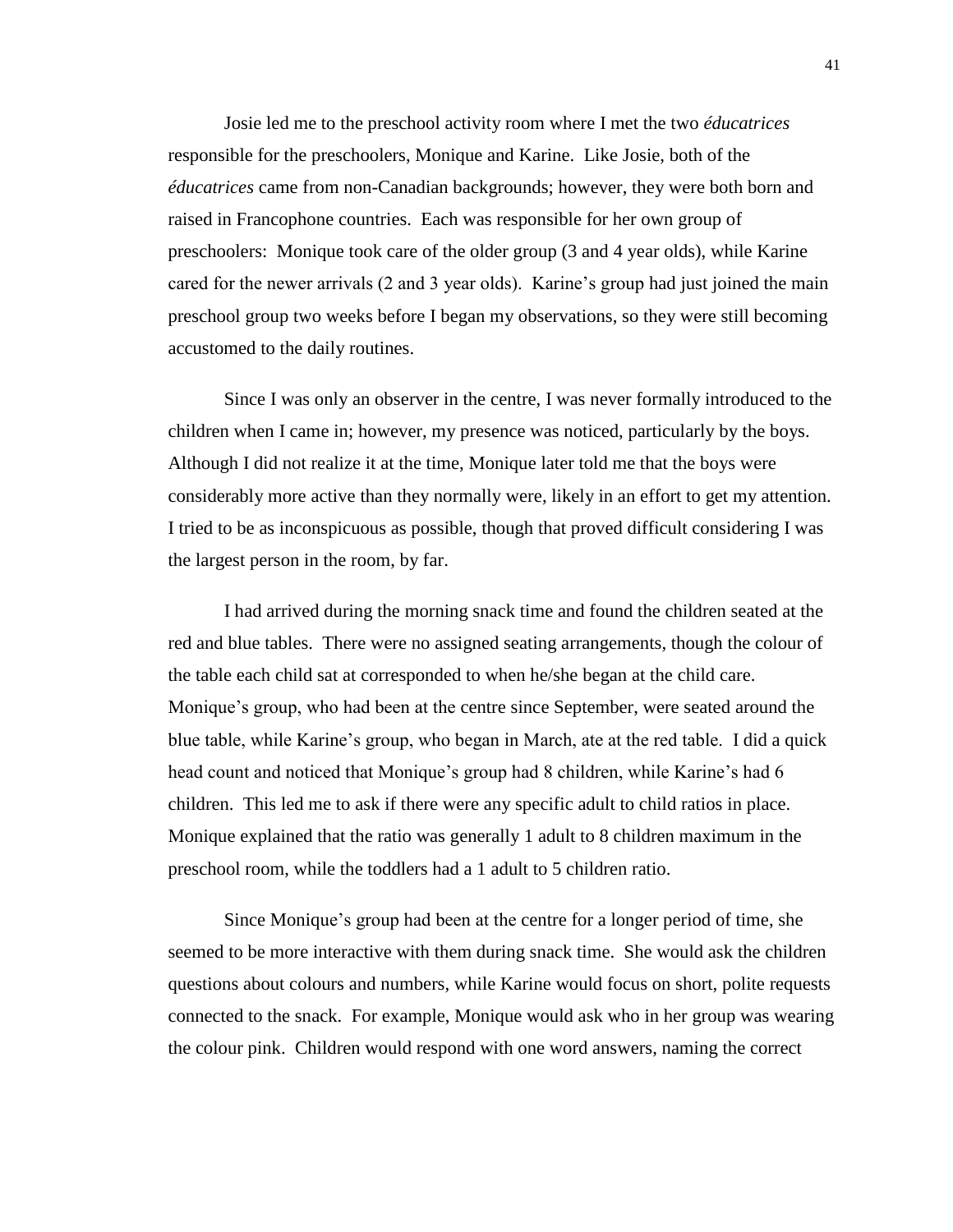Josie led me to the preschool activity room where I met the two *éducatrices* responsible for the preschoolers, Monique and Karine. Like Josie, both of the *éducatrices* came from non-Canadian backgrounds; however, they were both born and raised in Francophone countries. Each was responsible for her own group of preschoolers: Monique took care of the older group (3 and 4 year olds), while Karine cared for the newer arrivals (2 and 3 year olds). Karine's group had just joined the main preschool group two weeks before I began my observations, so they were still becoming accustomed to the daily routines.

Since I was only an observer in the centre, I was never formally introduced to the children when I came in; however, my presence was noticed, particularly by the boys. Although I did not realize it at the time, Monique later told me that the boys were considerably more active than they normally were, likely in an effort to get my attention. I tried to be as inconspicuous as possible, though that proved difficult considering I was the largest person in the room, by far.

I had arrived during the morning snack time and found the children seated at the red and blue tables. There were no assigned seating arrangements, though the colour of the table each child sat at corresponded to when he/she began at the child care. Monique's group, who had been at the centre since September, were seated around the blue table, while Karine's group, who began in March, ate at the red table. I did a quick head count and noticed that Monique's group had 8 children, while Karine's had 6 children. This led me to ask if there were any specific adult to child ratios in place. Monique explained that the ratio was generally 1 adult to 8 children maximum in the preschool room, while the toddlers had a 1 adult to 5 children ratio.

Since Monique's group had been at the centre for a longer period of time, she seemed to be more interactive with them during snack time. She would ask the children questions about colours and numbers, while Karine would focus on short, polite requests connected to the snack. For example, Monique would ask who in her group was wearing the colour pink. Children would respond with one word answers, naming the correct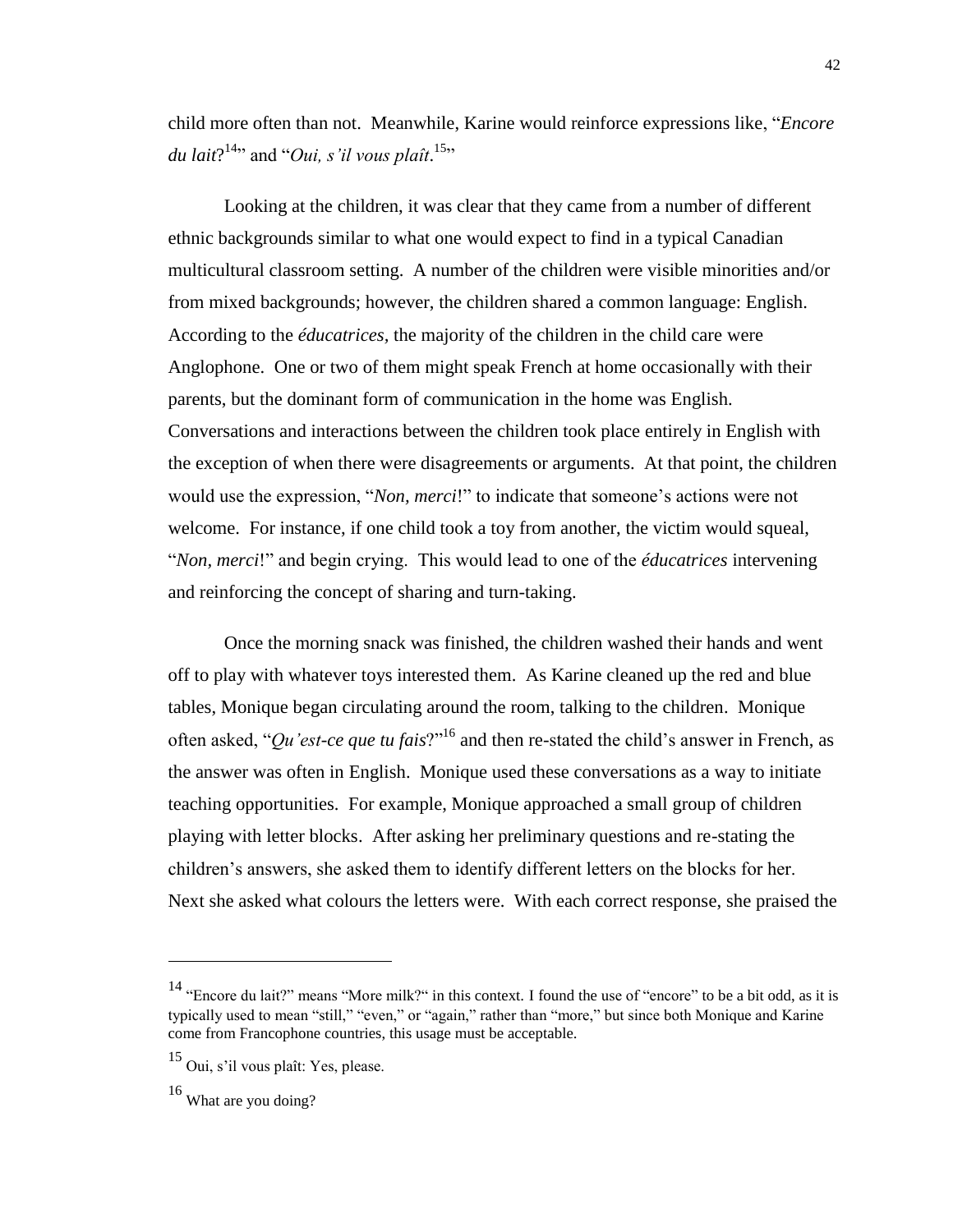child more often than not. Meanwhile, Karine would reinforce expressions like, "*Encore*  du lait?<sup>14</sup>" and "Oui, s'il vous plaît.<sup>15</sup>"

Looking at the children, it was clear that they came from a number of different ethnic backgrounds similar to what one would expect to find in a typical Canadian multicultural classroom setting. A number of the children were visible minorities and/or from mixed backgrounds; however, the children shared a common language: English. According to the *éducatrices,* the majority of the children in the child care were Anglophone. One or two of them might speak French at home occasionally with their parents, but the dominant form of communication in the home was English. Conversations and interactions between the children took place entirely in English with the exception of when there were disagreements or arguments. At that point, the children would use the expression, "*Non, merci*!" to indicate that someone's actions were not welcome. For instance, if one child took a toy from another, the victim would squeal, "*Non, merci*!" and begin crying. This would lead to one of the *éducatrices* intervening and reinforcing the concept of sharing and turn-taking.

Once the morning snack was finished, the children washed their hands and went off to play with whatever toys interested them. As Karine cleaned up the red and blue tables, Monique began circulating around the room, talking to the children. Monique often asked, "*Qu'est-ce que tu fais*?"<sup>16</sup> and then re-stated the child's answer in French, as the answer was often in English. Monique used these conversations as a way to initiate teaching opportunities. For example, Monique approached a small group of children playing with letter blocks. After asking her preliminary questions and re-stating the children's answers, she asked them to identify different letters on the blocks for her. Next she asked what colours the letters were. With each correct response, she praised the

<sup>&</sup>lt;sup>14</sup> "Encore du lait?" means "More milk?" in this context. I found the use of "encore" to be a bit odd, as it is typically used to mean "still," "even," or "again," rather than "more," but since both Monique and Karine come from Francophone countries, this usage must be acceptable.

<sup>15</sup> Oui, s'il vous plaît: Yes, please.

<sup>16</sup> What are you doing?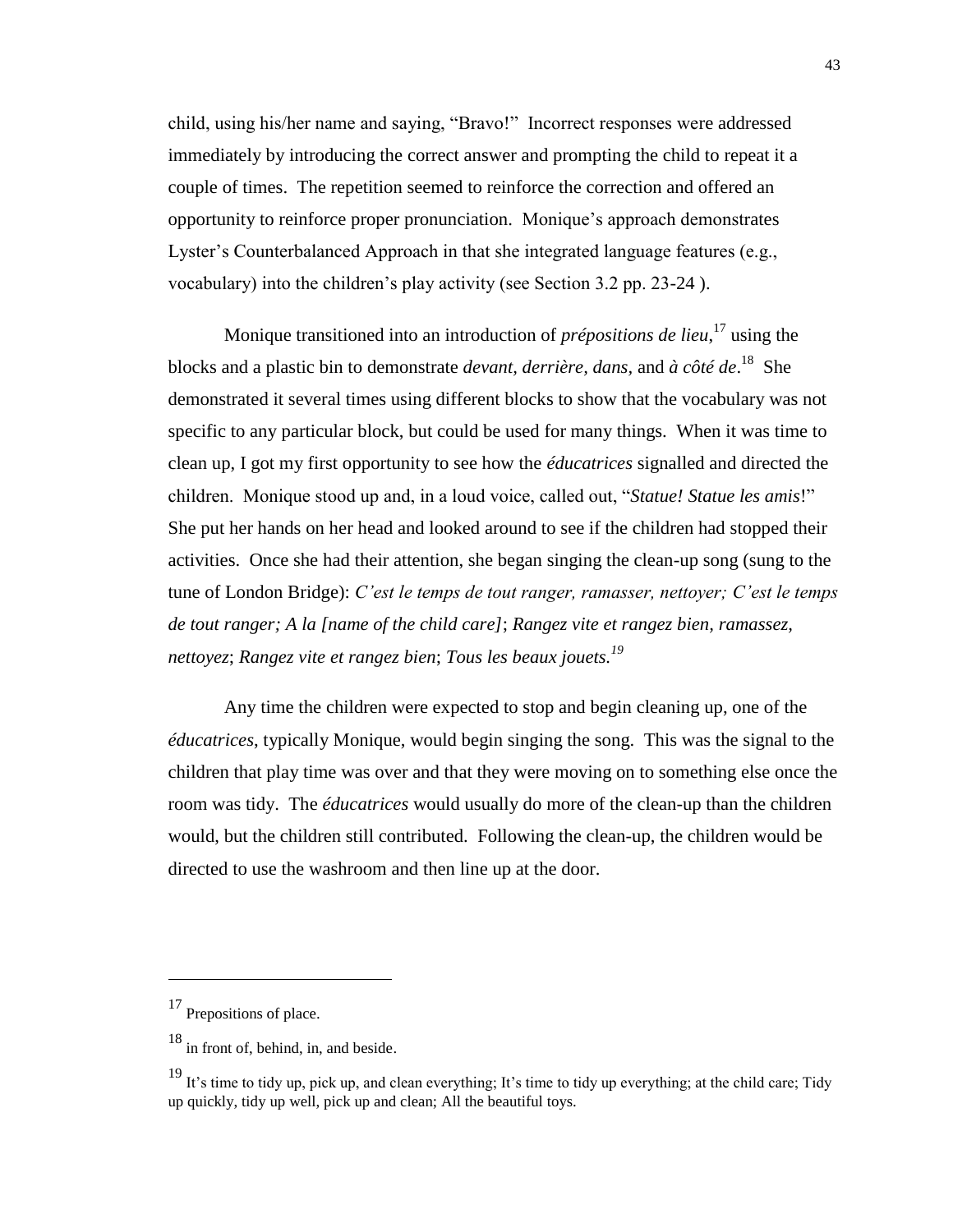child, using his/her name and saying, "Bravo!" Incorrect responses were addressed immediately by introducing the correct answer and prompting the child to repeat it a couple of times. The repetition seemed to reinforce the correction and offered an opportunity to reinforce proper pronunciation. Monique's approach demonstrates Lyster's Counterbalanced Approach in that she integrated language features (e.g., vocabulary) into the children's play activity (see Section 3.2 pp. 23-24 ).

Monique transitioned into an introduction of *prépositions de lieu*, <sup>17</sup> using the blocks and a plastic bin to demonstrate *devant, derrière, dans,* and *à côté de*. 18 She demonstrated it several times using different blocks to show that the vocabulary was not specific to any particular block, but could be used for many things. When it was time to clean up, I got my first opportunity to see how the *éducatrices* signalled and directed the children. Monique stood up and, in a loud voice, called out, "*Statue! Statue les amis*!" She put her hands on her head and looked around to see if the children had stopped their activities. Once she had their attention, she began singing the clean-up song (sung to the tune of London Bridge): *C'est le temps de tout ranger, ramasser, nettoyer; C'est le temps de tout ranger; A la [name of the child care]*; *Rangez vite et rangez bien, ramassez, nettoyez*; *Rangez vite et rangez bien*; *Tous les beaux jouets.<sup>19</sup>*

Any time the children were expected to stop and begin cleaning up, one of the *éducatrices*, typically Monique, would begin singing the song. This was the signal to the children that play time was over and that they were moving on to something else once the room was tidy. The *éducatrices* would usually do more of the clean-up than the children would, but the children still contributed. Following the clean-up, the children would be directed to use the washroom and then line up at the door.

<sup>17</sup> Prepositions of place.

<sup>18</sup> in front of, behind, in, and beside.

<sup>19</sup> It's time to tidy up, pick up, and clean everything; It's time to tidy up everything; at the child care; Tidy up quickly, tidy up well, pick up and clean; All the beautiful toys.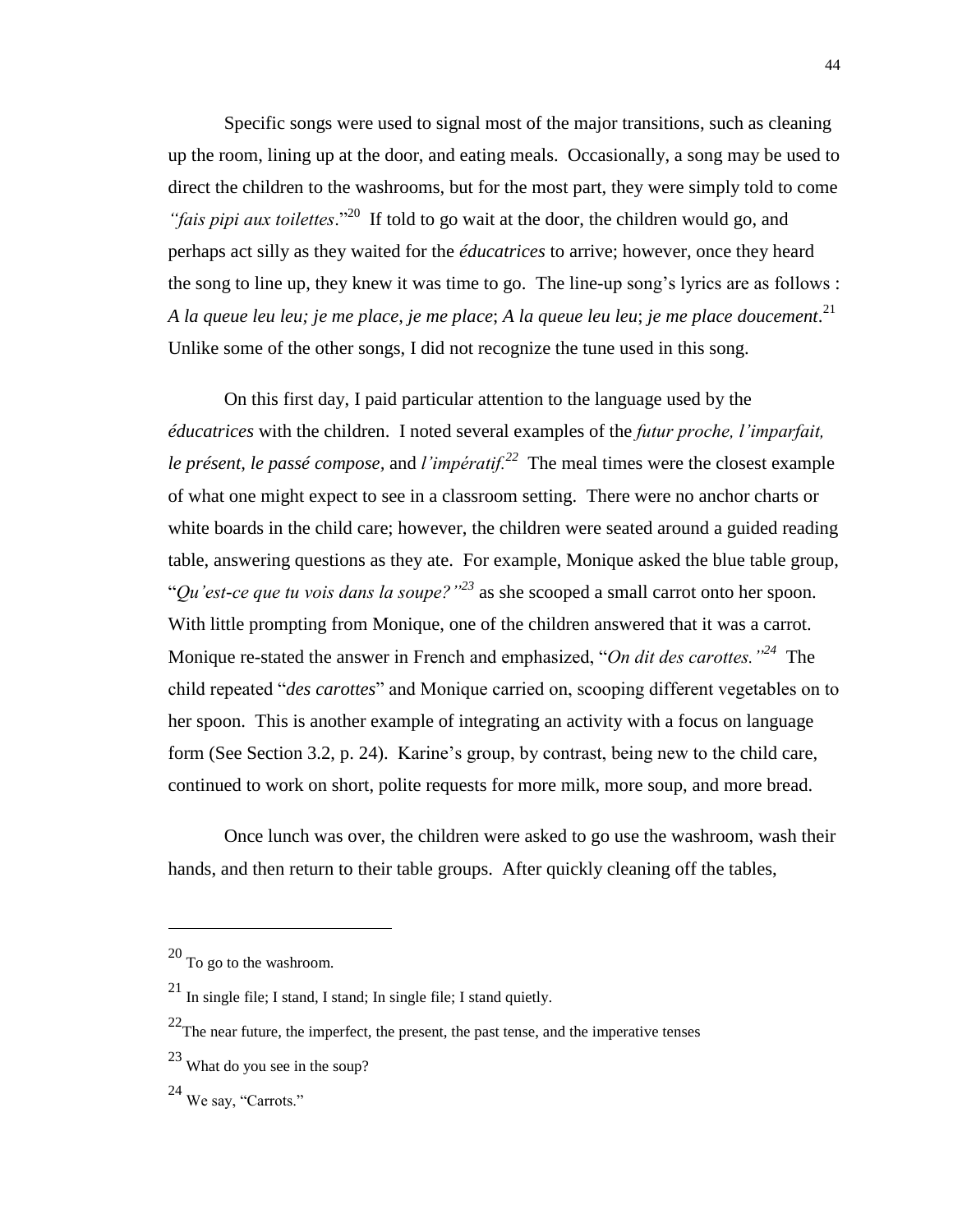Specific songs were used to signal most of the major transitions, such as cleaning up the room, lining up at the door, and eating meals. Occasionally, a song may be used to direct the children to the washrooms, but for the most part, they were simply told to come "*fais pipi aux toilettes*."<sup>20</sup> If told to go wait at the door, the children would go, and perhaps act silly as they waited for the *éducatrices* to arrive; however, once they heard the song to line up, they knew it was time to go. The line-up song's lyrics are as follows : *A la queue leu leu; je me place, je me place*; *A la queue leu leu*; *je me place doucement*. 21 Unlike some of the other songs, I did not recognize the tune used in this song.

On this first day, I paid particular attention to the language used by the *éducatrices* with the children. I noted several examples of the *futur proche, l'imparfait, le présent, le passé compose,* and *l'impératif.<sup>22</sup>* The meal times were the closest example of what one might expect to see in a classroom setting. There were no anchor charts or white boards in the child care; however, the children were seated around a guided reading table, answering questions as they ate. For example, Monique asked the blue table group, "*Qu'est-ce que tu vois dans la soupe?"<sup>23</sup>* as she scooped a small carrot onto her spoon. With little prompting from Monique, one of the children answered that it was a carrot. Monique re-stated the answer in French and emphasized, "*On dit des carottes."<sup>24</sup>* The child repeated "*des carottes*" and Monique carried on, scooping different vegetables on to her spoon. This is another example of integrating an activity with a focus on language form (See Section 3.2, p. 24). Karine's group, by contrast, being new to the child care, continued to work on short, polite requests for more milk, more soup, and more bread.

Once lunch was over, the children were asked to go use the washroom, wash their hands, and then return to their table groups. After quickly cleaning off the tables,

 $^{20}$  To go to the washroom.

<sup>21</sup> In single file; I stand, I stand; In single file; I stand quietly.

 $22$ The near future, the imperfect, the present, the past tense, and the imperative tenses

<sup>23</sup> What do you see in the soup?

<sup>24</sup> We say, "Carrots."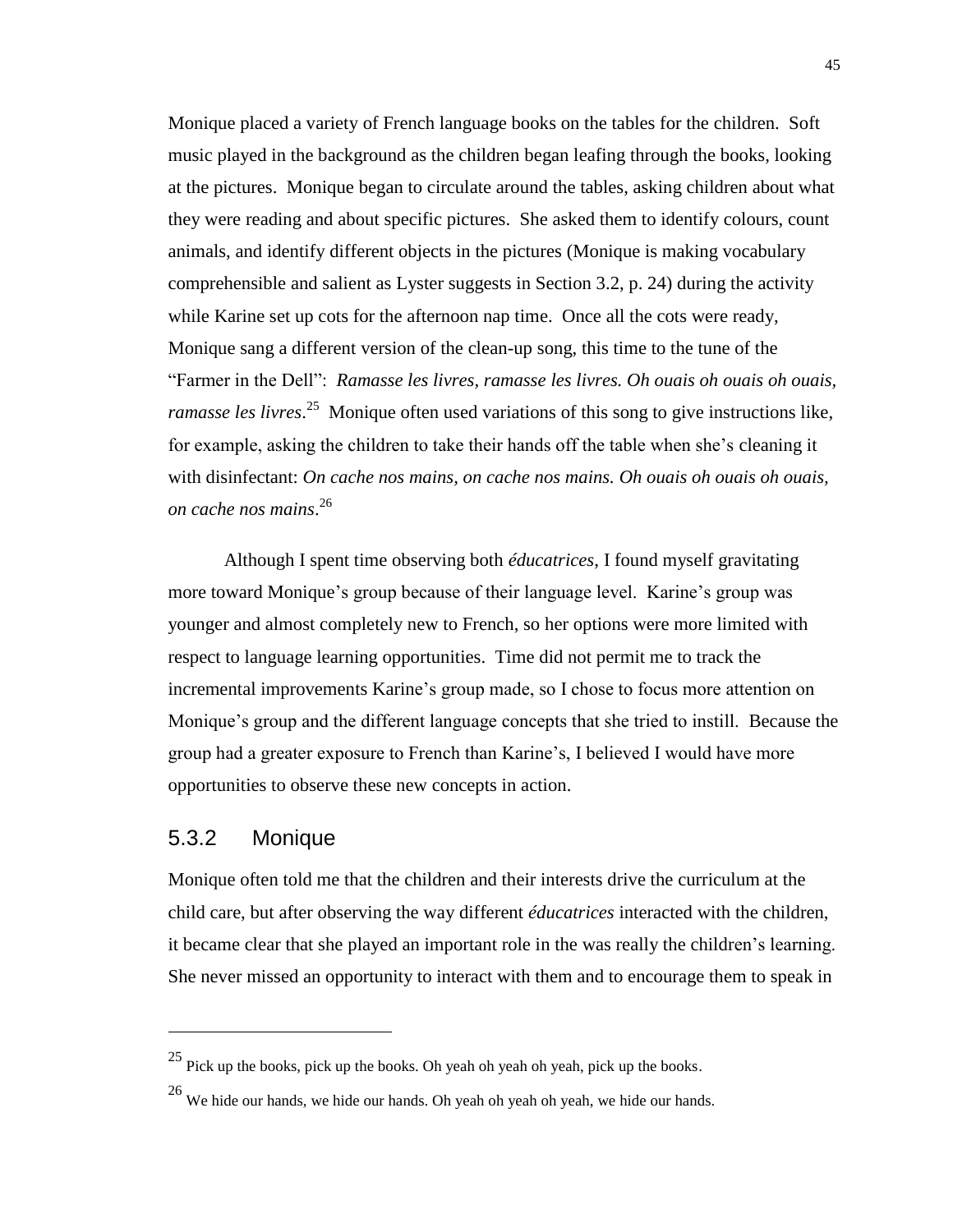Monique placed a variety of French language books on the tables for the children. Soft music played in the background as the children began leafing through the books, looking at the pictures. Monique began to circulate around the tables, asking children about what they were reading and about specific pictures. She asked them to identify colours, count animals, and identify different objects in the pictures (Monique is making vocabulary comprehensible and salient as Lyster suggests in Section 3.2, p. 24) during the activity while Karine set up cots for the afternoon nap time. Once all the cots were ready, Monique sang a different version of the clean-up song, this time to the tune of the "Farmer in the Dell": *Ramasse les livres, ramasse les livres. Oh ouais oh ouais oh ouais, ramasse les livres*. 25 Monique often used variations of this song to give instructions like, for example, asking the children to take their hands off the table when she's cleaning it with disinfectant: *On cache nos mains, on cache nos mains. Oh ouais oh ouais oh ouais, on cache nos mains*. 26

Although I spent time observing both *éducatrices*, I found myself gravitating more toward Monique's group because of their language level. Karine's group was younger and almost completely new to French, so her options were more limited with respect to language learning opportunities. Time did not permit me to track the incremental improvements Karine's group made, so I chose to focus more attention on Monique's group and the different language concepts that she tried to instill. Because the group had a greater exposure to French than Karine's, I believed I would have more opportunities to observe these new concepts in action.

#### 5.3.2 Monique

 $\overline{a}$ 

Monique often told me that the children and their interests drive the curriculum at the child care, but after observing the way different *éducatrices* interacted with the children, it became clear that she played an important role in the was really the children's learning. She never missed an opportunity to interact with them and to encourage them to speak in

<sup>25</sup> Pick up the books, pick up the books. Oh yeah oh yeah oh yeah, pick up the books.

<sup>26</sup> We hide our hands, we hide our hands. Oh yeah oh yeah oh yeah, we hide our hands.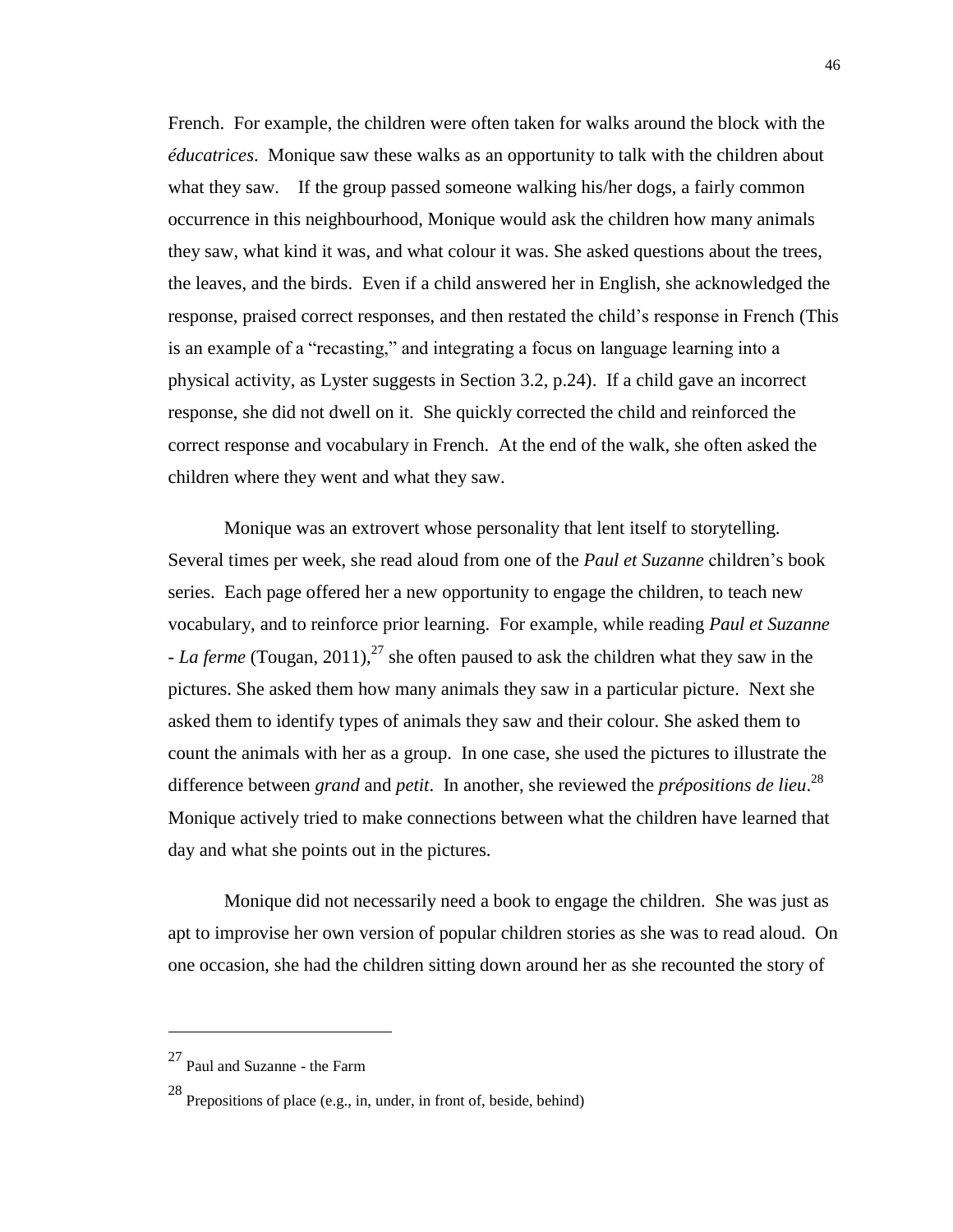French. For example, the children were often taken for walks around the block with the *éducatrices*. Monique saw these walks as an opportunity to talk with the children about what they saw. If the group passed someone walking his/her dogs, a fairly common occurrence in this neighbourhood, Monique would ask the children how many animals they saw, what kind it was, and what colour it was. She asked questions about the trees, the leaves, and the birds. Even if a child answered her in English, she acknowledged the response, praised correct responses, and then restated the child's response in French (This is an example of a "recasting," and integrating a focus on language learning into a physical activity, as Lyster suggests in Section 3.2, p.24). If a child gave an incorrect response, she did not dwell on it. She quickly corrected the child and reinforced the correct response and vocabulary in French. At the end of the walk, she often asked the children where they went and what they saw.

Monique was an extrovert whose personality that lent itself to storytelling. Several times per week, she read aloud from one of the *Paul et Suzanne* children's book series. Each page offered her a new opportunity to engage the children, to teach new vocabulary, and to reinforce prior learning. For example, while reading *Paul et Suzanne - La ferme* (Tougan, 2011), <sup>27</sup> she often paused to ask the children what they saw in the pictures. She asked them how many animals they saw in a particular picture. Next she asked them to identify types of animals they saw and their colour. She asked them to count the animals with her as a group. In one case, she used the pictures to illustrate the difference between *grand* and *petit*. In another, she reviewed the *prépositions de lieu*. 28 Monique actively tried to make connections between what the children have learned that day and what she points out in the pictures.

Monique did not necessarily need a book to engage the children. She was just as apt to improvise her own version of popular children stories as she was to read aloud. On one occasion, she had the children sitting down around her as she recounted the story of

<sup>27</sup> Paul and Suzanne - the Farm

<sup>28</sup> Prepositions of place (e.g., in, under, in front of, beside, behind)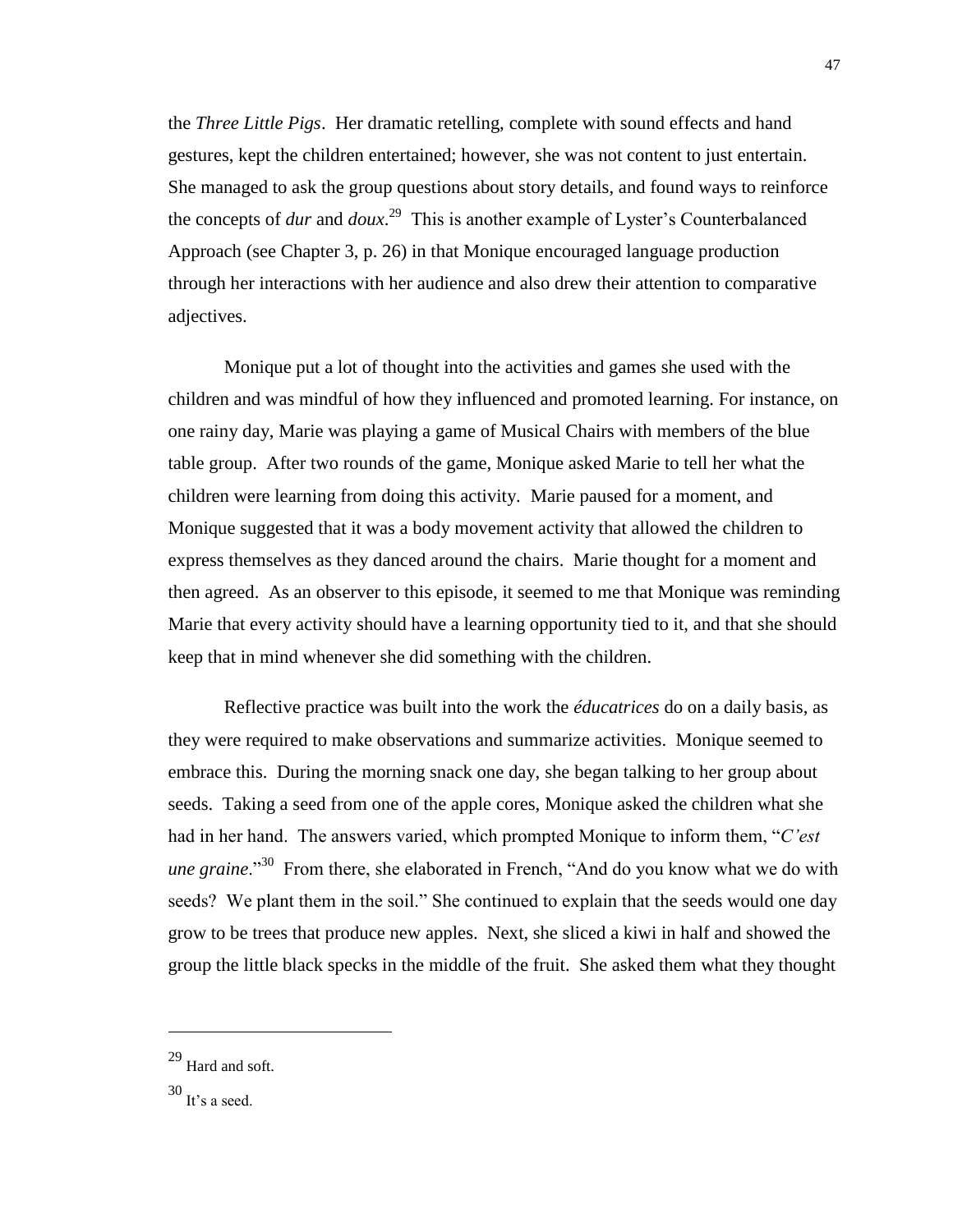the *Three Little Pigs*. Her dramatic retelling, complete with sound effects and hand gestures, kept the children entertained; however, she was not content to just entertain. She managed to ask the group questions about story details, and found ways to reinforce the concepts of *dur* and *doux*. 29 This is another example of Lyster's Counterbalanced Approach (see Chapter 3, p. 26) in that Monique encouraged language production through her interactions with her audience and also drew their attention to comparative adjectives.

Monique put a lot of thought into the activities and games she used with the children and was mindful of how they influenced and promoted learning. For instance, on one rainy day, Marie was playing a game of Musical Chairs with members of the blue table group. After two rounds of the game, Monique asked Marie to tell her what the children were learning from doing this activity. Marie paused for a moment, and Monique suggested that it was a body movement activity that allowed the children to express themselves as they danced around the chairs. Marie thought for a moment and then agreed. As an observer to this episode, it seemed to me that Monique was reminding Marie that every activity should have a learning opportunity tied to it, and that she should keep that in mind whenever she did something with the children.

Reflective practice was built into the work the *éducatrices* do on a daily basis, as they were required to make observations and summarize activities. Monique seemed to embrace this. During the morning snack one day, she began talking to her group about seeds. Taking a seed from one of the apple cores, Monique asked the children what she had in her hand. The answers varied, which prompted Monique to inform them, "*C'est une graine*."<sup>30</sup> From there, she elaborated in French, "And do you know what we do with seeds? We plant them in the soil." She continued to explain that the seeds would one day grow to be trees that produce new apples. Next, she sliced a kiwi in half and showed the group the little black specks in the middle of the fruit. She asked them what they thought

<sup>29</sup> Hard and soft.

 $^{30}$  It's a seed.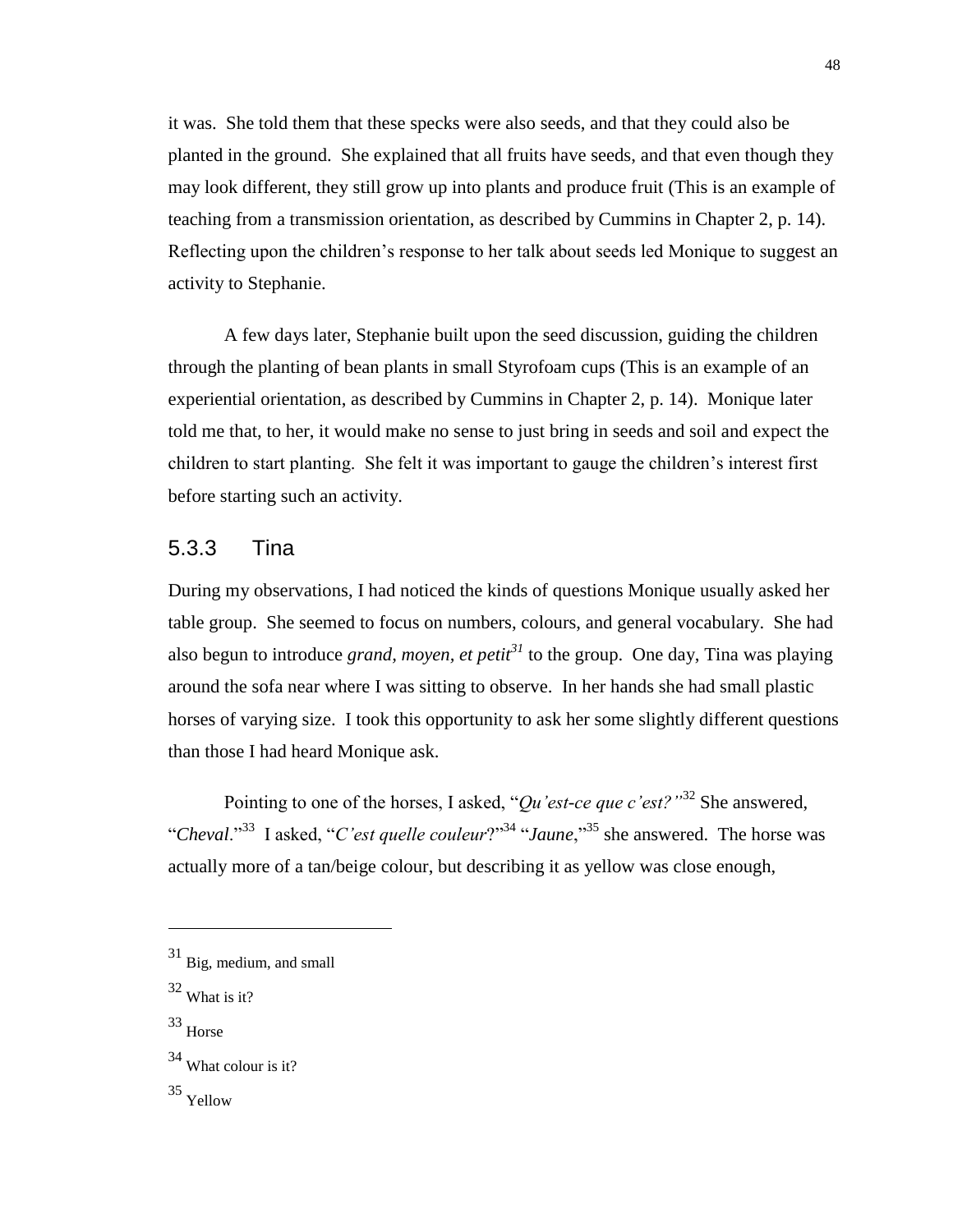it was. She told them that these specks were also seeds, and that they could also be planted in the ground. She explained that all fruits have seeds, and that even though they may look different, they still grow up into plants and produce fruit (This is an example of teaching from a transmission orientation, as described by Cummins in Chapter 2, p. 14). Reflecting upon the children's response to her talk about seeds led Monique to suggest an activity to Stephanie.

A few days later, Stephanie built upon the seed discussion, guiding the children through the planting of bean plants in small Styrofoam cups (This is an example of an experiential orientation, as described by Cummins in Chapter 2, p. 14). Monique later told me that, to her, it would make no sense to just bring in seeds and soil and expect the children to start planting. She felt it was important to gauge the children's interest first before starting such an activity.

## 5.3.3 Tina

During my observations, I had noticed the kinds of questions Monique usually asked her table group. She seemed to focus on numbers, colours, and general vocabulary. She had also begun to introduce *grand, moyen, et petit<sup>31</sup>* to the group. One day, Tina was playing around the sofa near where I was sitting to observe. In her hands she had small plastic horses of varying size. I took this opportunity to ask her some slightly different questions than those I had heard Monique ask.

Pointing to one of the horses, I asked, "*Qu'est-ce que c'est?*"<sup>32</sup> She answered, "*Cheval*."<sup>33</sup> I asked, "*C'est quelle couleur*?"<sup>34</sup> "*Jaune*,"<sup>35</sup> she answered. The horse was actually more of a tan/beige colour, but describing it as yellow was close enough,

<sup>31</sup> Big, medium, and small

 $32$  What is it?

<sup>33</sup> Horse

<sup>34</sup> What colour is it?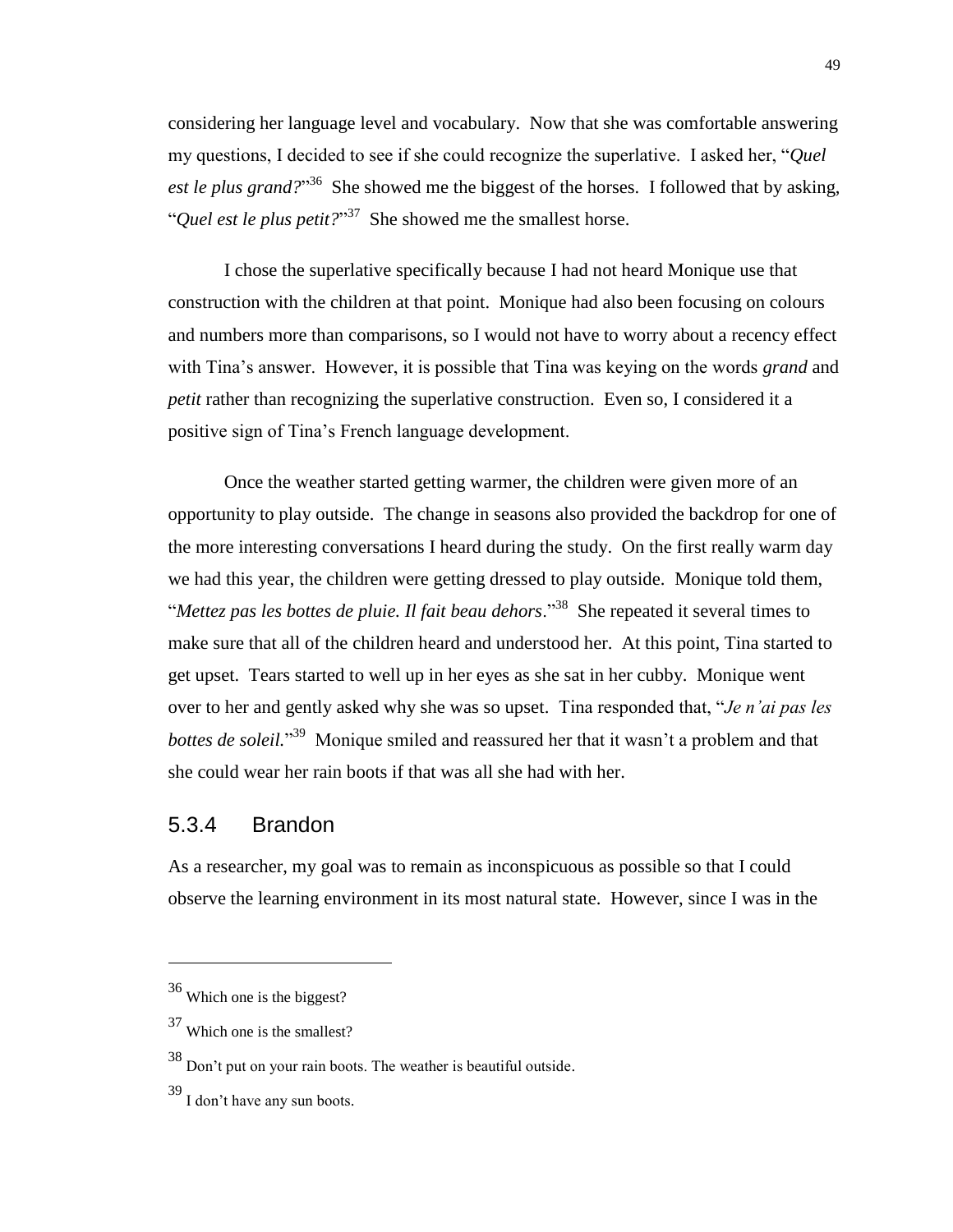considering her language level and vocabulary. Now that she was comfortable answering my questions, I decided to see if she could recognize the superlative. I asked her, "*Quel*  est le plus grand?"<sup>36</sup> She showed me the biggest of the horses. I followed that by asking, "*Quel est le plus petit?*" 37 She showed me the smallest horse.

I chose the superlative specifically because I had not heard Monique use that construction with the children at that point. Monique had also been focusing on colours and numbers more than comparisons, so I would not have to worry about a recency effect with Tina's answer. However, it is possible that Tina was keying on the words *grand* and *petit* rather than recognizing the superlative construction. Even so, I considered it a positive sign of Tina's French language development.

Once the weather started getting warmer, the children were given more of an opportunity to play outside. The change in seasons also provided the backdrop for one of the more interesting conversations I heard during the study. On the first really warm day we had this year, the children were getting dressed to play outside. Monique told them, "*Mettez pas les bottes de pluie. Il fait beau dehors*."<sup>38</sup> She repeated it several times to make sure that all of the children heard and understood her. At this point, Tina started to get upset. Tears started to well up in her eyes as she sat in her cubby. Monique went over to her and gently asked why she was so upset. Tina responded that, "*Je n'ai pas les*  bottes de soleil.<sup>339</sup> Monique smiled and reassured her that it wasn't a problem and that she could wear her rain boots if that was all she had with her.

## 5.3.4 Brandon

As a researcher, my goal was to remain as inconspicuous as possible so that I could observe the learning environment in its most natural state. However, since I was in the

<sup>36</sup> Which one is the biggest?

<sup>37</sup> Which one is the smallest?

<sup>38</sup> Don't put on your rain boots. The weather is beautiful outside.

<sup>39</sup> I don't have any sun boots.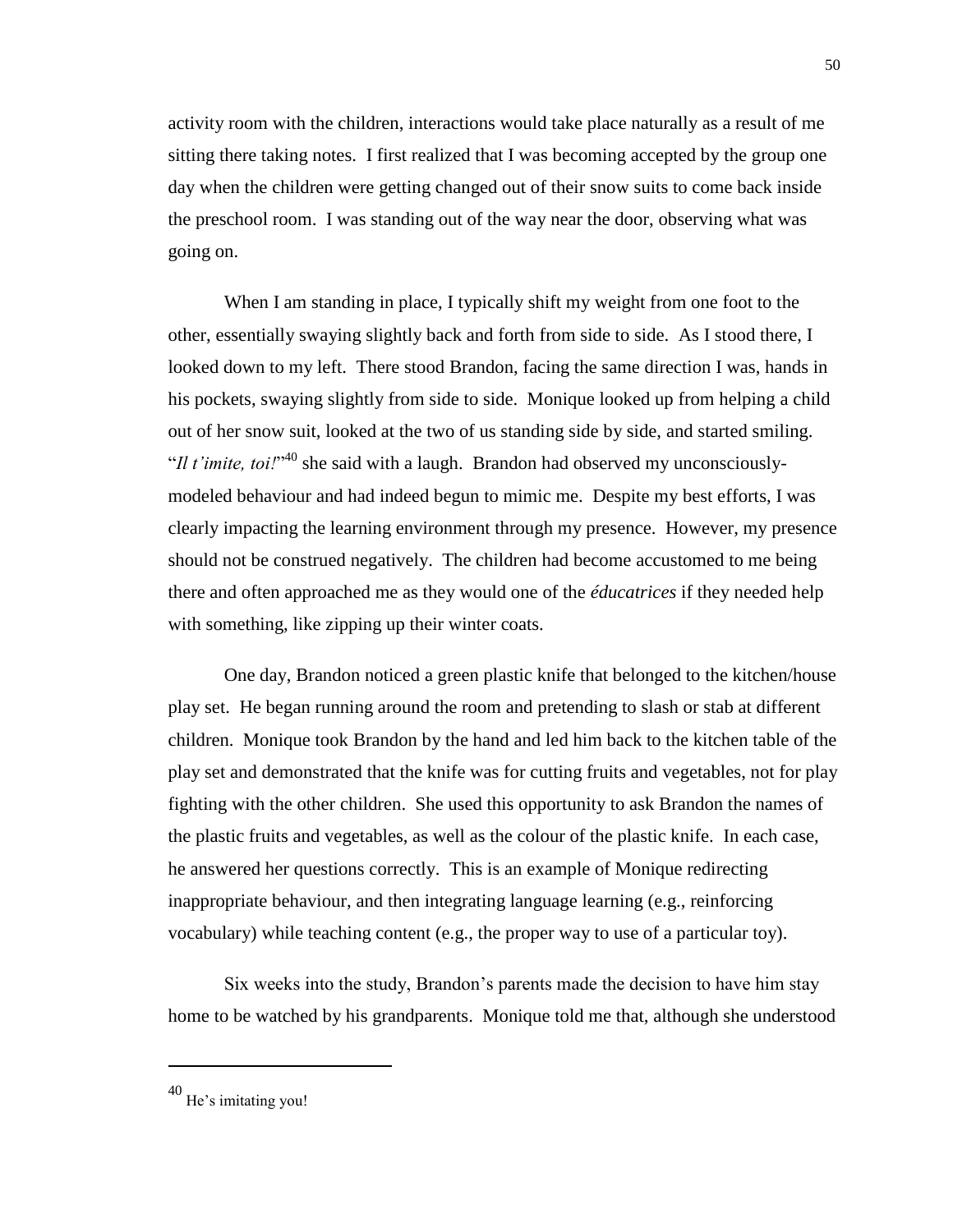activity room with the children, interactions would take place naturally as a result of me sitting there taking notes. I first realized that I was becoming accepted by the group one day when the children were getting changed out of their snow suits to come back inside the preschool room. I was standing out of the way near the door, observing what was going on.

When I am standing in place, I typically shift my weight from one foot to the other, essentially swaying slightly back and forth from side to side. As I stood there, I looked down to my left. There stood Brandon, facing the same direction I was, hands in his pockets, swaying slightly from side to side. Monique looked up from helping a child out of her snow suit, looked at the two of us standing side by side, and started smiling. "*Il t'imite, toi!*"<sup>40</sup> she said with a laugh. Brandon had observed my unconsciouslymodeled behaviour and had indeed begun to mimic me. Despite my best efforts, I was clearly impacting the learning environment through my presence. However, my presence should not be construed negatively. The children had become accustomed to me being there and often approached me as they would one of the *éducatrices* if they needed help with something, like zipping up their winter coats.

One day, Brandon noticed a green plastic knife that belonged to the kitchen/house play set. He began running around the room and pretending to slash or stab at different children. Monique took Brandon by the hand and led him back to the kitchen table of the play set and demonstrated that the knife was for cutting fruits and vegetables, not for play fighting with the other children. She used this opportunity to ask Brandon the names of the plastic fruits and vegetables, as well as the colour of the plastic knife. In each case, he answered her questions correctly. This is an example of Monique redirecting inappropriate behaviour, and then integrating language learning (e.g., reinforcing vocabulary) while teaching content (e.g., the proper way to use of a particular toy).

Six weeks into the study, Brandon's parents made the decision to have him stay home to be watched by his grandparents. Monique told me that, although she understood

<sup>40</sup> He's imitating you!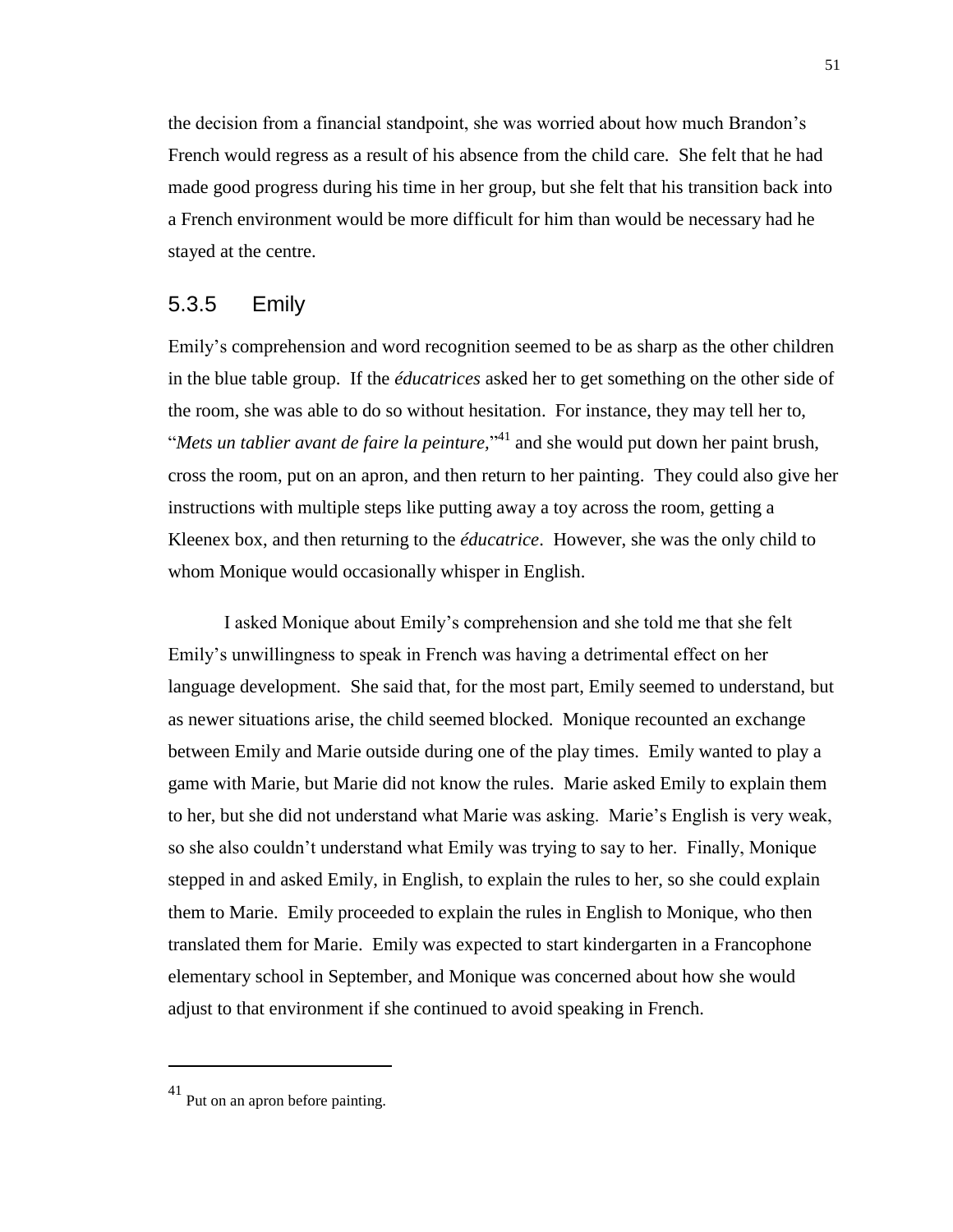the decision from a financial standpoint, she was worried about how much Brandon's French would regress as a result of his absence from the child care. She felt that he had made good progress during his time in her group, but she felt that his transition back into a French environment would be more difficult for him than would be necessary had he stayed at the centre.

#### 5.3.5 Emily

Emily's comprehension and word recognition seemed to be as sharp as the other children in the blue table group. If the *éducatrices* asked her to get something on the other side of the room, she was able to do so without hesitation. For instance, they may tell her to, "*Mets un tablier avant de faire la peinture,*" <sup>41</sup> and she would put down her paint brush, cross the room, put on an apron, and then return to her painting. They could also give her instructions with multiple steps like putting away a toy across the room, getting a Kleenex box, and then returning to the *éducatrice*. However, she was the only child to whom Monique would occasionally whisper in English.

I asked Monique about Emily's comprehension and she told me that she felt Emily's unwillingness to speak in French was having a detrimental effect on her language development. She said that, for the most part, Emily seemed to understand, but as newer situations arise, the child seemed blocked. Monique recounted an exchange between Emily and Marie outside during one of the play times. Emily wanted to play a game with Marie, but Marie did not know the rules. Marie asked Emily to explain them to her, but she did not understand what Marie was asking. Marie's English is very weak, so she also couldn't understand what Emily was trying to say to her. Finally, Monique stepped in and asked Emily, in English, to explain the rules to her, so she could explain them to Marie. Emily proceeded to explain the rules in English to Monique, who then translated them for Marie. Emily was expected to start kindergarten in a Francophone elementary school in September, and Monique was concerned about how she would adjust to that environment if she continued to avoid speaking in French.

<sup>41</sup> Put on an apron before painting.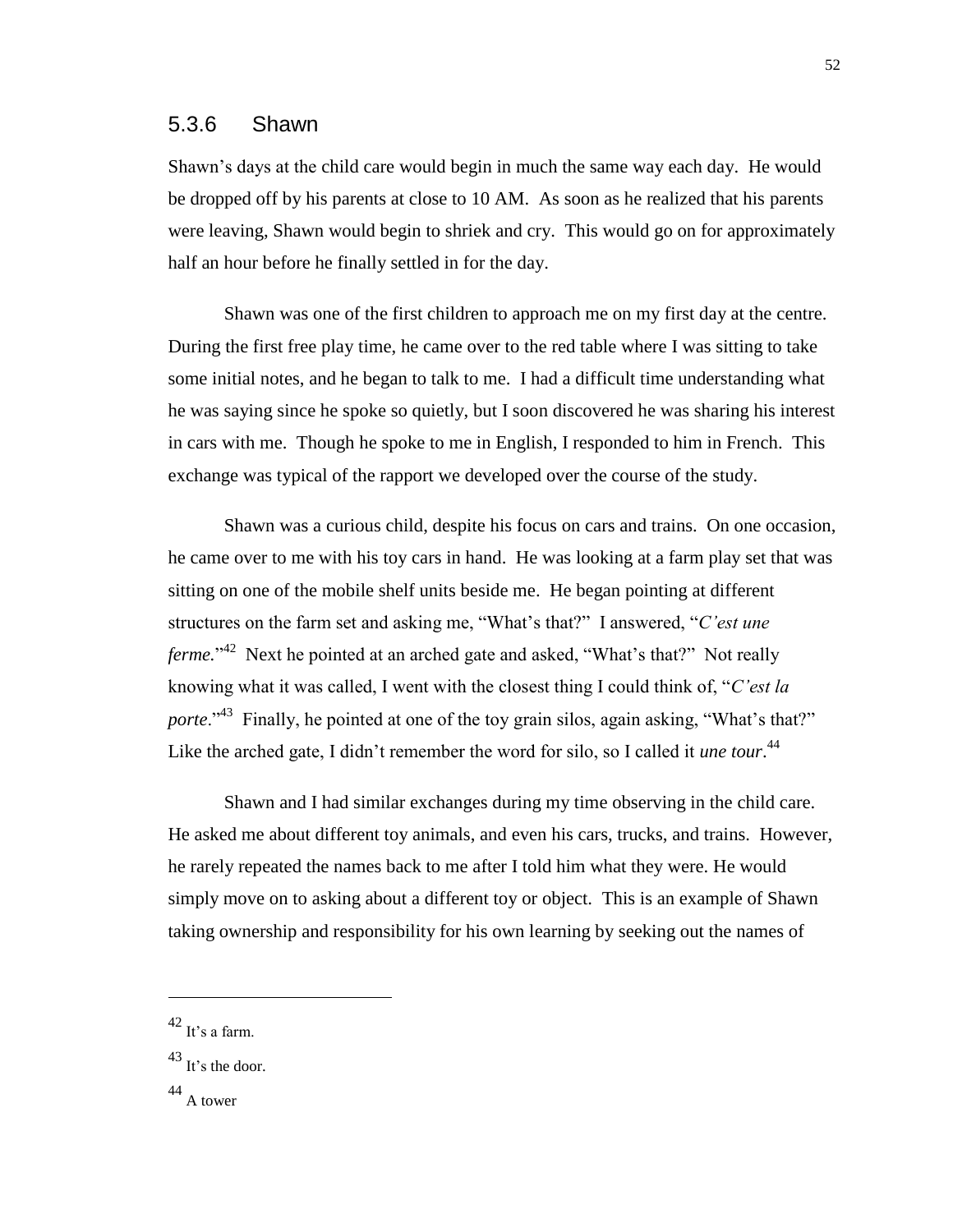#### 5.3.6 Shawn

Shawn's days at the child care would begin in much the same way each day. He would be dropped off by his parents at close to 10 AM. As soon as he realized that his parents were leaving, Shawn would begin to shriek and cry. This would go on for approximately half an hour before he finally settled in for the day.

Shawn was one of the first children to approach me on my first day at the centre. During the first free play time, he came over to the red table where I was sitting to take some initial notes, and he began to talk to me. I had a difficult time understanding what he was saying since he spoke so quietly, but I soon discovered he was sharing his interest in cars with me. Though he spoke to me in English, I responded to him in French. This exchange was typical of the rapport we developed over the course of the study.

Shawn was a curious child, despite his focus on cars and trains. On one occasion, he came over to me with his toy cars in hand. He was looking at a farm play set that was sitting on one of the mobile shelf units beside me. He began pointing at different structures on the farm set and asking me, "What's that?" I answered, "*C'est une ferme.*"<sup>42</sup> Next he pointed at an arched gate and asked, "What's that?" Not really knowing what it was called, I went with the closest thing I could think of, "*C'est la*  porte."<sup>43</sup> Finally, he pointed at one of the toy grain silos, again asking, "What's that?" Like the arched gate, I didn't remember the word for silo, so I called it *une tour*. 44

Shawn and I had similar exchanges during my time observing in the child care. He asked me about different toy animals, and even his cars, trucks, and trains. However, he rarely repeated the names back to me after I told him what they were. He would simply move on to asking about a different toy or object. This is an example of Shawn taking ownership and responsibility for his own learning by seeking out the names of

 $\overline{a}$ 

52

 $^{42}$  It's a farm.

 $43$  It's the door.

<sup>44</sup> A tower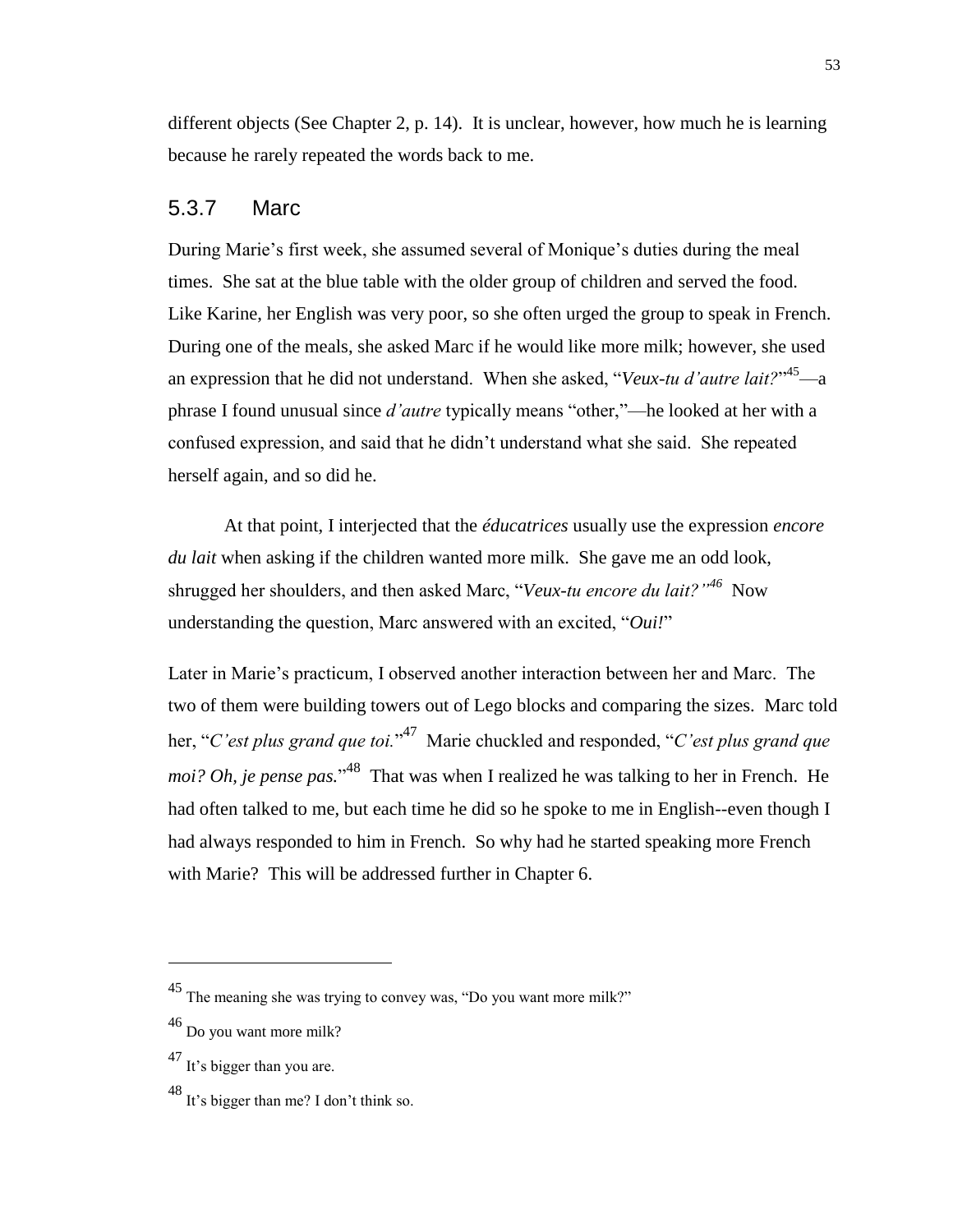different objects (See Chapter 2, p. 14). It is unclear, however, how much he is learning because he rarely repeated the words back to me.

### 5.3.7 Marc

During Marie's first week, she assumed several of Monique's duties during the meal times. She sat at the blue table with the older group of children and served the food. Like Karine, her English was very poor, so she often urged the group to speak in French. During one of the meals, she asked Marc if he would like more milk; however, she used an expression that he did not understand. When she asked, "*Veux-tu d'autre lait?*"<sup>45</sup>—a phrase I found unusual since *d'autre* typically means "other,"—he looked at her with a confused expression, and said that he didn't understand what she said. She repeated herself again, and so did he.

At that point, I interjected that the *éducatrices* usually use the expression *encore du lait* when asking if the children wanted more milk. She gave me an odd look, shrugged her shoulders, and then asked Marc, "*Veux-tu encore du lait?*"<sup>46</sup> Now understanding the question, Marc answered with an excited, "*Oui!*"

Later in Marie's practicum, I observed another interaction between her and Marc. The two of them were building towers out of Lego blocks and comparing the sizes. Marc told her, "*C'est plus grand que toi.*" 47 Marie chuckled and responded, "*C'est plus grand que*  moi? Oh, je pense pas."<sup>48</sup> That was when I realized he was talking to her in French. He had often talked to me, but each time he did so he spoke to me in English--even though I had always responded to him in French. So why had he started speaking more French with Marie? This will be addressed further in Chapter 6.

<sup>45</sup> The meaning she was trying to convey was, "Do you want more milk?"

 $46$  Do you want more milk?

<sup>47</sup> It's bigger than you are.

<sup>48</sup> It's bigger than me? I don't think so.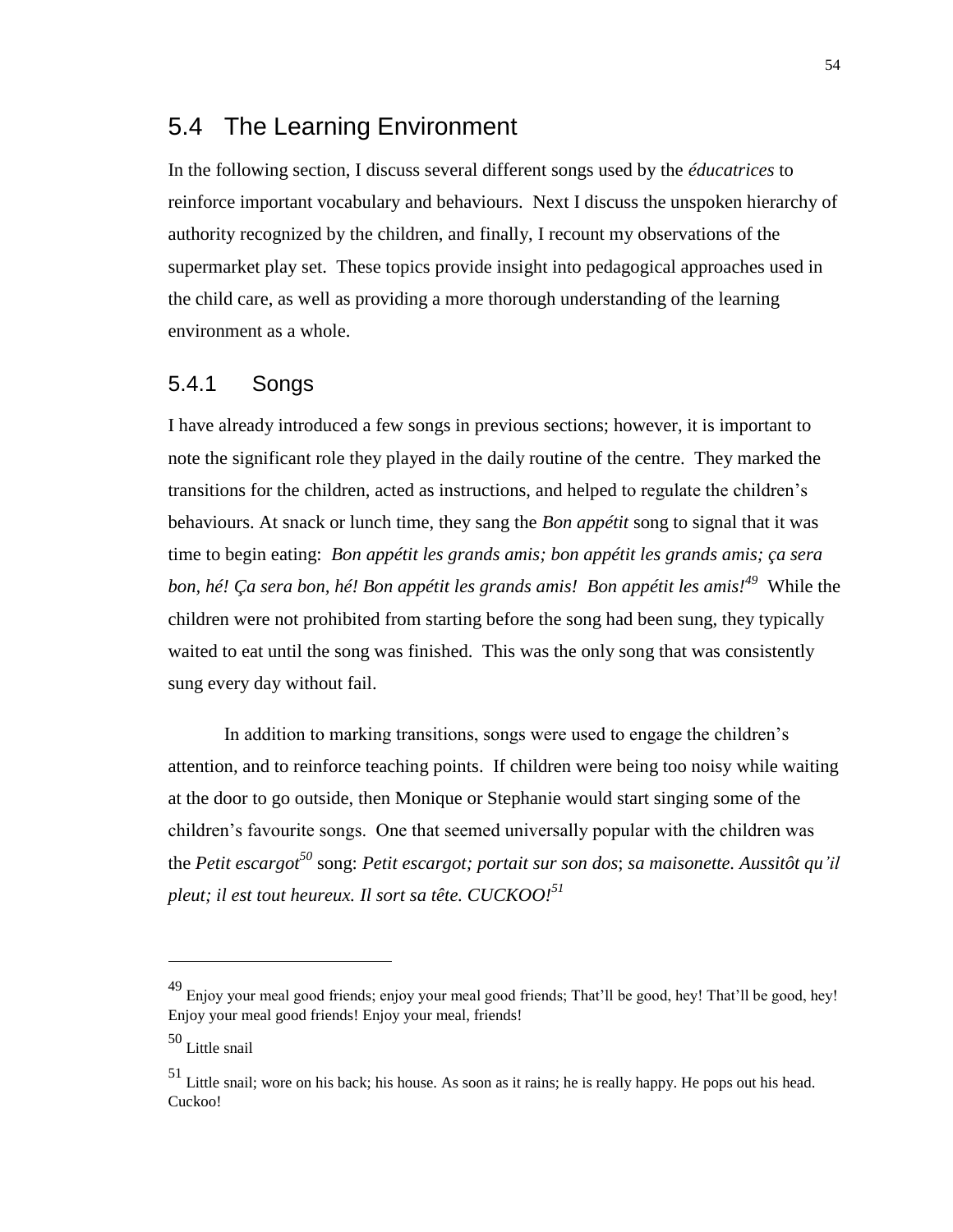## 5.4 The Learning Environment

In the following section, I discuss several different songs used by the *éducatrices* to reinforce important vocabulary and behaviours. Next I discuss the unspoken hierarchy of authority recognized by the children, and finally, I recount my observations of the supermarket play set. These topics provide insight into pedagogical approaches used in the child care, as well as providing a more thorough understanding of the learning environment as a whole.

### 5.4.1 Songs

I have already introduced a few songs in previous sections; however, it is important to note the significant role they played in the daily routine of the centre. They marked the transitions for the children, acted as instructions, and helped to regulate the children's behaviours. At snack or lunch time, they sang the *Bon appétit* song to signal that it was time to begin eating: *Bon appétit les grands amis; bon appétit les grands amis; ça sera bon, hé! Ça sera bon, hé! Bon appétit les grands amis! Bon appétit les amis!<sup>49</sup>* While the children were not prohibited from starting before the song had been sung, they typically waited to eat until the song was finished. This was the only song that was consistently sung every day without fail.

In addition to marking transitions, songs were used to engage the children's attention, and to reinforce teaching points. If children were being too noisy while waiting at the door to go outside, then Monique or Stephanie would start singing some of the children's favourite songs. One that seemed universally popular with the children was the *Petit escargot<sup>50</sup>* song: *Petit escargot; portait sur son dos*; *sa maisonette. Aussitôt qu'il pleut; il est tout heureux. Il sort sa tête. CUCKOO!<sup>51</sup>*

<sup>49</sup> Enjoy your meal good friends; enjoy your meal good friends; That'll be good, hey! That'll be good, hey! Enjoy your meal good friends! Enjoy your meal, friends!

 $\rm ^{50}$  Little snail

<sup>51</sup> Little snail; wore on his back; his house. As soon as it rains; he is really happy. He pops out his head. Cuckoo!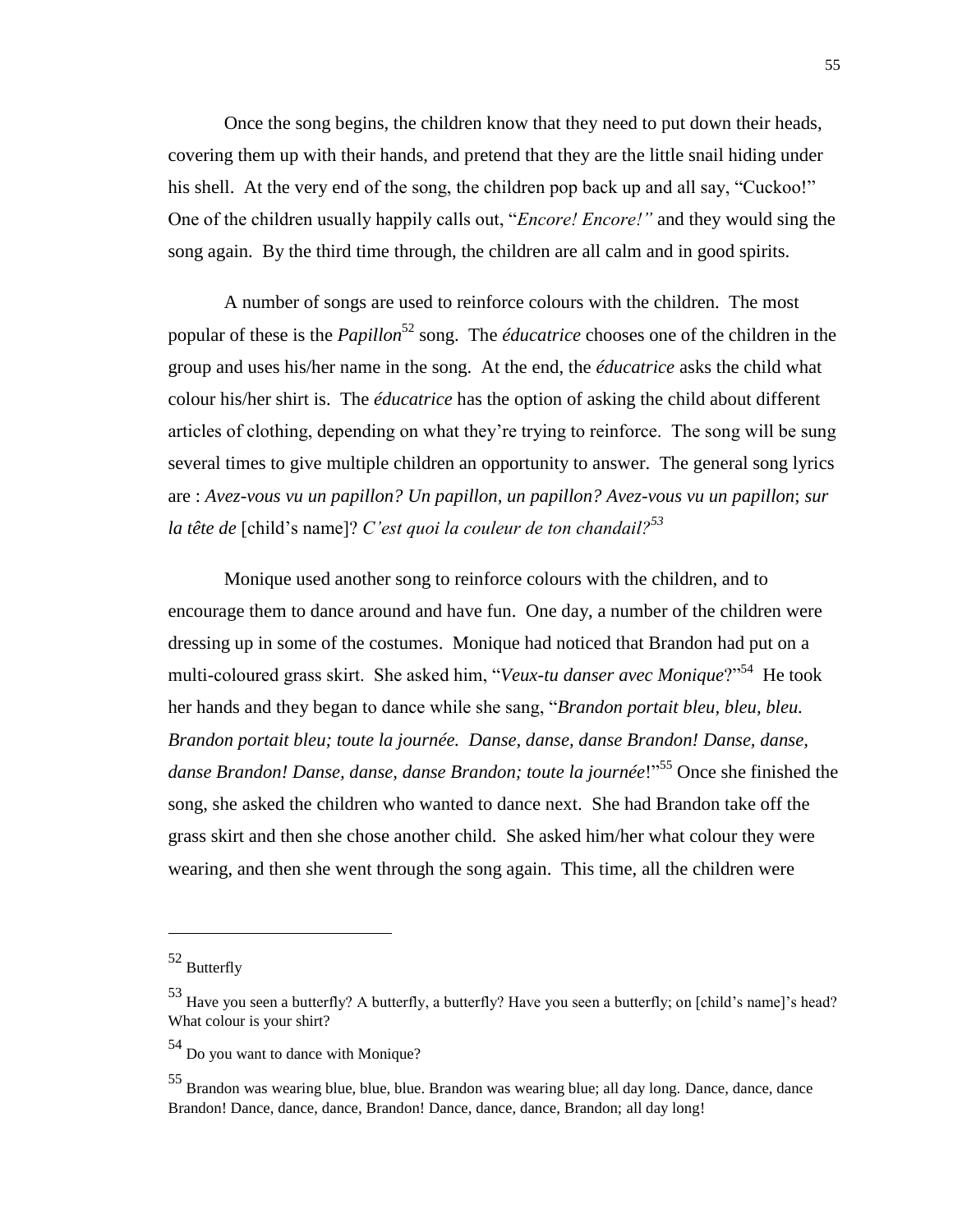Once the song begins, the children know that they need to put down their heads, covering them up with their hands, and pretend that they are the little snail hiding under his shell. At the very end of the song, the children pop back up and all say, "Cuckoo!" One of the children usually happily calls out, "*Encore! Encore!"* and they would sing the song again. By the third time through, the children are all calm and in good spirits.

A number of songs are used to reinforce colours with the children. The most popular of these is the *Papillon*<sup>52</sup> song. The *éducatrice* chooses one of the children in the group and uses his/her name in the song. At the end, the *éducatrice* asks the child what colour his/her shirt is. The *éducatrice* has the option of asking the child about different articles of clothing, depending on what they're trying to reinforce. The song will be sung several times to give multiple children an opportunity to answer. The general song lyrics are : *Avez-vous vu un papillon? Un papillon, un papillon? Avez-vous vu un papillon*; *sur la tête de* [child's name]? *C'est quoi la couleur de ton chandail?<sup>53</sup>*

Monique used another song to reinforce colours with the children, and to encourage them to dance around and have fun. One day, a number of the children were dressing up in some of the costumes. Monique had noticed that Brandon had put on a multi-coloured grass skirt. She asked him, "*Veux-tu danser avec Monique*?"<sup>54</sup> He took her hands and they began to dance while she sang, "*Brandon portait bleu, bleu, bleu. Brandon portait bleu; toute la journée. Danse, danse, danse Brandon! Danse, danse,*  danse Brandon! Danse, danse, danse Brandon; toute la journée!"<sup>55</sup> Once she finished the song, she asked the children who wanted to dance next. She had Brandon take off the grass skirt and then she chose another child. She asked him/her what colour they were wearing, and then she went through the song again. This time, all the children were

<sup>52</sup> Butterfly

<sup>53</sup> Have you seen a butterfly? A butterfly, a butterfly? Have you seen a butterfly; on [child's name]'s head? What colour is your shirt?

<sup>54</sup> Do you want to dance with Monique?

<sup>55</sup> Brandon was wearing blue, blue, blue. Brandon was wearing blue; all day long. Dance, dance, dance Brandon! Dance, dance, dance, Brandon! Dance, dance, dance, Brandon; all day long!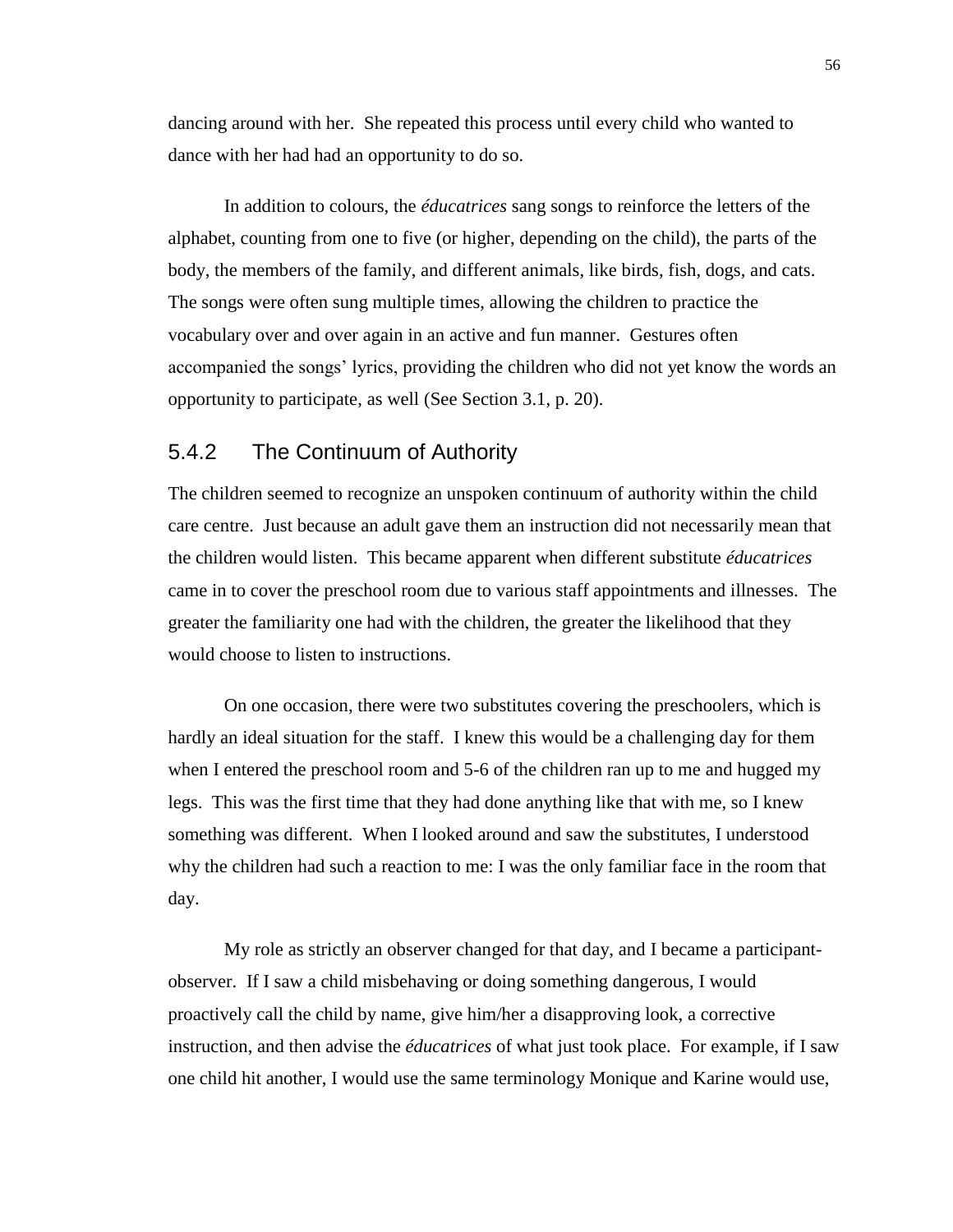dancing around with her. She repeated this process until every child who wanted to dance with her had had an opportunity to do so.

In addition to colours, the *éducatrices* sang songs to reinforce the letters of the alphabet, counting from one to five (or higher, depending on the child), the parts of the body, the members of the family, and different animals, like birds, fish, dogs, and cats. The songs were often sung multiple times, allowing the children to practice the vocabulary over and over again in an active and fun manner. Gestures often accompanied the songs' lyrics, providing the children who did not yet know the words an opportunity to participate, as well (See Section 3.1, p. 20).

#### 5.4.2 The Continuum of Authority

The children seemed to recognize an unspoken continuum of authority within the child care centre. Just because an adult gave them an instruction did not necessarily mean that the children would listen. This became apparent when different substitute *éducatrices* came in to cover the preschool room due to various staff appointments and illnesses. The greater the familiarity one had with the children, the greater the likelihood that they would choose to listen to instructions.

On one occasion, there were two substitutes covering the preschoolers, which is hardly an ideal situation for the staff. I knew this would be a challenging day for them when I entered the preschool room and 5-6 of the children ran up to me and hugged my legs. This was the first time that they had done anything like that with me, so I knew something was different. When I looked around and saw the substitutes, I understood why the children had such a reaction to me: I was the only familiar face in the room that day.

My role as strictly an observer changed for that day, and I became a participantobserver. If I saw a child misbehaving or doing something dangerous, I would proactively call the child by name, give him/her a disapproving look, a corrective instruction, and then advise the *éducatrices* of what just took place. For example, if I saw one child hit another, I would use the same terminology Monique and Karine would use,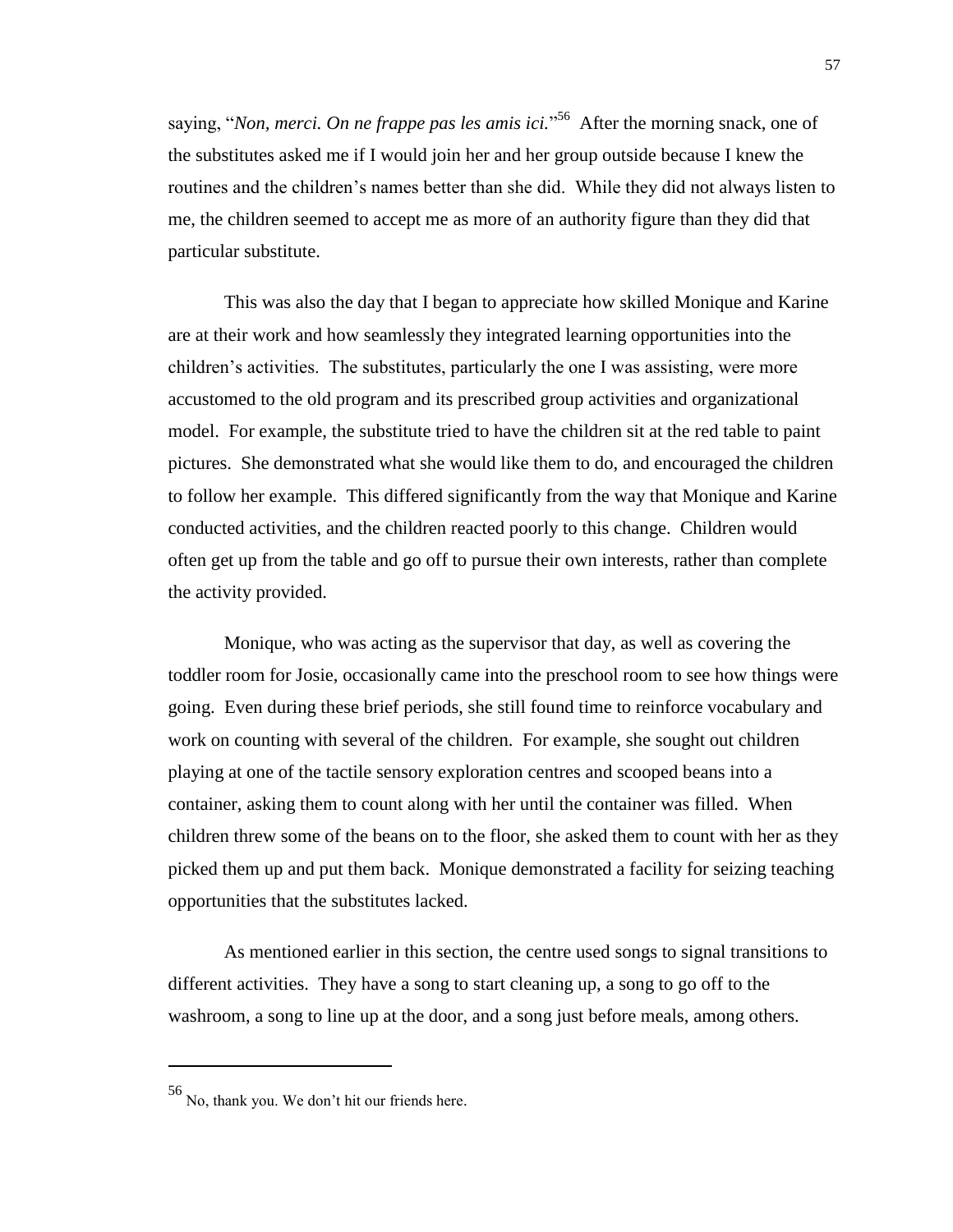saying, "*Non, merci. On ne frappe pas les amis ici.*" 56 After the morning snack, one of the substitutes asked me if I would join her and her group outside because I knew the routines and the children's names better than she did. While they did not always listen to me, the children seemed to accept me as more of an authority figure than they did that particular substitute.

This was also the day that I began to appreciate how skilled Monique and Karine are at their work and how seamlessly they integrated learning opportunities into the children's activities. The substitutes, particularly the one I was assisting, were more accustomed to the old program and its prescribed group activities and organizational model. For example, the substitute tried to have the children sit at the red table to paint pictures. She demonstrated what she would like them to do, and encouraged the children to follow her example. This differed significantly from the way that Monique and Karine conducted activities, and the children reacted poorly to this change. Children would often get up from the table and go off to pursue their own interests, rather than complete the activity provided.

Monique, who was acting as the supervisor that day, as well as covering the toddler room for Josie, occasionally came into the preschool room to see how things were going. Even during these brief periods, she still found time to reinforce vocabulary and work on counting with several of the children. For example, she sought out children playing at one of the tactile sensory exploration centres and scooped beans into a container, asking them to count along with her until the container was filled. When children threw some of the beans on to the floor, she asked them to count with her as they picked them up and put them back. Monique demonstrated a facility for seizing teaching opportunities that the substitutes lacked.

As mentioned earlier in this section, the centre used songs to signal transitions to different activities. They have a song to start cleaning up, a song to go off to the washroom, a song to line up at the door, and a song just before meals, among others.

<sup>56</sup> No, thank you. We don't hit our friends here.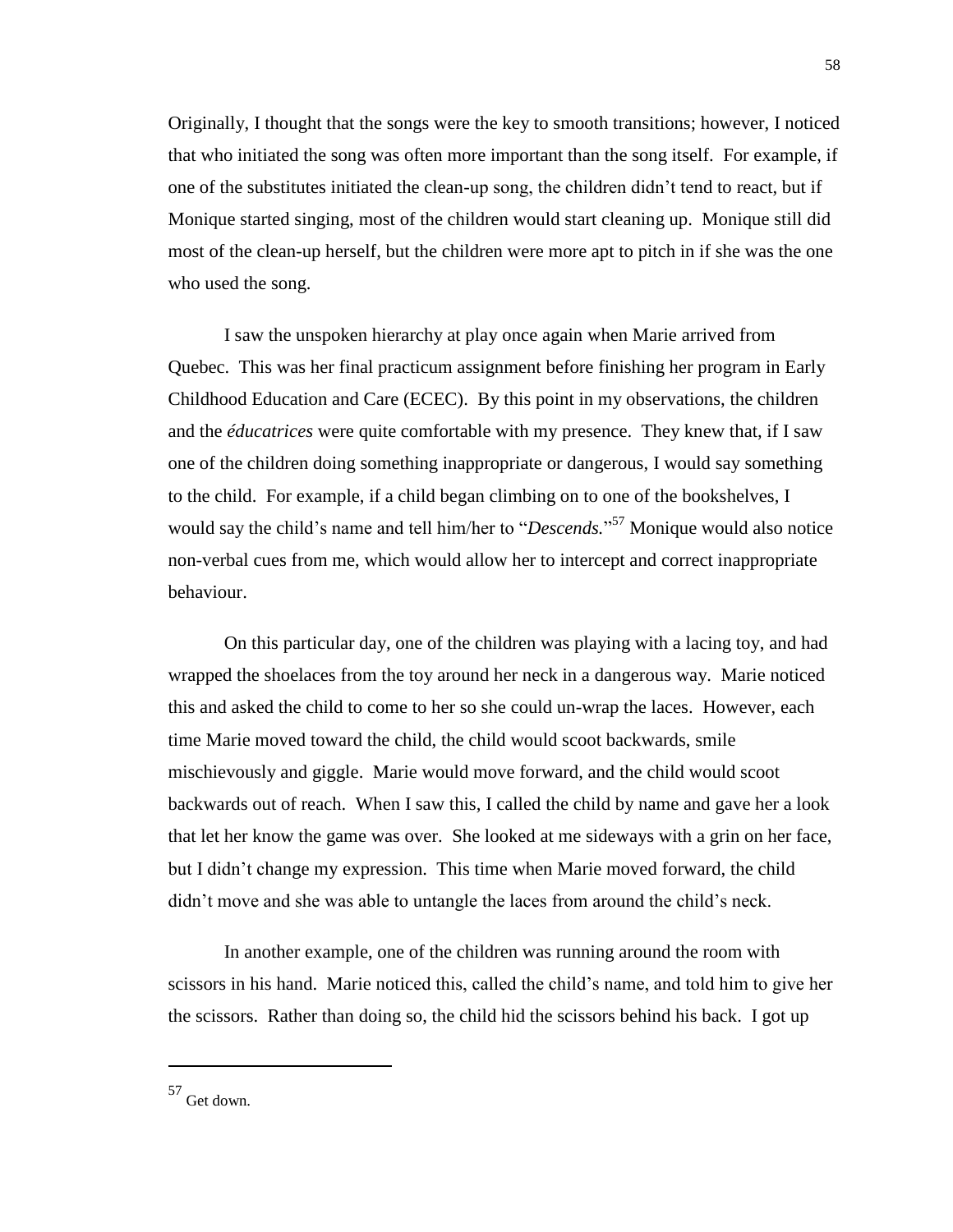Originally, I thought that the songs were the key to smooth transitions; however, I noticed that who initiated the song was often more important than the song itself. For example, if one of the substitutes initiated the clean-up song, the children didn't tend to react, but if Monique started singing, most of the children would start cleaning up. Monique still did most of the clean-up herself, but the children were more apt to pitch in if she was the one who used the song.

I saw the unspoken hierarchy at play once again when Marie arrived from Quebec. This was her final practicum assignment before finishing her program in Early Childhood Education and Care (ECEC). By this point in my observations, the children and the *éducatrices* were quite comfortable with my presence. They knew that, if I saw one of the children doing something inappropriate or dangerous, I would say something to the child. For example, if a child began climbing on to one of the bookshelves, I would say the child's name and tell him/her to "*Descends.*" <sup>57</sup> Monique would also notice non-verbal cues from me, which would allow her to intercept and correct inappropriate behaviour.

On this particular day, one of the children was playing with a lacing toy, and had wrapped the shoelaces from the toy around her neck in a dangerous way. Marie noticed this and asked the child to come to her so she could un-wrap the laces. However, each time Marie moved toward the child, the child would scoot backwards, smile mischievously and giggle. Marie would move forward, and the child would scoot backwards out of reach. When I saw this, I called the child by name and gave her a look that let her know the game was over. She looked at me sideways with a grin on her face, but I didn't change my expression. This time when Marie moved forward, the child didn't move and she was able to untangle the laces from around the child's neck.

In another example, one of the children was running around the room with scissors in his hand. Marie noticed this, called the child's name, and told him to give her the scissors. Rather than doing so, the child hid the scissors behind his back. I got up

<sup>57</sup> Get down.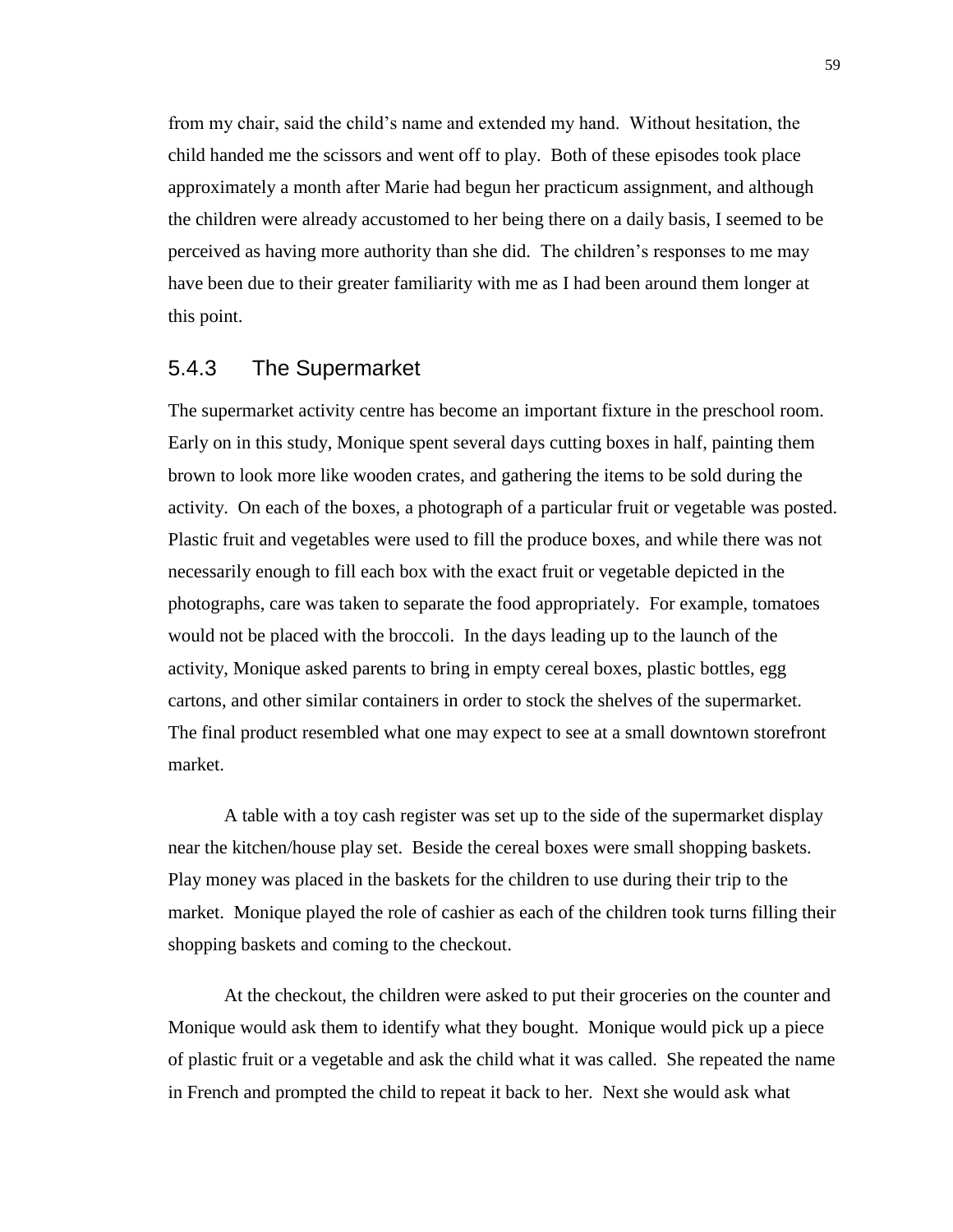from my chair, said the child's name and extended my hand. Without hesitation, the child handed me the scissors and went off to play. Both of these episodes took place approximately a month after Marie had begun her practicum assignment, and although the children were already accustomed to her being there on a daily basis, I seemed to be perceived as having more authority than she did. The children's responses to me may have been due to their greater familiarity with me as I had been around them longer at this point.

#### 5.4.3 The Supermarket

The supermarket activity centre has become an important fixture in the preschool room. Early on in this study, Monique spent several days cutting boxes in half, painting them brown to look more like wooden crates, and gathering the items to be sold during the activity. On each of the boxes, a photograph of a particular fruit or vegetable was posted. Plastic fruit and vegetables were used to fill the produce boxes, and while there was not necessarily enough to fill each box with the exact fruit or vegetable depicted in the photographs, care was taken to separate the food appropriately. For example, tomatoes would not be placed with the broccoli. In the days leading up to the launch of the activity, Monique asked parents to bring in empty cereal boxes, plastic bottles, egg cartons, and other similar containers in order to stock the shelves of the supermarket. The final product resembled what one may expect to see at a small downtown storefront market.

A table with a toy cash register was set up to the side of the supermarket display near the kitchen/house play set. Beside the cereal boxes were small shopping baskets. Play money was placed in the baskets for the children to use during their trip to the market. Monique played the role of cashier as each of the children took turns filling their shopping baskets and coming to the checkout.

At the checkout, the children were asked to put their groceries on the counter and Monique would ask them to identify what they bought. Monique would pick up a piece of plastic fruit or a vegetable and ask the child what it was called. She repeated the name in French and prompted the child to repeat it back to her. Next she would ask what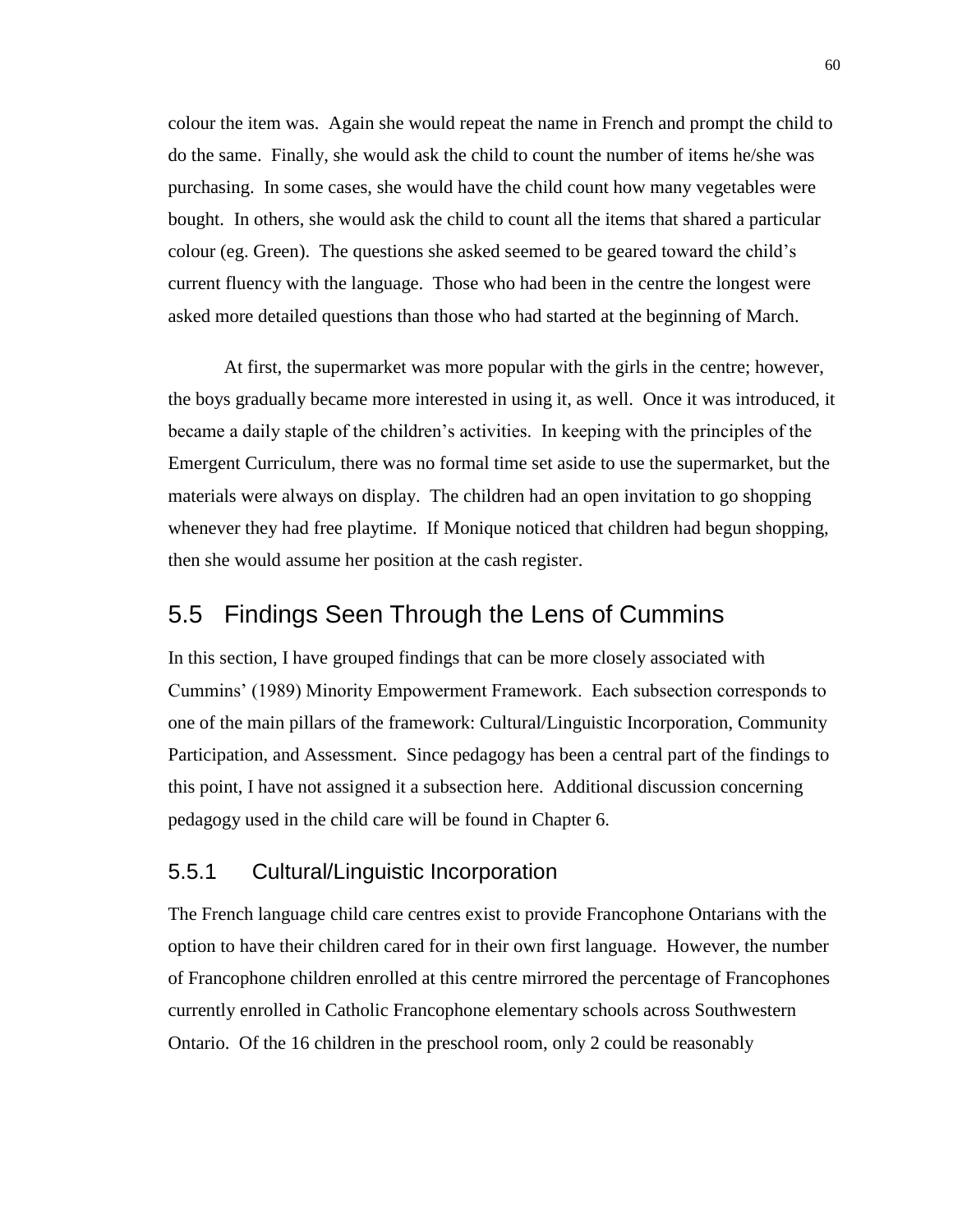colour the item was. Again she would repeat the name in French and prompt the child to do the same. Finally, she would ask the child to count the number of items he/she was purchasing. In some cases, she would have the child count how many vegetables were bought. In others, she would ask the child to count all the items that shared a particular colour (eg. Green). The questions she asked seemed to be geared toward the child's current fluency with the language. Those who had been in the centre the longest were asked more detailed questions than those who had started at the beginning of March.

At first, the supermarket was more popular with the girls in the centre; however, the boys gradually became more interested in using it, as well. Once it was introduced, it became a daily staple of the children's activities. In keeping with the principles of the Emergent Curriculum, there was no formal time set aside to use the supermarket, but the materials were always on display. The children had an open invitation to go shopping whenever they had free playtime. If Monique noticed that children had begun shopping, then she would assume her position at the cash register.

# 5.5 Findings Seen Through the Lens of Cummins

In this section, I have grouped findings that can be more closely associated with Cummins' (1989) Minority Empowerment Framework. Each subsection corresponds to one of the main pillars of the framework: Cultural/Linguistic Incorporation, Community Participation, and Assessment. Since pedagogy has been a central part of the findings to this point, I have not assigned it a subsection here. Additional discussion concerning pedagogy used in the child care will be found in Chapter 6.

### 5.5.1 Cultural/Linguistic Incorporation

The French language child care centres exist to provide Francophone Ontarians with the option to have their children cared for in their own first language. However, the number of Francophone children enrolled at this centre mirrored the percentage of Francophones currently enrolled in Catholic Francophone elementary schools across Southwestern Ontario. Of the 16 children in the preschool room, only 2 could be reasonably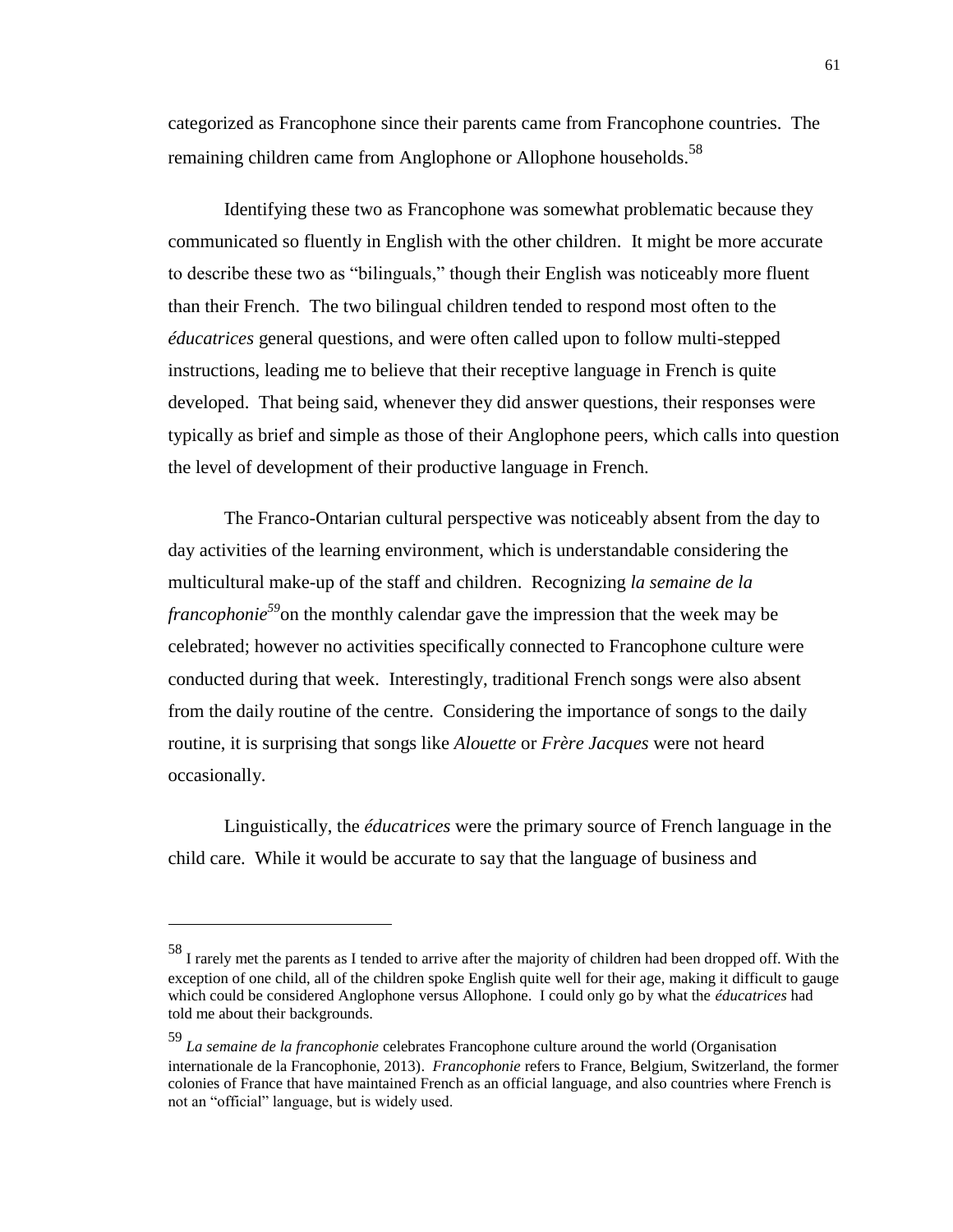categorized as Francophone since their parents came from Francophone countries. The remaining children came from Anglophone or Allophone households.<sup>58</sup>

Identifying these two as Francophone was somewhat problematic because they communicated so fluently in English with the other children. It might be more accurate to describe these two as "bilinguals," though their English was noticeably more fluent than their French. The two bilingual children tended to respond most often to the *éducatrices* general questions, and were often called upon to follow multi-stepped instructions, leading me to believe that their receptive language in French is quite developed. That being said, whenever they did answer questions, their responses were typically as brief and simple as those of their Anglophone peers, which calls into question the level of development of their productive language in French.

The Franco-Ontarian cultural perspective was noticeably absent from the day to day activities of the learning environment, which is understandable considering the multicultural make-up of the staff and children. Recognizing *la semaine de la francophonie<sup>59</sup>*on the monthly calendar gave the impression that the week may be celebrated; however no activities specifically connected to Francophone culture were conducted during that week. Interestingly, traditional French songs were also absent from the daily routine of the centre. Considering the importance of songs to the daily routine, it is surprising that songs like *Alouette* or *Frère Jacques* were not heard occasionally.

Linguistically, the *éducatrices* were the primary source of French language in the child care. While it would be accurate to say that the language of business and

<sup>58</sup> I rarely met the parents as I tended to arrive after the majority of children had been dropped off. With the exception of one child, all of the children spoke English quite well for their age, making it difficult to gauge which could be considered Anglophone versus Allophone. I could only go by what the *éducatrices* had told me about their backgrounds.

<sup>59</sup> *La semaine de la francophonie* celebrates Francophone culture around the world (Organisation internationale de la Francophonie, 2013). *Francophonie* refers to France, Belgium, Switzerland, the former colonies of France that have maintained French as an official language, and also countries where French is not an "official" language, but is widely used.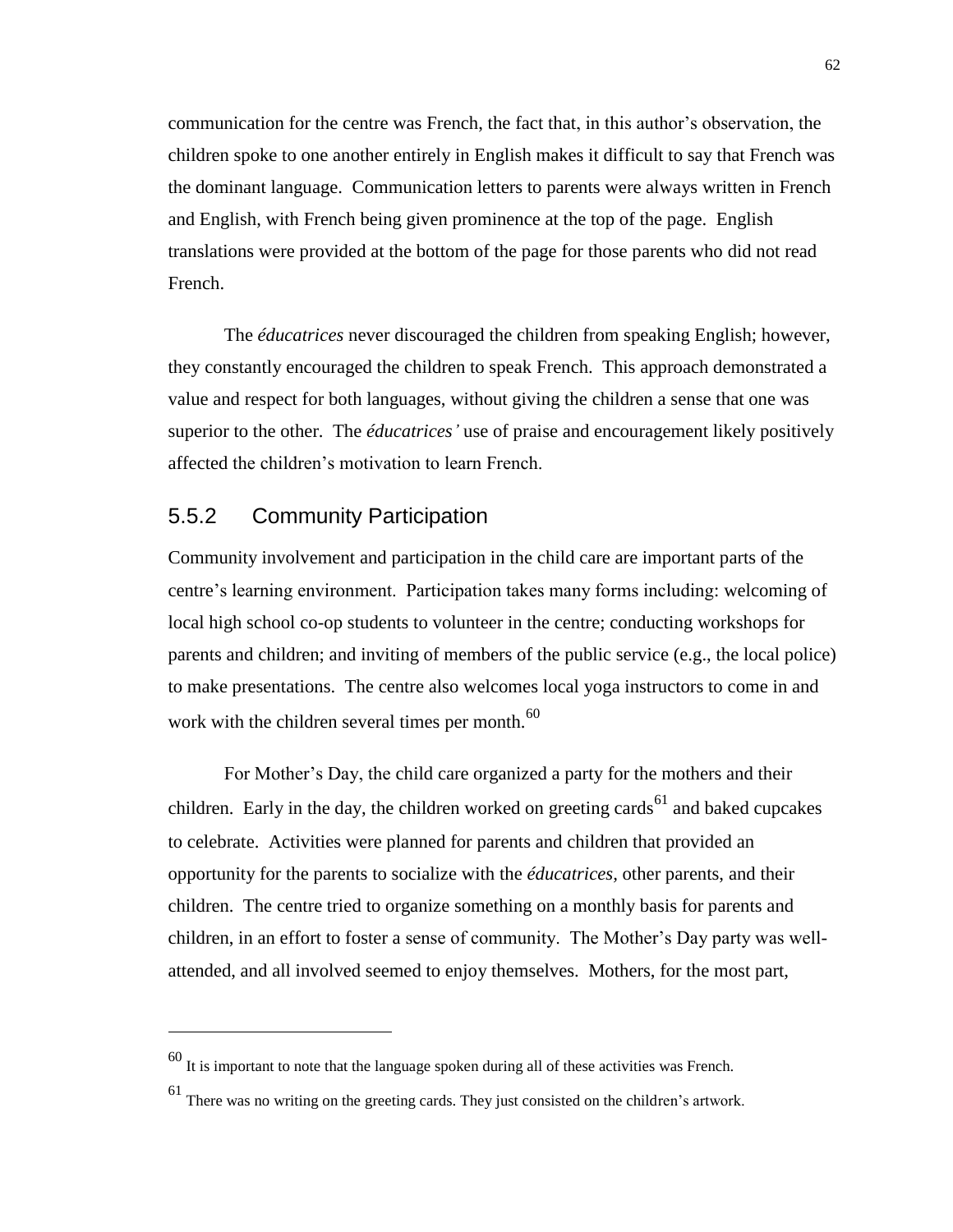communication for the centre was French, the fact that, in this author's observation, the children spoke to one another entirely in English makes it difficult to say that French was the dominant language. Communication letters to parents were always written in French and English, with French being given prominence at the top of the page. English translations were provided at the bottom of the page for those parents who did not read French.

The *éducatrices* never discouraged the children from speaking English; however, they constantly encouraged the children to speak French. This approach demonstrated a value and respect for both languages, without giving the children a sense that one was superior to the other. The *éducatrices'* use of praise and encouragement likely positively affected the children's motivation to learn French.

## 5.5.2 Community Participation

 $\overline{a}$ 

Community involvement and participation in the child care are important parts of the centre's learning environment. Participation takes many forms including: welcoming of local high school co-op students to volunteer in the centre; conducting workshops for parents and children; and inviting of members of the public service (e.g., the local police) to make presentations. The centre also welcomes local yoga instructors to come in and work with the children several times per month.<sup>60</sup>

For Mother's Day, the child care organized a party for the mothers and their children. Early in the day, the children worked on greeting cards<sup>61</sup> and baked cupcakes to celebrate. Activities were planned for parents and children that provided an opportunity for the parents to socialize with the *éducatrices,* other parents, and their children. The centre tried to organize something on a monthly basis for parents and children, in an effort to foster a sense of community. The Mother's Day party was wellattended, and all involved seemed to enjoy themselves. Mothers, for the most part,

 $60$  It is important to note that the language spoken during all of these activities was French.

<sup>61</sup> There was no writing on the greeting cards. They just consisted on the children's artwork.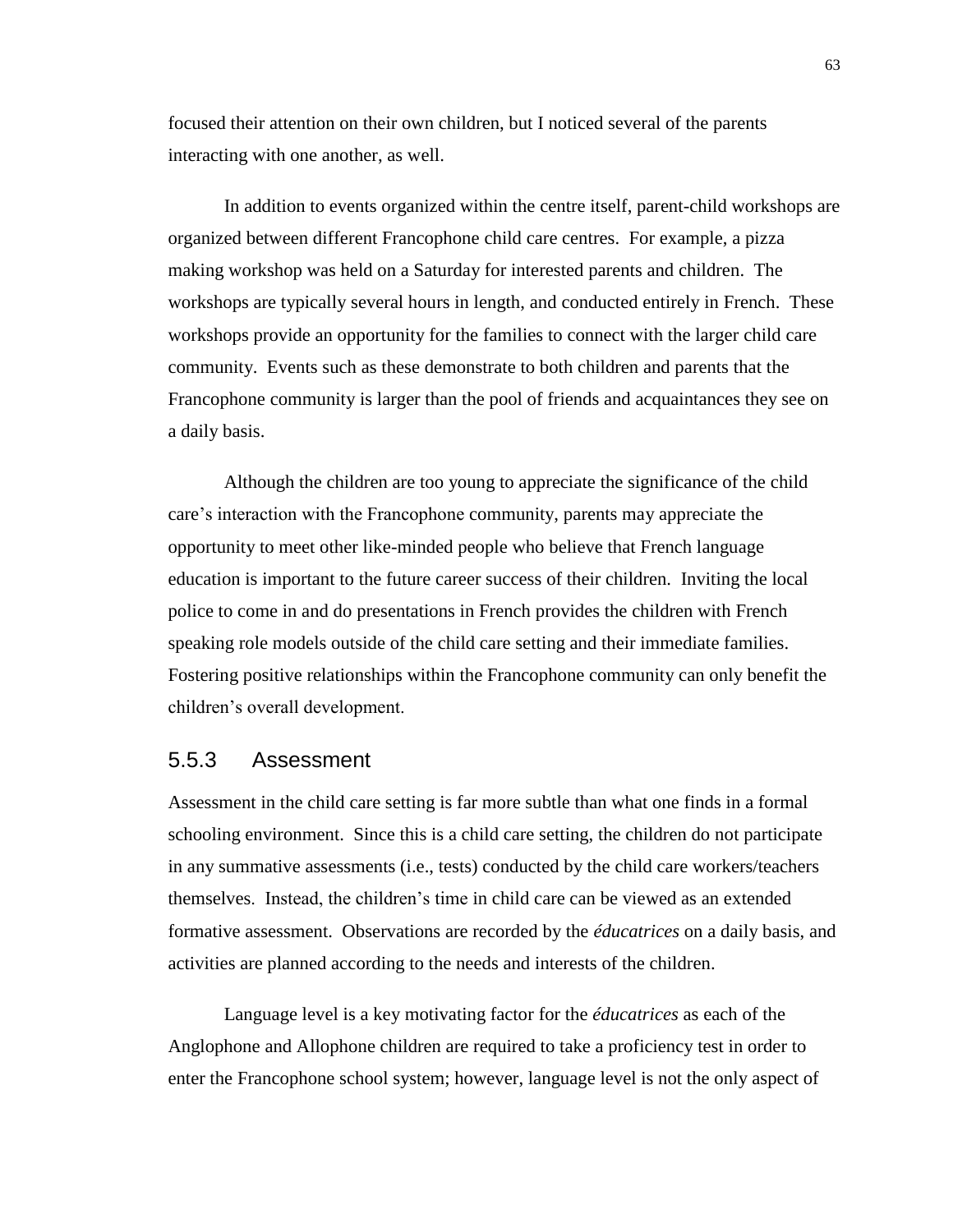focused their attention on their own children, but I noticed several of the parents interacting with one another, as well.

In addition to events organized within the centre itself, parent-child workshops are organized between different Francophone child care centres. For example, a pizza making workshop was held on a Saturday for interested parents and children. The workshops are typically several hours in length, and conducted entirely in French. These workshops provide an opportunity for the families to connect with the larger child care community. Events such as these demonstrate to both children and parents that the Francophone community is larger than the pool of friends and acquaintances they see on a daily basis.

Although the children are too young to appreciate the significance of the child care's interaction with the Francophone community, parents may appreciate the opportunity to meet other like-minded people who believe that French language education is important to the future career success of their children. Inviting the local police to come in and do presentations in French provides the children with French speaking role models outside of the child care setting and their immediate families. Fostering positive relationships within the Francophone community can only benefit the children's overall development.

#### 5.5.3 Assessment

Assessment in the child care setting is far more subtle than what one finds in a formal schooling environment. Since this is a child care setting, the children do not participate in any summative assessments (i.e., tests) conducted by the child care workers/teachers themselves. Instead, the children's time in child care can be viewed as an extended formative assessment. Observations are recorded by the *éducatrices* on a daily basis, and activities are planned according to the needs and interests of the children.

Language level is a key motivating factor for the *éducatrices* as each of the Anglophone and Allophone children are required to take a proficiency test in order to enter the Francophone school system; however, language level is not the only aspect of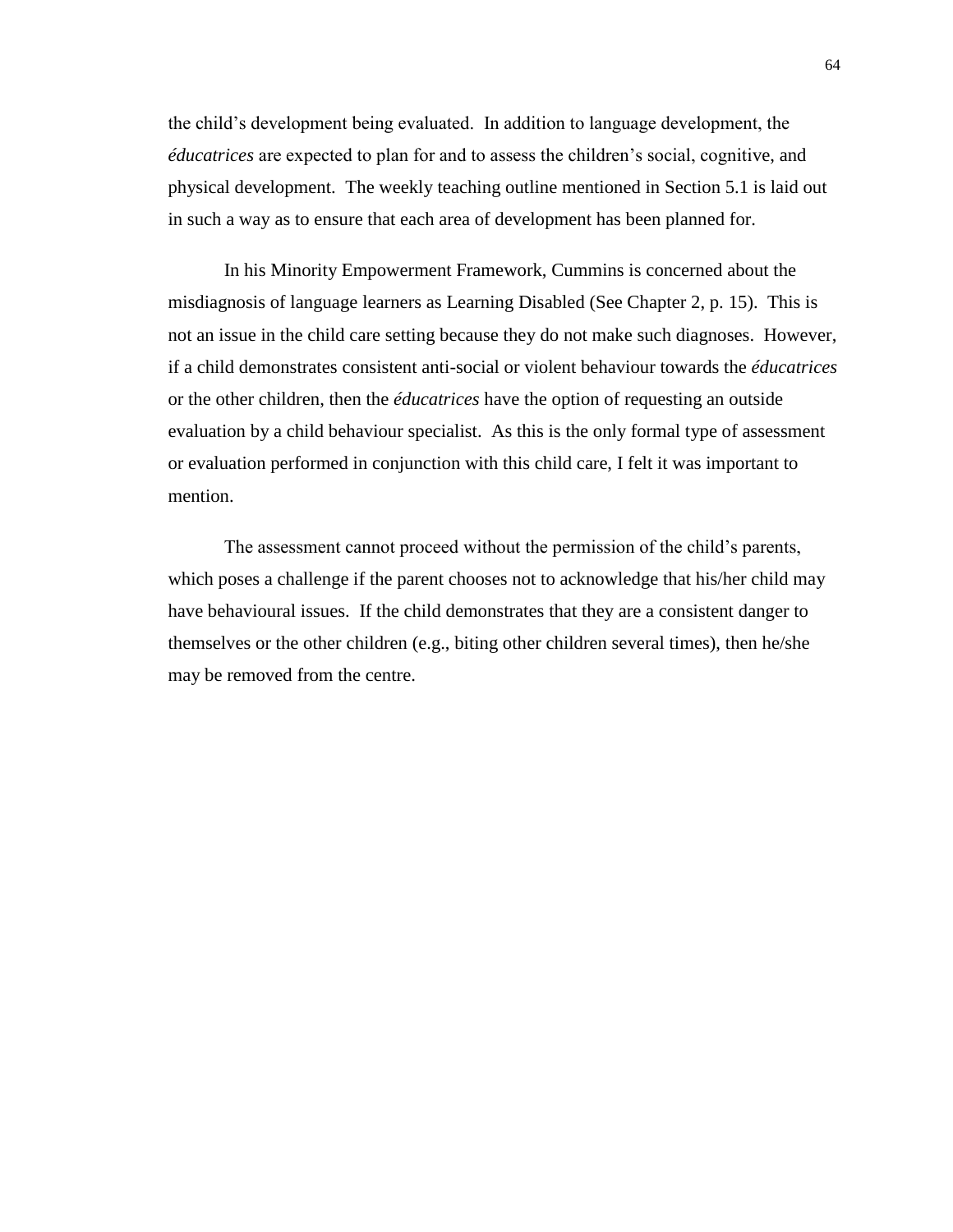the child's development being evaluated. In addition to language development, the *éducatrices* are expected to plan for and to assess the children's social, cognitive, and physical development. The weekly teaching outline mentioned in Section 5.1 is laid out in such a way as to ensure that each area of development has been planned for.

In his Minority Empowerment Framework, Cummins is concerned about the misdiagnosis of language learners as Learning Disabled (See Chapter 2, p. 15). This is not an issue in the child care setting because they do not make such diagnoses. However, if a child demonstrates consistent anti-social or violent behaviour towards the *éducatrices*  or the other children, then the *éducatrices* have the option of requesting an outside evaluation by a child behaviour specialist. As this is the only formal type of assessment or evaluation performed in conjunction with this child care, I felt it was important to mention.

The assessment cannot proceed without the permission of the child's parents, which poses a challenge if the parent chooses not to acknowledge that his/her child may have behavioural issues. If the child demonstrates that they are a consistent danger to themselves or the other children (e.g., biting other children several times), then he/she may be removed from the centre.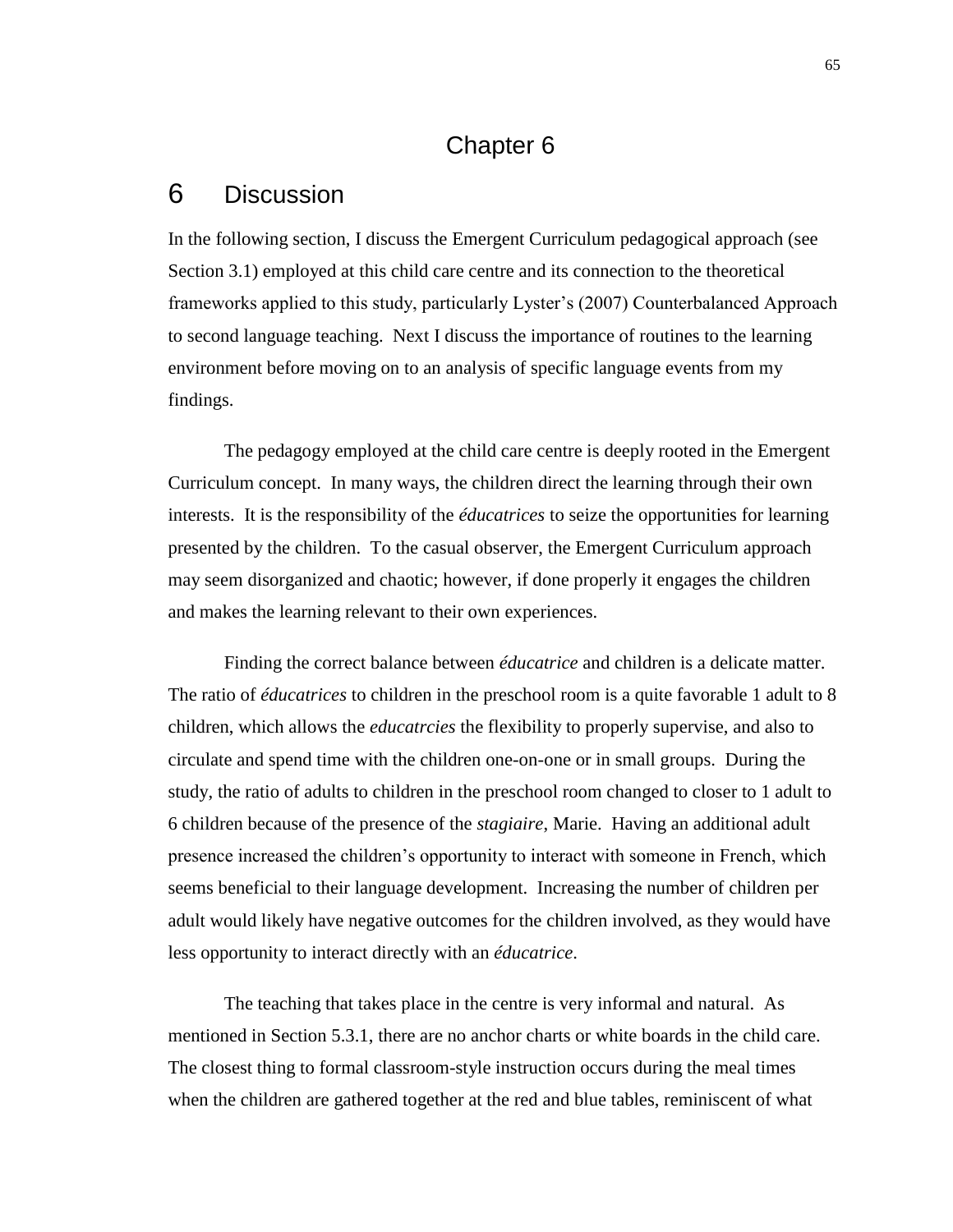# Chapter 6

### 6 Discussion

In the following section, I discuss the Emergent Curriculum pedagogical approach (see Section 3.1) employed at this child care centre and its connection to the theoretical frameworks applied to this study, particularly Lyster's (2007) Counterbalanced Approach to second language teaching. Next I discuss the importance of routines to the learning environment before moving on to an analysis of specific language events from my findings.

The pedagogy employed at the child care centre is deeply rooted in the Emergent Curriculum concept. In many ways, the children direct the learning through their own interests. It is the responsibility of the *éducatrices* to seize the opportunities for learning presented by the children. To the casual observer, the Emergent Curriculum approach may seem disorganized and chaotic; however, if done properly it engages the children and makes the learning relevant to their own experiences.

Finding the correct balance between *éducatrice* and children is a delicate matter. The ratio of *éducatrices* to children in the preschool room is a quite favorable 1 adult to 8 children, which allows the *educatrcies* the flexibility to properly supervise, and also to circulate and spend time with the children one-on-one or in small groups. During the study, the ratio of adults to children in the preschool room changed to closer to 1 adult to 6 children because of the presence of the *stagiaire*, Marie. Having an additional adult presence increased the children's opportunity to interact with someone in French, which seems beneficial to their language development. Increasing the number of children per adult would likely have negative outcomes for the children involved, as they would have less opportunity to interact directly with an *éducatrice*.

The teaching that takes place in the centre is very informal and natural. As mentioned in Section 5.3.1, there are no anchor charts or white boards in the child care. The closest thing to formal classroom-style instruction occurs during the meal times when the children are gathered together at the red and blue tables, reminiscent of what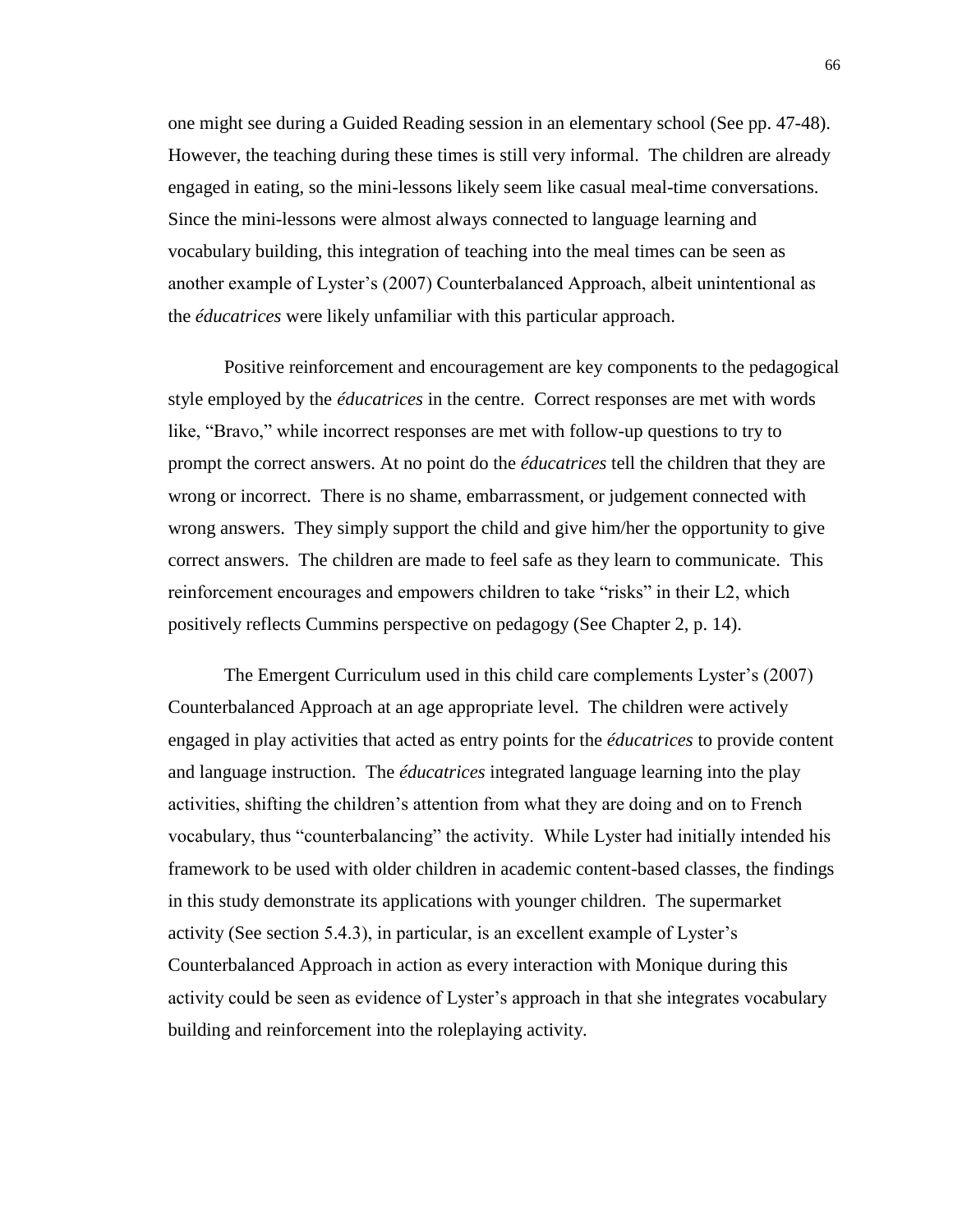one might see during a Guided Reading session in an elementary school (See pp. 47-48). However, the teaching during these times is still very informal. The children are already engaged in eating, so the mini-lessons likely seem like casual meal-time conversations. Since the mini-lessons were almost always connected to language learning and vocabulary building, this integration of teaching into the meal times can be seen as another example of Lyster's (2007) Counterbalanced Approach, albeit unintentional as the *éducatrices* were likely unfamiliar with this particular approach.

Positive reinforcement and encouragement are key components to the pedagogical style employed by the *éducatrices* in the centre. Correct responses are met with words like, "Bravo," while incorrect responses are met with follow-up questions to try to prompt the correct answers. At no point do the *éducatrices* tell the children that they are wrong or incorrect. There is no shame, embarrassment, or judgement connected with wrong answers. They simply support the child and give him/her the opportunity to give correct answers. The children are made to feel safe as they learn to communicate. This reinforcement encourages and empowers children to take "risks" in their L2, which positively reflects Cummins perspective on pedagogy (See Chapter 2, p. 14).

The Emergent Curriculum used in this child care complements Lyster's (2007) Counterbalanced Approach at an age appropriate level. The children were actively engaged in play activities that acted as entry points for the *éducatrices* to provide content and language instruction. The *éducatrices* integrated language learning into the play activities, shifting the children's attention from what they are doing and on to French vocabulary, thus "counterbalancing" the activity. While Lyster had initially intended his framework to be used with older children in academic content-based classes, the findings in this study demonstrate its applications with younger children. The supermarket activity (See section 5.4.3), in particular, is an excellent example of Lyster's Counterbalanced Approach in action as every interaction with Monique during this activity could be seen as evidence of Lyster's approach in that she integrates vocabulary building and reinforcement into the roleplaying activity.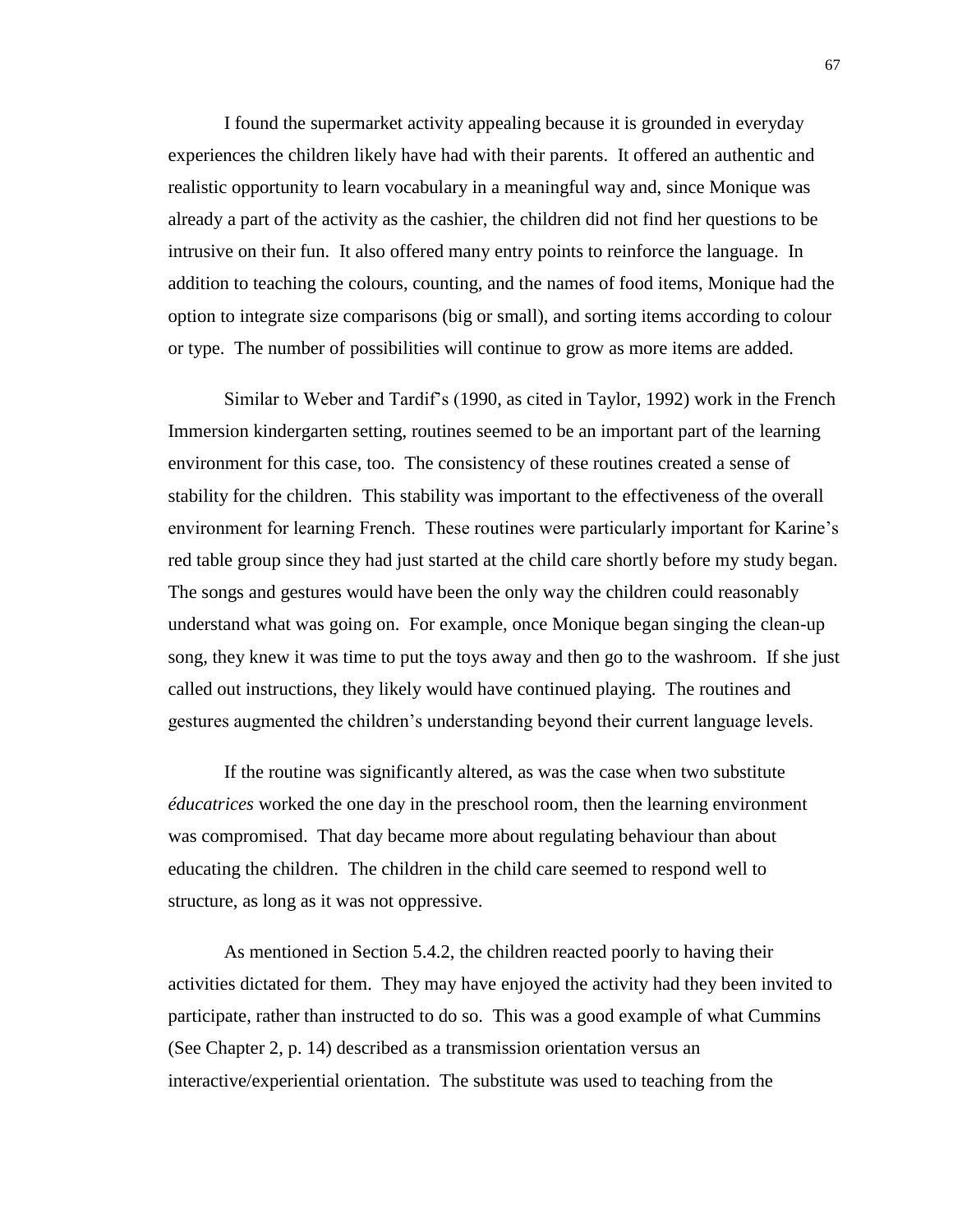I found the supermarket activity appealing because it is grounded in everyday experiences the children likely have had with their parents. It offered an authentic and realistic opportunity to learn vocabulary in a meaningful way and, since Monique was already a part of the activity as the cashier, the children did not find her questions to be intrusive on their fun. It also offered many entry points to reinforce the language. In addition to teaching the colours, counting, and the names of food items, Monique had the option to integrate size comparisons (big or small), and sorting items according to colour or type. The number of possibilities will continue to grow as more items are added.

Similar to Weber and Tardif's (1990, as cited in Taylor, 1992) work in the French Immersion kindergarten setting, routines seemed to be an important part of the learning environment for this case, too. The consistency of these routines created a sense of stability for the children. This stability was important to the effectiveness of the overall environment for learning French. These routines were particularly important for Karine's red table group since they had just started at the child care shortly before my study began. The songs and gestures would have been the only way the children could reasonably understand what was going on. For example, once Monique began singing the clean-up song, they knew it was time to put the toys away and then go to the washroom. If she just called out instructions, they likely would have continued playing. The routines and gestures augmented the children's understanding beyond their current language levels.

If the routine was significantly altered, as was the case when two substitute *éducatrices* worked the one day in the preschool room, then the learning environment was compromised. That day became more about regulating behaviour than about educating the children. The children in the child care seemed to respond well to structure, as long as it was not oppressive.

As mentioned in Section 5.4.2, the children reacted poorly to having their activities dictated for them. They may have enjoyed the activity had they been invited to participate, rather than instructed to do so. This was a good example of what Cummins (See Chapter 2, p. 14) described as a transmission orientation versus an interactive/experiential orientation. The substitute was used to teaching from the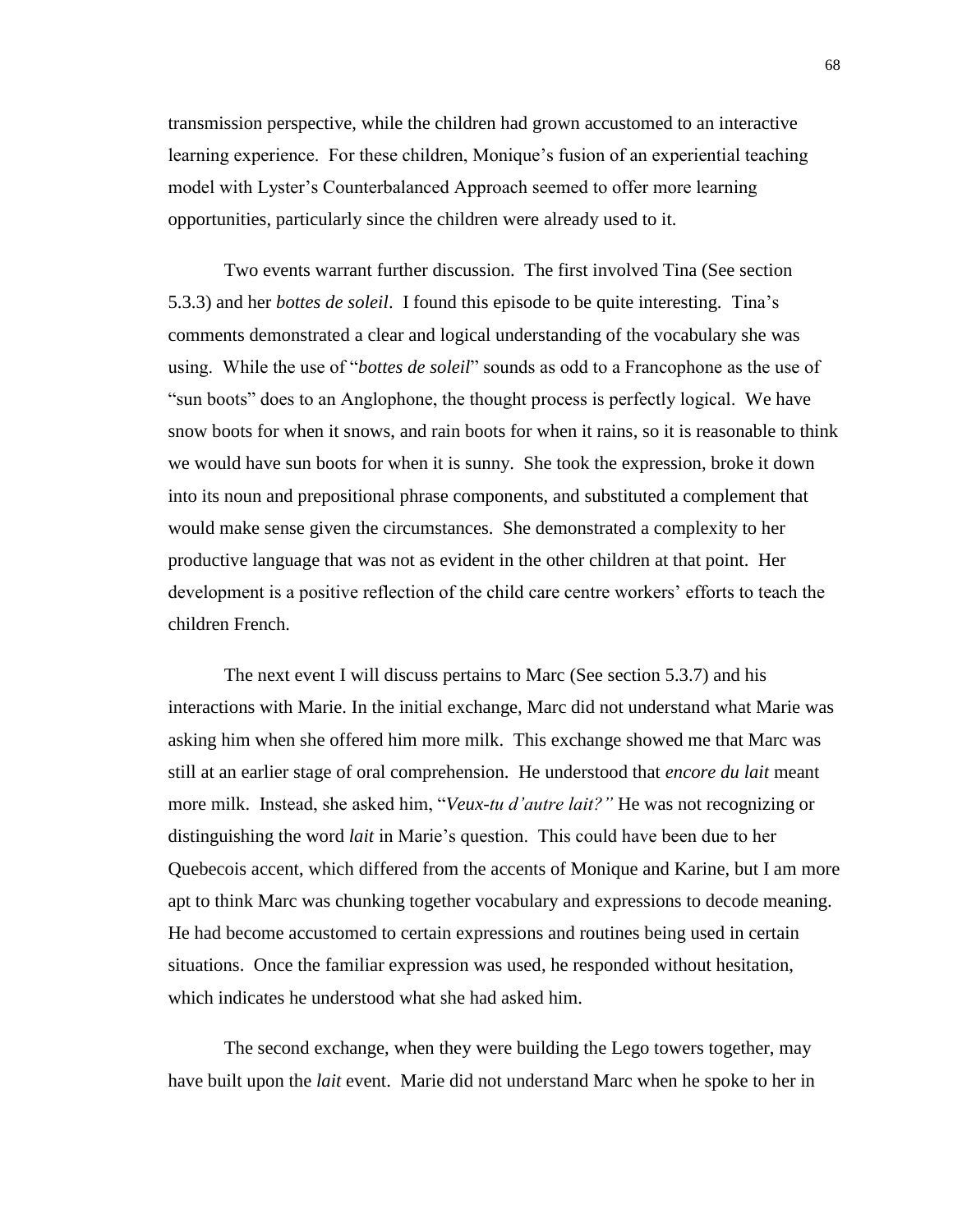transmission perspective, while the children had grown accustomed to an interactive learning experience. For these children, Monique's fusion of an experiential teaching model with Lyster's Counterbalanced Approach seemed to offer more learning opportunities, particularly since the children were already used to it.

Two events warrant further discussion. The first involved Tina (See section 5.3.3) and her *bottes de soleil*. I found this episode to be quite interesting. Tina's comments demonstrated a clear and logical understanding of the vocabulary she was using. While the use of "*bottes de soleil*" sounds as odd to a Francophone as the use of "sun boots" does to an Anglophone, the thought process is perfectly logical. We have snow boots for when it snows, and rain boots for when it rains, so it is reasonable to think we would have sun boots for when it is sunny. She took the expression, broke it down into its noun and prepositional phrase components, and substituted a complement that would make sense given the circumstances. She demonstrated a complexity to her productive language that was not as evident in the other children at that point. Her development is a positive reflection of the child care centre workers' efforts to teach the children French.

The next event I will discuss pertains to Marc (See section 5.3.7) and his interactions with Marie. In the initial exchange, Marc did not understand what Marie was asking him when she offered him more milk. This exchange showed me that Marc was still at an earlier stage of oral comprehension. He understood that *encore du lait* meant more milk. Instead, she asked him, "*Veux-tu d'autre lait?"* He was not recognizing or distinguishing the word *lait* in Marie's question. This could have been due to her Quebecois accent, which differed from the accents of Monique and Karine, but I am more apt to think Marc was chunking together vocabulary and expressions to decode meaning. He had become accustomed to certain expressions and routines being used in certain situations. Once the familiar expression was used, he responded without hesitation, which indicates he understood what she had asked him.

The second exchange, when they were building the Lego towers together, may have built upon the *lait* event. Marie did not understand Marc when he spoke to her in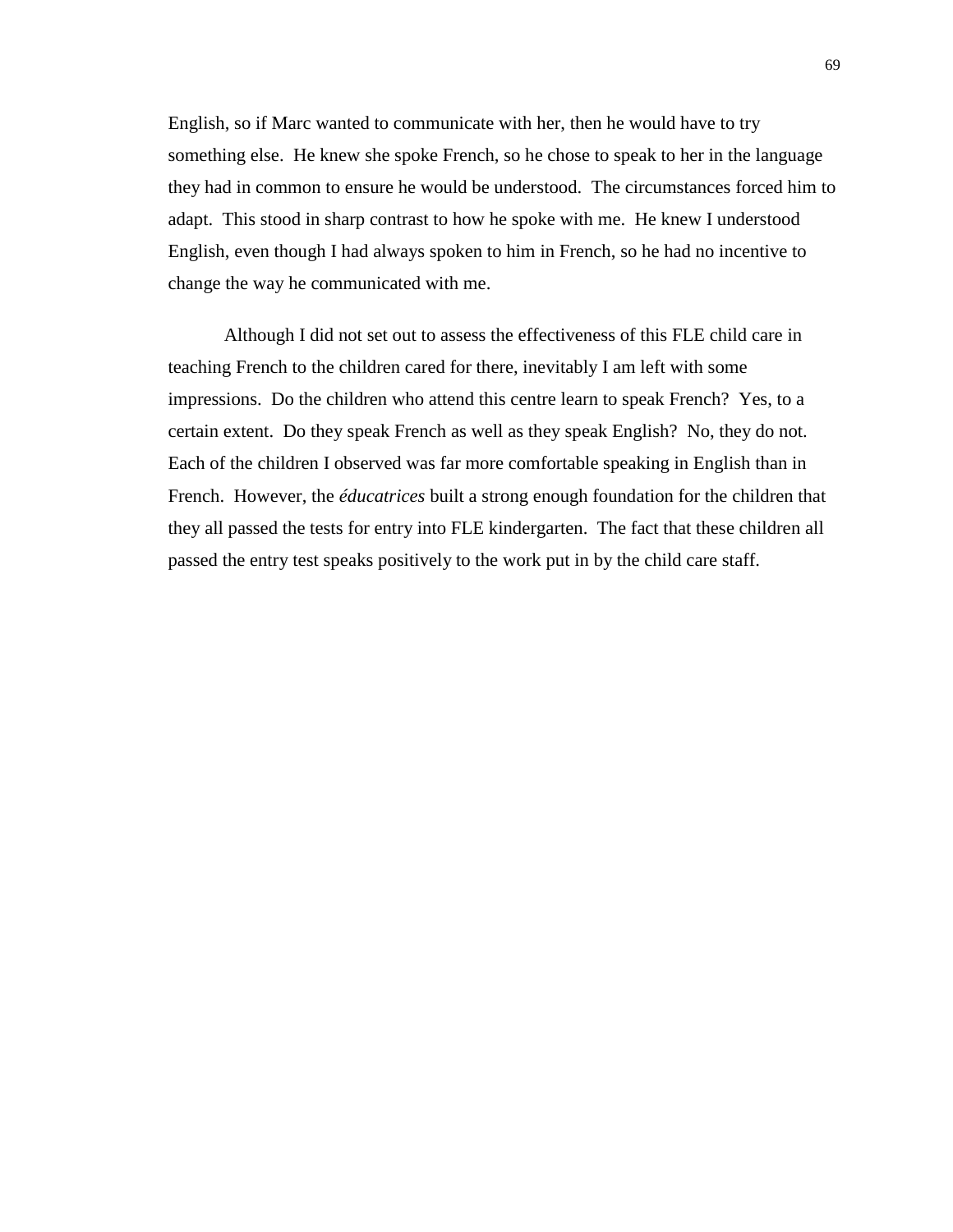English, so if Marc wanted to communicate with her, then he would have to try something else. He knew she spoke French, so he chose to speak to her in the language they had in common to ensure he would be understood. The circumstances forced him to adapt. This stood in sharp contrast to how he spoke with me. He knew I understood English, even though I had always spoken to him in French, so he had no incentive to change the way he communicated with me.

Although I did not set out to assess the effectiveness of this FLE child care in teaching French to the children cared for there, inevitably I am left with some impressions. Do the children who attend this centre learn to speak French? Yes, to a certain extent. Do they speak French as well as they speak English? No, they do not. Each of the children I observed was far more comfortable speaking in English than in French. However, the *éducatrices* built a strong enough foundation for the children that they all passed the tests for entry into FLE kindergarten. The fact that these children all passed the entry test speaks positively to the work put in by the child care staff.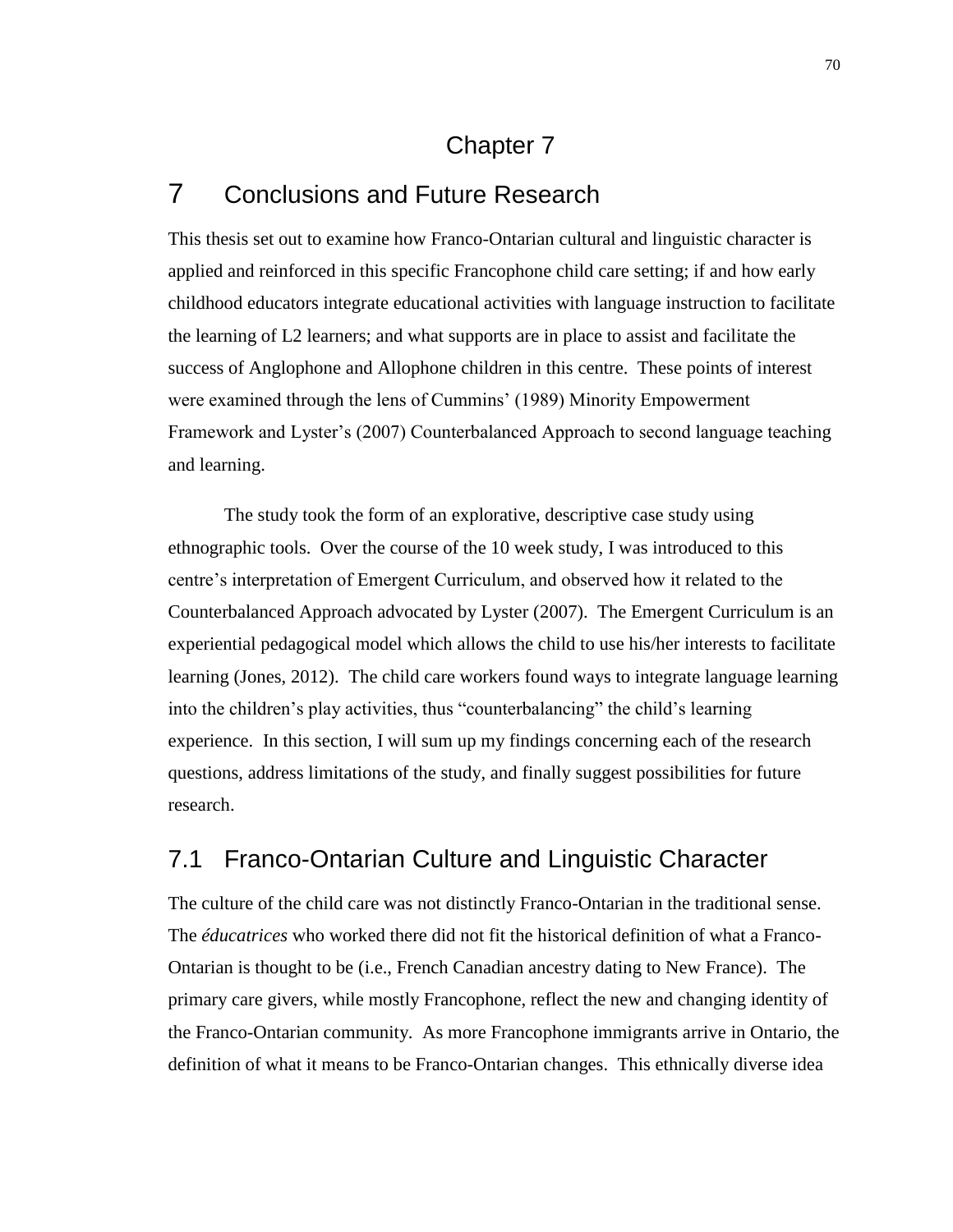# Chapter 7

# 7 Conclusions and Future Research

This thesis set out to examine how Franco-Ontarian cultural and linguistic character is applied and reinforced in this specific Francophone child care setting; if and how early childhood educators integrate educational activities with language instruction to facilitate the learning of L2 learners; and what supports are in place to assist and facilitate the success of Anglophone and Allophone children in this centre. These points of interest were examined through the lens of Cummins' (1989) Minority Empowerment Framework and Lyster's (2007) Counterbalanced Approach to second language teaching and learning.

The study took the form of an explorative, descriptive case study using ethnographic tools. Over the course of the 10 week study, I was introduced to this centre's interpretation of Emergent Curriculum, and observed how it related to the Counterbalanced Approach advocated by Lyster (2007). The Emergent Curriculum is an experiential pedagogical model which allows the child to use his/her interests to facilitate learning (Jones, 2012). The child care workers found ways to integrate language learning into the children's play activities, thus "counterbalancing" the child's learning experience. In this section, I will sum up my findings concerning each of the research questions, address limitations of the study, and finally suggest possibilities for future research.

## 7.1 Franco-Ontarian Culture and Linguistic Character

The culture of the child care was not distinctly Franco-Ontarian in the traditional sense. The *éducatrices* who worked there did not fit the historical definition of what a Franco-Ontarian is thought to be (i.e., French Canadian ancestry dating to New France). The primary care givers, while mostly Francophone, reflect the new and changing identity of the Franco-Ontarian community. As more Francophone immigrants arrive in Ontario, the definition of what it means to be Franco-Ontarian changes. This ethnically diverse idea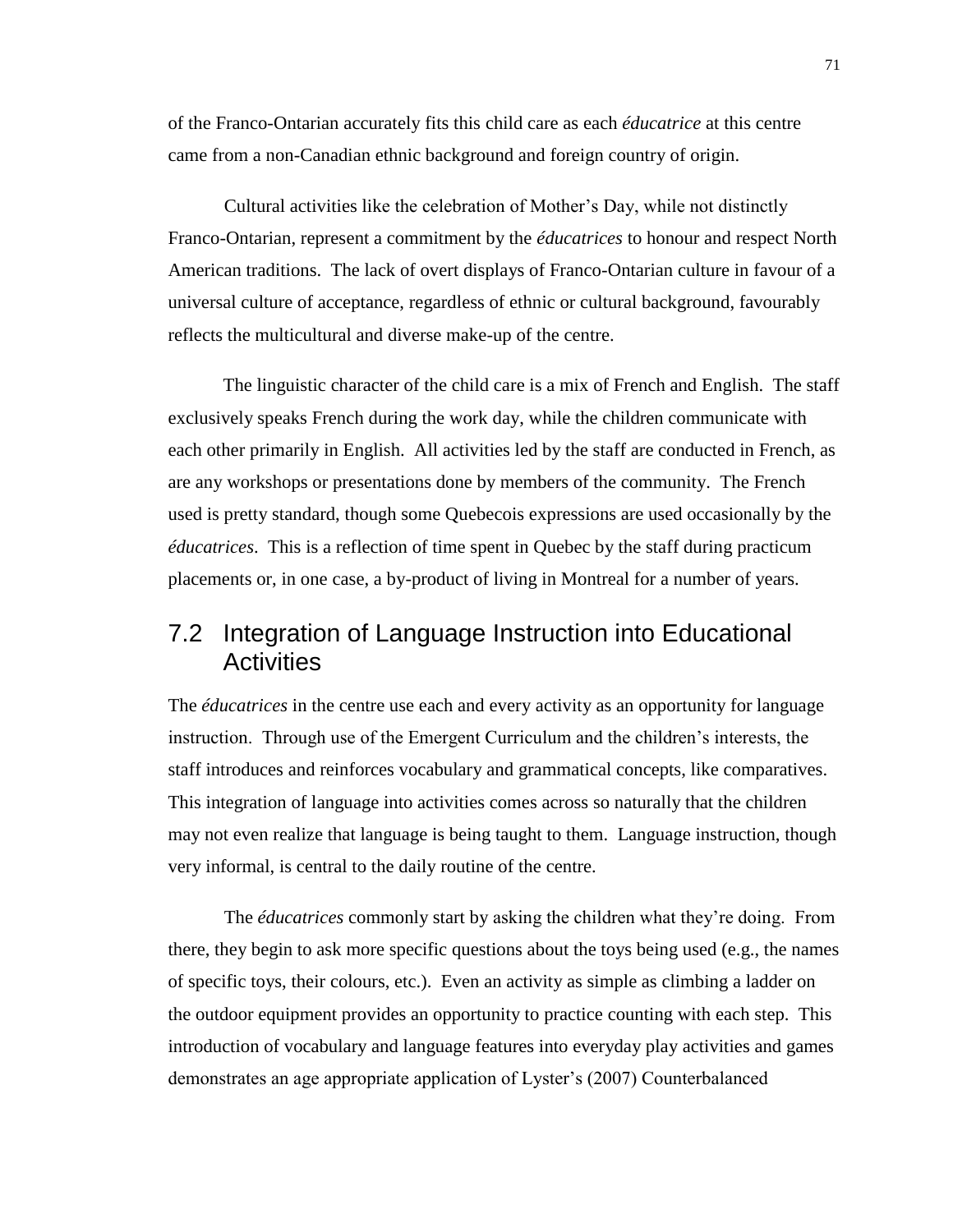of the Franco-Ontarian accurately fits this child care as each *éducatrice* at this centre came from a non-Canadian ethnic background and foreign country of origin.

Cultural activities like the celebration of Mother's Day, while not distinctly Franco-Ontarian, represent a commitment by the *éducatrices* to honour and respect North American traditions. The lack of overt displays of Franco-Ontarian culture in favour of a universal culture of acceptance, regardless of ethnic or cultural background, favourably reflects the multicultural and diverse make-up of the centre.

The linguistic character of the child care is a mix of French and English. The staff exclusively speaks French during the work day, while the children communicate with each other primarily in English. All activities led by the staff are conducted in French, as are any workshops or presentations done by members of the community. The French used is pretty standard, though some Quebecois expressions are used occasionally by the *éducatrices*. This is a reflection of time spent in Quebec by the staff during practicum placements or, in one case, a by-product of living in Montreal for a number of years.

## 7.2 Integration of Language Instruction into Educational **Activities**

The *éducatrices* in the centre use each and every activity as an opportunity for language instruction. Through use of the Emergent Curriculum and the children's interests, the staff introduces and reinforces vocabulary and grammatical concepts, like comparatives. This integration of language into activities comes across so naturally that the children may not even realize that language is being taught to them. Language instruction, though very informal, is central to the daily routine of the centre.

The *éducatrices* commonly start by asking the children what they're doing. From there, they begin to ask more specific questions about the toys being used (e.g., the names of specific toys, their colours, etc.). Even an activity as simple as climbing a ladder on the outdoor equipment provides an opportunity to practice counting with each step. This introduction of vocabulary and language features into everyday play activities and games demonstrates an age appropriate application of Lyster's (2007) Counterbalanced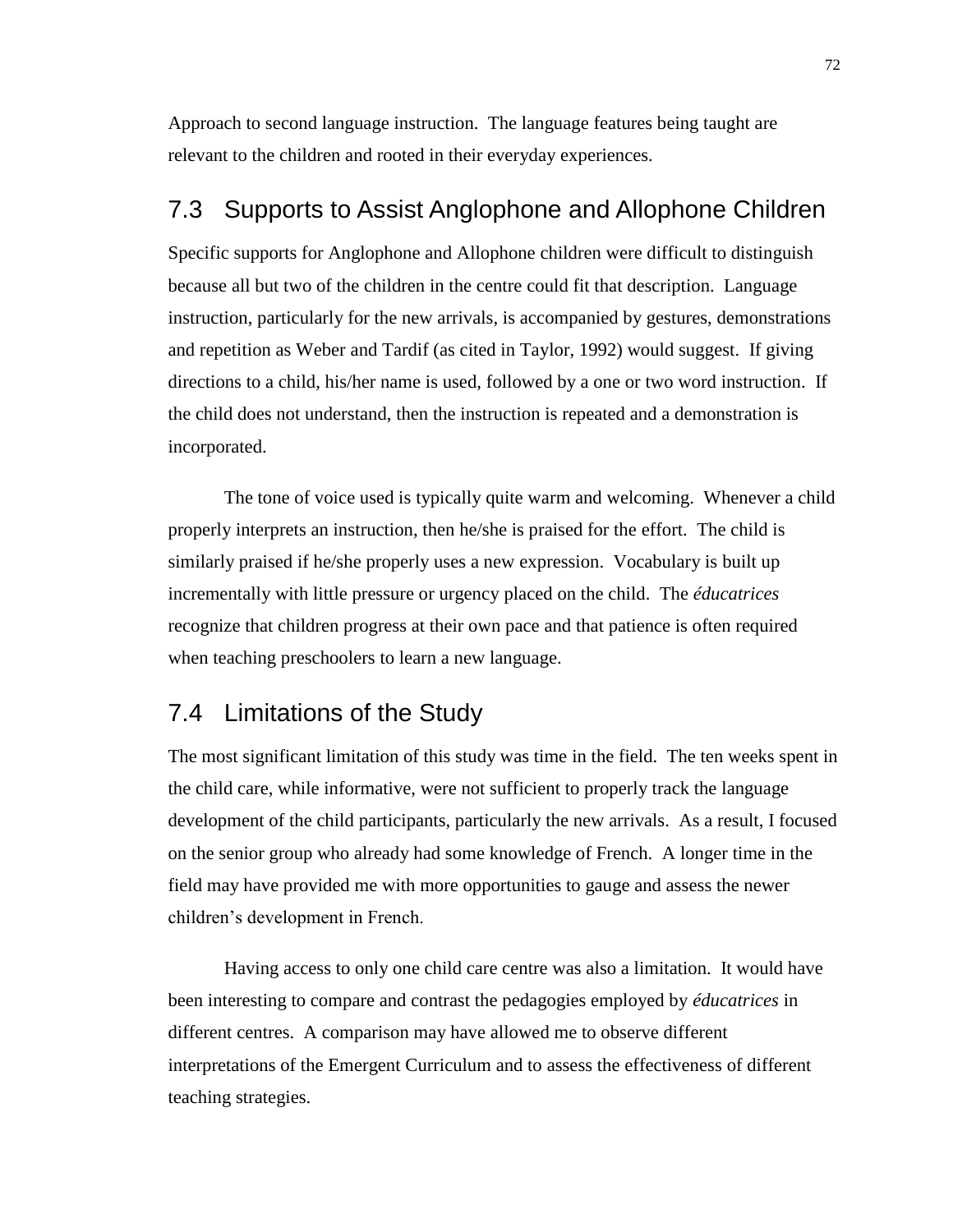Approach to second language instruction. The language features being taught are relevant to the children and rooted in their everyday experiences.

### 7.3 Supports to Assist Anglophone and Allophone Children

Specific supports for Anglophone and Allophone children were difficult to distinguish because all but two of the children in the centre could fit that description. Language instruction, particularly for the new arrivals, is accompanied by gestures, demonstrations and repetition as Weber and Tardif (as cited in Taylor, 1992) would suggest. If giving directions to a child, his/her name is used, followed by a one or two word instruction. If the child does not understand, then the instruction is repeated and a demonstration is incorporated.

The tone of voice used is typically quite warm and welcoming. Whenever a child properly interprets an instruction, then he/she is praised for the effort. The child is similarly praised if he/she properly uses a new expression. Vocabulary is built up incrementally with little pressure or urgency placed on the child. The *éducatrices* recognize that children progress at their own pace and that patience is often required when teaching preschoolers to learn a new language.

### 7.4 Limitations of the Study

The most significant limitation of this study was time in the field. The ten weeks spent in the child care, while informative, were not sufficient to properly track the language development of the child participants, particularly the new arrivals. As a result, I focused on the senior group who already had some knowledge of French. A longer time in the field may have provided me with more opportunities to gauge and assess the newer children's development in French.

Having access to only one child care centre was also a limitation. It would have been interesting to compare and contrast the pedagogies employed by *éducatrices* in different centres. A comparison may have allowed me to observe different interpretations of the Emergent Curriculum and to assess the effectiveness of different teaching strategies.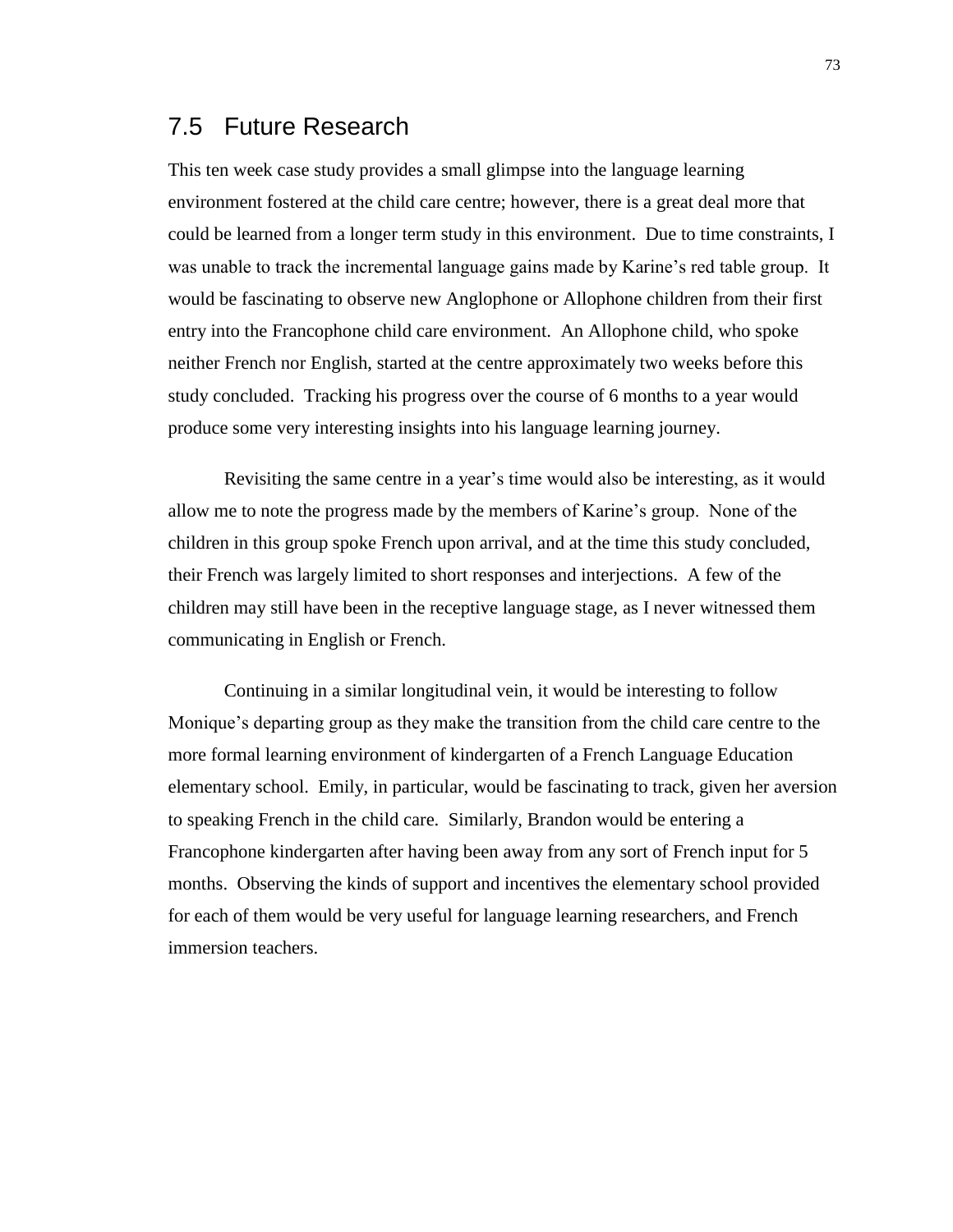### 7.5 Future Research

This ten week case study provides a small glimpse into the language learning environment fostered at the child care centre; however, there is a great deal more that could be learned from a longer term study in this environment. Due to time constraints, I was unable to track the incremental language gains made by Karine's red table group. It would be fascinating to observe new Anglophone or Allophone children from their first entry into the Francophone child care environment. An Allophone child, who spoke neither French nor English, started at the centre approximately two weeks before this study concluded. Tracking his progress over the course of 6 months to a year would produce some very interesting insights into his language learning journey.

Revisiting the same centre in a year's time would also be interesting, as it would allow me to note the progress made by the members of Karine's group. None of the children in this group spoke French upon arrival, and at the time this study concluded, their French was largely limited to short responses and interjections. A few of the children may still have been in the receptive language stage, as I never witnessed them communicating in English or French.

Continuing in a similar longitudinal vein, it would be interesting to follow Monique's departing group as they make the transition from the child care centre to the more formal learning environment of kindergarten of a French Language Education elementary school. Emily, in particular, would be fascinating to track, given her aversion to speaking French in the child care. Similarly, Brandon would be entering a Francophone kindergarten after having been away from any sort of French input for 5 months. Observing the kinds of support and incentives the elementary school provided for each of them would be very useful for language learning researchers, and French immersion teachers.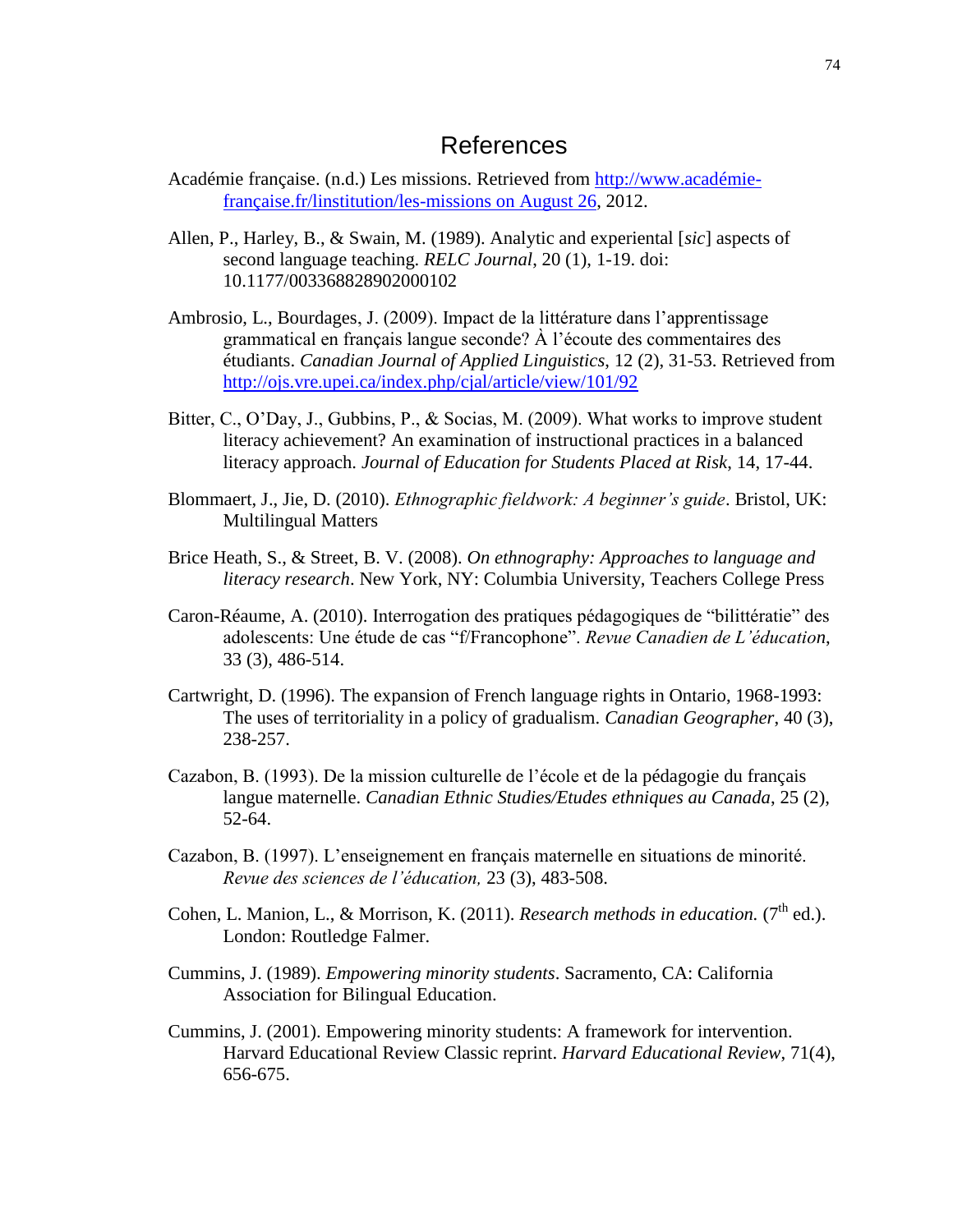### References

- Académie française. (n.d.) Les missions. Retrieved from [http://www.académie](http://www.académie-française.fr/linstitution/les-missions%20on%20August%2026)[française.fr/linstitution/les-missions on August 26,](http://www.académie-française.fr/linstitution/les-missions%20on%20August%2026) 2012.
- Allen, P., Harley, B., & Swain, M. (1989). Analytic and experiental [*sic*] aspects of second language teaching. *RELC Journal*, 20 (1), 1-19. doi: 10.1177/003368828902000102
- Ambrosio, L., Bourdages, J. (2009). Impact de la littérature dans l'apprentissage grammatical en français langue seconde? À l'écoute des commentaires des étudiants. *Canadian Journal of Applied Linguistics*, 12 (2), 31-53. Retrieved from <http://ojs.vre.upei.ca/index.php/cjal/article/view/101/92>
- Bitter, C., O'Day, J., Gubbins, P., & Socias, M. (2009). What works to improve student literacy achievement? An examination of instructional practices in a balanced literacy approach. *Journal of Education for Students Placed at Risk*, 14, 17-44.
- Blommaert, J., Jie, D. (2010). *Ethnographic fieldwork: A beginner's guide*. Bristol, UK: Multilingual Matters
- Brice Heath, S., & Street, B. V. (2008). *On ethnography: Approaches to language and literacy research*. New York, NY: Columbia University, Teachers College Press
- Caron-Réaume, A. (2010). Interrogation des pratiques pédagogiques de "bilittératie" des adolescents: Une étude de cas "f/Francophone". *Revue Canadien de L'éducation*, 33 (3), 486-514.
- Cartwright, D. (1996). The expansion of French language rights in Ontario, 1968-1993: The uses of territoriality in a policy of gradualism. *Canadian Geographer*, 40 (3), 238-257.
- Cazabon, B. (1993). De la mission culturelle de l'école et de la pédagogie du français langue maternelle. *Canadian Ethnic Studies/Etudes ethniques au Canada*, 25 (2), 52-64.
- Cazabon, B. (1997). L'enseignement en français maternelle en situations de minorité. *Revue des sciences de l'éducation,* 23 (3), 483-508.
- Cohen, L. Manion, L., & Morrison, K. (2011). *Research methods in education.*  $(7<sup>th</sup>$  ed.). London: Routledge Falmer.
- Cummins, J. (1989). *Empowering minority students*. Sacramento, CA: California Association for Bilingual Education.
- Cummins, J. (2001). Empowering minority students: A framework for intervention. Harvard Educational Review Classic reprint. *Harvard Educational Review*, 71(4), 656-675.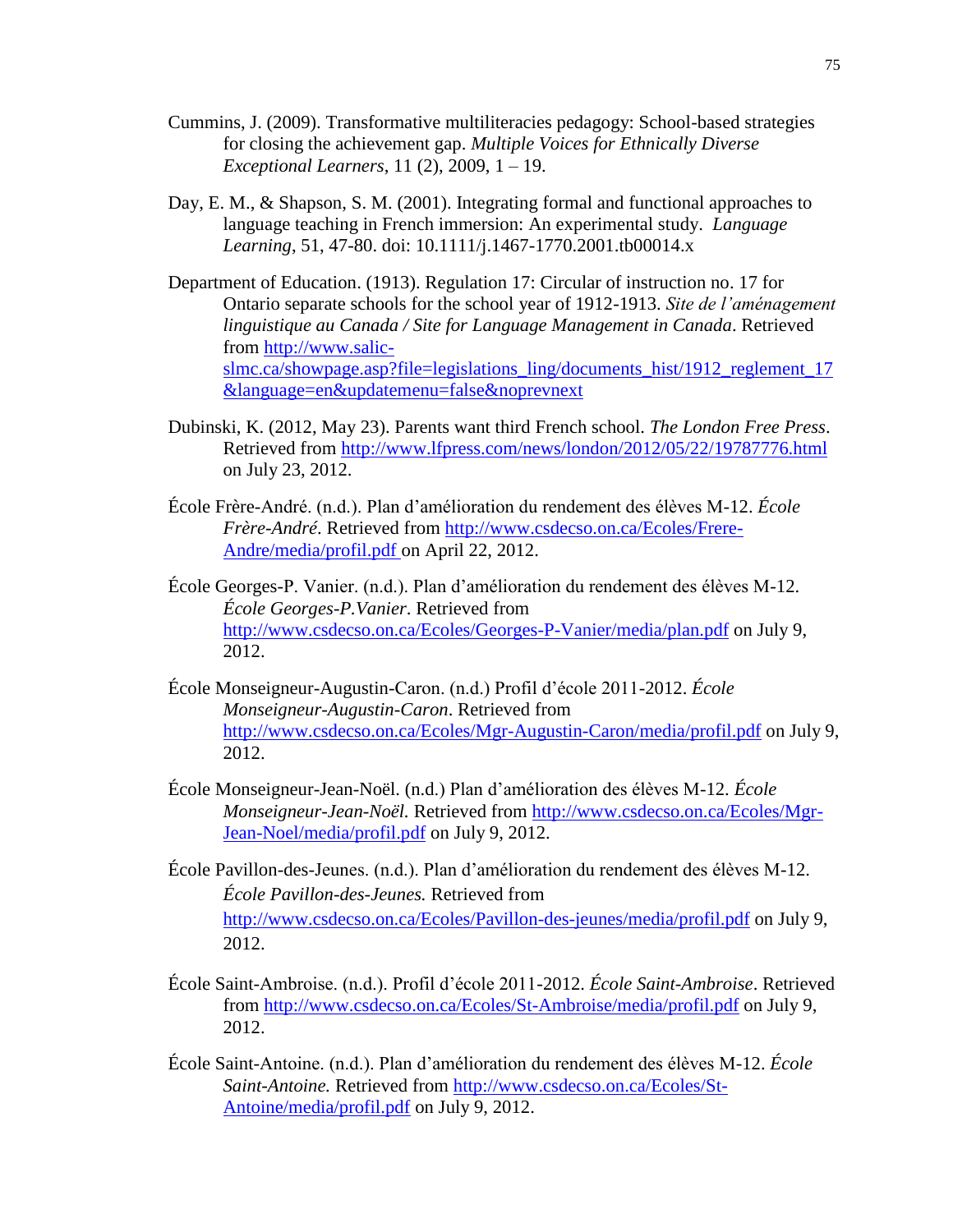- Cummins, J. (2009). Transformative multiliteracies pedagogy: School-based strategies for closing the achievement gap. *Multiple Voices for Ethnically Diverse Exceptional Learners*, 11 (2), 2009, 1 – 19.
- Day, E. M., & Shapson, S. M. (2001). Integrating formal and functional approaches to language teaching in French immersion: An experimental study. *Language Learning*, 51, 47-80. doi: 10.1111/j.1467-1770.2001.tb00014.x
- Department of Education. (1913). Regulation 17: Circular of instruction no. 17 for Ontario separate schools for the school year of 1912-1913. *Site de l'aménagement linguistique au Canada / Site for Language Management in Canada*. Retrieved from [http://www.salic](http://www.salic-slmc.ca/showpage.asp?file=legislations_ling/documents_hist/1912_reglement_17&language=en&updatemenu=false&noprevnext)[slmc.ca/showpage.asp?file=legislations\\_ling/documents\\_hist/1912\\_reglement\\_17](http://www.salic-slmc.ca/showpage.asp?file=legislations_ling/documents_hist/1912_reglement_17&language=en&updatemenu=false&noprevnext) [&language=en&updatemenu=false&noprevnext](http://www.salic-slmc.ca/showpage.asp?file=legislations_ling/documents_hist/1912_reglement_17&language=en&updatemenu=false&noprevnext)
- Dubinski, K. (2012, May 23). Parents want third French school. *The London Free Press*. Retrieved from<http://www.lfpress.com/news/london/2012/05/22/19787776.html> on July 23, 2012.
- École Frère-André. (n.d.). Plan d'amélioration du rendement des élèves M-12. *École Frère-André*. Retrieved from [http://www.csdecso.on.ca/Ecoles/Frere-](http://www.csdecso.on.ca/Ecoles/Frere-Andre/media/profil.pdf)[Andre/media/profil.pdf](http://www.csdecso.on.ca/Ecoles/Frere-Andre/media/profil.pdf) on April 22, 2012.
- École Georges-P. Vanier. (n.d.). Plan d'amélioration du rendement des élèves M-12. *École Georges-P.Vanier*. Retrieved from <http://www.csdecso.on.ca/Ecoles/Georges-P-Vanier/media/plan.pdf> on July 9, 2012.
- École Monseigneur-Augustin-Caron. (n.d.) Profil d'école 2011-2012. *École Monseigneur-Augustin-Caron*. Retrieved from <http://www.csdecso.on.ca/Ecoles/Mgr-Augustin-Caron/media/profil.pdf> on July 9, 2012.
- École Monseigneur-Jean-Noël. (n.d.) Plan d'amélioration des élèves M-12. *École Monseigneur-Jean-Noël.* Retrieved from [http://www.csdecso.on.ca/Ecoles/Mgr-](http://www.csdecso.on.ca/Ecoles/Mgr-Jean-Noel/media/profil.pdf)[Jean-Noel/media/profil.pdf](http://www.csdecso.on.ca/Ecoles/Mgr-Jean-Noel/media/profil.pdf) on July 9, 2012.
- École Pavillon-des-Jeunes. (n.d.). Plan d'amélioration du rendement des élèves M-12. *École Pavillon-des-Jeunes.* Retrieved from <http://www.csdecso.on.ca/Ecoles/Pavillon-des-jeunes/media/profil.pdf> on July 9, 2012.
- École Saint-Ambroise. (n.d.). Profil d'école 2011-2012. *École Saint-Ambroise*. Retrieved from<http://www.csdecso.on.ca/Ecoles/St-Ambroise/media/profil.pdf> on July 9, 2012.
- École Saint-Antoine. (n.d.). Plan d'amélioration du rendement des élèves M-12. *École Saint-Antoine.* Retrieved from [http://www.csdecso.on.ca/Ecoles/St-](http://www.csdecso.on.ca/Ecoles/St-Antoine/media/profil.pdf)[Antoine/media/profil.pdf](http://www.csdecso.on.ca/Ecoles/St-Antoine/media/profil.pdf) on July 9, 2012.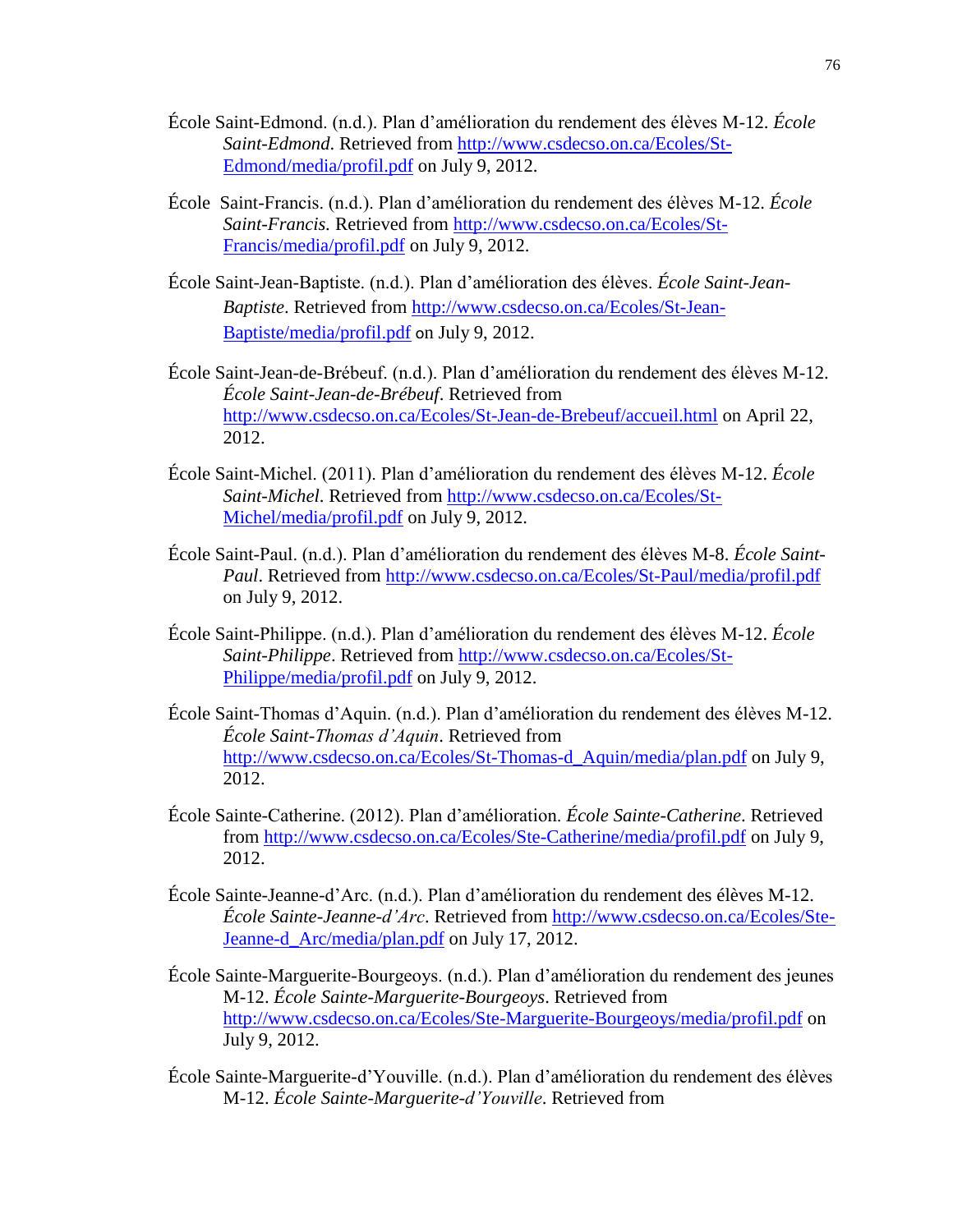- École Saint-Edmond. (n.d.). Plan d'amélioration du rendement des élèves M-12. *École Saint-Edmond*. Retrieved from [http://www.csdecso.on.ca/Ecoles/St-](http://www.csdecso.on.ca/Ecoles/St-Edmond/media/profil.pdf)[Edmond/media/profil.pdf](http://www.csdecso.on.ca/Ecoles/St-Edmond/media/profil.pdf) on July 9, 2012.
- École Saint-Francis. (n.d.). Plan d'amélioration du rendement des élèves M-12. *École Saint-Francis.* Retrieved from [http://www.csdecso.on.ca/Ecoles/St-](http://www.csdecso.on.ca/Ecoles/St-Francis/media/profil.pdf)[Francis/media/profil.pdf](http://www.csdecso.on.ca/Ecoles/St-Francis/media/profil.pdf) on July 9, 2012.
- École Saint-Jean-Baptiste. (n.d.). Plan d'amélioration des élèves. *École Saint-Jean-Baptiste*. Retrieved from [http://www.csdecso.on.ca/Ecoles/St-Jean-](http://www.csdecso.on.ca/Ecoles/St-Jean-Baptiste/media/profil.pdf)[Baptiste/media/profil.pdf](http://www.csdecso.on.ca/Ecoles/St-Jean-Baptiste/media/profil.pdf) on July 9, 2012.
- École Saint-Jean-de-Brébeuf. (n.d.). Plan d'amélioration du rendement des élèves M-12. *École Saint-Jean-de-Brébeuf*. Retrieved from <http://www.csdecso.on.ca/Ecoles/St-Jean-de-Brebeuf/accueil.html> on April 22, 2012.
- École Saint-Michel. (2011). Plan d'amélioration du rendement des élèves M-12. *École Saint-Michel*. Retrieved from [http://www.csdecso.on.ca/Ecoles/St-](http://www.csdecso.on.ca/Ecoles/St-Michel/media/profil.pdf)[Michel/media/profil.pdf](http://www.csdecso.on.ca/Ecoles/St-Michel/media/profil.pdf) on July 9, 2012.
- École Saint-Paul. (n.d.). Plan d'amélioration du rendement des élèves M-8. *École Saint-Paul*. Retrieved from <http://www.csdecso.on.ca/Ecoles/St-Paul/media/profil.pdf> on July 9, 2012.
- École Saint-Philippe. (n.d.). Plan d'amélioration du rendement des élèves M-12. *École Saint-Philippe*. Retrieved from [http://www.csdecso.on.ca/Ecoles/St-](http://www.csdecso.on.ca/Ecoles/St-Philippe/media/profil.pdf)[Philippe/media/profil.pdf](http://www.csdecso.on.ca/Ecoles/St-Philippe/media/profil.pdf) on July 9, 2012.
- École Saint-Thomas d'Aquin. (n.d.). Plan d'amélioration du rendement des élèves M-12. *École Saint-Thomas d'Aquin*. Retrieved from [http://www.csdecso.on.ca/Ecoles/St-Thomas-d\\_Aquin/media/plan.pdf](http://www.csdecso.on.ca/Ecoles/St-Thomas-d_Aquin/media/plan.pdf) on July 9, 2012.
- École Sainte-Catherine. (2012). Plan d'amélioration. *École Sainte-Catherine*. Retrieved from<http://www.csdecso.on.ca/Ecoles/Ste-Catherine/media/profil.pdf> on July 9, 2012.
- École Sainte-Jeanne-d'Arc. (n.d.). Plan d'amélioration du rendement des élèves M-12. *École Sainte-Jeanne-d'Arc*. Retrieved from [http://www.csdecso.on.ca/Ecoles/Ste-](http://www.csdecso.on.ca/Ecoles/Ste-Jeanne-d_Arc/media/plan.pdf)[Jeanne-d\\_Arc/media/plan.pdf](http://www.csdecso.on.ca/Ecoles/Ste-Jeanne-d_Arc/media/plan.pdf) on July 17, 2012.
- École Sainte-Marguerite-Bourgeoys. (n.d.). Plan d'amélioration du rendement des jeunes M-12. *École Sainte-Marguerite-Bourgeoys*. Retrieved from <http://www.csdecso.on.ca/Ecoles/Ste-Marguerite-Bourgeoys/media/profil.pdf> on July 9, 2012.
- École Sainte-Marguerite-d'Youville. (n.d.). Plan d'amélioration du rendement des élèves M-12. *École Sainte-Marguerite-d'Youville*. Retrieved from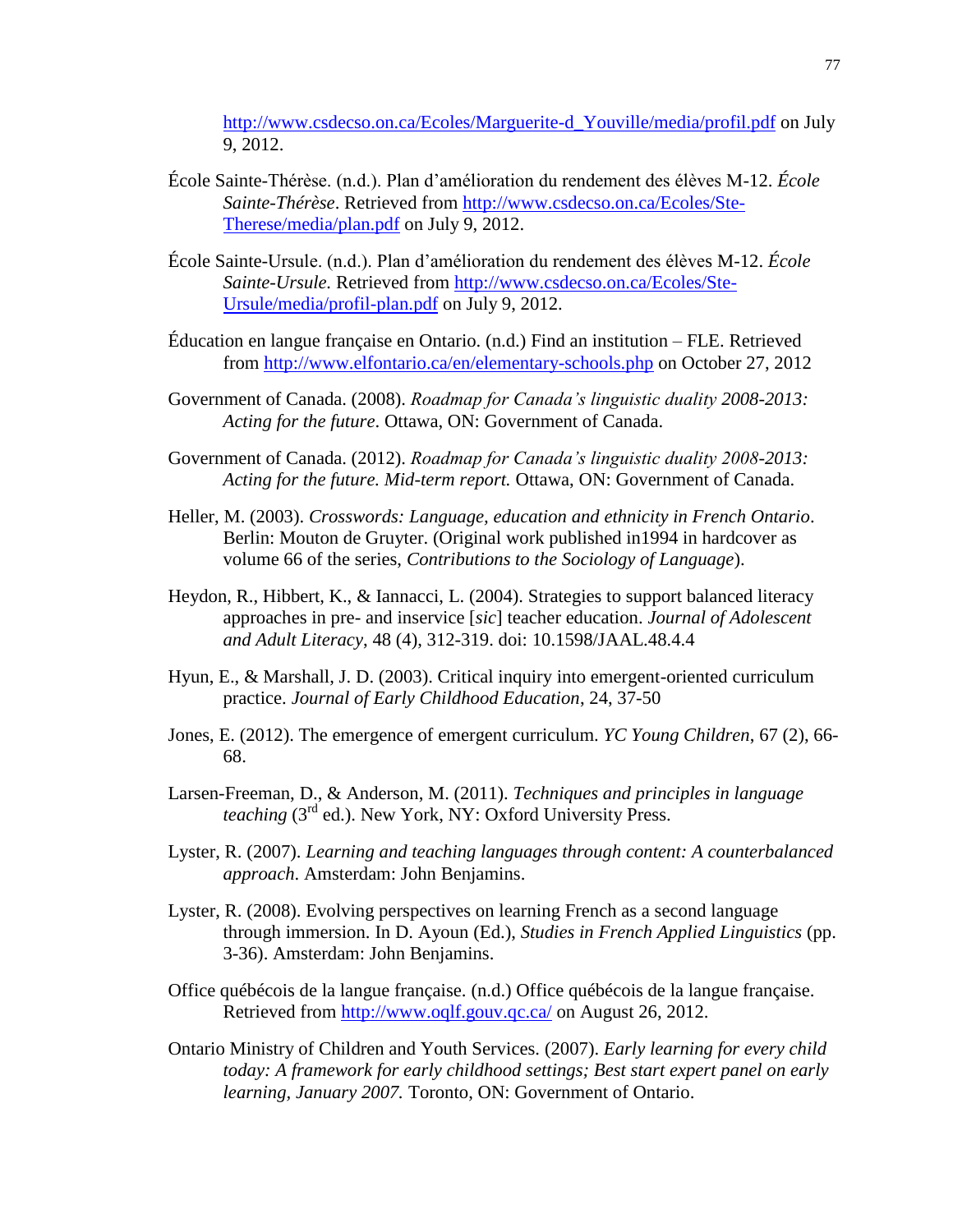[http://www.csdecso.on.ca/Ecoles/Marguerite-d\\_Youville/media/profil.pdf](http://www.csdecso.on.ca/Ecoles/Marguerite-d_Youville/media/profil.pdf) on July 9, 2012.

- École Sainte-Thérèse. (n.d.). Plan d'amélioration du rendement des élèves M-12. *École Sainte-Thérèse*. Retrieved from [http://www.csdecso.on.ca/Ecoles/Ste-](http://www.csdecso.on.ca/Ecoles/Ste-Therese/media/plan.pdf)[Therese/media/plan.pdf](http://www.csdecso.on.ca/Ecoles/Ste-Therese/media/plan.pdf) on July 9, 2012.
- École Sainte-Ursule. (n.d.). Plan d'amélioration du rendement des élèves M-12. *École Sainte-Ursule.* Retrieved from [http://www.csdecso.on.ca/Ecoles/Ste-](http://www.csdecso.on.ca/Ecoles/Ste-Ursule/media/profil-plan.pdf)[Ursule/media/profil-plan.pdf](http://www.csdecso.on.ca/Ecoles/Ste-Ursule/media/profil-plan.pdf) on July 9, 2012.
- Éducation en langue française en Ontario. (n.d.) Find an institution FLE. Retrieved from<http://www.elfontario.ca/en/elementary-schools.php> on October 27, 2012
- Government of Canada. (2008). *Roadmap for Canada's linguistic duality 2008-2013: Acting for the future*. Ottawa, ON: Government of Canada.
- Government of Canada. (2012). *Roadmap for Canada's linguistic duality 2008-2013: Acting for the future. Mid-term report.* Ottawa, ON: Government of Canada.
- Heller, M. (2003). *Crosswords: Language, education and ethnicity in French Ontario*. Berlin: Mouton de Gruyter. (Original work published in1994 in hardcover as volume 66 of the series, *Contributions to the Sociology of Language*).
- Heydon, R., Hibbert, K., & Iannacci, L. (2004). Strategies to support balanced literacy approaches in pre- and inservice [*sic*] teacher education. *Journal of Adolescent and Adult Literacy*, 48 (4), 312-319. doi: 10.1598/JAAL.48.4.4
- Hyun, E., & Marshall, J. D. (2003). Critical inquiry into emergent-oriented curriculum practice. *Journal of Early Childhood Education*, 24, 37-50
- Jones, E. (2012). The emergence of emergent curriculum. *YC Young Children*, 67 (2), 66- 68.
- Larsen-Freeman, D., & Anderson, M. (2011). *Techniques and principles in language teaching* (3<sup>rd</sup> ed.). New York, NY: Oxford University Press.
- Lyster, R. (2007). *Learning and teaching languages through content: A counterbalanced approach*. Amsterdam: John Benjamins.
- Lyster, R. (2008). Evolving perspectives on learning French as a second language through immersion. In D. Ayoun (Ed.), *Studies in French Applied Linguistics* (pp. 3-36). Amsterdam: John Benjamins.
- Office québécois de la langue française. (n.d.) Office québécois de la langue française. Retrieved from<http://www.oqlf.gouv.qc.ca/> on August 26, 2012.
- Ontario Ministry of Children and Youth Services. (2007). *Early learning for every child today: A framework for early childhood settings; Best start expert panel on early learning, January 2007.* Toronto, ON: Government of Ontario.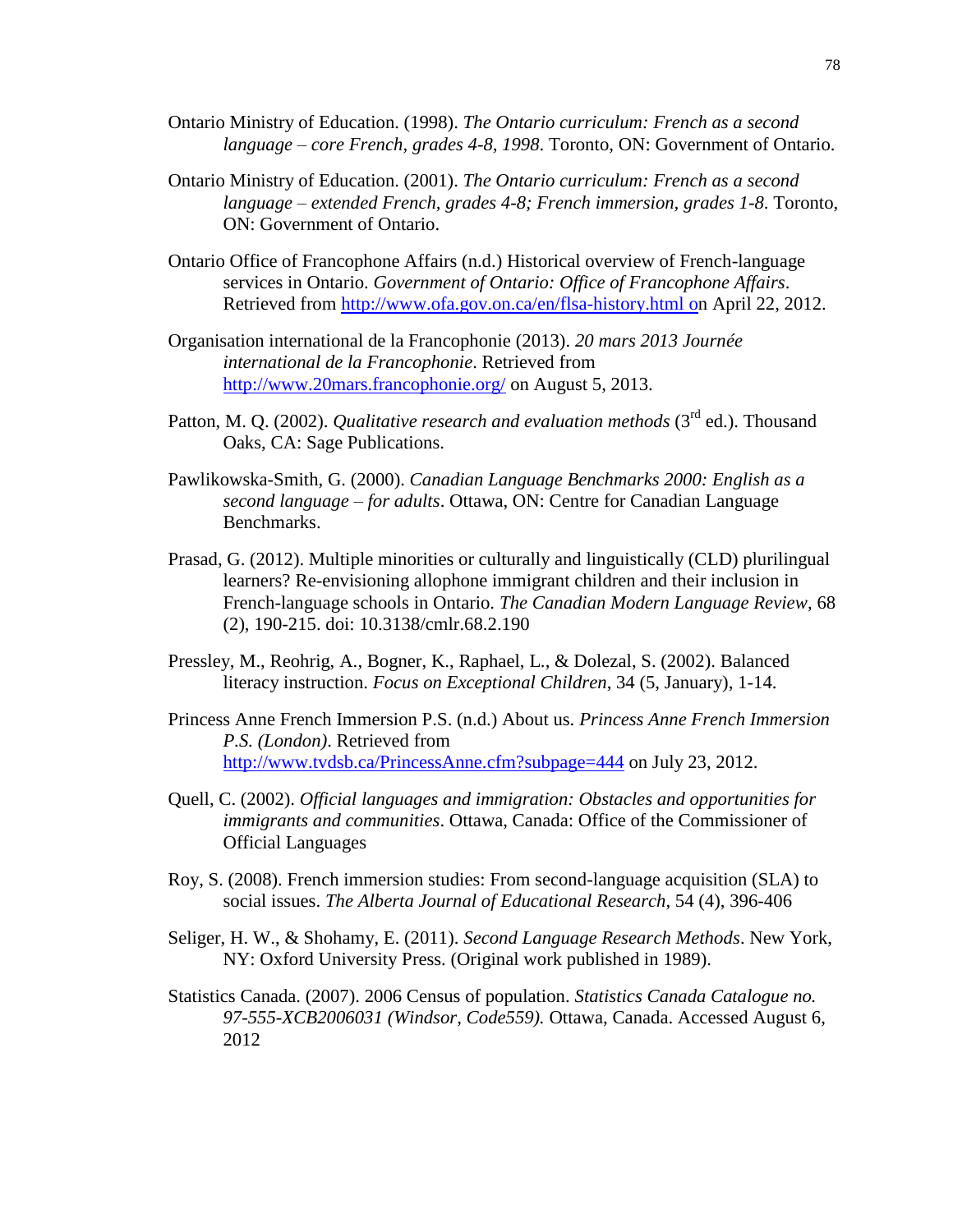- Ontario Ministry of Education. (1998). *The Ontario curriculum: French as a second language – core French, grades 4-8, 1998*. Toronto, ON: Government of Ontario.
- Ontario Ministry of Education. (2001). *The Ontario curriculum: French as a second language – extended French, grades 4-8; French immersion, grades 1-8*. Toronto, ON: Government of Ontario.
- Ontario Office of Francophone Affairs (n.d.) Historical overview of French-language services in Ontario. *Government of Ontario: Office of Francophone Affairs*. Retrieved from<http://www.ofa.gov.on.ca/en/flsa-history.html> on April 22, 2012.
- Organisation international de la Francophonie (2013). *20 mars 2013 Journée international de la Francophonie*. Retrieved from <http://www.20mars.francophonie.org/> on August 5, 2013.
- Patton, M. Q. (2002). *Qualitative research and evaluation methods* (3<sup>rd</sup> ed.). Thousand Oaks, CA: Sage Publications.
- Pawlikowska-Smith, G. (2000). *Canadian Language Benchmarks 2000: English as a second language – for adults*. Ottawa, ON: Centre for Canadian Language Benchmarks.
- Prasad, G. (2012). Multiple minorities or culturally and linguistically (CLD) plurilingual learners? Re-envisioning allophone immigrant children and their inclusion in French-language schools in Ontario. *The Canadian Modern Language Review*, 68 (2), 190-215. doi: 10.3138/cmlr.68.2.190
- Pressley, M., Reohrig, A., Bogner, K., Raphael, L., & Dolezal, S. (2002). Balanced literacy instruction. *Focus on Exceptional Children*, 34 (5, January), 1-14.
- Princess Anne French Immersion P.S. (n.d.) About us. *Princess Anne French Immersion P.S. (London)*. Retrieved from <http://www.tvdsb.ca/PrincessAnne.cfm?subpage=444> on July 23, 2012.
- Quell, C. (2002). *Official languages and immigration: Obstacles and opportunities for immigrants and communities*. Ottawa, Canada: Office of the Commissioner of Official Languages
- Roy, S. (2008). French immersion studies: From second-language acquisition (SLA) to social issues. *The Alberta Journal of Educational Research*, 54 (4), 396-406
- Seliger, H. W., & Shohamy, E. (2011). *Second Language Research Methods*. New York, NY: Oxford University Press. (Original work published in 1989).
- Statistics Canada. (2007). 2006 Census of population. *Statistics Canada Catalogue no. 97-555-XCB2006031 (Windsor, Code559).* Ottawa, Canada. Accessed August 6, 2012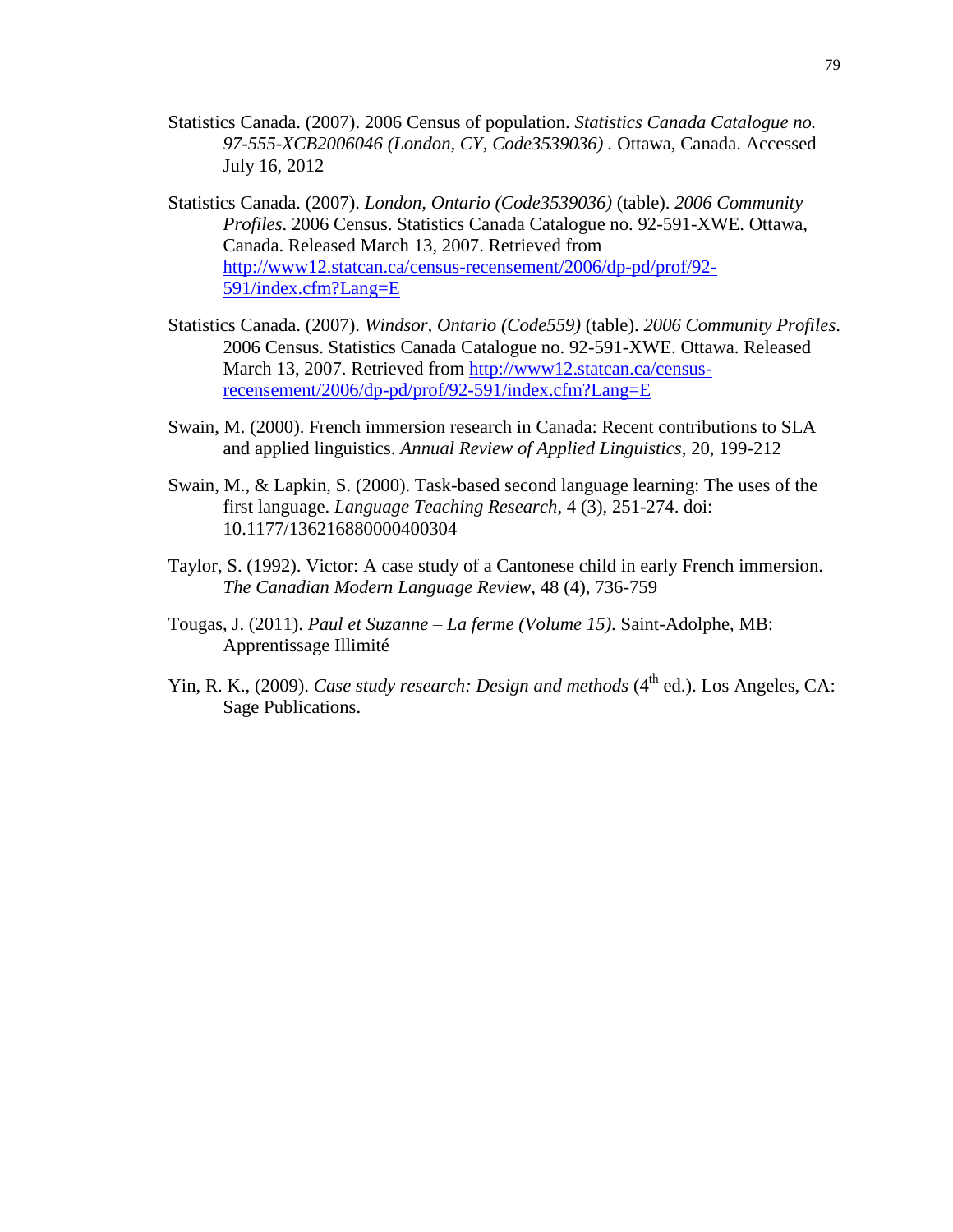- Statistics Canada. (2007). 2006 Census of population. *Statistics Canada Catalogue no. 97-555-XCB2006046 (London, CY, Code3539036) .* Ottawa, Canada. Accessed July 16, 2012
- Statistics Canada. (2007). *London, Ontario (Code3539036)* (table). *2006 Community Profiles*. 2006 Census. Statistics Canada Catalogue no. 92-591-XWE. Ottawa, Canada. Released March 13, 2007. Retrieved from [http://www12.statcan.ca/census-recensement/2006/dp-pd/prof/92-](http://www12.statcan.gc.ca/census-recensement/2006/dp-pd/prof/92-591/index.cfm?Lang=E) [591/index.cfm?Lang=E](http://www12.statcan.gc.ca/census-recensement/2006/dp-pd/prof/92-591/index.cfm?Lang=E)
- Statistics Canada. (2007). *Windsor, Ontario (Code559)* (table). *2006 Community Profiles*. 2006 Census. Statistics Canada Catalogue no. 92-591-XWE. Ottawa. Released March 13, 2007. Retrieved from [http://www12.statcan.ca/census](http://www12.statcan.gc.ca/census-recensement/2006/dp-pd/prof/92-591/index.cfm?Lang=E)[recensement/2006/dp-pd/prof/92-591/index.cfm?Lang=E](http://www12.statcan.gc.ca/census-recensement/2006/dp-pd/prof/92-591/index.cfm?Lang=E)
- Swain, M. (2000). French immersion research in Canada: Recent contributions to SLA and applied linguistics. *Annual Review of Applied Linguistics*, 20, 199-212
- Swain, M., & Lapkin, S. (2000). Task-based second language learning: The uses of the first language. *Language Teaching Research*, 4 (3), 251-274. doi: 10.1177/136216880000400304
- Taylor, S. (1992). Victor: A case study of a Cantonese child in early French immersion. *The Canadian Modern Language Review*, 48 (4), 736-759
- Tougas, J. (2011). *Paul et Suzanne – La ferme (Volume 15)*. Saint-Adolphe, MB: Apprentissage Illimité
- Yin, R. K., (2009). *Case study research: Design and methods* (4<sup>th</sup> ed.). Los Angeles, CA: Sage Publications.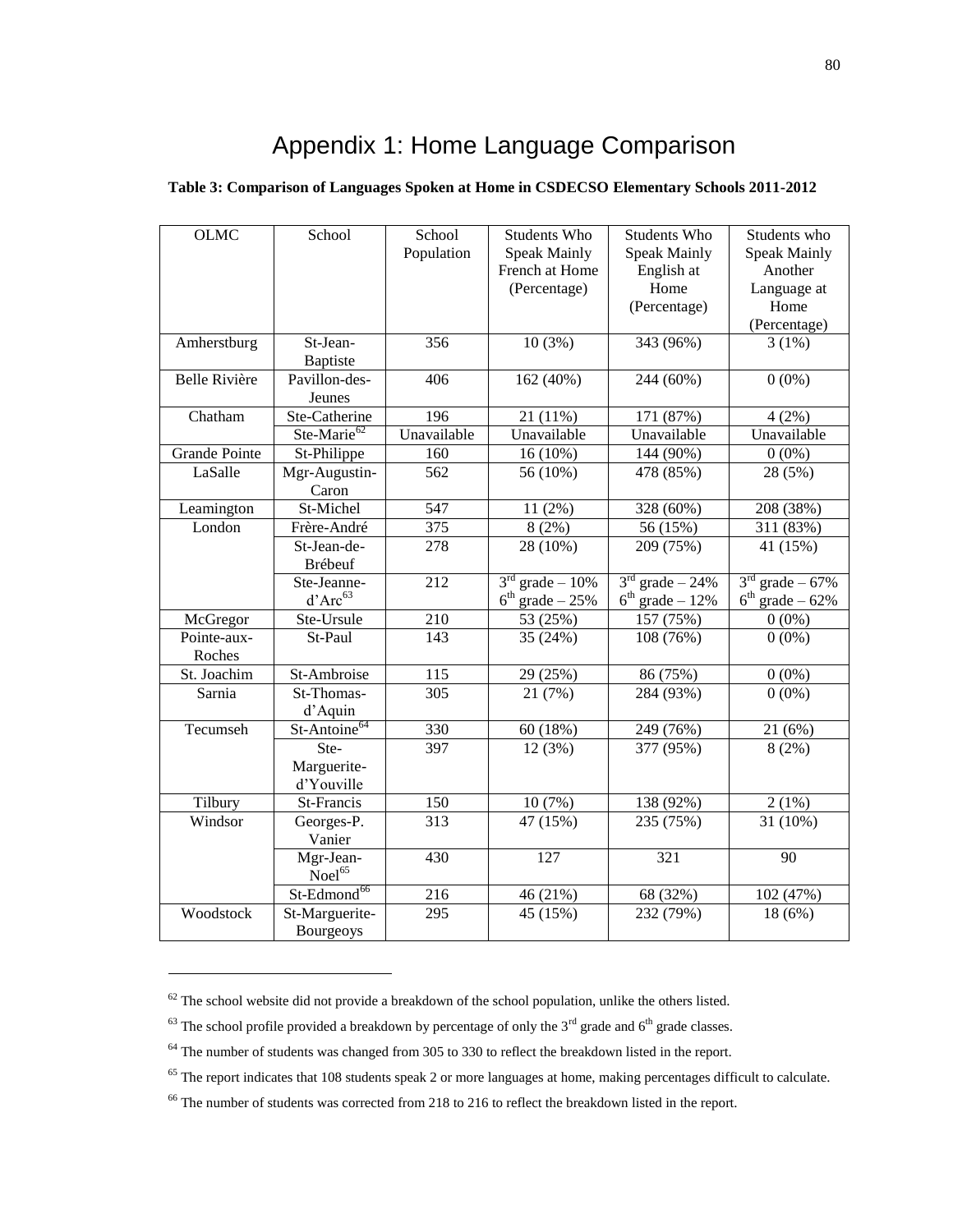# Appendix 1: Home Language Comparison

| <b>OLMC</b>           | School                             | School<br>Population | Students Who<br><b>Speak Mainly</b><br>French at Home<br>(Percentage) | Students Who<br><b>Speak Mainly</b><br>English at<br>Home<br>(Percentage) | Students who<br><b>Speak Mainly</b><br>Another<br>Language at<br>Home<br>(Percentage) |
|-----------------------|------------------------------------|----------------------|-----------------------------------------------------------------------|---------------------------------------------------------------------------|---------------------------------------------------------------------------------------|
| Amherstburg           | St-Jean-<br>Baptiste               | 356                  | 10(3%)                                                                | 343 (96%)                                                                 | 3(1%)                                                                                 |
| <b>Belle Rivière</b>  | Pavillon-des-<br>Jeunes            | 406                  | 162 (40%)                                                             | 244 (60%)                                                                 | $0(0\%)$                                                                              |
| Chatham               | Ste-Catherine                      | 196                  | 21 (11%)                                                              | 171 (87%)                                                                 | 4(2%)                                                                                 |
|                       | Ste-Marie <sup>62</sup>            | Unavailable          | Unavailable                                                           | Unavailable                                                               | Unavailable                                                                           |
| <b>Grande Pointe</b>  | St-Philippe                        | 160                  | 16 (10%)                                                              | 144 (90%)                                                                 | $0(0\%)$                                                                              |
| LaSalle               | Mgr-Augustin-<br>Caron             | 562                  | 56 (10%)                                                              | 478 (85%)                                                                 | 28 (5%)                                                                               |
| Leamington            | St-Michel                          | 547                  | 11 (2%)                                                               | 328 (60%)                                                                 | 208 (38%)                                                                             |
| London                | Frère-André                        | 375                  | 8(2%)                                                                 | 56 (15%)                                                                  | 311 (83%)                                                                             |
|                       | St-Jean-de-<br>Brébeuf             | 278                  | 28 (10%)                                                              | 209 (75%)                                                                 | 41 (15%)                                                                              |
|                       | Ste-Jeanne-<br>$d'Arc^{63}$        | 212                  | $3rd$ grade - 10%<br>$6th$ grade $-25%$                               | $3rd$ grade $-24%$<br>$6th$ grade $-12%$                                  | $3rd$ grade $-67%$<br>$6th$ grade $-62\%$                                             |
| McGregor              | Ste-Ursule                         | 210                  | 53 (25%)                                                              | 157 (75%)                                                                 | $0(0\%)$                                                                              |
| Pointe-aux-<br>Roches | St-Paul                            | 143                  | 35 (24%)                                                              | 108 (76%)                                                                 | $0(0\%)$                                                                              |
| St. Joachim           | St-Ambroise                        | 115                  | 29 (25%)                                                              | 86 (75%)                                                                  | $0(0\%)$                                                                              |
| Sarnia                | St-Thomas-<br>d'Aquin              | 305                  | 21 (7%)                                                               | 284 (93%)                                                                 | $0(0\%)$                                                                              |
| Tecumseh              | St-Antoine <sup>64</sup>           | 330                  | 60 (18%)                                                              | 249 (76%)                                                                 | 21 (6%)                                                                               |
|                       | Ste-<br>Marguerite-<br>d'Youville  | 397                  | 12 (3%)                                                               | 377 (95%)                                                                 | 8(2%)                                                                                 |
| Tilbury               | St-Francis                         | 150                  | 10(7%)                                                                | 138 (92%)                                                                 | $2(1\%)$                                                                              |
| Windsor               | Georges-P.<br>Vanier               | 313                  | 47 (15%)                                                              | 235 (75%)                                                                 | 31 (10%)                                                                              |
|                       | Mgr-Jean-<br>$N$ oel <sup>65</sup> | 430                  | 127                                                                   | 321                                                                       | 90                                                                                    |
|                       | St-Edmond <sup>66</sup>            | 216                  | 46 (21%)                                                              | 68 (32%)                                                                  | 102 (47%)                                                                             |
| Woodstock             | St-Marguerite-<br>Bourgeoys        | 295                  | 45 (15%)                                                              | 232 (79%)                                                                 | 18 (6%)                                                                               |

#### **Table 3: Comparison of Languages Spoken at Home in CSDECSO Elementary Schools 2011-2012**

 $\overline{a}$ 

 $62$  The school website did not provide a breakdown of the school population, unlike the others listed.

 $63$  The school profile provided a breakdown by percentage of only the 3<sup>rd</sup> grade and 6<sup>th</sup> grade classes.

<sup>&</sup>lt;sup>64</sup> The number of students was changed from 305 to 330 to reflect the breakdown listed in the report.

<sup>&</sup>lt;sup>65</sup> The report indicates that 108 students speak 2 or more languages at home, making percentages difficult to calculate.

<sup>66</sup> The number of students was corrected from 218 to 216 to reflect the breakdown listed in the report.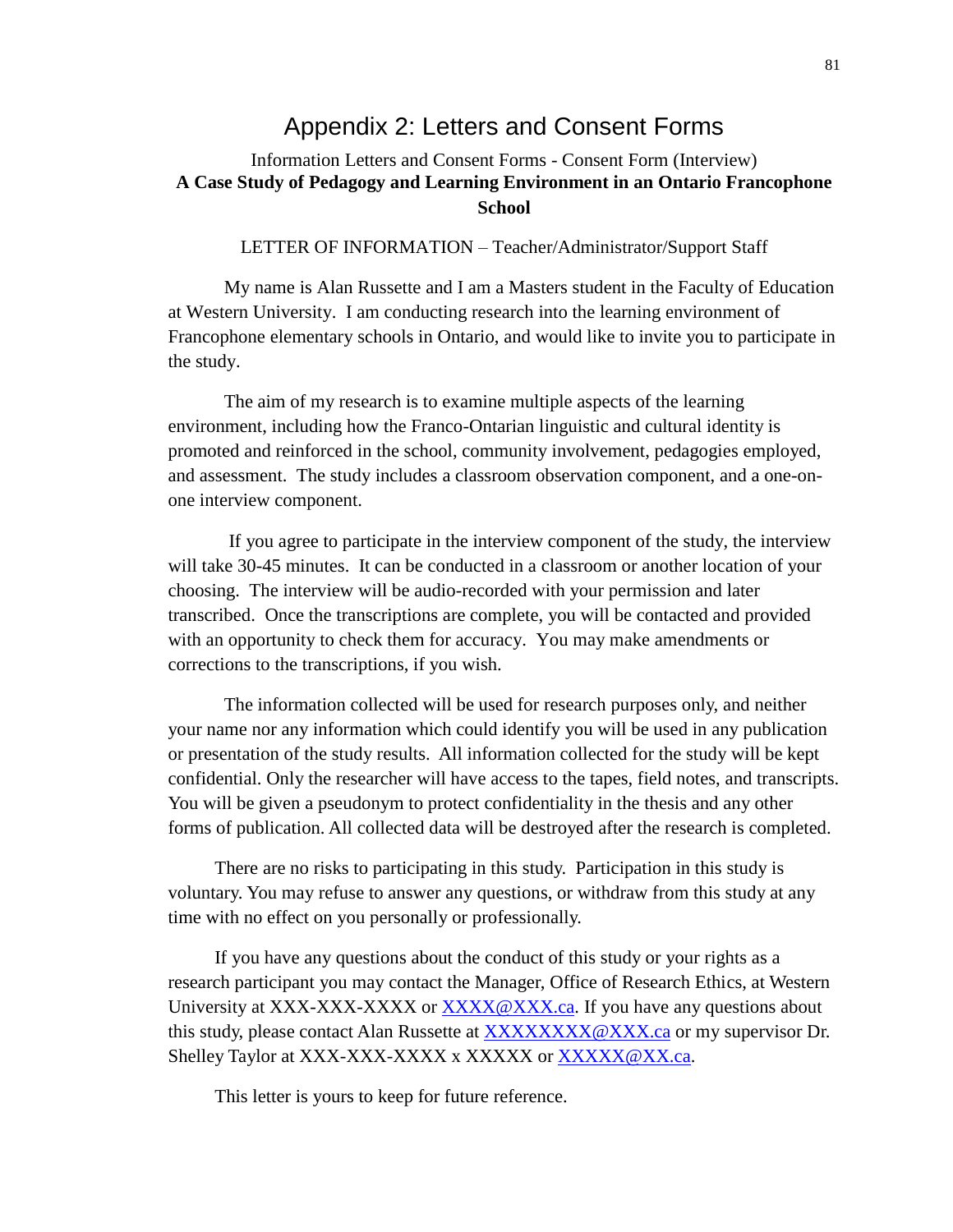### Appendix 2: Letters and Consent Forms

### Information Letters and Consent Forms - Consent Form (Interview) **A Case Study of Pedagogy and Learning Environment in an Ontario Francophone School**

#### LETTER OF INFORMATION – Teacher/Administrator/Support Staff

My name is Alan Russette and I am a Masters student in the Faculty of Education at Western University. I am conducting research into the learning environment of Francophone elementary schools in Ontario, and would like to invite you to participate in the study.

The aim of my research is to examine multiple aspects of the learning environment, including how the Franco-Ontarian linguistic and cultural identity is promoted and reinforced in the school, community involvement, pedagogies employed, and assessment. The study includes a classroom observation component, and a one-onone interview component.

If you agree to participate in the interview component of the study, the interview will take 30-45 minutes. It can be conducted in a classroom or another location of your choosing. The interview will be audio-recorded with your permission and later transcribed. Once the transcriptions are complete, you will be contacted and provided with an opportunity to check them for accuracy. You may make amendments or corrections to the transcriptions, if you wish.

The information collected will be used for research purposes only, and neither your name nor any information which could identify you will be used in any publication or presentation of the study results. All information collected for the study will be kept confidential. Only the researcher will have access to the tapes, field notes, and transcripts. You will be given a pseudonym to protect confidentiality in the thesis and any other forms of publication. All collected data will be destroyed after the research is completed.

There are no risks to participating in this study. Participation in this study is voluntary. You may refuse to answer any questions, or withdraw from this study at any time with no effect on you personally or professionally.

If you have any questions about the conduct of this study or your rights as a research participant you may contact the Manager, Office of Research Ethics, at Western University at XXX-XXX-XXXX or [XXXX@XXX.ca.](mailto:XXXX@XXX.ca) If you have any questions about this study, please contact Alan Russette at [XXXXXXXX@XXX.ca](mailto:XXXXXXXX@XXX.ca) or my supervisor Dr. Shelley Taylor at XXX-XXX-XXXX x XXXXX or [XXXXX@XX.ca.](mailto:XXXXX@XX.ca)

This letter is yours to keep for future reference.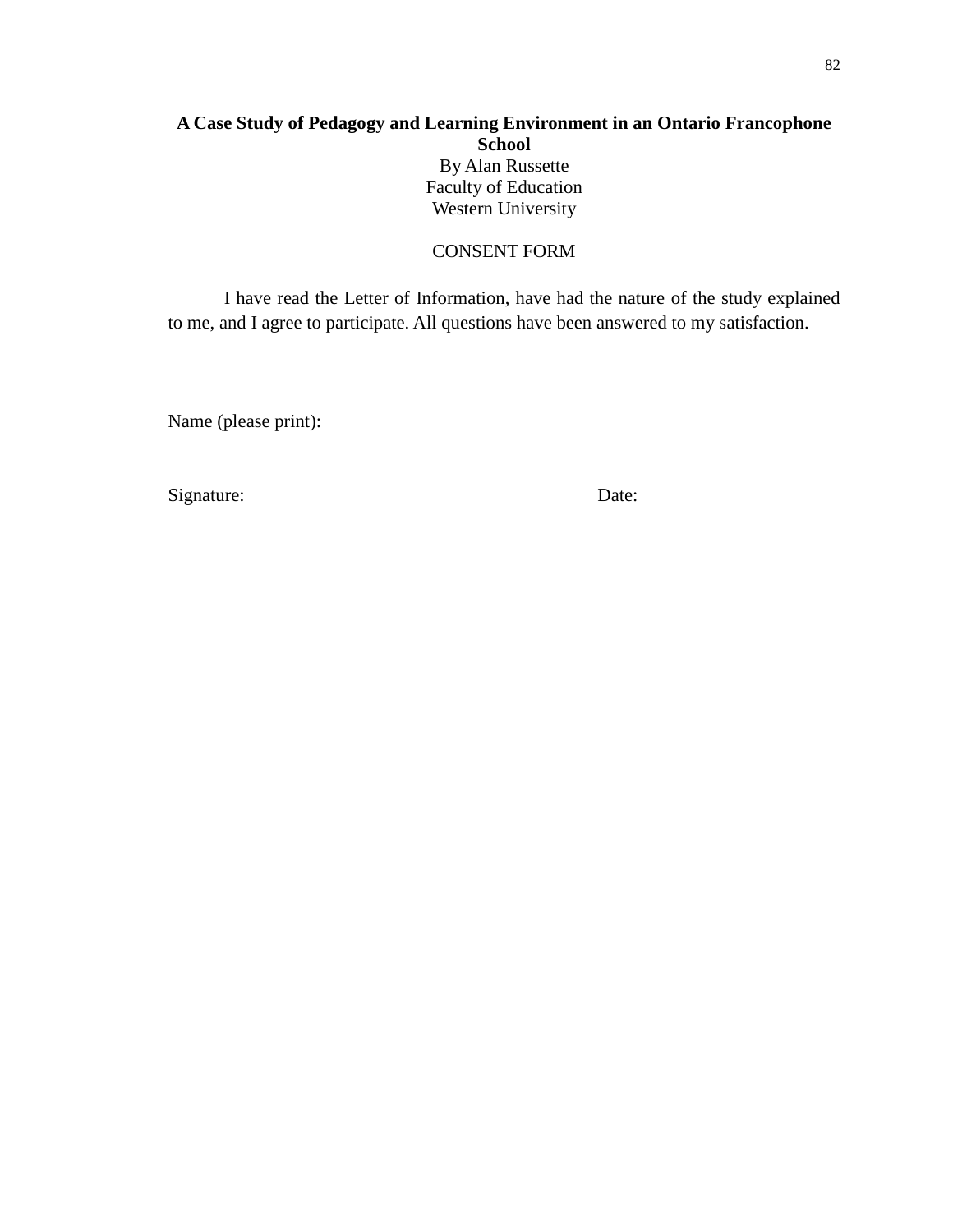### **A Case Study of Pedagogy and Learning Environment in an Ontario Francophone School** By Alan Russette Faculty of Education Western University

CONSENT FORM

I have read the Letter of Information, have had the nature of the study explained to me, and I agree to participate. All questions have been answered to my satisfaction.

Name (please print):

Signature: Date: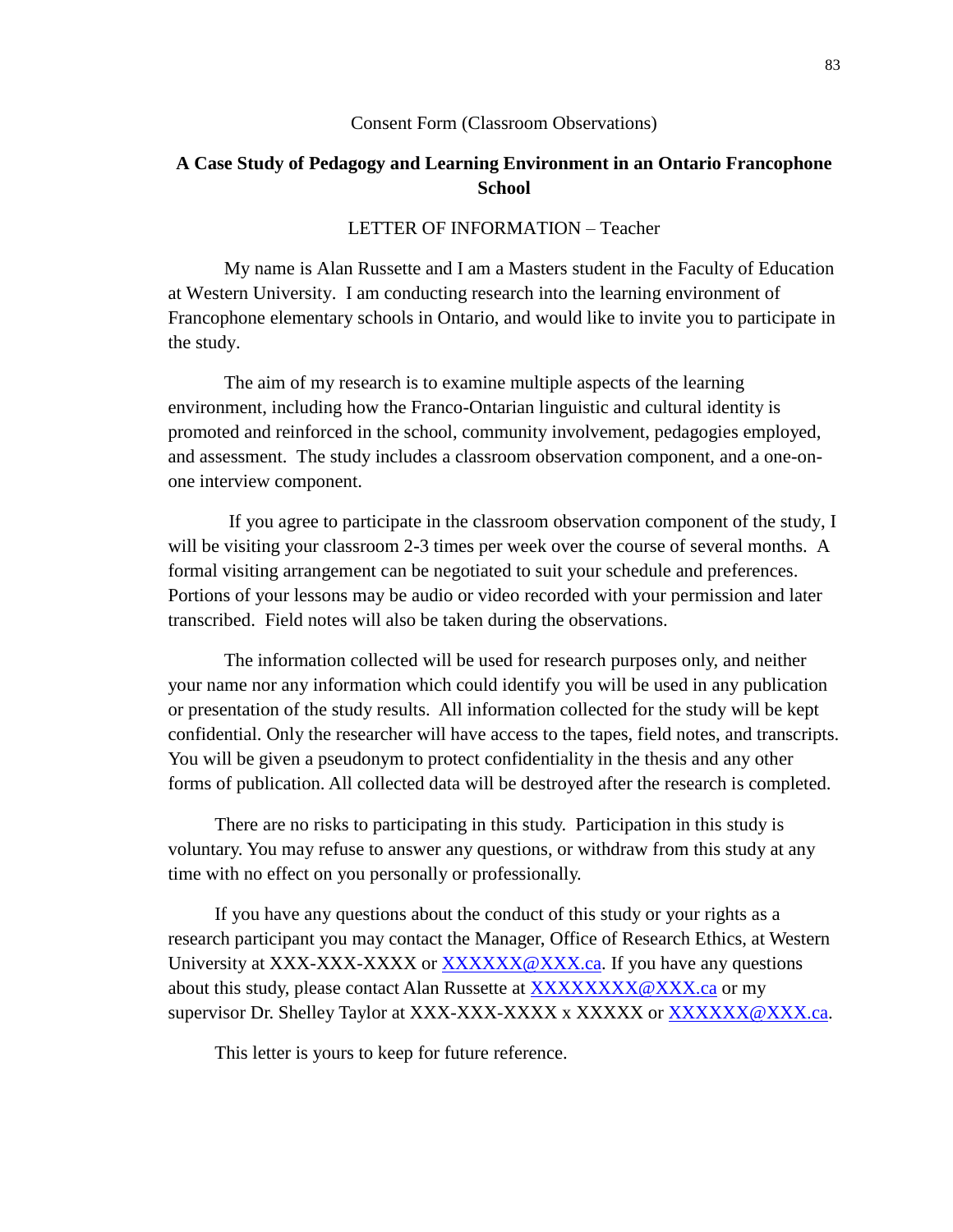#### Consent Form (Classroom Observations)

### **A Case Study of Pedagogy and Learning Environment in an Ontario Francophone School**

#### LETTER OF INFORMATION – Teacher

My name is Alan Russette and I am a Masters student in the Faculty of Education at Western University. I am conducting research into the learning environment of Francophone elementary schools in Ontario, and would like to invite you to participate in the study.

The aim of my research is to examine multiple aspects of the learning environment, including how the Franco-Ontarian linguistic and cultural identity is promoted and reinforced in the school, community involvement, pedagogies employed, and assessment. The study includes a classroom observation component, and a one-onone interview component.

If you agree to participate in the classroom observation component of the study, I will be visiting your classroom 2-3 times per week over the course of several months. A formal visiting arrangement can be negotiated to suit your schedule and preferences. Portions of your lessons may be audio or video recorded with your permission and later transcribed. Field notes will also be taken during the observations.

The information collected will be used for research purposes only, and neither your name nor any information which could identify you will be used in any publication or presentation of the study results. All information collected for the study will be kept confidential. Only the researcher will have access to the tapes, field notes, and transcripts. You will be given a pseudonym to protect confidentiality in the thesis and any other forms of publication. All collected data will be destroyed after the research is completed.

There are no risks to participating in this study. Participation in this study is voluntary. You may refuse to answer any questions, or withdraw from this study at any time with no effect on you personally or professionally.

If you have any questions about the conduct of this study or your rights as a research participant you may contact the Manager, Office of Research Ethics, at Western University at XXX-XXX-XXXX or [XXXXXX@XXX.ca.](mailto:XXXXXX@XXX.ca) If you have any questions about this study, please contact Alan Russette at [XXXXXXXX@XXX.ca](mailto:XXXXXXXX@XXX.ca) or my supervisor Dr. Shelley Taylor at XXX-XXX-XXXX x XXXXXX or [XXXXXX@XXX.ca.](mailto:XXXXXX@XXX.ca)

This letter is yours to keep for future reference.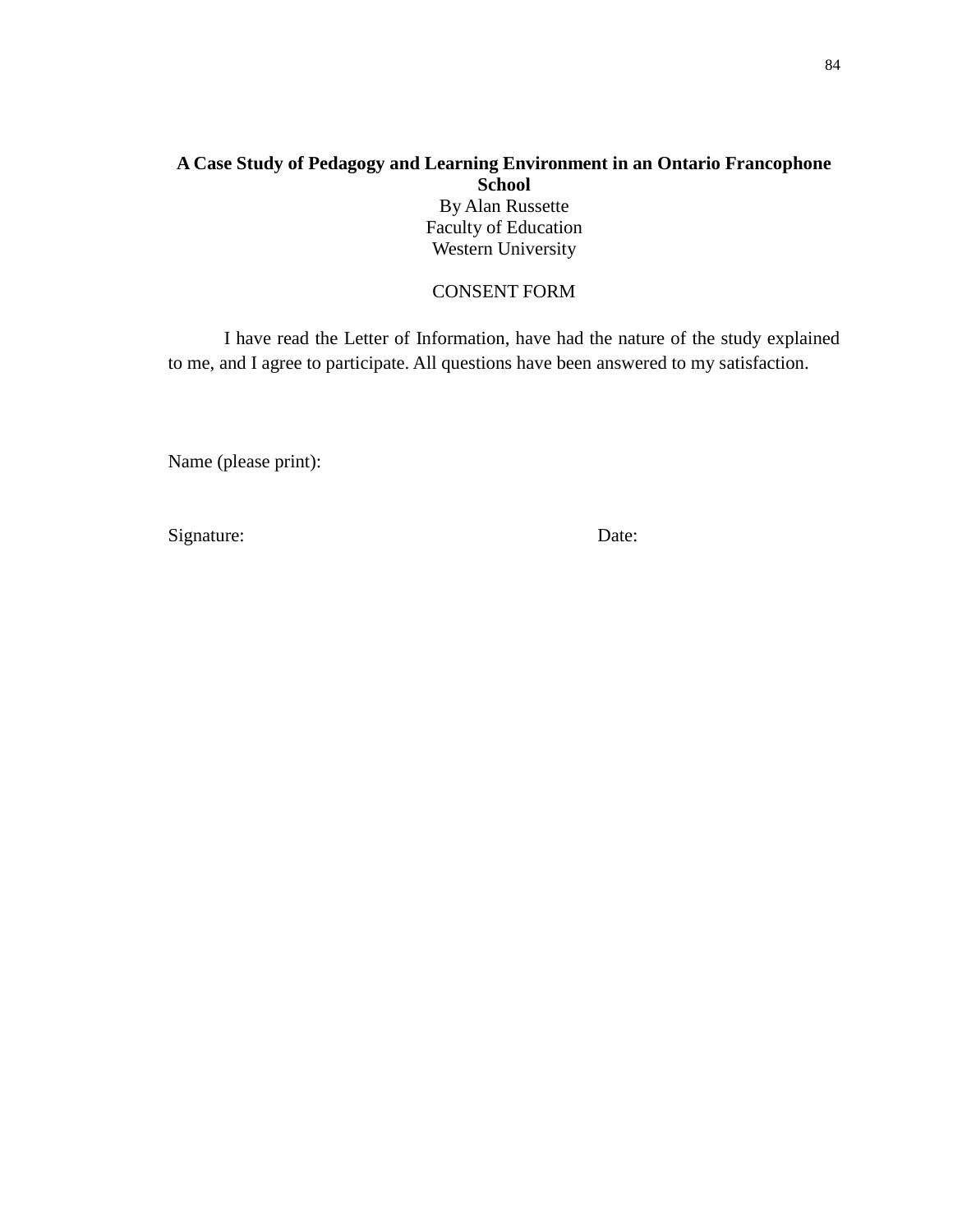### **A Case Study of Pedagogy and Learning Environment in an Ontario Francophone School**

By Alan Russette Faculty of Education Western University

### CONSENT FORM

I have read the Letter of Information, have had the nature of the study explained to me, and I agree to participate. All questions have been answered to my satisfaction.

Name (please print):

Signature: Date: Date: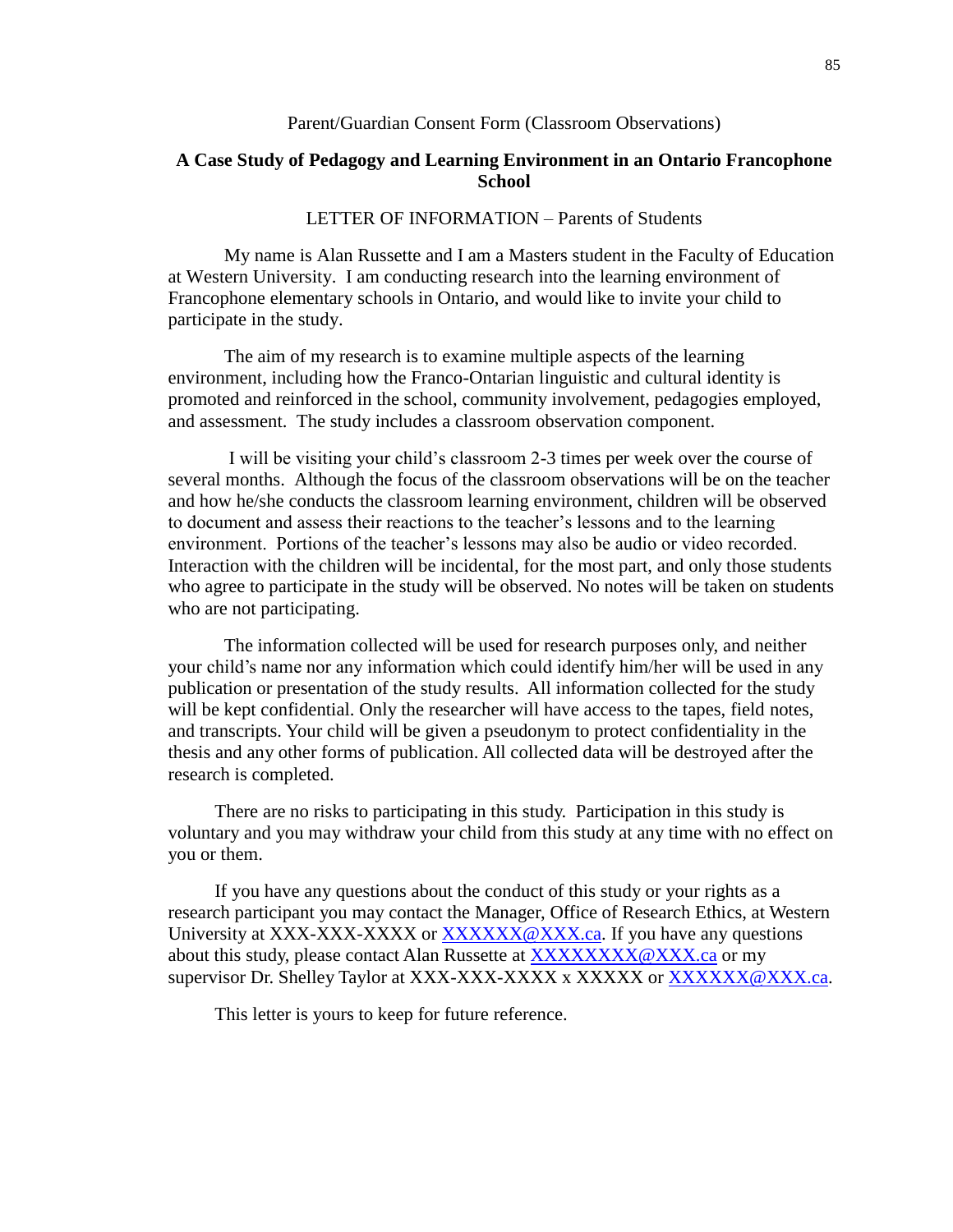#### Parent/Guardian Consent Form (Classroom Observations)

### **A Case Study of Pedagogy and Learning Environment in an Ontario Francophone School**

#### LETTER OF INFORMATION – Parents of Students

My name is Alan Russette and I am a Masters student in the Faculty of Education at Western University. I am conducting research into the learning environment of Francophone elementary schools in Ontario, and would like to invite your child to participate in the study.

The aim of my research is to examine multiple aspects of the learning environment, including how the Franco-Ontarian linguistic and cultural identity is promoted and reinforced in the school, community involvement, pedagogies employed, and assessment. The study includes a classroom observation component.

I will be visiting your child's classroom 2-3 times per week over the course of several months. Although the focus of the classroom observations will be on the teacher and how he/she conducts the classroom learning environment, children will be observed to document and assess their reactions to the teacher's lessons and to the learning environment. Portions of the teacher's lessons may also be audio or video recorded. Interaction with the children will be incidental, for the most part, and only those students who agree to participate in the study will be observed. No notes will be taken on students who are not participating.

The information collected will be used for research purposes only, and neither your child's name nor any information which could identify him/her will be used in any publication or presentation of the study results. All information collected for the study will be kept confidential. Only the researcher will have access to the tapes, field notes, and transcripts. Your child will be given a pseudonym to protect confidentiality in the thesis and any other forms of publication. All collected data will be destroyed after the research is completed.

There are no risks to participating in this study. Participation in this study is voluntary and you may withdraw your child from this study at any time with no effect on you or them.

If you have any questions about the conduct of this study or your rights as a research participant you may contact the Manager, Office of Research Ethics, at Western University at XXX-XXX-XXXX or [XXXXXX@XXX.ca.](mailto:XXXXXX@XXX.ca) If you have any questions about this study, please contact Alan Russette at [XXXXXXXX@XXX.ca](mailto:XXXXXXXX@XXX.ca) or my supervisor Dr. Shelley Taylor at XXX-XXX-XXXX x XXXXXX or [XXXXXX@XXX.ca.](mailto:XXXXXX@XXX.ca)

This letter is yours to keep for future reference.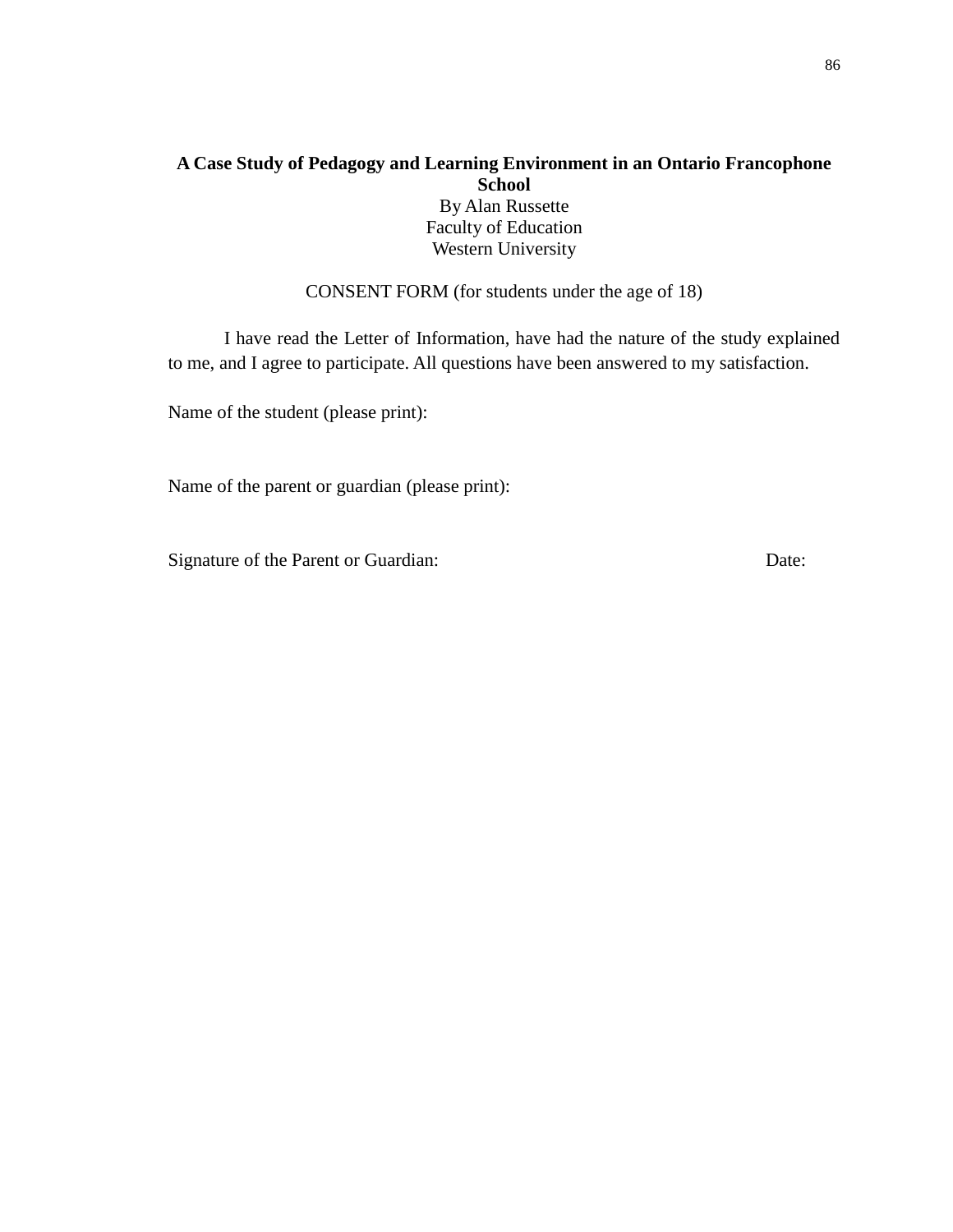### **A Case Study of Pedagogy and Learning Environment in an Ontario Francophone School**

By Alan Russette Faculty of Education Western University

CONSENT FORM (for students under the age of 18)

I have read the Letter of Information, have had the nature of the study explained to me, and I agree to participate. All questions have been answered to my satisfaction.

Name of the student (please print):

Name of the parent or guardian (please print):

Signature of the Parent or Guardian: Date: Date: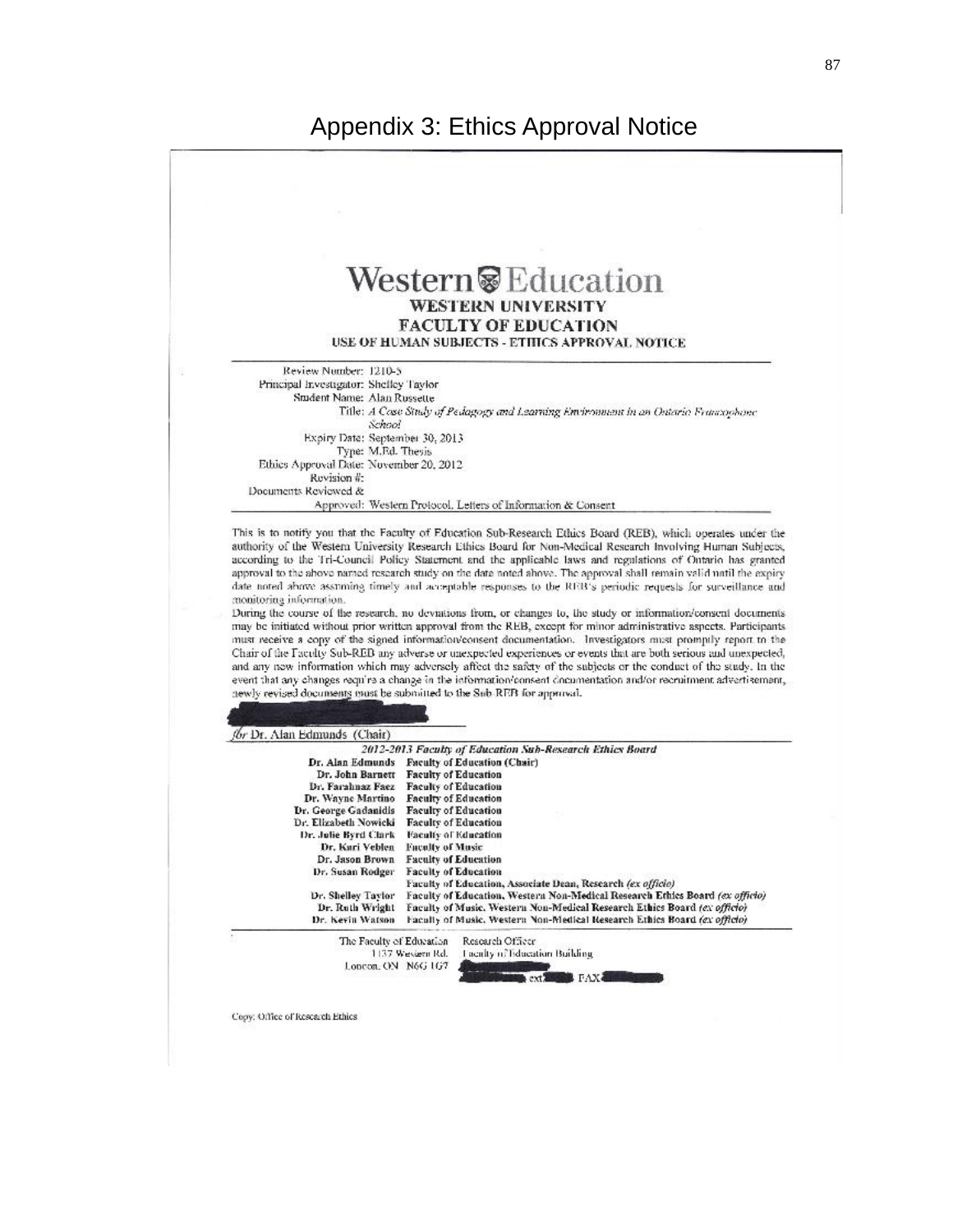

87

Copy: Office of Research Ethics